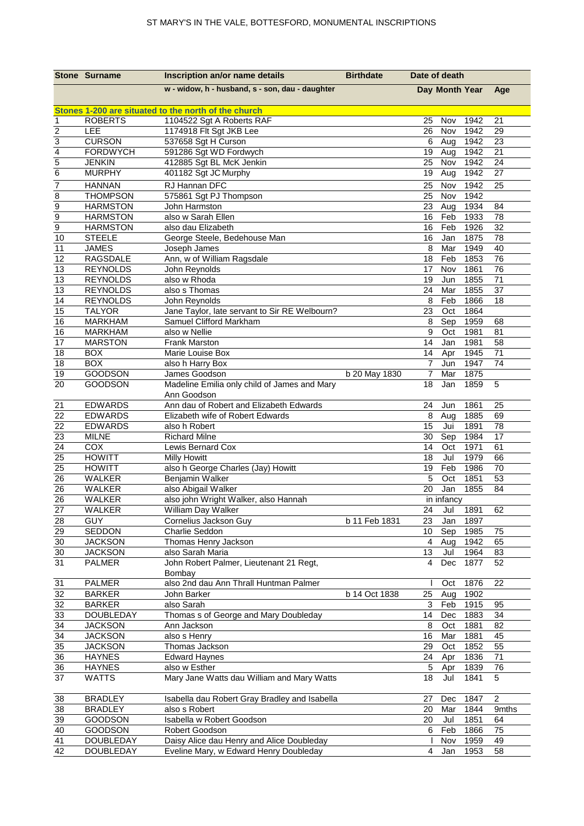|                         | <b>Stone Surname</b>            | Inscription an/or name details                                                    | <b>Birthdate</b> | Date of death  |                |              |                |
|-------------------------|---------------------------------|-----------------------------------------------------------------------------------|------------------|----------------|----------------|--------------|----------------|
|                         |                                 | w - widow, h - husband, s - son, dau - daughter                                   |                  |                | Day Month Year |              | Age            |
|                         |                                 |                                                                                   |                  |                |                |              |                |
| $\mathbf{1}$            | <b>ROBERTS</b>                  | Stones 1-200 are situated to the north of the church<br>1104522 Sgt A Roberts RAF |                  | 25             | Nov            | 1942         | 21             |
| $\overline{2}$          | LEE                             | 1174918 Flt Sgt JKB Lee                                                           |                  | 26             | Nov            | 1942         | 29             |
| $\overline{3}$          | <b>CURSON</b>                   | 537658 Sgt H Curson                                                               |                  | 6              | Aug            | 1942         | 23             |
| $\overline{\mathbf{4}}$ | <b>FORDWYCH</b>                 | 591286 Sgt WD Fordwych                                                            |                  | 19             | Aug            | 1942         | 21             |
|                         | <b>JENKIN</b>                   | 412885 Sgt BL McK Jenkin                                                          |                  | 25             | Nov            | 1942         | 24             |
| $\frac{5}{6}$           | <b>MURPHY</b>                   | 401182 Sgt JC Murphy                                                              |                  | 19             | Aug            | 1942         | 27             |
| 7                       | <b>HANNAN</b>                   | RJ Hannan DFC                                                                     |                  | 25             | Nov            | 1942         | 25             |
| $\overline{8}$          | <b>THOMPSON</b>                 | 575861 Sgt PJ Thompson                                                            |                  | 25             | Nov            | 1942         |                |
| $\overline{9}$          | <b>HARMSTON</b>                 | John Harmston                                                                     |                  | 23             | Aug            | 1934         | 84             |
| $\overline{9}$          | <b>HARMSTON</b>                 | also w Sarah Ellen                                                                |                  | 16             | Feb            | 1933         | 78             |
| 9                       | <b>HARMSTON</b>                 | also dau Elizabeth                                                                |                  | 16             | Feb            | 1926         | 32             |
| 10                      | <b>STEELE</b>                   | George Steele, Bedehouse Man                                                      |                  | 16             | Jan            | 1875         | 78             |
| 11                      | <b>JAMES</b>                    | Joseph James                                                                      |                  | 8              | Mar            | 1949         | 40             |
| 12                      | <b>RAGSDALE</b>                 | Ann, w of William Ragsdale                                                        |                  | 18             | Feb            | 1853         | 76             |
| 13                      | <b>REYNOLDS</b>                 | John Reynolds                                                                     |                  | 17             | Nov            | 1861         | 76             |
| 13                      | <b>REYNOLDS</b>                 | also w Rhoda                                                                      |                  | 19             | Jun            | 1855         | 71             |
| 13                      | <b>REYNOLDS</b>                 | also s Thomas                                                                     |                  | 24             | Mar            | 1855         | 37             |
| 14                      | <b>REYNOLDS</b>                 | John Reynolds                                                                     |                  | 8              | Feb            | 1866         | 18             |
| 15                      | <b>TALYOR</b>                   | Jane Taylor, late servant to Sir RE Welbourn?                                     |                  | 23             | Oct            | 1864         |                |
| 16                      | <b>MARKHAM</b>                  | Samuel Clifford Markham                                                           |                  | 8              | Sep            | 1959         | 68             |
| 16                      | <b>MARKHAM</b>                  | also w Nellie                                                                     |                  | 9              | Oct            | 1981         | 81             |
| 17                      | <b>MARSTON</b>                  | <b>Frank Marston</b>                                                              |                  | 14             | Jan            | 1981         | 58             |
| 18                      | <b>BOX</b>                      | Marie Louise Box                                                                  |                  | 14             | Apr            | 1945         | 71             |
| 18                      | <b>BOX</b>                      | also h Harry Box                                                                  |                  | $\overline{7}$ | Jun            | 1947         | 74             |
| 19<br>$\overline{20}$   | <b>GOODSON</b>                  | James Goodson                                                                     | b 20 May 1830    | 7              | Mar            | 1875         |                |
|                         | <b>GOODSON</b>                  | Madeline Emilia only child of James and Mary                                      |                  | 18             | Jan            | 1859         | $\overline{5}$ |
| 21                      | <b>EDWARDS</b>                  | Ann Goodson<br>Ann dau of Robert and Elizabeth Edwards                            |                  | 24             | Jun            | 1861         | 25             |
| 22                      | <b>EDWARDS</b>                  | Elizabeth wife of Robert Edwards                                                  |                  | 8              | Aug            | 1885         | 69             |
| 22                      | <b>EDWARDS</b>                  | also h Robert                                                                     |                  | 15             | Jui            | 1891         | 78             |
| 23                      | <b>MILNE</b>                    | <b>Richard Milne</b>                                                              |                  | 30             | Sep            | 1984         | 17             |
| 24                      | COX                             | Lewis Bernard Cox                                                                 |                  | 14             | Oct            | 1971         | 61             |
| 25                      | <b>HOWITT</b>                   | <b>Milly Howitt</b>                                                               |                  | 18             | Jul            | 1979         | 66             |
| 25                      | <b>HOWITT</b>                   | also h George Charles (Jay) Howitt                                                |                  | 19             | Feb            | 1986         | 70             |
| $\overline{26}$         | <b>WALKER</b>                   | Benjamin Walker                                                                   |                  | 5              | Oct            | 1851         | 53             |
| 26                      | <b>WALKER</b>                   | also Abigail Walker                                                               |                  | 20             | Jan            | 1855         | 84             |
| 26                      | <b>WALKER</b>                   | also john Wright Walker, also Hannah                                              |                  |                | in infancy     |              |                |
| 27                      | WALKER                          | William Day Walker                                                                |                  | 24             | Jul            | 1891         | 62             |
| 28                      | <b>GUY</b>                      | Cornelius Jackson Guy                                                             | b 11 Feb 1831    | 23             | Jan            | 1897         |                |
| 29                      | SEDDON                          | Charlie Seddon                                                                    |                  | 10             | Sep            | 1985         | 75             |
| 30                      | <b>JACKSON</b>                  | Thomas Henry Jackson                                                              |                  | $\overline{4}$ | Aug            | 1942         | 65             |
| 30                      | <b>JACKSON</b>                  | also Sarah Maria                                                                  |                  | 13             | Jul            | 1964         | 83             |
| 31                      | <b>PALMER</b>                   | John Robert Palmer, Lieutenant 21 Regt,                                           |                  | 4              | Dec            | 1877         | 52             |
|                         |                                 | Bombay                                                                            |                  |                |                |              |                |
| 31                      | <b>PALMER</b>                   | also 2nd dau Ann Thrall Huntman Palmer                                            |                  |                | Oct            | 1876         | 22             |
| 32                      | <b>BARKER</b>                   | John Barker                                                                       | b 14 Oct 1838    | 25             | Aug            | 1902         |                |
| 32                      | <b>BARKER</b>                   | also Sarah                                                                        |                  | 3              | Feb            | 1915         | 95             |
| 33                      | DOUBLEDAY                       | Thomas s of George and Mary Doubleday                                             |                  | 14             | Dec            | 1883         | 34             |
| 34                      | <b>JACKSON</b>                  | Ann Jackson                                                                       |                  | 8              | Oct            | 1881         | 82             |
| 34                      | <b>JACKSON</b>                  | also s Henry                                                                      |                  | 16             | Mar            | 1881         | 45             |
| 35<br>36                | <b>JACKSON</b><br><b>HAYNES</b> | Thomas Jackson<br><b>Edward Haynes</b>                                            |                  | 29<br>24       | Oct<br>Apr     | 1852<br>1836 | 55<br>71       |
| 36                      | <b>HAYNES</b>                   | also w Esther                                                                     |                  | 5              | Apr            | 1839         | 76             |
| 37                      | WATTS                           | Mary Jane Watts dau William and Mary Watts                                        |                  | 18             | Jul            | 1841         | 5              |
|                         |                                 |                                                                                   |                  |                |                |              |                |
| 38                      | <b>BRADLEY</b>                  | Isabella dau Robert Gray Bradley and Isabella                                     |                  | 27             | Dec            | 1847         | $\overline{2}$ |
| 38                      | <b>BRADLEY</b>                  | also s Robert                                                                     |                  | 20             | Mar            | 1844         | 9mths          |
| 39                      | <b>GOODSON</b>                  | Isabella w Robert Goodson                                                         |                  | 20             | Jul            | 1851         | 64             |
| 40                      | GOODSON                         | Robert Goodson                                                                    |                  | 6              | Feb            | 1866         | 75             |
| 41                      | <b>DOUBLEDAY</b>                | Daisy Alice dau Henry and Alice Doubleday                                         |                  |                | Nov            | 1959         | 49             |
| 42                      | DOUBLEDAY                       | Eveline Mary, w Edward Henry Doubleday                                            |                  | 4              | Jan            | 1953         | 58             |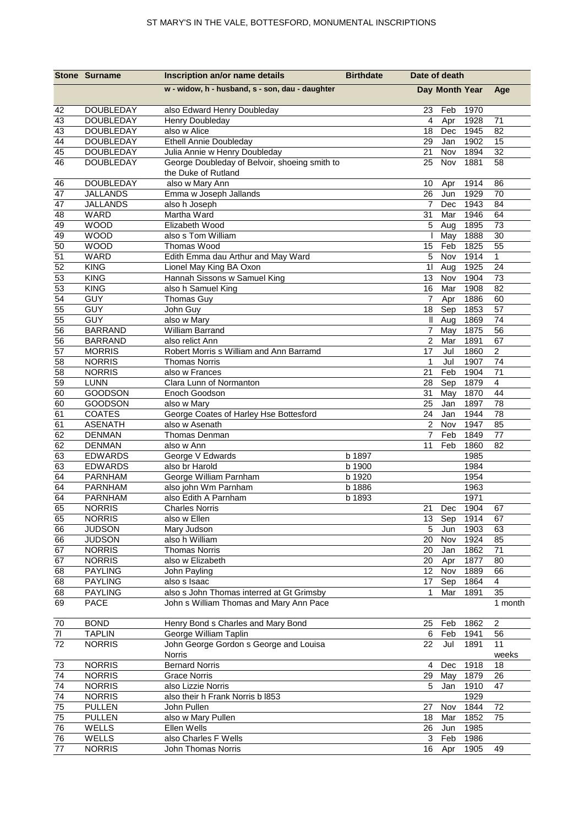|          | <b>Stone Surname</b>       | Inscription an/or name details                          | <b>Birthdate</b> | Date of death         |                |              |                 |
|----------|----------------------------|---------------------------------------------------------|------------------|-----------------------|----------------|--------------|-----------------|
|          |                            | w - widow, h - husband, s - son, dau - daughter         |                  |                       | Day Month Year |              | Age             |
| 42       | <b>DOUBLEDAY</b>           | also Edward Henry Doubleday                             |                  | 23                    | Feb            | 1970         |                 |
| 43       | <b>DOUBLEDAY</b>           | Henry Doubleday                                         |                  | 4                     | Apr            | 1928         | 71              |
| 43       | <b>DOUBLEDAY</b>           | also w Alice                                            |                  | 18                    | Dec            | 1945         | 82              |
| 44       | <b>DOUBLEDAY</b>           | <b>Ethell Annie Doubleday</b>                           |                  | 29                    | Jan            | 1902         | 15              |
| 45       | <b>DOUBLEDAY</b>           | Julia Annie w Henry Doubleday                           |                  | 21                    | Nov            | 1894         | 32              |
| 46       | <b>DOUBLEDAY</b>           | George Doubleday of Belvoir, shoeing smith to           |                  | 25                    | Nov            | 1881         | 58              |
|          |                            | the Duke of Rutland                                     |                  |                       |                |              |                 |
| 46       | <b>DOUBLEDAY</b>           | also w Mary Ann                                         |                  | 10                    | Apr            | 1914         | 86              |
| 47       | <b>JALLANDS</b>            | Emma w Joseph Jallands                                  |                  | 26                    | Jun            | 1929         | 70              |
| 47       | <b>JALLANDS</b>            | also h Joseph                                           |                  | $\overline{7}$        | Dec            | 1943         | 84              |
| 48       | WARD                       | Martha Ward                                             |                  | 31                    | Mar            | 1946         | 64              |
| 49       | <b>WOOD</b>                | Elizabeth Wood                                          |                  | 5                     | Aug            | 1895         | 73              |
| 49       | <b>WOOD</b>                | also s Tom William                                      |                  |                       | May            | 1888         | 30              |
| 50       | <b>WOOD</b><br><b>WARD</b> | Thomas Wood                                             |                  | 15<br>5               | Feb            | 1825         | 55              |
| 51<br>52 | <b>KING</b>                | Edith Emma dau Arthur and May Ward                      |                  |                       | Nov            | 1914         | 1<br>24         |
|          | <b>KING</b>                | Lionel May King BA Oxon<br>Hannah Sissons w Samuel King |                  | 11<br>13 <sup>2</sup> | Aug<br>Nov     | 1925<br>1904 | 73              |
| 53<br>53 | <b>KING</b>                | also h Samuel King                                      |                  | 16                    | Mar            | 1908         | 82              |
| 54       | <b>GUY</b>                 | Thomas Guy                                              |                  | 7                     | Apr            | 1886         | 60              |
| 55       | <b>GUY</b>                 | John Guy                                                |                  | 18                    | Sep            | 1853         | 57              |
| 55       | <b>GUY</b>                 | also w Mary                                             |                  | Ш                     | Aug            | 1869         | 74              |
| 56       | <b>BARRAND</b>             | William Barrand                                         |                  | $\overline{7}$        | May            | 1875         | 56              |
| 56       | <b>BARRAND</b>             | also relict Ann                                         |                  | $\overline{2}$        | Mar            | 1891         | 67              |
| 57       | <b>MORRIS</b>              | Robert Morris s William and Ann Barramd                 |                  | 17                    | Jul            | 1860         | 2               |
| 58       | <b>NORRIS</b>              | <b>Thomas Norris</b>                                    |                  | $\mathbf{1}$          | Jul            | 1907         | 74              |
| 58       | <b>NORRIS</b>              | also w Frances                                          |                  | 21                    | Feb            | 1904         | 71              |
| 59       | <b>LUNN</b>                | Clara Lunn of Normanton                                 |                  | 28                    | Sep            | 1879         | $\overline{4}$  |
| 60       | <b>GOODSON</b>             | Enoch Goodson                                           |                  | 31                    | May            | 1870         | 44              |
| 60       | GOODSON                    | also w Mary                                             |                  | 25                    | Jan            | 1897         | 78              |
| 61       | <b>COATES</b>              | George Coates of Harley Hse Bottesford                  |                  | 24                    | Jan            | 1944         | $\overline{78}$ |
| 61       | <b>ASENATH</b>             | also w Asenath                                          |                  | $\mathbf{2}$          | Nov            | 1947         | 85              |
| 62       | <b>DENMAN</b>              | Thomas Denman                                           |                  | $\overline{7}$        | Feb            | 1849         | 77              |
| 62       | <b>DENMAN</b>              | also w Ann                                              |                  | 11                    | Feb            | 1860         | 82              |
| 63       | <b>EDWARDS</b>             | George V Edwards                                        | b 1897           |                       |                | 1985         |                 |
| 63       | <b>EDWARDS</b>             | also br Harold                                          | b 1900           |                       |                | 1984         |                 |
| 64       | <b>PARNHAM</b>             | George William Parnham                                  | b 1920           |                       |                | 1954         |                 |
| 64       | <b>PARNHAM</b>             | also john Wm Parnham                                    | b 1886           |                       |                | 1963         |                 |
| 64       | PARNHAM                    | also Edith A Parnham                                    | b 1893           |                       |                | 1971         |                 |
| 65       | <b>NORRIS</b>              | <b>Charles Norris</b>                                   |                  | 21                    | Dec            | 1904         | 67              |
| 65       | <b>NORRIS</b>              | also w Ellen                                            |                  | 13                    | Sep            | 1914         | 67              |
| 66       | <b>JUDSON</b>              | Mary Judson                                             |                  | 5                     | Jun            | 1903         | 63              |
| 66       | <b>JUDSON</b>              | also h William                                          |                  | 20                    | Nov            | 1924         | 85              |
| 67       | <b>NORRIS</b>              | <b>Thomas Norris</b>                                    |                  | 20                    | Jan            | 1862         | 71              |
| 67       | <b>NORRIS</b>              | also w Elizabeth                                        |                  | 20                    | Apr            | 1877         | 80              |
| 68       | <b>PAYLING</b>             | John Payling                                            |                  | 12                    | Nov            | 1889         | 66              |
| 68       | <b>PAYLING</b>             | also s Isaac                                            |                  | 17                    | Sep            | 1864         | 4               |
| 68       | <b>PAYLING</b>             | also s John Thomas interred at Gt Grimsby               |                  | $\mathbf 1$           | Mar            | 1891         | 35              |
| 69       | <b>PACE</b>                | John s William Thomas and Mary Ann Pace                 |                  |                       |                |              | 1 month         |
| 70       | <b>BOND</b>                | Henry Bond s Charles and Mary Bond                      |                  | 25                    | Feb            | 1862         | $\overline{c}$  |
| 71       | <b>TAPLIN</b>              | George William Taplin                                   |                  | 6                     | Feb            | 1941         | 56              |
| 72       | <b>NORRIS</b>              | John George Gordon s George and Louisa                  |                  | 22                    | Jul            | 1891         | 11              |
|          |                            | Norris                                                  |                  |                       |                |              | weeks           |
| 73       | <b>NORRIS</b>              | <b>Bernard Norris</b>                                   |                  | 4                     | Dec            | 1918         | 18              |
| 74       | <b>NORRIS</b>              | <b>Grace Norris</b>                                     |                  | 29                    | May            | 1879         | 26              |
| 74       | <b>NORRIS</b>              | also Lizzie Norris                                      |                  | 5                     | Jan            | 1910         | 47              |
| 74       | <b>NORRIS</b>              | also their h Frank Norris b I853                        |                  |                       |                | 1929         |                 |
| 75       | <b>PULLEN</b>              | John Pullen                                             |                  | 27                    | Nov            | 1844         | 72              |
| 75       | <b>PULLEN</b>              | also w Mary Pullen                                      |                  | 18                    | Mar            | 1852         | 75              |
| 76       | WELLS                      | Ellen Wells                                             |                  | 26                    | Jun            | 1985         |                 |
| 76       | WELLS                      | also Charles F Wells                                    |                  | 3                     | Feb            | 1986         |                 |
| $77\,$   | <b>NORRIS</b>              | John Thomas Norris                                      |                  |                       | 16 Apr         | 1905         | 49              |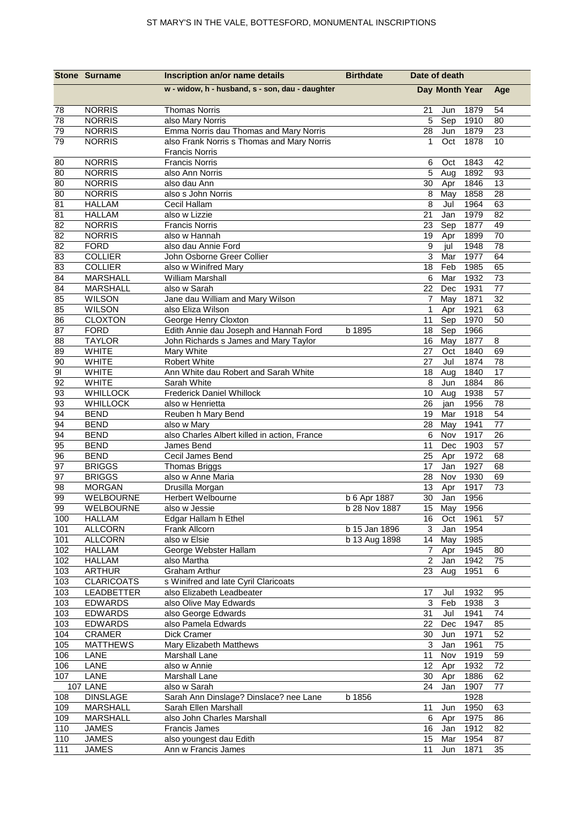|                         | <b>Stone Surname</b>             | Inscription an/or name details                                                  | <b>Birthdate</b> | Date of death                   |                      |
|-------------------------|----------------------------------|---------------------------------------------------------------------------------|------------------|---------------------------------|----------------------|
|                         |                                  | w - widow, h - husband, s - son, dau - daughter                                 |                  | Day Month Year                  | Age                  |
| 78                      | <b>NORRIS</b>                    | <b>Thomas Norris</b>                                                            |                  | 1879<br>21<br>Jun               | 54                   |
| 78                      | <b>NORRIS</b>                    | also Mary Norris                                                                |                  | 5<br>Sep<br>1910                | 80                   |
| 79                      | <b>NORRIS</b>                    | Emma Norris dau Thomas and Mary Norris                                          |                  | 28<br>Jun<br>1879               | 23                   |
| 79                      | <b>NORRIS</b>                    | also Frank Norris s Thomas and Mary Norris<br><b>Francis Norris</b>             |                  | Oct<br>1878<br>1                | 10                   |
| 80                      | <b>NORRIS</b>                    | <b>Francis Norris</b>                                                           |                  | 1843<br>6<br>Oct                | 42                   |
| 80                      | <b>NORRIS</b>                    | also Ann Norris                                                                 |                  | 5<br>1892<br>Aug                | 93                   |
| 80                      | <b>NORRIS</b>                    | also dau Ann                                                                    |                  | 1846<br>30<br>Apr               | 13                   |
| 80                      | <b>NORRIS</b>                    | also s John Norris                                                              |                  | 1858<br>$\,8\,$<br>May          | 28                   |
| 81                      | <b>HALLAM</b>                    | Cecil Hallam                                                                    |                  | 8<br>Jul<br>1964                | 63                   |
| 81                      | <b>HALLAM</b>                    | also w Lizzie                                                                   |                  | 21<br>Jan<br>1979               | 82                   |
| 82                      | <b>NORRIS</b>                    | <b>Francis Norris</b>                                                           |                  | 1877<br>23<br>Sep               | 49                   |
| 82                      | <b>NORRIS</b>                    | also w Hannah                                                                   |                  | 1899<br>19<br>Apr               | 70                   |
| 82                      | <b>FORD</b>                      | also dau Annie Ford                                                             |                  | $\boldsymbol{9}$<br>1948<br>jul | 78                   |
| 83                      | <b>COLLIER</b>                   | John Osborne Greer Collier                                                      |                  | 1977<br>3<br>Mar                | 64                   |
| 83                      | <b>COLLIER</b>                   | also w Winifred Mary                                                            |                  | 18<br>1985<br>Feb               | 65                   |
| 84                      | <b>MARSHALL</b>                  | <b>William Marshall</b>                                                         |                  | 1932<br>6<br>Mar                | 73                   |
| 84                      | <b>MARSHALL</b>                  | also w Sarah                                                                    |                  | 22<br>1931<br>Dec               | 77                   |
| 85                      | <b>WILSON</b>                    | Jane dau William and Mary Wilson                                                |                  | 1871<br>$\overline{7}$<br>May   | 32                   |
| 85                      | <b>WILSON</b>                    | also Eliza Wilson                                                               |                  | $\mathbf{1}$<br>Apr<br>1921     | 63                   |
| 86                      | <b>CLOXTON</b>                   | George Henry Cloxton                                                            |                  | 1970<br>11<br>Sep               | 50                   |
| 87                      | <b>FORD</b>                      | Edith Annie dau Joseph and Hannah Ford<br>John Richards s James and Mary Taylor | b 1895           | 1966<br>18<br>Sep               | $\bf 8$              |
| 88                      | <b>TAYLOR</b>                    |                                                                                 |                  | 1877<br>16<br>May<br>1840       |                      |
| 89                      | <b>WHITE</b><br><b>WHITE</b>     | Mary White<br>Robert White                                                      |                  | 27<br>Oct<br>Jul<br>1874        | 69                   |
| 90<br>$\overline{9}$    | <b>WHITE</b>                     | Ann White dau Robert and Sarah White                                            |                  | 27<br>1840<br>18                | 78<br>17             |
| 92                      | <b>WHITE</b>                     | Sarah White                                                                     |                  | Aug<br>8<br>1884<br>Jun         | 86                   |
| 93                      | <b>WHILLOCK</b>                  | <b>Frederick Daniel Whillock</b>                                                |                  | 10<br>Aug<br>1938               | 57                   |
| 93                      | <b>WHILLOCK</b>                  | also w Henrietta                                                                |                  | 1956<br>26<br>jan               | 78                   |
| 94                      | <b>BEND</b>                      | Reuben h Mary Bend                                                              |                  | 19<br>Mar<br>1918               | 54                   |
| 94                      | <b>BEND</b>                      | also w Mary                                                                     |                  | 1941<br>28<br>May               | 77                   |
| 94                      | <b>BEND</b>                      | also Charles Albert killed in action, France                                    |                  | $\,6\,$<br>1917<br>Nov          | 26                   |
| 95                      | <b>BEND</b>                      | James Bend                                                                      |                  | Dec<br>1903<br>11               | 57                   |
| 96                      | <b>BEND</b>                      | Cecil James Bend                                                                |                  | 1972<br>25<br>Apr               | 68                   |
| 97                      | <b>BRIGGS</b>                    | <b>Thomas Briggs</b>                                                            |                  | Jan<br>1927<br>17               | 68                   |
| 97                      | <b>BRIGGS</b>                    | also w Anne Maria                                                               |                  | 28<br>Nov<br>1930               | 69                   |
| 98                      | <b>MORGAN</b>                    | Drusilla Morgan                                                                 |                  | 1917<br>13<br>Apr               | 73                   |
| 99                      | WELBOURNE                        | Herbert Welbourne                                                               | b 6 Apr 1887     | Jan<br>30<br>1956               |                      |
| 99                      | WELBOURNE                        | also w Jessie                                                                   | b 28 Nov 1887    | 15 May<br>1956                  |                      |
| 100                     | <b>HALLAM</b>                    | Edgar Hallam h Ethel                                                            |                  | 1961<br>16<br>Oct               | 57                   |
| 101                     | <b>ALLCORN</b>                   | Frank Allcorn                                                                   | b 15 Jan 1896    | 3<br>Jan<br>1954                |                      |
| 101                     | <b>ALLCORN</b>                   | also w Elsie                                                                    | b 13 Aug 1898    | 14<br>May<br>1985               |                      |
| 102                     | <b>HALLAM</b>                    | George Webster Hallam                                                           |                  | 1945<br>Apr<br>7                | 80                   |
| 102                     | <b>HALLAM</b>                    | also Martha                                                                     |                  | $\overline{2}$<br>1942<br>Jan   | 75                   |
| 103                     | <b>ARTHUR</b>                    | <b>Graham Arthur</b>                                                            |                  | 23<br>1951<br>Aug               | 6                    |
| 103                     | <b>CLARICOATS</b>                | s Winifred and late Cyril Claricoats                                            |                  |                                 |                      |
| 103                     | LEADBETTER                       | also Elizabeth Leadbeater                                                       |                  | 17<br>Jul<br>1932               | 95                   |
| 103                     | <b>EDWARDS</b>                   | also Olive May Edwards                                                          |                  | $\mathbf{3}$<br>Feb<br>1938     | $\overline{3}$<br>74 |
| $10\overline{3}$<br>103 | <b>EDWARDS</b>                   | also George Edwards                                                             |                  | 31<br>Jul<br>1941<br>1947       |                      |
| 104                     | <b>EDWARDS</b>                   | also Pamela Edwards                                                             |                  | 22<br>Dec<br>1971               | 85                   |
| 105                     | <b>CRAMER</b><br><b>MATTHEWS</b> | Dick Cramer<br>Mary Elizabeth Matthews                                          |                  | 30<br>Jun<br>Jan<br>3<br>1961   | 52<br>75             |
| 106                     | LANE                             | Marshall Lane                                                                   |                  | 11<br>Nov<br>1919               | 59                   |
| 106                     | LANE                             | also w Annie                                                                    |                  | 12<br>Apr<br>1932               | 72                   |
| 107                     | LANE                             | Marshall Lane                                                                   |                  | 30<br>1886<br>Apr               | 62                   |
|                         | 107 LANE                         | also w Sarah                                                                    |                  | 1907<br>24<br>Jan               | 77                   |
| 108                     | <b>DINSLAGE</b>                  | Sarah Ann Dinslage? Dinslace? nee Lane                                          | b 1856           | 1928                            |                      |
| 109                     | MARSHALL                         | Sarah Ellen Marshall                                                            |                  | 1950<br>11<br>Jun               | 63                   |
| 109                     | <b>MARSHALL</b>                  | also John Charles Marshall                                                      |                  | 1975<br>6<br>Apr                | 86                   |
| 110                     | <b>JAMES</b>                     | Francis James                                                                   |                  | 16<br>1912<br>Jan               | 82                   |
| 110                     | <b>JAMES</b>                     | also youngest dau Edith                                                         |                  | 15<br>Mar<br>1954               | 87                   |
| 111                     | <b>JAMES</b>                     | Ann w Francis James                                                             |                  | Jun<br>1871<br>11               | 35                   |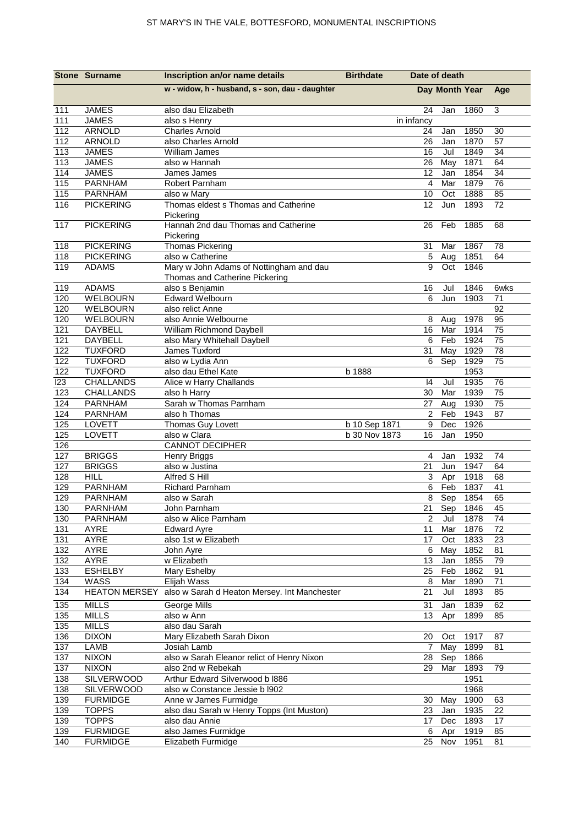|            | <b>Stone Surname</b>             | Inscription an/or name details                   | <b>Birthdate</b><br>Date of death |                      |                |              |                       |
|------------|----------------------------------|--------------------------------------------------|-----------------------------------|----------------------|----------------|--------------|-----------------------|
|            |                                  | w - widow, h - husband, s - son, dau - daughter  |                                   |                      | Day Month Year |              | Age                   |
| 111        | <b>JAMES</b>                     | also dau Elizabeth                               |                                   | 24                   | Jan            | 1860         | 3                     |
| 111        | <b>JAMES</b>                     | also s Henry                                     |                                   | in infancy           |                |              |                       |
| 112        | <b>ARNOLD</b>                    | <b>Charles Arnold</b>                            |                                   | 24                   | Jan            | 1850         | 30                    |
| 112        | ARNOLD                           | also Charles Arnold                              |                                   | 26                   | Jan            | 1870         | 57                    |
| 113        | <b>JAMES</b>                     | William James                                    |                                   | 16                   | Jul            | 1849         | 34                    |
| 113        | <b>JAMES</b>                     | also w Hannah                                    |                                   | 26                   | May            | 1871         | 64                    |
| 114<br>115 | <b>JAMES</b>                     | James James                                      |                                   | 12<br>$\overline{4}$ | Jan            | 1854<br>1879 | 34<br>$\overline{76}$ |
| 115        | PARNHAM<br>PARNHAM               | Robert Parnham<br>also w Mary                    |                                   | 10                   | Mar<br>Oct     | 1888         | 85                    |
| 116        | <b>PICKERING</b>                 | Thomas eldest s Thomas and Catherine             |                                   | 12                   | Jun            | 1893         | 72                    |
|            |                                  | Pickering                                        |                                   |                      |                |              |                       |
| 117        | <b>PICKERING</b>                 | Hannah 2nd dau Thomas and Catherine<br>Pickering |                                   | 26                   | Feb            | 1885         | 68                    |
| 118        | <b>PICKERING</b>                 | <b>Thomas Pickering</b>                          |                                   | 31                   | Mar            | 1867         | 78                    |
| 118        | <b>PICKERING</b>                 | also w Catherine                                 |                                   | 5                    | Aug            | 1851         | 64                    |
| 119        | <b>ADAMS</b>                     | Mary w John Adams of Nottingham and dau          |                                   | 9                    | Oct            | 1846         |                       |
|            |                                  | Thomas and Catherine Pickering                   |                                   |                      |                |              |                       |
| 119        | <b>ADAMS</b>                     | also s Benjamin                                  |                                   | 16                   | Jul            | 1846         | 6wks                  |
| 120        | <b>WELBOURN</b>                  | <b>Edward Welbourn</b>                           |                                   | 6                    | Jun            | 1903         | 71                    |
| 120        | <b>WELBOURN</b>                  | also relict Anne                                 |                                   |                      |                |              | 92                    |
| 120        | WELBOURN                         | also Annie Welbourne                             |                                   | 8                    | Aug            | 1978         | 95                    |
| 121        | DAYBELL                          | William Richmond Daybell                         |                                   | 16                   | Mar            | 1914         | $\overline{75}$       |
| 121        | <b>DAYBELL</b>                   | also Mary Whitehall Daybell                      |                                   | 6                    | Feb            | 1924         | 75                    |
| 122<br>122 | <b>TUXFORD</b><br><b>TUXFORD</b> | James Tuxford<br>also w Lydia Ann                |                                   | 31<br>6              | May            | 1929<br>1929 | 78<br>75              |
| 122        | <b>TUXFORD</b>                   | also dau Ethel Kate                              | b 1888                            |                      | Sep            | 1953         |                       |
| 123        | <b>CHALLANDS</b>                 | Alice w Harry Challands                          |                                   | 4                    | Jul            | 1935         | 76                    |
| 123        | CHALLANDS                        | also h Harry                                     |                                   | 30                   | Mar            | 1939         | 75                    |
| 124        | <b>PARNHAM</b>                   | Sarah w Thomas Parnham                           |                                   | 27                   | Aug            | 1930         | 75                    |
| 124        | PARNHAM                          | also h Thomas                                    |                                   | $\sqrt{2}$           | Feb            | 1943         | 87                    |
| 125        | LOVETT                           | Thomas Guy Lovett                                | b 10 Sep 1871                     | $\boldsymbol{9}$     | Dec            | 1926         |                       |
| 125        | LOVETT                           | also w Clara                                     | b 30 Nov 1873                     | 16                   | Jan            | 1950         |                       |
| 126        |                                  | <b>CANNOT DECIPHER</b>                           |                                   |                      |                |              |                       |
| 127        | <b>BRIGGS</b>                    | <b>Henry Briggs</b>                              |                                   | 4                    | Jan            | 1932         | 74                    |
| 127        | <b>BRIGGS</b>                    | also w Justina                                   |                                   | 21                   | Jun            | 1947<br>1918 | 64                    |
| 128<br>129 | <b>HILL</b><br><b>PARNHAM</b>    | Alfred S Hill<br>Richard Parnham                 |                                   | 3<br>6               | Apr<br>Feb     | 1837         | 68<br>41              |
| 129        | PARNHAM                          | also w Sarah                                     |                                   | 8                    | Sep            | 1854         | 65                    |
| 130        | PARNHAM                          | John Parnham                                     |                                   | 21                   | Sep            | 1846         | 45                    |
| 130        | PARNHAM                          | also w Alice Parnham                             |                                   | $\overline{c}$       | Jul            | 1878         | 74                    |
| 131        | AYRE                             | <b>Edward Ayre</b>                               |                                   | 11                   | Mar            | 1876         | 72                    |
| 131        | AYRE                             | also 1st w Elizabeth                             |                                   | 17                   | Oct            | 1833         | 23                    |
| 132        | AYRE                             | John Ayre                                        |                                   | 6                    | May            | 1852         | 81                    |
| 132        | AYRE                             | w Elizabeth                                      |                                   | 13                   | Jan            | 1855         | 79                    |
| 133        | <b>ESHELBY</b>                   | Mary Eshelby                                     |                                   | 25                   | Feb            | 1862         | 91                    |
| 134        | WASS                             | Elijah Wass                                      |                                   | 8                    | Mar            | 1890         | 71                    |
| 134        | <b>HEATON MERSEY</b>             | also w Sarah d Heaton Mersey. Int Manchester     |                                   | 21                   | Jul            | 1893         | 85                    |
| 135        | <b>MILLS</b>                     | <b>George Mills</b>                              |                                   | 31                   | Jan            | 1839         | 62                    |
| 135        | <b>MILLS</b>                     | also w Ann                                       |                                   | 13                   | Apr            | 1899         | 85                    |
| 135        | <b>MILLS</b>                     | also dau Sarah                                   |                                   |                      |                |              |                       |
| 136<br>137 | <b>DIXON</b><br>LAMB             | Mary Elizabeth Sarah Dixon<br>Josiah Lamb        |                                   | 20<br>$\overline{7}$ | Oct<br>May     | 1917<br>1899 | 87<br>81              |
| 137        | <b>NIXON</b>                     | also w Sarah Eleanor relict of Henry Nixon       |                                   | 28                   | Sep            | 1866         |                       |
| 137        | <b>NIXON</b>                     | also 2nd w Rebekah                               |                                   | 29                   | Mar            | 1893         | 79                    |
| 138        | SILVERWOOD                       | Arthur Edward Silverwood b I886                  |                                   |                      |                | 1951         |                       |
| 138        | SILVERWOOD                       | also w Constance Jessie b l902                   |                                   |                      |                | 1968         |                       |
| 139        | <b>FURMIDGE</b>                  | Anne w James Furmidge                            |                                   | 30                   | May            | 1900         | 63                    |
| 139        | <b>TOPPS</b>                     | also dau Sarah w Henry Topps (Int Muston)        |                                   | 23                   | Jan            | 1935         | 22                    |
| 139        | <b>TOPPS</b>                     | also dau Annie                                   |                                   | 17 <sub>2</sub>      | Dec            | 1893         | 17                    |
| 139        | <b>FURMIDGE</b>                  | also James Furmidge                              |                                   | 6                    | Apr            | 1919         | 85                    |
| 140        | <b>FURMIDGE</b>                  | Elizabeth Furmidge                               |                                   | 25                   | Nov            | 1951         | 81                    |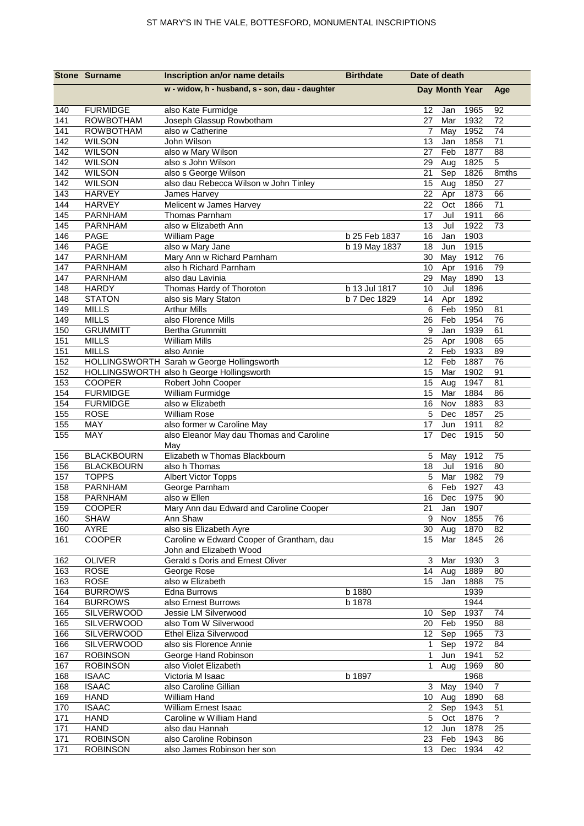|            | <b>Stone Surname</b>             | Inscription an/or name details                                       | <b>Birthdate</b> | Date of death   |                |              |                |
|------------|----------------------------------|----------------------------------------------------------------------|------------------|-----------------|----------------|--------------|----------------|
|            |                                  | w - widow, h - husband, s - son, dau - daughter                      |                  |                 | Day Month Year |              | Age            |
| 140        | <b>FURMIDGE</b>                  | also Kate Furmidge                                                   |                  | 12              | Jan            | 1965         | 92             |
| 141        | <b>ROWBOTHAM</b>                 | Joseph Glassup Rowbotham                                             |                  | 27              | Mar            | 1932         | 72             |
| 141        | <b>ROWBOTHAM</b>                 | also w Catherine                                                     |                  | 7               | May            | 1952         | 74             |
| 142        | <b>WILSON</b>                    | John Wilson                                                          |                  | 13              | Jan            | 1858         | 71             |
| 142        | <b>WILSON</b>                    | also w Mary Wilson                                                   |                  | 27              | Feb            | 1877         | 88             |
| 142<br>142 | <b>WILSON</b><br><b>WILSON</b>   | also s John Wilson<br>also s George Wilson                           |                  | 29<br>21        | Aug<br>Sep     | 1825<br>1826 | 5<br>8mths     |
| 142        | <b>WILSON</b>                    | also dau Rebecca Wilson w John Tinley                                |                  | 15              | Aug            | 1850         | 27             |
| 143        | <b>HARVEY</b>                    | James Harvey                                                         |                  | 22              | Apr            | 1873         | 66             |
| 144        | <b>HARVEY</b>                    | Melicent w James Harvey                                              |                  | 22              | Oct            | 1866         | 71             |
| 145        | PARNHAM                          | Thomas Parnham                                                       |                  | 17              | Jul            | 1911         | 66             |
| 145        | PARNHAM                          | also w Elizabeth Ann                                                 |                  | 13              | Jul            | 1922         | 73             |
| 146        | <b>PAGE</b>                      | William Page                                                         | b 25 Feb 1837    | 16              | Jan            | 1903         |                |
| 146        | <b>PAGE</b>                      | also w Mary Jane                                                     | b 19 May 1837    | 18              | Jun            | 1915         |                |
| 147        | PARNHAM                          | Mary Ann w Richard Parnham                                           |                  | 30              | May            | 1912         | 76             |
| 147        | <b>PARNHAM</b>                   | also h Richard Parnham                                               |                  | 10              | Apr            | 1916         | 79             |
| 147        | <b>PARNHAM</b>                   | also dau Lavinia                                                     |                  | 29              | May            | 1890         | 13             |
| 148        | <b>HARDY</b>                     | Thomas Hardy of Thoroton                                             | b 13 Jul 1817    | 10              | Jul            | 1896         |                |
| 148        | <b>STATON</b>                    | also sis Mary Staton                                                 | b 7 Dec 1829     | 14              | Apr            | 1892         |                |
| 149        | <b>MILLS</b>                     | <b>Arthur Mills</b>                                                  |                  | 6               | Feb            | 1950         | 81             |
| 149        | <b>MILLS</b><br><b>GRUMMITT</b>  | also Florence Mills                                                  |                  | 26<br>9         | Feb            | 1954         | 76             |
| 150<br>151 | <b>MILLS</b>                     | <b>Bertha Grummitt</b><br><b>William Mills</b>                       |                  | 25              | Jan<br>Apr     | 1939<br>1908 | 61<br>65       |
| 151        | <b>MILLS</b>                     | also Annie                                                           |                  | $\overline{c}$  | Feb            | 1933         | 89             |
| 152        |                                  | HOLLINGSWORTH Sarah w George Hollingsworth                           |                  | 12              | Feb            | 1887         | 76             |
| 152        |                                  | HOLLINGSWORTH also h George Hollingsworth                            |                  | 15              | Mar            | 1902         | 91             |
| 153        | COOPER                           | Robert John Cooper                                                   |                  | 15              | Aug            | 1947         | 81             |
| 154        | <b>FURMIDGE</b>                  | William Furmidge                                                     |                  | 15              | Mar            | 1884         | 86             |
| 154        | <b>FURMIDGE</b>                  | also w Elizabeth                                                     |                  | 16              | Nov            | 1883         | 83             |
| 155        | <b>ROSE</b>                      | <b>William Rose</b>                                                  |                  | 5               | Dec            | 1857         | 25             |
| 155        | MAY                              | also former w Caroline May                                           |                  | 17              | Jun            | 1911         | 82             |
| 155        | MAY                              | also Eleanor May dau Thomas and Caroline<br>May                      |                  | 17              | Dec            | 1915         | 50             |
| 156        | <b>BLACKBOURN</b>                | Elizabeth w Thomas Blackbourn                                        |                  | 5               | May            | 1912         | 75             |
| 156        | <b>BLACKBOURN</b>                | also h Thomas                                                        |                  | 18              | Jul            | 1916         | 80             |
| 157        | <b>TOPPS</b>                     | Albert Victor Topps                                                  |                  | 5               | Mar            | 1982         | 79             |
| 158        | PARNHAM                          | George Parnham                                                       |                  | 6               | Feb            | 1927         | 43             |
| 158        | <b>PARNHAM</b>                   | also w Ellen                                                         |                  | 16              | Dec            | 1975         | 90             |
| 159        | COOPER                           | Mary Ann dau Edward and Caroline Cooper                              |                  | 21              |                | Jan 1907     |                |
| 160        | <b>SHAW</b>                      | Ann Shaw                                                             |                  | 9               | Nov            | 1855         | 76             |
| 160<br>161 | AYRE<br>COOPER                   | also sis Elizabeth Ayre<br>Caroline w Edward Cooper of Grantham, dau |                  | 30<br>15        | Aug<br>Mar     | 1870<br>1845 | 82<br>26       |
|            |                                  | John and Elizabeth Wood                                              |                  |                 |                |              |                |
| 162        | <b>OLIVER</b>                    | Gerald s Doris and Ernest Oliver                                     |                  | $\sqrt{3}$      | Mar            | 1930         | $\overline{3}$ |
| 163        | <b>ROSE</b>                      | George Rose                                                          |                  | 14              | Aug            | 1889         | 80             |
| 163        | <b>ROSE</b>                      | also w Elizabeth                                                     |                  | 15              | Jan            | 1888         | 75             |
| 164<br>164 | <b>BURROWS</b><br><b>BURROWS</b> | Edna Burrows<br>also Ernest Burrows                                  | b 1880<br>b 1878 |                 |                | 1939<br>1944 |                |
| 165        | <b>SILVERWOOD</b>                | Jessie LM Silverwood                                                 |                  | 10              | Sep            | 1937         | 74             |
| 165        | SILVERWOOD                       | also Tom W Silverwood                                                |                  |                 | 20 Feb         | 1950         | 88             |
| 166        | <b>SILVERWOOD</b>                | <b>Ethel Eliza Silverwood</b>                                        |                  |                 | 12 Sep         | 1965         | 73             |
| 166        | <b>SILVERWOOD</b>                | also sis Florence Annie                                              |                  | $\mathbf 1$     | Sep            | 1972         | 84             |
| 167        | <b>ROBINSON</b>                  | George Hand Robinson                                                 |                  | $\mathbf 1$     | Jun            | 1941         | 52             |
| 167        | <b>ROBINSON</b>                  | also Violet Elizabeth                                                |                  | $\mathbf{1}$    | Aug            | 1969         | 80             |
| 168        | <b>ISAAC</b>                     | Victoria M Isaac                                                     | b 1897           |                 |                | 1968         |                |
| 168        | <b>ISAAC</b>                     | also Caroline Gillian                                                |                  | 3               | May            | 1940         | $\overline{7}$ |
| 169        | <b>HAND</b>                      | William Hand                                                         |                  |                 | 10 Aug         | 1890         | 68             |
| 170        | <b>ISAAC</b>                     | William Ernest Isaac                                                 |                  | 2 <sup>7</sup>  | Sep            | 1943         | 51             |
| 171        | <b>HAND</b>                      | Caroline w William Hand                                              |                  | $\overline{5}$  | Oct            | 1876         | $\overline{?}$ |
| 171        | <b>HAND</b>                      | also dau Hannah                                                      |                  | 12 <sub>2</sub> | Jun            | 1878         | 25             |
| 171        | <b>ROBINSON</b>                  | also Caroline Robinson                                               |                  | 23              | Feb            | 1943         | 86             |
| 171        | <b>ROBINSON</b>                  | also James Robinson her son                                          |                  |                 | 13 Dec 1934    |              | 42             |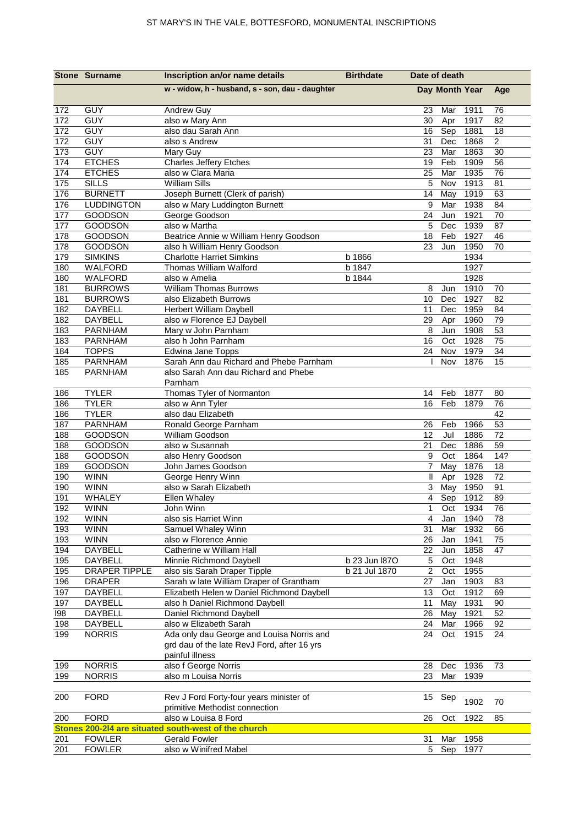|            | <b>Stone Surname</b>           | Inscription an/or name details                                                           | <b>Birthdate</b> | Date of death          |              |                |
|------------|--------------------------------|------------------------------------------------------------------------------------------|------------------|------------------------|--------------|----------------|
|            |                                | w - widow, h - husband, s - son, dau - daughter                                          |                  | Day Month Year         |              | Age            |
| 172        | <b>GUY</b>                     | Andrew Guy                                                                               |                  | 23<br>Mar              | 1911         | 76             |
| 172        | <b>GUY</b>                     | also w Mary Ann                                                                          |                  | 30<br>Apr              | 1917         | 82             |
| 172        | GUY                            | also dau Sarah Ann                                                                       |                  | 16<br>Sep              | 1881         | 18             |
| 172        | <b>GUY</b>                     | also s Andrew                                                                            |                  | 31<br>Dec              | 1868         | $\overline{2}$ |
| 173        | <b>GUY</b>                     | Mary Guy                                                                                 |                  | 23<br>Mar              | 1863         | 30             |
| 174        | <b>ETCHES</b><br><b>ETCHES</b> | <b>Charles Jeffery Etches</b><br>also w Clara Maria                                      |                  | Feb<br>19<br>25<br>Mar | 1909<br>1935 | 56<br>76       |
| 174<br>175 | <b>SILLS</b>                   | <b>William Sills</b>                                                                     |                  | 5<br>Nov               | 1913         | 81             |
| 176        | <b>BURNETT</b>                 | Joseph Burnett (Clerk of parish)                                                         |                  | 14<br>May              | 1919         | 63             |
| 176        | <b>LUDDINGTON</b>              | also w Mary Luddington Burnett                                                           |                  | 9<br>Mar               | 1938         | 84             |
| 177        | <b>GOODSON</b>                 | George Goodson                                                                           |                  | 24<br>Jun              | 1921         | 70             |
| 177        | GOODSON                        | also w Martha                                                                            |                  | 5<br>Dec               | 1939         | 87             |
| 178        | <b>GOODSON</b>                 | Beatrice Annie w William Henry Goodson                                                   |                  | 18<br>Feb              | 1927         | 46             |
| 178        | <b>GOODSON</b>                 | also h William Henry Goodson                                                             |                  | 23<br>Jun              | 1950         | 70             |
| 179        | <b>SIMKINS</b>                 | <b>Charlotte Harriet Simkins</b>                                                         | b 1866           |                        | 1934         |                |
| 180        | WALFORD                        | Thomas William Walford                                                                   | b 1847           |                        | 1927         |                |
| 180        | WALFORD                        | also w Amelia                                                                            | b 1844           |                        | 1928         |                |
| 181        | <b>BURROWS</b>                 | <b>William Thomas Burrows</b>                                                            |                  | 8<br>Jun               | 1910         | 70             |
| 181        | <b>BURROWS</b>                 | also Elizabeth Burrows                                                                   |                  | 10<br>Dec              | 1927         | 82             |
| 182<br>182 | DAYBELL<br>DAYBELL             | Herbert William Daybell<br>also w Florence EJ Daybell                                    |                  | 11<br>Dec<br>29<br>Apr | 1959<br>1960 | 84<br>79       |
| 183        | PARNHAM                        | Mary w John Parnham                                                                      |                  | 8<br>Jun               | 1908         | 53             |
| 183        | <b>PARNHAM</b>                 | also h John Parnham                                                                      |                  | 16<br>Oct              | 1928         | 75             |
| 184        | <b>TOPPS</b>                   | Edwina Jane Topps                                                                        |                  | 24<br>Nov              | 1979         | 34             |
| 185        | <b>PARNHAM</b>                 | Sarah Ann dau Richard and Phebe Parnham                                                  |                  | Nov                    | 1876         | 15             |
| 185        | <b>PARNHAM</b>                 | also Sarah Ann dau Richard and Phebe<br>Parnham                                          |                  |                        |              |                |
| 186        | <b>TYLER</b>                   | Thomas Tyler of Normanton                                                                |                  | 14<br>Feb              | 1877         | 80             |
| 186        | <b>TYLER</b>                   | also w Ann Tyler                                                                         |                  | Feb<br>16              | 1879         | 76             |
| 186        | <b>TYLER</b>                   | also dau Elizabeth                                                                       |                  |                        |              | 42             |
| 187        | <b>PARNHAM</b>                 | Ronald George Parnham                                                                    |                  | 26<br>Feb              | 1966         | 53             |
| 188        | <b>GOODSON</b>                 | William Goodson                                                                          |                  | 12<br>Jul              | 1886         | 72             |
| 188        | <b>GOODSON</b>                 | also w Susannah                                                                          |                  | 21<br>Dec              | 1886         | 59             |
| 188        | <b>GOODSON</b>                 | also Henry Goodson                                                                       |                  | 9<br>Oct               | 1864         | 14?            |
| 189        | GOODSON                        | John James Goodson                                                                       |                  | May<br>7               | 1876         | 18             |
| 190        | <b>WINN</b>                    | George Henry Winn                                                                        |                  | Ш<br>Apr               | 1928         | 72             |
| 190        | <b>WINN</b>                    | also w Sarah Elizabeth                                                                   |                  | 3<br>May               | 1950         | 91             |
| 191<br>192 | WHALEY<br><b>WINN</b>          | Ellen Whaley                                                                             |                  | $\overline{4}$<br>Sep  | 1912         | 89<br>76       |
| 192        | <b>WINN</b>                    | John Winn<br>also sis Harriet Winn                                                       |                  | 1<br>Oct<br>4<br>Jan   | 1934<br>1940 | 78             |
| 193        | <b>WINN</b>                    | Samuel Whaley Winn                                                                       |                  | 31<br>Mar              | 1932         | 66             |
| 193        | <b>WINN</b>                    | also w Florence Annie                                                                    |                  | 26<br>Jan              | 1941         | 75             |
| 194        | DAYBELL                        | Catherine w William Hall                                                                 |                  | 22<br>Jun              | 1858         | 47             |
| 195        | DAYBELL                        | Minnie Richmond Daybell                                                                  | b 23 Jun 1870    | $\sqrt{5}$<br>Oct      | 1948         |                |
| 195        | <b>DRAPER TIPPLE</b>           | also sis Sarah Draper Tipple                                                             | b 21 Jul 1870    | 2<br>Oct               | 1955         |                |
| 196        | <b>DRAPER</b>                  | Sarah w late William Draper of Grantham                                                  |                  | 27<br>Jan              | 1903         | 83             |
| 197        | DAYBELL                        | Elizabeth Helen w Daniel Richmond Daybell                                                |                  | 13<br>Oct              | 1912         | 69             |
| 197        | DAYBELL                        | also h Daniel Richmond Daybell                                                           |                  | 11<br>May              | 1931         | 90             |
| 198        | DAYBELL                        | Daniel Richmond Daybell                                                                  |                  | 26<br>May              | 1921         | 52             |
| 198        | DAYBELL                        | also w Elizabeth Sarah                                                                   |                  | Mar<br>24              | 1966         | 92             |
| 199        | <b>NORRIS</b>                  | Ada only dau George and Louisa Norris and<br>grd dau of the late RevJ Ford, after 16 yrs |                  | 24<br>Oct              | 1915         | 24             |
| 199        | <b>NORRIS</b>                  | painful illness<br>also f George Norris                                                  |                  | 28<br>Dec              | 1936         | 73             |
| 199        | <b>NORRIS</b>                  | also m Louisa Norris                                                                     |                  | 23<br>Mar              | 1939         |                |
|            |                                |                                                                                          |                  |                        |              |                |
| 200        | <b>FORD</b>                    | Rev J Ford Forty-four years minister of                                                  |                  | 15<br>Sep              | 1902         | 70             |
|            |                                | primitive Methodist connection                                                           |                  |                        |              |                |
| 200        | <b>FORD</b>                    | also w Louisa 8 Ford                                                                     |                  | 26<br>Oct              | 1922         | 85             |
|            |                                | Stones 200-214 are situated south-west of the church                                     |                  |                        |              |                |
| 201        | <b>FOWLER</b>                  | <b>Gerald Fowler</b>                                                                     |                  | 31<br>Mar              | 1958         |                |
| 201        | <b>FOWLER</b>                  | also w Winifred Mabel                                                                    |                  | $5\phantom{.0}$<br>Sep | 1977         |                |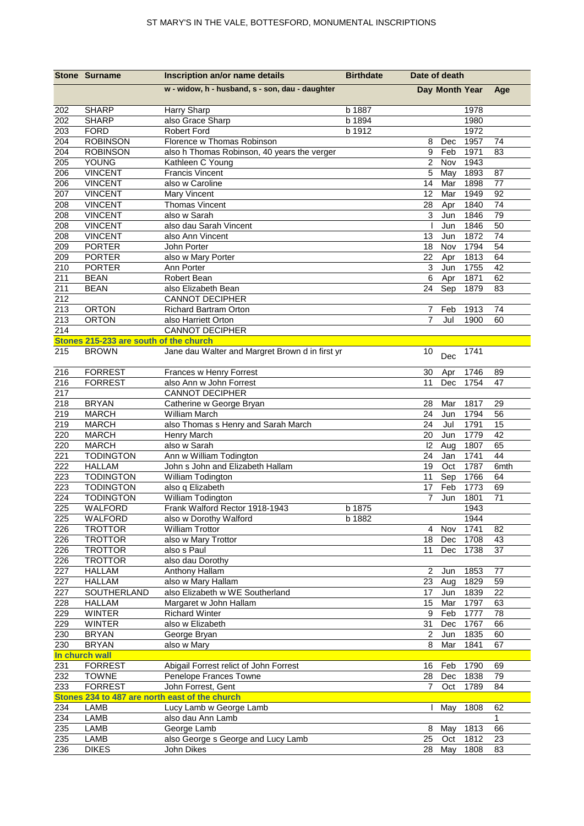|                         | <b>Stone Surname</b>                   | Inscription an/or name details                  | <b>Birthdate</b> | Date of death       |                |              |          |
|-------------------------|----------------------------------------|-------------------------------------------------|------------------|---------------------|----------------|--------------|----------|
|                         |                                        | w - widow, h - husband, s - son, dau - daughter |                  |                     | Day Month Year |              | Age      |
|                         |                                        |                                                 |                  |                     |                |              |          |
| 202                     | <b>SHARP</b>                           | Harry Sharp                                     | b 1887           |                     |                | 1978         |          |
| 202<br>203              | <b>SHARP</b><br><b>FORD</b>            | also Grace Sharp<br><b>Robert Ford</b>          | b 1894<br>b 1912 |                     |                | 1980<br>1972 |          |
| 204                     | <b>ROBINSON</b>                        | Florence w Thomas Robinson                      |                  | 8                   | Dec            | 1957         | 74       |
| 204                     | <b>ROBINSON</b>                        | also h Thomas Robinson, 40 years the verger     |                  | 9                   | Feb            | 1971         | 83       |
| 205                     | YOUNG                                  | Kathleen C Young                                |                  | 2                   | Nov            | 1943         |          |
| 206                     | <b>VINCENT</b>                         | <b>Francis Vincent</b>                          |                  | 5                   | May            | 1893         | 87       |
| 206                     | <b>VINCENT</b>                         | also w Caroline                                 |                  | 14                  | Mar            | 1898         | 77       |
| 207                     | <b>VINCENT</b>                         | <b>Mary Vincent</b>                             |                  | 12                  | Mar            | 1949         | 92       |
| 208                     | <b>VINCENT</b>                         | <b>Thomas Vincent</b>                           |                  | 28                  | Apr            | 1840         | 74       |
| 208                     | <b>VINCENT</b>                         | also w Sarah                                    |                  | 3                   | Jun            | 1846         | 79       |
| 208                     | <b>VINCENT</b>                         | also dau Sarah Vincent                          |                  |                     | Jun            | 1846         | 50       |
| 208                     | <b>VINCENT</b>                         | also Ann Vincent                                |                  | 13                  | Jun            | 1872         | 74       |
| 209                     | <b>PORTER</b>                          | John Porter                                     |                  | 18                  | Nov            | 1794         | 54       |
| 209                     | <b>PORTER</b>                          | also w Mary Porter                              |                  | 22                  | Apr            | 1813         | 64       |
| 210                     | <b>PORTER</b>                          | Ann Porter                                      |                  | 3                   | Jun            | 1755         | 42       |
| $\overline{211}$        | <b>BEAN</b>                            | Robert Bean                                     |                  | 6                   | Apr            | 1871         | 62       |
| 211                     | <b>BEAN</b>                            | also Elizabeth Bean                             |                  | 24                  | Sep            | 1879         | 83       |
| 212                     |                                        | <b>CANNOT DECIPHER</b>                          |                  |                     |                |              |          |
| $\overline{213}$        | <b>ORTON</b>                           | Richard Bartram Orton                           |                  | 7<br>$\overline{7}$ | Feb            | 1913         | 74       |
| $\overline{213}$<br>214 | <b>ORTON</b>                           | also Harriett Orton<br><b>CANNOT DECIPHER</b>   |                  |                     | Jul            | 1900         | 60       |
|                         | Stones 215-233 are south of the church |                                                 |                  |                     |                |              |          |
| 215                     | <b>BROWN</b>                           | Jane dau Walter and Margret Brown d in first yr |                  | 10                  |                | 1741         |          |
|                         |                                        |                                                 |                  |                     | Dec            |              |          |
| 216                     | <b>FORREST</b>                         | Frances w Henry Forrest                         |                  | 30                  | Apr            | 1746         | 89       |
| 216                     | <b>FORREST</b>                         | also Ann w John Forrest                         |                  | 11                  | Dec            | 1754         | 47       |
| 217                     |                                        | <b>CANNOT DECIPHER</b>                          |                  |                     |                |              |          |
| 218                     | <b>BRYAN</b>                           | Catherine w George Bryan                        |                  | 28                  | Mar            | 1817         | 29       |
| 219                     | <b>MARCH</b>                           | William March                                   |                  | 24                  | Jun            | 1794         | 56       |
| 219                     | <b>MARCH</b>                           | also Thomas s Henry and Sarah March             |                  | 24                  | Jul            | 1791         | 15       |
| 220<br>220              | <b>MARCH</b><br><b>MARCH</b>           | Henry March<br>also w Sarah                     |                  | 20<br> 2            | Jun<br>Aug     | 1779<br>1807 | 42<br>65 |
| 221                     | <b>TODINGTON</b>                       | Ann w William Todington                         |                  | 24                  | Jan            | 1741         | 44       |
| 222                     | <b>HALLAM</b>                          | John s John and Elizabeth Hallam                |                  | 19                  | Oct            | 1787         | 6mth     |
| 223                     | <b>TODINGTON</b>                       | William Todington                               |                  | 11                  | Sep            | 1766         | 64       |
| 223                     | <b>TODINGTON</b>                       | also q Elizabeth                                |                  | 17                  | Feb            | 1773         | 69       |
| $\overline{224}$        | <b>TODINGTON</b>                       | William Todington                               |                  | $\overline{7}$      | Jun            | 1801         | 71       |
| 225                     | WALFORD                                | Frank Walford Rector 1918-1943                  | b 1875           |                     |                | 1943         |          |
| 225                     | WALFORD                                | also w Dorothy Walford                          | b 1882           |                     |                | 1944         |          |
| 226                     | <b>TROTTOR</b>                         | <b>William Trottor</b>                          |                  | $\overline{4}$      | Nov            | 1741         | 82       |
| 226                     | <b>TROTTOR</b>                         | also w Mary Trottor                             |                  | 18                  | Dec            | 1708         | 43       |
| 226                     | <b>TROTTOR</b>                         | also s Paul                                     |                  | 11                  | Dec            | 1738         | 37       |
| 226                     | <b>TROTTOR</b>                         | also dau Dorothy                                |                  |                     |                |              |          |
| 227                     | <b>HALLAM</b>                          | Anthony Hallam                                  |                  | 2                   | Jun            | 1853         | 77       |
| 227                     | <b>HALLAM</b>                          | also w Mary Hallam                              |                  | 23                  | Aug            | 1829         | 59       |
| 227<br>228              | SOUTHERLAND                            | also Elizabeth w WE Southerland                 |                  | 17 <sup>2</sup>     | Jun            | 1839<br>1797 | 22       |
| 229                     | <b>HALLAM</b><br><b>WINTER</b>         | Margaret w John Hallam<br><b>Richard Winter</b> |                  | 15<br>9             | Mar<br>Feb     | 1777         | 63       |
| 229                     | <b>WINTER</b>                          | also w Elizabeth                                |                  | 31                  | Dec            | 1767         | 78<br>66 |
| 230                     | <b>BRYAN</b>                           | George Bryan                                    |                  | $\overline{c}$      | Jun            | 1835         | 60       |
| 230                     | <b>BRYAN</b>                           | also w Mary                                     |                  | 8                   | Mar            | 1841         | 67       |
|                         | In church wall                         |                                                 |                  |                     |                |              |          |
| 231                     | <b>FORREST</b>                         | Abigail Forrest relict of John Forrest          |                  | 16                  | Feb            | 1790         | 69       |
| 232                     | <b>TOWNE</b>                           | Penelope Frances Towne                          |                  | 28                  | Dec            | 1838         | 79       |
| 233                     | <b>FORREST</b>                         | John Forrest, Gent                              |                  | $\overline{7}$      | Oct            | 1789         | 84       |
|                         |                                        | Stones 234 to 487 are north east of the church  |                  |                     |                |              |          |
| 234                     | LAMB                                   | Lucy Lamb w George Lamb                         |                  | $\mathbf{L}$        | May            | 1808         | 62       |
| 234                     | LAMB                                   | also dau Ann Lamb                               |                  |                     |                |              | 1        |
| 235                     | LAMB                                   | George Lamb                                     |                  |                     | 8 May          | 1813         | 66       |
| 235                     | LAMB                                   | also George s George and Lucy Lamb              |                  | 25                  | Oct            | 1812         | 23       |
| 236                     | <b>DIKES</b>                           | John Dikes                                      |                  |                     | 28 May         | 1808         | 83       |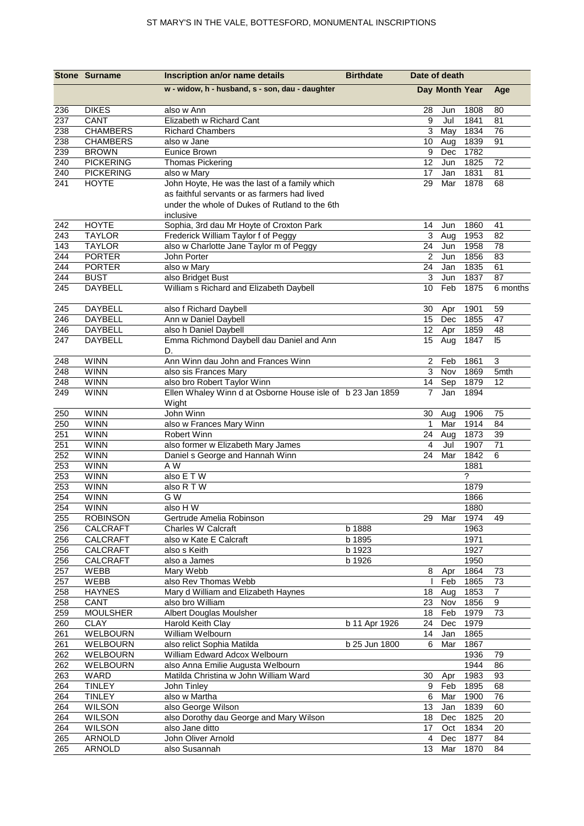|            | <b>Stone Surname</b> | Inscription an/or name details                                                                | <b>Birthdate</b> | Date of death  |                |              |                           |
|------------|----------------------|-----------------------------------------------------------------------------------------------|------------------|----------------|----------------|--------------|---------------------------|
|            |                      | w - widow, h - husband, s - son, dau - daughter                                               |                  |                | Day Month Year |              | Age                       |
| 236        | <b>DIKES</b>         | also w Ann                                                                                    |                  | 28             | Jun            | 1808         | 80                        |
| 237        | CANT                 | Elizabeth w Richard Cant                                                                      |                  | 9              | Jul            | 1841         | 81                        |
| 238        | <b>CHAMBERS</b>      | <b>Richard Chambers</b>                                                                       |                  | 3              | May            | 1834         | 76                        |
| 238        | <b>CHAMBERS</b>      | also w Jane                                                                                   |                  | 10             | Aug            | 1839         | 91                        |
| 239        | <b>BROWN</b>         | <b>Eunice Brown</b>                                                                           |                  | 9              | Dec            | 1782         |                           |
| 240        | <b>PICKERING</b>     | <b>Thomas Pickering</b>                                                                       |                  | 12             | Jun            | 1825         | 72                        |
| 240        | <b>PICKERING</b>     | also w Mary                                                                                   |                  | 17             | Jan            | 1831         | 81                        |
| 241        | <b>HOYTE</b>         | John Hoyte, He was the last of a family which<br>as faithful servants or as farmers had lived |                  | 29             | Mar            | 1878         | 68                        |
|            |                      | under the whole of Dukes of Rutland to the 6th<br>inclusive                                   |                  |                |                |              |                           |
| 242        | <b>HOYTE</b>         | Sophia, 3rd dau Mr Hoyte of Croxton Park                                                      |                  | 14             | Jun            | 1860         | 41                        |
| 243        | <b>TAYLOR</b>        | Frederick William Taylor f of Peggy                                                           |                  | 3              | Aug            | 1953         | 82                        |
| 143        | <b>TAYLOR</b>        | also w Charlotte Jane Taylor m of Peggy                                                       |                  | 24             | Jun            | 1958         | 78                        |
| 244        | <b>PORTER</b>        | John Porter                                                                                   |                  | $\overline{c}$ | Jun            | 1856         | 83                        |
| 244        | <b>PORTER</b>        | also w Mary                                                                                   |                  | 24             | Jan            | 1835         | 61                        |
| 244        | <b>BUST</b>          | also Bridget Bust                                                                             |                  | 3              | Jun            | 1837         | 87                        |
| 245        | <b>DAYBELL</b>       | William s Richard and Elizabeth Daybell                                                       |                  | 10             | Feb            | 1875         | 6 months                  |
| 245        | DAYBELL              | also f Richard Daybell                                                                        |                  | 30             | Apr            | 1901         | 59                        |
| 246        | DAYBELL              | Ann w Daniel Daybell                                                                          |                  | 15             | Dec            | 1855         | 47                        |
| 246        | DAYBELL              | also h Daniel Daybell                                                                         |                  | 12             | Apr            | 1859         | 48                        |
| 247        | <b>DAYBELL</b>       | Emma Richmond Daybell dau Daniel and Ann<br>D.                                                |                  | 15             | Aug            | 1847         | 5                         |
| 248        | <b>WINN</b>          | Ann Winn dau John and Frances Winn                                                            |                  | $\overline{2}$ | Feb            | 1861         | $\ensuremath{\mathsf{3}}$ |
| 248        | <b>WINN</b>          | also sis Frances Mary                                                                         |                  | $\overline{3}$ | Nov            | 1869         | 5mth                      |
| 248        | <b>WINN</b>          | also bro Robert Taylor Winn                                                                   |                  | 14             | Sep            | 1879         | 12                        |
| 249        | <b>WINN</b>          | Ellen Whaley Winn d at Osborne House isle of b 23 Jan 1859<br>Wight                           |                  | $\overline{7}$ | Jan            | 1894         |                           |
| 250        | <b>WINN</b>          | John Winn                                                                                     |                  | 30             | Aug            | 1906         | 75                        |
| 250        | <b>WINN</b>          | also w Frances Mary Winn                                                                      |                  | $\mathbf 1$    | Mar            | 1914         | 84                        |
| 251        | <b>WINN</b>          | <b>Robert Winn</b>                                                                            |                  | 24             | Aug            | 1873         | 39                        |
| 251        | <b>WINN</b>          | also former w Elizabeth Mary James                                                            |                  | 4              | Jul            | 1907         | 71                        |
| 252        | <b>WINN</b>          | Daniel s George and Hannah Winn                                                               |                  | 24             | Mar            | 1842         | 6                         |
| 253        | <b>WINN</b>          | A W                                                                                           |                  |                |                | 1881         |                           |
| 253        | <b>WINN</b>          | also E T W                                                                                    |                  |                |                | $\ddot{?}$   |                           |
| 253        | <b>WINN</b>          | also R T W                                                                                    |                  |                |                | 1879         |                           |
| 254        | <b>WINN</b>          | G W                                                                                           |                  |                |                | 1866         |                           |
| 254        | <b>WINN</b>          | also HW                                                                                       |                  |                |                | 1880         |                           |
| 255<br>256 | <b>ROBINSON</b>      | Gertrude Amelia Robinson                                                                      | b 1888           | 29             | Mar            | 1974<br>1963 | 49                        |
| 256        | CALCRAFT<br>CALCRAFT | Charles W Calcraft<br>also w Kate E Calcraft                                                  | b 1895           |                |                | 1971         |                           |
| 256        | CALCRAFT             | also s Keith                                                                                  | b 1923           |                |                | 1927         |                           |
| 256        | CALCRAFT             | also a James                                                                                  | b 1926           |                |                | 1950         |                           |
| 257        | WEBB                 | Mary Webb                                                                                     |                  | 8              | Apr            | 1864         | 73                        |
| 257        | WEBB                 | also Rev Thomas Webb                                                                          |                  |                | Feb            | 1865         | 73                        |
| 258        | <b>HAYNES</b>        | Mary d William and Elizabeth Haynes                                                           |                  | 18             | Aug            | 1853         | 7                         |
| 258        | CANT                 | also bro William                                                                              |                  | 23             | Nov            | 1856         | $\boldsymbol{9}$          |
| 259        | <b>MOULSHER</b>      | Albert Douglas Moulsher                                                                       |                  | 18             | Feb            | 1979         | 73                        |
| 260        | <b>CLAY</b>          | Harold Keith Clay                                                                             | b 11 Apr 1926    | 24             | Dec            | 1979         |                           |
| 261        | WELBOURN             | William Welbourn                                                                              |                  | 14             | Jan            | 1865         |                           |
| 261        | <b>WELBOURN</b>      | also relict Sophia Matilda                                                                    | b 25 Jun 1800    | 6              | Mar            | 1867         |                           |
| 262        | WELBOURN             | William Edward Adcox Welbourn                                                                 |                  |                |                | 1936         | 79                        |
| 262        | <b>WELBOURN</b>      | also Anna Emilie Augusta Welbourn                                                             |                  |                |                | 1944         | 86                        |
| 263        | WARD                 | Matilda Christina w John William Ward                                                         |                  | 30             | Apr            | 1983         | 93                        |
| 264        | <b>TINLEY</b>        | John Tinley                                                                                   |                  | 9              | Feb            | 1895         | 68                        |
| 264        | <b>TINLEY</b>        | also w Martha                                                                                 |                  | 6              | Mar            | 1900         | 76                        |
| 264        | <b>WILSON</b>        | also George Wilson                                                                            |                  | 13             | Jan            | 1839         | 60                        |
| 264        | <b>WILSON</b>        | also Dorothy dau George and Mary Wilson                                                       |                  | 18             | Dec            | 1825         | 20                        |
| 264        | <b>WILSON</b>        | also Jane ditto                                                                               |                  | 17             | Oct            | 1834         | 20                        |
| 265        | ARNOLD               | John Oliver Arnold                                                                            |                  | $\overline{4}$ | Dec            | 1877         | 84                        |
| 265        | ARNOLD               | also Susannah                                                                                 |                  | 13             | Mar            | 1870         | 84                        |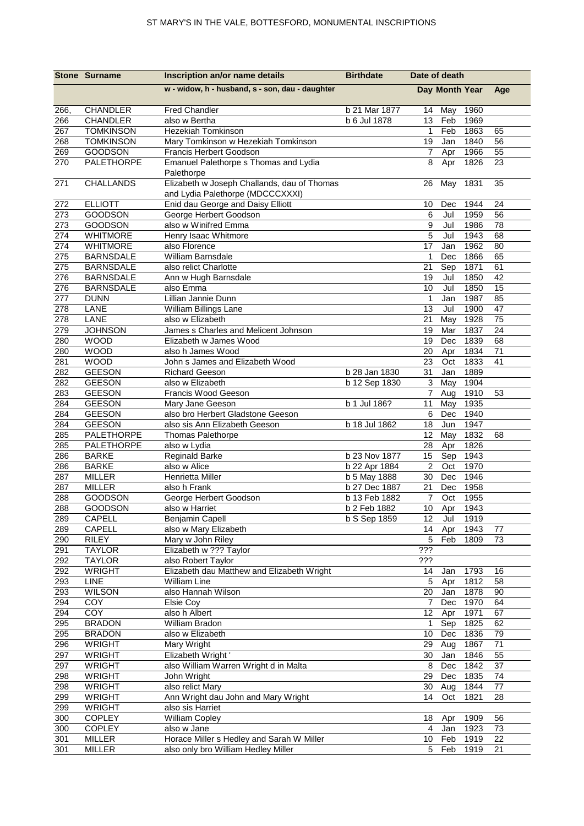|            | <b>Stone Surname</b>           | Inscription an/or name details                                                  | <b>Birthdate</b> | Date of death    |                |              |          |
|------------|--------------------------------|---------------------------------------------------------------------------------|------------------|------------------|----------------|--------------|----------|
|            |                                | w - widow, h - husband, s - son, dau - daughter                                 |                  |                  | Day Month Year |              | Age      |
| 266,       | CHANDLER                       | <b>Fred Chandler</b>                                                            | b 21 Mar 1877    | 14               | May            | 1960         |          |
| 266        | <b>CHANDLER</b>                | also w Bertha                                                                   | b 6 Jul 1878     | 13               | Feb            | 1969         |          |
| 267        | <b>TOMKINSON</b>               | <b>Hezekiah Tomkinson</b>                                                       |                  | $\mathbf 1$      | Feb            | 1863         | 65       |
| 268        | <b>TOMKINSON</b>               | Mary Tomkinson w Hezekiah Tomkinson                                             |                  | 19               | Jan            | 1840         | 56       |
| 269        | GOODSON                        | <b>Francis Herbert Goodson</b>                                                  |                  | 7                | Apr            | 1966         | 55       |
| 270        | PALETHORPE                     | Emanuel Palethorpe s Thomas and Lydia<br>Palethorpe                             |                  | 8                | Apr            | 1826         | 23       |
| 271        | CHALLANDS                      | Elizabeth w Joseph Challands, dau of Thomas<br>and Lydia Palethorpe (MDCCCXXXI) |                  | 26               | May            | 1831         | 35       |
| 272        | <b>ELLIOTT</b>                 | Enid dau George and Daisy Elliott                                               |                  | 10               | Dec            | 1944         | 24       |
| 273        | <b>GOODSON</b>                 | George Herbert Goodson                                                          |                  | 6                | Jul            | 1959         | 56       |
| 273        | <b>GOODSON</b>                 | also w Winifred Emma                                                            |                  | $\boldsymbol{9}$ | Jul            | 1986         | 78       |
| 274        | <b>WHITMORE</b>                | Henry Isaac Whitmore                                                            |                  | 5                | Jul            | 1943         | 68       |
| 274        | <b>WHITMORE</b>                | also Florence                                                                   |                  | 17               | Jan            | 1962         | 80       |
| 275        | <b>BARNSDALE</b>               | William Barnsdale                                                               |                  | $\mathbf{1}$     | Dec            | 1866         | 65       |
| 275        | <b>BARNSDALE</b>               | also relict Charlotte                                                           |                  | 21               | Sep            | 1871         | 61       |
| 276        | <b>BARNSDALE</b>               | Ann w Hugh Barnsdale                                                            |                  | 19               | Jul            | 1850         | 42       |
| 276        | <b>BARNSDALE</b>               | also Emma                                                                       |                  | 10               | Jul            | 1850         | 15       |
| 277        | <b>DUNN</b>                    | Lillian Jannie Dunn                                                             |                  | $\mathbf{1}$     | Jan            | 1987<br>1900 | 85       |
| 278<br>278 | LANE<br>LANE                   | William Billings Lane<br>also w Elizabeth                                       |                  | 13<br>21         | Jul            | 1928         | 47<br>75 |
| 279        | <b>JOHNSON</b>                 | James s Charles and Melicent Johnson                                            |                  | 19               | May<br>Mar     | 1837         | 24       |
| 280        | <b>WOOD</b>                    | Elizabeth w James Wood                                                          |                  | 19               | Dec            | 1839         | 68       |
| 280        | <b>WOOD</b>                    | also h James Wood                                                               |                  | 20               | Apr            | 1834         | 71       |
| 281        | <b>WOOD</b>                    | John s James and Elizabeth Wood                                                 |                  | 23               | Oct            | 1833         | 41       |
| 282        | <b>GEESON</b>                  | <b>Richard Geeson</b>                                                           | b 28 Jan 1830    | 31               | Jan            | 1889         |          |
| 282        | <b>GEESON</b>                  | also w Elizabeth                                                                | b 12 Sep 1830    | 3                | May            | 1904         |          |
| 283        | <b>GEESON</b>                  | Francis Wood Geeson                                                             |                  | $\overline{7}$   | Aug            | 1910         | 53       |
| 284        | <b>GEESON</b>                  | Mary Jane Geeson                                                                | b 1 Jul 186?     | 11               | May            | 1935         |          |
| 284        | <b>GEESON</b>                  | also bro Herbert Gladstone Geeson                                               |                  | 6                | Dec            | 1940         |          |
| 284        | <b>GEESON</b>                  | also sis Ann Elizabeth Geeson                                                   | b 18 Jul 1862    | 18               | Jun            | 1947         |          |
| 285        | PALETHORPE                     | <b>Thomas Palethorpe</b>                                                        |                  | 12               | May            | 1832         | 68       |
| 285        | PALETHORPE                     | also w Lydia                                                                    |                  | 28               | Apr            | 1826         |          |
| 286        | <b>BARKE</b>                   | <b>Reginald Barke</b>                                                           | b 23 Nov 1877    | 15               | Sep            | 1943         |          |
| 286        | <b>BARKE</b>                   | also w Alice                                                                    | b 22 Apr 1884    | $\overline{2}$   | Oct            | 1970         |          |
| 287        | <b>MILLER</b>                  | Henrietta Miller                                                                | b 5 May 1888     | 30               | Dec            | 1946         |          |
| 287        | <b>MILLER</b>                  | also h Frank                                                                    | b 27 Dec 1887    | 21               | Dec            | 1958         |          |
| 288        | <b>GOODSON</b>                 | George Herbert Goodson                                                          | b 13 Feb 1882    | $\overline{7}$   | Oct            | 1955         |          |
| 288        | GOODSON                        | also w Harriet                                                                  | b 2 Feb 1882     |                  |                | 10 Apr 1943  |          |
| 289        | CAPELL                         | Benjamin Capell                                                                 | b S Sep 1859     | 12               | Jul            | 1919         |          |
| 289        | CAPELL                         | also w Mary Elizabeth                                                           |                  | 14               | Apr            | 1943         | 77       |
| 290        | <b>RILEY</b>                   | Mary w John Riley                                                               |                  | 5                | Feb            | 1809         | 73       |
| 291        | <b>TAYLOR</b><br><b>TAYLOR</b> | Elizabeth w ??? Taylor                                                          |                  | ???<br>???       |                |              |          |
| 292<br>292 | <b>WRIGHT</b>                  | also Robert Taylor<br>Elizabeth dau Matthew and Elizabeth Wright                |                  |                  |                |              |          |
| 293        | LINE                           | William Line                                                                    |                  | 14<br>5          | Jan<br>Apr     | 1793<br>1812 | 16<br>58 |
| 293        | <b>WILSON</b>                  | also Hannah Wilson                                                              |                  | 20               | Jan            | 1878         | 90       |
| 294        | COY                            | Elsie Coy                                                                       |                  | $\overline{7}$   | Dec            | 1970         | 64       |
| 294        | COY                            | also h Albert                                                                   |                  | 12               | Apr            | 1971         | 67       |
| 295        | <b>BRADON</b>                  | William Bradon                                                                  |                  | $\mathbf 1$      | Sep            | 1825         | 62       |
| 295        | <b>BRADON</b>                  | also w Elizabeth                                                                |                  | 10               | Dec            | 1836         | 79       |
| 296        | <b>WRIGHT</b>                  | Mary Wright                                                                     |                  | 29               | Aug            | 1867         | 71       |
| 297        | <b>WRIGHT</b>                  | Elizabeth Wright '                                                              |                  | 30               | Jan            | 1846         | 55       |
| 297        | <b>WRIGHT</b>                  | also William Warren Wright d in Malta                                           |                  | 8                | Dec            | 1842         | 37       |
| 298        | <b>WRIGHT</b>                  | John Wright                                                                     |                  | 29               | Dec            | 1835         | 74       |
| 298        | <b>WRIGHT</b>                  | also relict Mary                                                                |                  | 30               | Aug            | 1844         | 77       |
| 299        | <b>WRIGHT</b>                  | Ann Wright dau John and Mary Wright                                             |                  | 14               | Oct            | 1821         | 28       |
| 299        | <b>WRIGHT</b>                  | also sis Harriet                                                                |                  |                  |                |              |          |
| 300        | <b>COPLEY</b>                  | William Copley                                                                  |                  | 18               | Apr            | 1909         | 56       |
| 300        | <b>COPLEY</b>                  | also w Jane                                                                     |                  | $\overline{4}$   | Jan            | 1923         | 73       |
| 301        | <b>MILLER</b>                  | Horace Miller s Hedley and Sarah W Miller                                       |                  | 10               | Feb            | 1919         | 22       |
| 301        | <b>MILLER</b>                  | also only bro William Hedley Miller                                             |                  | 5                | Feb            | 1919         | 21       |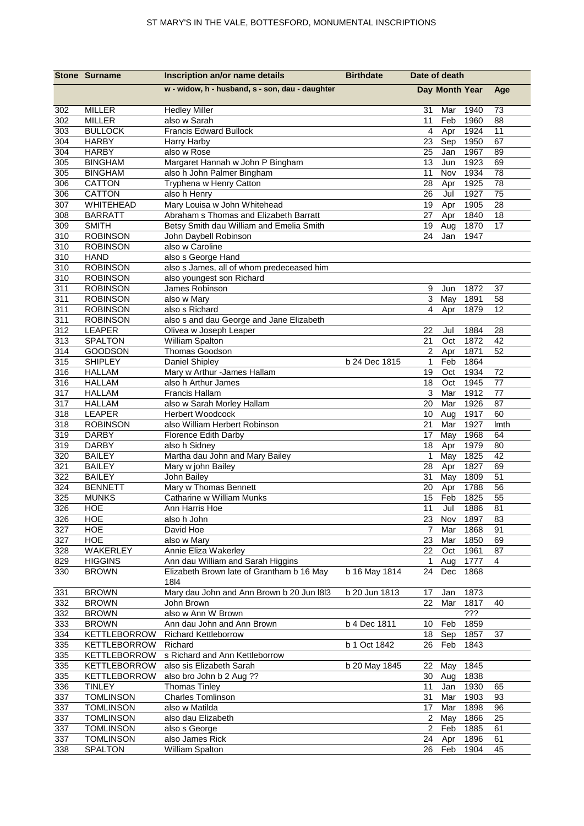|                  | <b>Stone Surname</b>               | Inscription an/or name details                                         | <b>Birthdate</b> | Date of death     |                |                  |         |
|------------------|------------------------------------|------------------------------------------------------------------------|------------------|-------------------|----------------|------------------|---------|
|                  |                                    | w - widow, h - husband, s - son, dau - daughter                        |                  |                   | Day Month Year |                  | Age     |
| 302              | <b>MILLER</b>                      | <b>Hedley Miller</b>                                                   |                  | 31                | Mar            | 1940             | 73      |
| 302              | <b>MILLER</b>                      | also w Sarah                                                           |                  | 11                | Feb            | 1960             | 88      |
| 303              | <b>BULLOCK</b>                     | <b>Francis Edward Bullock</b>                                          |                  | $\overline{4}$    | Apr            | 1924             | 11      |
| 304              | <b>HARBY</b>                       | Harry Harby                                                            |                  | 23                | Sep            | 1950             | 67      |
| 304              | <b>HARBY</b>                       | also w Rose                                                            |                  | 25                | Jan            | 1967             | 89      |
| 305              | <b>BINGHAM</b>                     | Margaret Hannah w John P Bingham                                       |                  | 13                | Jun            | 1923             | 69      |
| 305              | <b>BINGHAM</b>                     | also h John Palmer Bingham                                             |                  | 11                | Nov            | 1934             | 78      |
| 306              | CATTON                             | Tryphena w Henry Catton                                                |                  | 28                | Apr            | 1925             | 78      |
| 306              | CATTON                             | also h Henry                                                           |                  | 26                | Jul            | 1927             | 75      |
| 307              | WHITEHEAD                          | Mary Louisa w John Whitehead                                           |                  | 19                | Apr            | 1905             | 28      |
| 308              | <b>BARRATT</b>                     | Abraham s Thomas and Elizabeth Barratt                                 |                  | 27                | Apr            | 1840             | 18      |
| 309              | <b>SMITH</b>                       | Betsy Smith dau William and Emelia Smith                               |                  | 19                | Aug            | 1870             | 17      |
| 310              | <b>ROBINSON</b>                    | John Daybell Robinson                                                  |                  | 24                | Jan            | 1947             |         |
| $\overline{310}$ | <b>ROBINSON</b>                    | also w Caroline                                                        |                  |                   |                |                  |         |
| 310              | <b>HAND</b>                        | also s George Hand                                                     |                  |                   |                |                  |         |
| 310<br>310       | <b>ROBINSON</b><br><b>ROBINSON</b> | also s James, all of whom predeceased him<br>also youngest son Richard |                  |                   |                |                  |         |
| 311              | <b>ROBINSON</b>                    | James Robinson                                                         |                  | 9                 | Jun            | 1872             | 37      |
| $\overline{311}$ | <b>ROBINSON</b>                    | also w Mary                                                            |                  | 3                 | May            | 1891             | 58      |
| 311              | <b>ROBINSON</b>                    | also s Richard                                                         |                  | 4                 | Apr            | 1879             | 12      |
| 311              | <b>ROBINSON</b>                    | also s and dau George and Jane Elizabeth                               |                  |                   |                |                  |         |
| 312              | LEAPER                             | Olivea w Joseph Leaper                                                 |                  | 22                | Jul            | 1884             | 28      |
| $\overline{313}$ | <b>SPALTON</b>                     | William Spalton                                                        |                  | 21                | Oct            | 1872             | 42      |
| 314              | GOODSON                            | Thomas Goodson                                                         |                  | $\overline{2}$    | Apr            | 1871             | 52      |
| 315              | <b>SHIPLEY</b>                     | Daniel Shipley                                                         | b 24 Dec 1815    | $\mathbf 1$       | Feb            | 1864             |         |
| 316              | <b>HALLAM</b>                      | Mary w Arthur -James Hallam                                            |                  | 19                | Oct            | 1934             | 72      |
| 316              | <b>HALLAM</b>                      | also h Arthur James                                                    |                  | 18                | Oct            | 1945             | 77      |
| 317              | <b>HALLAM</b>                      | <b>Francis Hallam</b>                                                  |                  | 3                 | Mar            | 1912             | 77      |
| 317              | <b>HALLAM</b>                      | also w Sarah Morley Hallam                                             |                  | 20                | Mar            | 1926             | 87      |
| 318              | LEAPER                             | Herbert Woodcock                                                       |                  | 10                | Aug            | 1917             | 60      |
| 318              | <b>ROBINSON</b>                    | also William Herbert Robinson                                          |                  | 21                | Mar            | 1927             | Imth    |
| 319              | <b>DARBY</b>                       | Florence Edith Darby                                                   |                  | 17                | May            | 1968             | 64      |
| 319              | <b>DARBY</b>                       | also h Sidney                                                          |                  | 18                | Apr            | 1979             | 80      |
| 320              | <b>BAILEY</b>                      | Martha dau John and Mary Bailey                                        |                  | $\mathbf{1}$      | May            | 1825             | 42      |
| 321              | <b>BAILEY</b>                      | Mary w john Bailey                                                     |                  | 28                | Apr            | 1827             | 69      |
| 322              | <b>BAILEY</b>                      | John Bailey                                                            |                  | 31                | May            | 1809             | 51      |
| 324              | <b>BENNETT</b>                     | Mary w Thomas Bennett                                                  |                  | 20                | Apr            | 1788             | 56      |
| 325              | <b>MUNKS</b>                       | Catharine w William Munks                                              |                  | 15                | Feb            | 1825             | 55      |
| 326              | <b>HOE</b>                         | Ann Harris Hoe                                                         |                  | 11                | Jul            | 1886             | 81      |
| 326              | HOE                                | also h John                                                            |                  | 23                | Nov            | 1897             | 83      |
| 327              | <b>HOE</b>                         | David Hoe                                                              |                  | $\overline{7}$    | Mar            | 1868             | 91      |
| 327              | HOE                                | also w Mary<br>Annie Eliza Wakerley                                    |                  | 23                | Mar            | 1850             | 69      |
| 328<br>829       | WAKERLEY                           | Ann dau William and Sarah Higgins                                      |                  | 22<br>$\mathbf 1$ | Oct<br>Aug     | 1961<br>1777     | 87<br>4 |
| 330              | <b>HIGGINS</b><br><b>BROWN</b>     | Elizabeth Brown late of Grantham b 16 May                              | b 16 May 1814    | 24                | Dec            | 1868             |         |
|                  |                                    | 1814                                                                   |                  |                   |                |                  |         |
| 331              | <b>BROWN</b>                       | Mary dau John and Ann Brown b 20 Jun 1813                              | b 20 Jun 1813    | 17                | Jan            | 1873             |         |
| 332              | <b>BROWN</b>                       | John Brown                                                             |                  | 22                | Mar            | 1817             | 40      |
| 332              | <b>BROWN</b>                       | also w Ann W Brown                                                     |                  |                   |                | $\overline{??'}$ |         |
| 333              | <b>BROWN</b>                       | Ann dau John and Ann Brown                                             | b 4 Dec 1811     | 10                | Feb            | 1859             |         |
| 334              | <b>KETTLEBORROW</b>                | <b>Richard Kettleborrow</b>                                            |                  | 18                | Sep            | 1857             | 37      |
| 335              | KETTLEBORROW                       | Richard                                                                | b 1 Oct 1842     | 26                | Feb            | 1843             |         |
| 335              | <b>KETTLEBORROW</b>                | s Richard and Ann Kettleborrow                                         |                  |                   |                |                  |         |
| 335              | KETTLEBORROW                       | also sis Elizabeth Sarah                                               | b 20 May 1845    | 22                | May            | 1845             |         |
| 335              | <b>KETTLEBORROW</b>                | also bro John b 2 Aug ??                                               |                  | 30                | Aug            | 1838             |         |
| 336              | <b>TINLEY</b>                      | <b>Thomas Tinley</b>                                                   |                  | 11                | Jan            | 1930             | 65      |
| 337              | <b>TOMLINSON</b>                   | Charles Tomlinson                                                      |                  | 31                | Mar            | 1903             | 93      |
| 337              | <b>TOMLINSON</b>                   | also w Matilda                                                         |                  | 17                | Mar            | 1898             | 96      |
| 337              | <b>TOMLINSON</b>                   | also dau Elizabeth                                                     |                  | $\overline{2}$    | May            | 1866             | 25      |
| 337              | <b>TOMLINSON</b>                   | also s George                                                          |                  | $\overline{2}$    | Feb            | 1885             | 61      |
| 337              | <b>TOMLINSON</b>                   | also James Rick                                                        |                  | 24                | Apr            | 1896             | 61      |
| 338              | SPALTON                            | William Spalton                                                        |                  | 26                | Feb            | 1904             | 45      |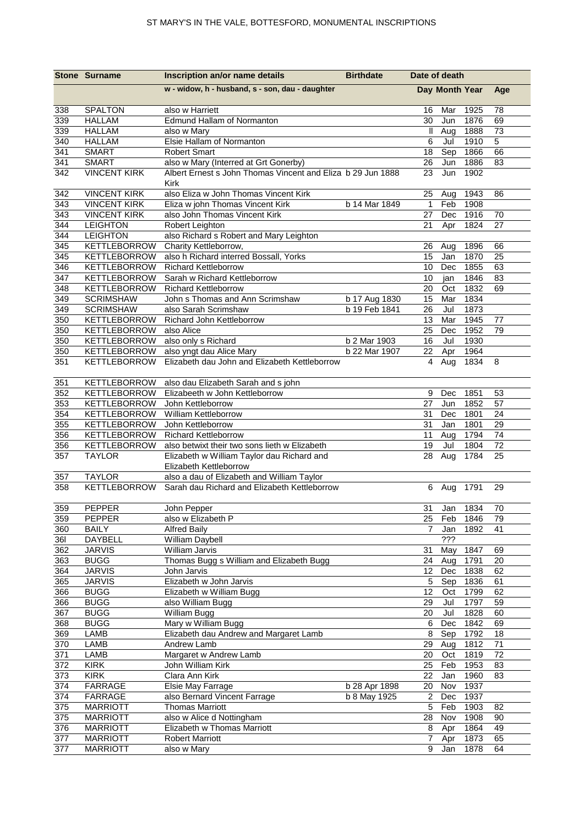|            | <b>Stone Surname</b>                | Inscription an/or name details                                                                       | <b>Birthdate</b> | Date of death    |                |              |                 |
|------------|-------------------------------------|------------------------------------------------------------------------------------------------------|------------------|------------------|----------------|--------------|-----------------|
|            |                                     | w - widow, h - husband, s - son, dau - daughter                                                      |                  |                  | Day Month Year |              | Age             |
| 338        | <b>SPALTON</b>                      | also w Harriett                                                                                      |                  | 16               | Mar            | 1925         | 78              |
| 339        | <b>HALLAM</b>                       | Edmund Hallam of Normanton                                                                           |                  | 30               | Jun            | 1876         | 69              |
| 339        | <b>HALLAM</b>                       | also w Mary                                                                                          |                  | Ш                | Aug            | 1888         | 73              |
| 340        | <b>HALLAM</b>                       | Elsie Hallam of Normanton                                                                            |                  | $6\overline{6}$  | Jul            | 1910         | $\overline{5}$  |
| 341        | <b>SMART</b>                        | <b>Robert Smart</b>                                                                                  |                  | 18               | Sep            | 1866         | 66              |
| 341<br>342 | <b>SMART</b><br><b>VINCENT KIRK</b> | also w Mary (Interred at Grt Gonerby)<br>Albert Ernest s John Thomas Vincent and Eliza b 29 Jun 1888 |                  | 26<br>23         | Jun<br>Jun     | 1886<br>1902 | 83              |
|            |                                     | Kirk                                                                                                 |                  |                  |                |              |                 |
| 342        | <b>VINCENT KIRK</b>                 | also Eliza w John Thomas Vincent Kirk                                                                |                  | 25               | Aug            | 1943         | 86              |
| 343        | <b>VINCENT KIRK</b>                 | Eliza w john Thomas Vincent Kirk                                                                     | b 14 Mar 1849    | $\overline{1}$   | Feb            | 1908         |                 |
| 343        | <b>VINCENT KIRK</b>                 | also John Thomas Vincent Kirk                                                                        |                  | 27               | Dec            | 1916         | 70              |
| 344        | <b>LEIGHTON</b>                     | Robert Leighton                                                                                      |                  | 21               | Apr            | 1824         | 27              |
| 344        | <b>LEIGHTON</b>                     | also Richard s Robert and Mary Leighton                                                              |                  |                  |                |              |                 |
| 345<br>345 | <b>KETTLEBORROW</b><br>KETTLEBORROW | Charity Kettleborrow,<br>also h Richard interred Bossall, Yorks                                      |                  | 26<br>15         | Aug            | 1896<br>1870 | 66              |
| 346        | <b>KETTLEBORROW</b>                 | <b>Richard Kettleborrow</b>                                                                          |                  | 10               | Jan<br>Dec     | 1855         | 25<br>63        |
| 347        | KETTLEBORROW                        | Sarah w Richard Kettleborrow                                                                         |                  | 10               | jan            | 1846         | 83              |
| 348        | KETTLEBORROW                        | <b>Richard Kettleborrow</b>                                                                          |                  | 20               | Oct            | 1832         | 69              |
| 349        | <b>SCRIMSHAW</b>                    | John s Thomas and Ann Scrimshaw                                                                      | b 17 Aug 1830    | 15               | Mar            | 1834         |                 |
| 349        | <b>SCRIMSHAW</b>                    | also Sarah Scrimshaw                                                                                 | b 19 Feb 1841    | 26               | Jul            | 1873         |                 |
| 350        | KETTLEBORROW                        | Richard John Kettleborrow                                                                            |                  | 13               | Mar            | 1945         | 77              |
| 350        | KETTLEBORROW                        | also Alice                                                                                           |                  | 25               | Dec            | 1952         | 79              |
| 350        | KETTLEBORROW                        | also only s Richard                                                                                  | b 2 Mar 1903     | 16               | Jul            | 1930         |                 |
| 350        | KETTLEBORROW                        | also yngt dau Alice Mary                                                                             | b 22 Mar 1907    | 22               | Apr            | 1964         |                 |
| 351        | <b>KETTLEBORROW</b>                 | Elizabeth dau John and Elizabeth Kettleborrow                                                        |                  | 4                | Aug            | 1834         | 8               |
| 351        | KETTLEBORROW                        | also dau Elizabeth Sarah and s john                                                                  |                  |                  |                |              |                 |
| 352        | KETTLEBORROW                        | Elizabeeth w John Kettleborrow                                                                       |                  | 9                | Dec            | 1851         | 53              |
| 353        | <b>KETTLEBORROW</b>                 | John Kettleborrow                                                                                    |                  | 27               | Jun            | 1852         | 57              |
| 354        | KETTLEBORROW                        | William Kettleborrow                                                                                 |                  | 31               | Dec            | 1801         | 24              |
| 355        | <b>KETTLEBORROW</b>                 | John Kettleborrow                                                                                    |                  | 31               | Jan            | 1801         | 29              |
| 356        | KETTLEBORROW                        | <b>Richard Kettleborrow</b>                                                                          |                  | 11               | Aug            | 1794<br>1804 | 74              |
| 356<br>357 | KETTLEBORROW<br><b>TAYLOR</b>       | also betwixt their two sons lieth w Elizabeth<br>Elizabeth w William Taylor dau Richard and          |                  | 19<br>28         | Jul<br>Aug     | 1784         | 72<br>25        |
|            |                                     | Elizabeth Kettleborrow                                                                               |                  |                  |                |              |                 |
| 357        | <b>TAYLOR</b>                       | also a dau of Elizabeth and William Taylor                                                           |                  |                  |                |              |                 |
| 358        | KETTLEBORROW                        | Sarah dau Richard and Elizabeth Kettleborrow                                                         |                  |                  | 6 Aug          | 1791         | 29              |
| 359        | <b>PEPPER</b>                       | John Pepper                                                                                          |                  | 31               | Jan            | 1834         | $\overline{70}$ |
| 359        | <b>PEPPER</b>                       | also w Elizabeth P                                                                                   |                  | 25               | Feb            | 1846         | 79              |
| 360        | <b>BAILY</b>                        | <b>Alfred Baily</b>                                                                                  |                  | $\overline{7}$   | Jan            | 1892         | 41              |
| 361        | DAYBELL                             | William Daybell                                                                                      |                  |                  | ???            |              |                 |
| 362        | <b>JARVIS</b>                       | William Jarvis                                                                                       |                  | 31               | May            | 1847         | 69              |
| 363<br>364 | <b>BUGG</b><br><b>JARVIS</b>        | Thomas Bugg s William and Elizabeth Bugg<br>John Jarvis                                              |                  | 24               | Aug            | 1791         | 20              |
| 365        | <b>JARVIS</b>                       | Elizabeth w John Jarvis                                                                              |                  | 12<br>5          | Dec<br>Sep     | 1838<br>1836 | 62<br>61        |
| 366        | <b>BUGG</b>                         | Elizabeth w William Bugg                                                                             |                  | 12               | Oct            | 1799         | 62              |
| 366        | <b>BUGG</b>                         | also William Bugg                                                                                    |                  | 29               | Jul            | 1797         | 59              |
| 367        | <b>BUGG</b>                         | William Bugg                                                                                         |                  | 20               | Jul            | 1828         | 60              |
| 368        | <b>BUGG</b>                         | Mary w William Bugg                                                                                  |                  | 6                | Dec            | 1842         | 69              |
| 369        | LAMB                                | Elizabeth dau Andrew and Margaret Lamb                                                               |                  | 8                | Sep            | 1792         | 18              |
| 370        | LAMB                                | Andrew Lamb                                                                                          |                  | 29               | Aug            | 1812         | 71              |
| 371        | LAMB                                | Margaret w Andrew Lamb                                                                               |                  | 20               | Oct            | $1819$       | 72              |
| 372        | <b>KIRK</b>                         | John William Kirk                                                                                    |                  | 25               | Feb            | 1953         | 83              |
| 373        | <b>KIRK</b>                         | Clara Ann Kirk                                                                                       |                  | 22               | Jan            | 1960         | 83              |
| 374        | FARRAGE                             | Elsie May Farrage                                                                                    | b 28 Apr 1898    | 20               | Nov            | 1937         |                 |
| 374        | FARRAGE                             | also Bernard Vincent Farrage                                                                         | b 8 May 1925     | $\boldsymbol{2}$ | Dec            | 1937         |                 |
| 375        | <b>MARRIOTT</b>                     | <b>Thomas Marriott</b>                                                                               |                  | 5                | Feb            | 1903         | 82              |
| 375        | <b>MARRIOTT</b>                     | also w Alice d Nottingham<br>Elizabeth w Thomas Marriott                                             |                  | 28               | Nov            | 1908         | 90              |
| 376<br>377 | <b>MARRIOTT</b><br><b>MARRIOTT</b>  | <b>Robert Marriott</b>                                                                               |                  | 8<br>7           | Apr            | 1864<br>1873 | 49<br>65        |
| 377        | <b>MARRIOTT</b>                     | also w Mary                                                                                          |                  | 9                | Apr<br>Jan     | 1878         | 64              |
|            |                                     |                                                                                                      |                  |                  |                |              |                 |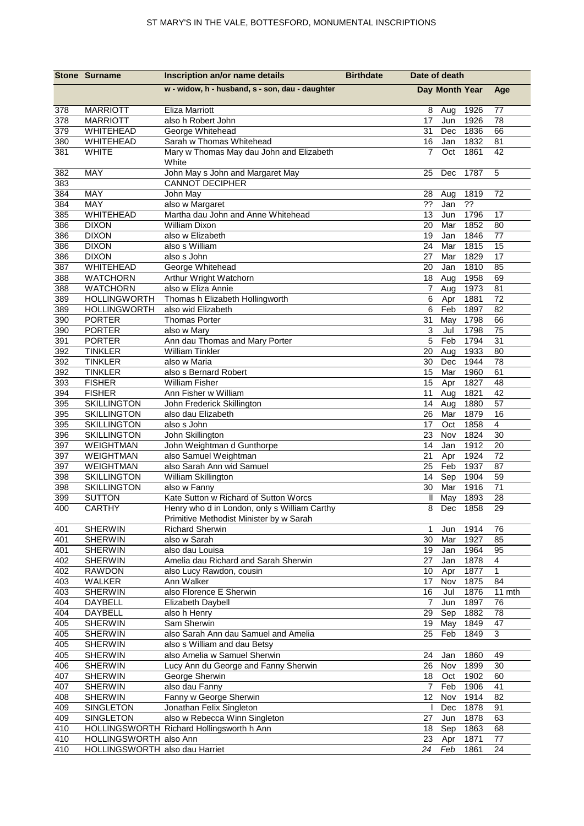|            | <b>Stone Surname</b>               | Inscription an/or name details                                                        | <b>Birthdate</b> | Date of death      |                |              |                    |
|------------|------------------------------------|---------------------------------------------------------------------------------------|------------------|--------------------|----------------|--------------|--------------------|
|            |                                    | w - widow, h - husband, s - son, dau - daughter                                       |                  |                    | Day Month Year |              | Age                |
| 378        | <b>MARRIOTT</b>                    | <b>Eliza Marriott</b>                                                                 |                  | 8                  | Aug            | 1926         | 77                 |
| 378        | <b>MARRIOTT</b>                    | also h Robert John                                                                    |                  | 17                 | Jun            | 1926         | 78                 |
| 379        | WHITEHEAD                          | George Whitehead                                                                      |                  | 31                 | Dec            | 1836         | 66                 |
| 380        | <b>WHITEHEAD</b>                   | Sarah w Thomas Whitehead                                                              |                  | 16                 | Jan            | 1832         | 81                 |
| 381        | <b>WHITE</b>                       | Mary w Thomas May dau John and Elizabeth<br>White                                     |                  | $\overline{7}$     | Oct            | 1861         | 42                 |
| 382<br>383 | MAY                                | John May s John and Margaret May<br><b>CANNOT DECIPHER</b>                            |                  | 25                 | Dec            | 1787         | 5                  |
| 384        | MAY                                | John May                                                                              |                  | 28                 | Aug            | 1819         | 72                 |
| 384        | MAY                                | also w Margaret                                                                       |                  | ??                 | Jan            | 22           |                    |
| 385        | WHITEHEAD                          | Martha dau John and Anne Whitehead                                                    |                  | 13                 | Jun            | 1796         | 17                 |
| 386        | <b>DIXON</b>                       | <b>William Dixon</b>                                                                  |                  | 20                 | Mar            | 1852         | 80                 |
| 386        | <b>DIXON</b>                       | also w Elizabeth                                                                      |                  | 19                 | Jan            | 1846         | 77                 |
| 386        | <b>DIXON</b>                       | also s William                                                                        |                  | 24                 | Mar            | 1815         | 15                 |
| 386        | <b>DIXON</b>                       | also s John                                                                           |                  | 27                 | Mar            | 1829         | 17                 |
| 387        | WHITEHEAD                          | George Whitehead                                                                      |                  | 20                 | Jan            | 1810         | 85                 |
| 388        | <b>WATCHORN</b><br><b>WATCHORN</b> | Arthur Wright Watchorn<br>also w Eliza Annie                                          |                  | $\overline{7}$     | 18 Aug         | 1958<br>1973 | 69                 |
| 388<br>389 | <b>HOLLINGWORTH</b>                | Thomas h Elizabeth Hollingworth                                                       |                  | 6                  | Aug            | 1881         | 81                 |
| 389        | <b>HOLLINGWORTH</b>                | also wid Elizabeth                                                                    |                  | 6                  | Apr<br>Feb     | 1897         | 72<br>82           |
| 390        | <b>PORTER</b>                      | <b>Thomas Porter</b>                                                                  |                  | 31                 | May            | 1798         | 66                 |
| 390        | <b>PORTER</b>                      | also w Mary                                                                           |                  | $\mathsf 3$        | Jul            | 1798         | 75                 |
| 391        | <b>PORTER</b>                      | Ann dau Thomas and Mary Porter                                                        |                  | 5                  | Feb            | 1794         | 31                 |
| 392        | <b>TINKLER</b>                     | <b>William Tinkler</b>                                                                |                  | 20                 | Aug            | 1933         | 80                 |
| 392        | <b>TINKLER</b>                     | also w Maria                                                                          |                  | 30                 | Dec            | 1944         | 78                 |
| 392        | <b>TINKLER</b>                     | also s Bernard Robert                                                                 |                  | 15                 | Mar            | 1960         | 61                 |
| 393        | <b>FISHER</b>                      | <b>William Fisher</b>                                                                 |                  | 15                 | Apr            | 1827         | 48                 |
| 394        | <b>FISHER</b>                      | Ann Fisher w William                                                                  |                  | 11                 | Aug            | 1821         | 42                 |
| 395        | <b>SKILLINGTON</b>                 | John Frederick Skillington                                                            |                  | 14                 | Aug            | 1880         | 57                 |
| 395        | <b>SKILLINGTON</b>                 | also dau Elizabeth                                                                    |                  | 26                 | Mar            | 1879         | 16                 |
| 395        | <b>SKILLINGTON</b>                 | also s John                                                                           |                  | 17                 | Oct            | 1858         | 4                  |
| 396        | <b>SKILLINGTON</b>                 | John Skillington                                                                      |                  | 23                 | Nov            | 1824         | 30                 |
| 397        | <b>WEIGHTMAN</b>                   | John Weightman d Gunthorpe                                                            |                  | 14                 | Jan            | 1912         | 20                 |
| 397        | WEIGHTMAN                          | also Samuel Weightman                                                                 |                  | 21                 | Apr            | 1924         | 72                 |
| 397        | <b>WEIGHTMAN</b>                   | also Sarah Ann wid Samuel                                                             |                  | 25                 | Feb            | 1937         | 87                 |
| 398        | <b>SKILLINGTON</b>                 | William Skillington                                                                   |                  | 14                 | Sep            | 1904         | 59                 |
| 398        | <b>SKILLINGTON</b>                 | also w Fanny                                                                          |                  | 30                 | Mar            | 1916         | 71                 |
| 399<br>400 | <b>SUTTON</b><br><b>CARTHY</b>     | Kate Sutton w Richard of Sutton Worcs<br>Henry who d in London, only s William Carthy |                  | $\mathbf{II}$<br>8 | May<br>Dec     | 1893<br>1858 | 28<br>29           |
|            |                                    | Primitive Methodist Minister by w Sarah                                               |                  |                    |                |              |                    |
| 401        | <b>SHERWIN</b>                     | <b>Richard Sherwin</b>                                                                |                  | $\mathbf 1$        | Jun            | 1914         | 76                 |
| 401        | <b>SHERWIN</b>                     | also w Sarah                                                                          |                  | 30                 | Mar            | 1927         | 85                 |
| 401        | SHERWIN                            | also dau Louisa                                                                       |                  | 19                 | Jan            | 1964         | 95                 |
| 402        | <b>SHERWIN</b>                     | Amelia dau Richard and Sarah Sherwin                                                  |                  | 27                 | Jan            | 1878         | 4                  |
| 402<br>403 | <b>RAWDON</b><br>WALKER            | also Lucy Rawdon, cousin<br>Ann Walker                                                |                  | 10<br>17           | Apr<br>Nov     | 1877<br>1875 | $\mathbf{1}$<br>84 |
| 403        | <b>SHERWIN</b>                     | also Florence E Sherwin                                                               |                  | 16                 | Jul            | 1876         | 11 mth             |
| 404        | DAYBELL                            | Elizabeth Daybell                                                                     |                  | $\overline{7}$     | Jun            | 1897         | 76                 |
| 404        | DAYBELL                            | also h Henry                                                                          |                  | 29                 | Sep            | 1882         | 78                 |
| 405        | <b>SHERWIN</b>                     | Sam Sherwin                                                                           |                  | 19                 | May            | 1849         | 47                 |
| 405        | <b>SHERWIN</b>                     | also Sarah Ann dau Samuel and Amelia                                                  |                  | 25                 | Feb            | 1849         | 3                  |
| 405        | SHERWIN                            | also s William and dau Betsy                                                          |                  |                    |                |              |                    |
| 405        | <b>SHERWIN</b>                     | also Amelia w Samuel Sherwin                                                          |                  | 24                 | Jan            | 1860         | 49                 |
| 406        | <b>SHERWIN</b>                     | Lucy Ann du George and Fanny Sherwin                                                  |                  | 26                 | Nov            | 1899         | 30                 |
| 407        | <b>SHERWIN</b>                     | George Sherwin                                                                        |                  | 18                 | Oct            | 1902         | 60                 |
| 407        | <b>SHERWIN</b>                     | also dau Fanny                                                                        |                  | $\overline{7}$     | Feb            | 1906         | 41                 |
| 408        | <b>SHERWIN</b>                     | Fanny w George Sherwin                                                                |                  | 12                 | Nov            | 1914         | 82                 |
| 409        | SINGLETON                          | Jonathan Felix Singleton                                                              |                  |                    | Dec            | 1878         | 91                 |
| 409        | SINGLETON                          | also w Rebecca Winn Singleton                                                         |                  | 27                 | Jun            | 1878         | 63                 |
| 410        |                                    | HOLLINGSWORTH Richard Hollingsworth h Ann                                             |                  | 18                 | Sep            | 1863         | 68                 |
| 410        | HOLLINGSWORTH also Ann             |                                                                                       |                  | 23                 | Apr            | 1871         | 77                 |
| 410        | HOLLINGSWORTH also dau Harriet     |                                                                                       |                  | 24                 | Feb            | 1861         | 24                 |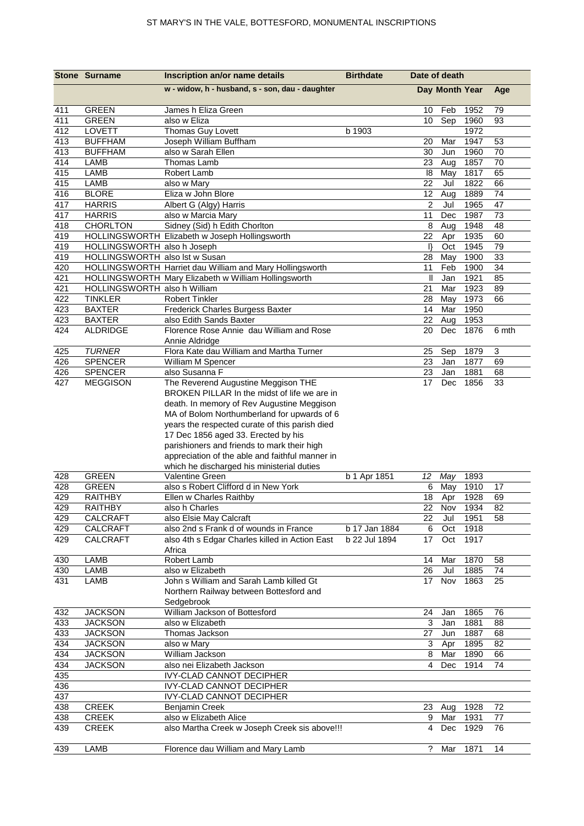|            | <b>Stone Surname</b>             | Inscription an/or name details                           | <b>Birthdate</b> | Date of death   |                |              |          |
|------------|----------------------------------|----------------------------------------------------------|------------------|-----------------|----------------|--------------|----------|
|            |                                  | w - widow, h - husband, s - son, dau - daughter          |                  |                 | Day Month Year |              | Age      |
| 411        | <b>GREEN</b>                     | James h Eliza Green                                      |                  | 10              | Feb            | 1952         | 79       |
| 411        | <b>GREEN</b>                     | also w Eliza                                             |                  | 10              | Sep            | 1960         | 93       |
| 412        | LOVETT                           | Thomas Guy Lovett                                        | b 1903           |                 |                | 1972         |          |
| 413        | <b>BUFFHAM</b>                   | Joseph William Buffham                                   |                  | 20              | Mar            | 1947         | 53       |
| 413        | <b>BUFFHAM</b>                   | also w Sarah Ellen                                       |                  | 30              | Jun            | 1960         | 70       |
| 414        | LAMB                             | Thomas Lamb                                              |                  | 23              | Aug            | 1857         | 70       |
| 415        | LAMB                             | Robert Lamb                                              |                  | 18              | May            | 1817         | 65       |
| 415        | <b>LAMB</b>                      | also w Mary                                              |                  | 22              | Jul            | 1822         | 66       |
| 416        | <b>BLORE</b>                     | Eliza w John Blore                                       |                  | 12              | Aug            | 1889         | 74       |
| 417        | <b>HARRIS</b>                    | Albert G (Algy) Harris                                   |                  | $\overline{2}$  | Jul            | 1965         | 47       |
| 417<br>418 | <b>HARRIS</b><br><b>CHORLTON</b> | also w Marcia Mary<br>Sidney (Sid) h Edith Chorlton      |                  | 11<br>8         | Dec            | 1987<br>1948 | 73<br>48 |
| 419        |                                  | HOLLINGSWORTH Elizabeth w Joseph Hollingsworth           |                  | 22              | Aug<br>Apr     | 1935         | 60       |
| 419        | HOLLINGSWORTH also h Joseph      |                                                          |                  | $\mathsf{I}$    | Oct            | 1945         | 79       |
| 419        | HOLLINGSWORTH also lst w Susan   |                                                          |                  | 28              | May            | 1900         | 33       |
| 420        |                                  | HOLLINGSWORTH Harriet dau William and Mary Hollingsworth |                  | 11              | Feb            | 1900         | 34       |
| 421        |                                  | HOLLINGSWORTH Mary Elizabeth w William Hollingsworth     |                  | Ш               | Jan            | 1921         | 85       |
| 421        | HOLLINGSWORTH also h William     |                                                          |                  | 21              | Mar            | 1923         | 89       |
| 422        | <b>TINKLER</b>                   | <b>Robert Tinkler</b>                                    |                  | 28              | May            | 1973         | 66       |
| 423        | <b>BAXTER</b>                    | Frederick Charles Burgess Baxter                         |                  | 14              | Mar            | 1950         |          |
| 423        | <b>BAXTER</b>                    | also Edith Sands Baxter                                  |                  | 22              | Aug            | 1953         |          |
| 424        | <b>ALDRIDGE</b>                  | Florence Rose Annie dau William and Rose                 |                  | 20              | Dec            | 1876         | 6 mth    |
|            |                                  | Annie Aldridge                                           |                  |                 |                |              |          |
| 425        | <b>TURNER</b>                    | Flora Kate dau William and Martha Turner                 |                  | 25              | Sep            | 1879         | 3        |
| 426        | <b>SPENCER</b>                   | William M Spencer                                        |                  | 23              | Jan            | 1877         | 69       |
| 426        | <b>SPENCER</b>                   | also Susanna F                                           |                  | 23              | Jan            | 1881         | 68       |
| 427        | <b>MEGGISON</b>                  | The Reverend Augustine Meggison THE                      |                  | 17              | Dec            | 1856         | 33       |
|            |                                  | BROKEN PILLAR In the midst of life we are in             |                  |                 |                |              |          |
|            |                                  | death. In memory of Rev Augustine Meggison               |                  |                 |                |              |          |
|            |                                  | MA of Bolom Northumberland for upwards of 6              |                  |                 |                |              |          |
|            |                                  | years the respected curate of this parish died           |                  |                 |                |              |          |
|            |                                  | 17 Dec 1856 aged 33. Erected by his                      |                  |                 |                |              |          |
|            |                                  | parishioners and friends to mark their high              |                  |                 |                |              |          |
|            |                                  | appreciation of the able and faithful manner in          |                  |                 |                |              |          |
|            |                                  | which he discharged his ministerial duties               |                  |                 |                |              |          |
| 428        | <b>GREEN</b>                     | Valentine Green                                          | b 1 Apr 1851     | 12              | May            | 1893         |          |
| 428        | <b>GREEN</b>                     | also s Robert Clifford d in New York                     |                  | 6               | May            | 1910         | 17       |
| 429        | <b>RAITHBY</b>                   | Ellen w Charles Raithby                                  |                  | 18              | Apr            | 1928         | 69       |
| 429        | RAITHBY                          | also h Charles                                           |                  |                 | 22 Nov 1934    |              | 82       |
| 429        | CALCRAFT                         | also Elsie May Calcraft                                  |                  | 22              | Jul            | 1951         | 58       |
| 429        | CALCRAFT                         | also 2nd s Frank d of wounds in France                   | b 17 Jan 1884    | 6               | Oct            | 1918         |          |
| 429        | CALCRAFT                         | also 4th s Edgar Charles killed in Action East           | b 22 Jul 1894    | 17              | Oct            | 1917         |          |
|            |                                  | Africa                                                   |                  |                 |                |              |          |
| 430        | LAMB                             | Robert Lamb                                              |                  | 14              | Mar            | 1870         | 58       |
| 430        | LAMB                             | also w Elizabeth                                         |                  | 26              | Jul            | 1885         | 74       |
| 431        | LAMB                             | John s William and Sarah Lamb killed Gt                  |                  | 17 <sub>2</sub> | Nov            | 1863         | 25       |
|            |                                  | Northern Railway between Bottesford and                  |                  |                 |                |              |          |
|            |                                  | Sedgebrook<br>William Jackson of Bottesford              |                  |                 |                |              |          |
| 432<br>433 | <b>JACKSON</b><br><b>JACKSON</b> | also w Elizabeth                                         |                  | 24<br>3         | Jan<br>Jan     | 1865<br>1881 | 76<br>88 |
| 433        | <b>JACKSON</b>                   | Thomas Jackson                                           |                  | 27              | Jun            | 1887         | 68       |
| 434        | <b>JACKSON</b>                   | also w Mary                                              |                  | 3               | Apr            | 1895         | 82       |
| 434        | <b>JACKSON</b>                   | William Jackson                                          |                  | 8               | Mar            | 1890         | 66       |
| 434        | <b>JACKSON</b>                   | also nei Elizabeth Jackson                               |                  | 4               | Dec            | 1914         | 74       |
| 435        |                                  | IVY-CLAD CANNOT DECIPHER                                 |                  |                 |                |              |          |
| 436        |                                  | <b>IVY-CLAD CANNOT DECIPHER</b>                          |                  |                 |                |              |          |
| 437        |                                  | <b>IVY-CLAD CANNOT DECIPHER</b>                          |                  |                 |                |              |          |
| 438        | <b>CREEK</b>                     | Benjamin Creek                                           |                  | 23              | Aug            | 1928         | 72       |
| 438        | <b>CREEK</b>                     | also w Elizabeth Alice                                   |                  | 9               | Mar            | 1931         | 77       |
| 439        | <b>CREEK</b>                     | also Martha Creek w Joseph Creek sis above!!!            |                  | 4               | Dec            | 1929         | 76       |
|            |                                  |                                                          |                  |                 |                |              |          |
| 439        | LAMB                             | Florence dau William and Mary Lamb                       |                  | $\tilde{?}$     | Mar 1871       |              | 14       |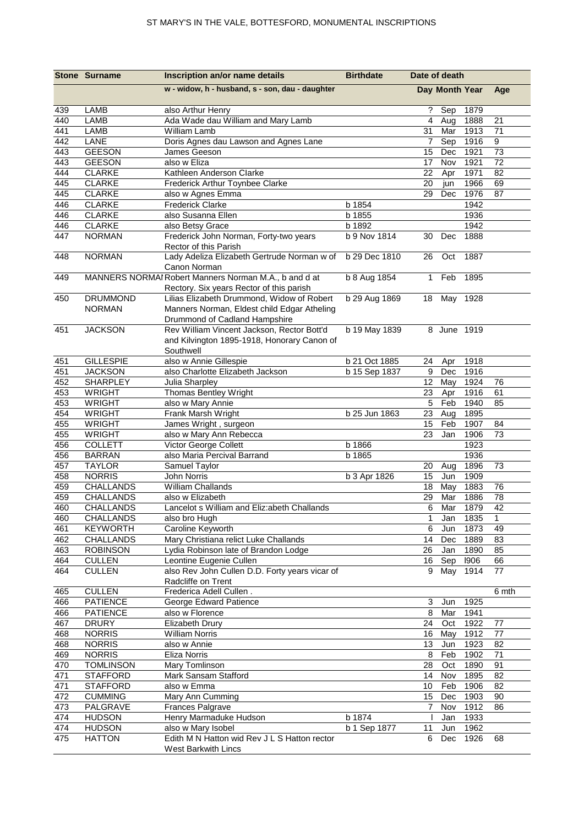|            | <b>Stone Surname</b>             | Inscription an/or name details                                                                                             | <b>Birthdate</b> | Date of death   |                |              |              |
|------------|----------------------------------|----------------------------------------------------------------------------------------------------------------------------|------------------|-----------------|----------------|--------------|--------------|
|            |                                  | w - widow, h - husband, s - son, dau - daughter                                                                            |                  |                 | Day Month Year |              | Age          |
| 439        | LAMB                             | also Arthur Henry                                                                                                          |                  | ?               | Sep            | 1879         |              |
| 440        | <b>LAMB</b>                      | Ada Wade dau William and Mary Lamb                                                                                         |                  | 4               | Aug            | 1888         | 21           |
| 441        | LAMB                             | William Lamb                                                                                                               |                  | 31              | Mar            | 1913         | 71           |
| 442        | LANE                             | Doris Agnes dau Lawson and Agnes Lane                                                                                      |                  | 7               | Sep            | 1916         | 9            |
| 443<br>443 | <b>GEESON</b><br><b>GEESON</b>   | James Geeson<br>also w Eliza                                                                                               |                  | 15<br>17        | Dec<br>Nov     | 1921<br>1921 | 73<br>72     |
| 444        | <b>CLARKE</b>                    | Kathleen Anderson Clarke                                                                                                   |                  | 22              | Apr            | 1971         | 82           |
| 445        | <b>CLARKE</b>                    | Frederick Arthur Toynbee Clarke                                                                                            |                  | 20              | jun            | 1966         | 69           |
| 445        | <b>CLARKE</b>                    | also w Agnes Emma                                                                                                          |                  | 29              | Dec            | 1976         | 87           |
| 446        | <b>CLARKE</b>                    | <b>Frederick Clarke</b>                                                                                                    | b 1854           |                 |                | 1942         |              |
| 446        | <b>CLARKE</b>                    | also Susanna Ellen                                                                                                         | b 1855           |                 |                | 1936         |              |
| 446        | <b>CLARKE</b>                    | also Betsy Grace                                                                                                           | b 1892           |                 |                | 1942         |              |
| 447        | <b>NORMAN</b>                    | Frederick John Norman, Forty-two years<br>Rector of this Parish                                                            | b 9 Nov 1814     | 30              | Dec            | 1888         |              |
| 448        | <b>NORMAN</b>                    | Lady Adeliza Elizabeth Gertrude Norman w of<br>Canon Norman                                                                | b 29 Dec 1810    | 26              | Oct            | 1887         |              |
| 449        |                                  | MANNERS NORMAI Robert Manners Norman M.A., b and d at<br>Rectory. Six years Rector of this parish                          | b 8 Aug 1854     | $\mathbf{1}$    | Feb            | 1895         |              |
| 450        | <b>DRUMMOND</b><br><b>NORMAN</b> | Lilias Elizabeth Drummond, Widow of Robert<br>Manners Norman, Eldest child Edgar Atheling<br>Drummond of Cadland Hampshire | b 29 Aug 1869    |                 | 18 May 1928    |              |              |
| 451        | <b>JACKSON</b>                   | Rev William Vincent Jackson, Rector Bott'd<br>and Kilvington 1895-1918, Honorary Canon of<br>Southwell                     | b 19 May 1839    |                 | 8 June 1919    |              |              |
| 451        | <b>GILLESPIE</b>                 | also w Annie Gillespie                                                                                                     | b 21 Oct 1885    | 24              | Apr            | 1918         |              |
| 451        | <b>JACKSON</b>                   | also Charlotte Elizabeth Jackson                                                                                           | b 15 Sep 1837    | 9               | Dec            | 1916         |              |
| 452        | <b>SHARPLEY</b>                  | Julia Sharpley                                                                                                             |                  | 12 <sup>2</sup> | May            | 1924         | 76           |
| 453        | <b>WRIGHT</b>                    | Thomas Bentley Wright                                                                                                      |                  | 23              | Apr            | 1916         | 61           |
| 453        | <b>WRIGHT</b>                    | also w Mary Annie                                                                                                          |                  | 5               | Feb            | 1940         | 85           |
| 454        | <b>WRIGHT</b>                    | Frank Marsh Wright                                                                                                         | b 25 Jun 1863    | 23              | Aug            | 1895         |              |
| 455<br>455 | <b>WRIGHT</b><br><b>WRIGHT</b>   | James Wright, surgeon                                                                                                      |                  | 15<br>23        | Feb<br>Jan     | 1907<br>1906 | 84<br>73     |
| 456        | <b>COLLETT</b>                   | also w Mary Ann Rebecca<br>Victor George Collett                                                                           | b 1866           |                 |                | 1923         |              |
| 456        | <b>BARRAN</b>                    | also Maria Percival Barrand                                                                                                | b 1865           |                 |                | 1936         |              |
| 457        | <b>TAYLOR</b>                    | Samuel Taylor                                                                                                              |                  | 20              | Aug            | 1896         | 73           |
| 458        | <b>NORRIS</b>                    | John Norris                                                                                                                | b 3 Apr 1826     | 15              | Jun            | 1909         |              |
| 459        | <b>CHALLANDS</b>                 | William Challands                                                                                                          |                  | 18              | May            | 1883         | 76           |
| 459        | CHALLANDS                        | also w Elizabeth                                                                                                           |                  | 29              | Mar            | 1886         | 78           |
| 460        | CHALLANDS                        | Lancelot s William and Eliz:abeth Challands                                                                                |                  | 6               |                | Mar 1879     | 42           |
| 460        | <b>CHALLANDS</b>                 | also bro Hugh                                                                                                              |                  | 1               | Jan            | 1835         | $\mathbf{1}$ |
| 461        | <b>KEYWORTH</b>                  | Caroline Keyworth                                                                                                          |                  | 6               | Jun            | 1873         | 49           |
| 462        | CHALLANDS                        | Mary Christiana relict Luke Challands                                                                                      |                  | 14              | Dec            | 1889         | 83           |
| 463        | <b>ROBINSON</b>                  | Lydia Robinson late of Brandon Lodge                                                                                       |                  | 26              | Jan            | 1890         | 85           |
| 464<br>464 | <b>CULLEN</b><br><b>CULLEN</b>   | Leontine Eugenie Cullen<br>also Rev John Cullen D.D. Forty years vicar of<br>Radcliffe on Trent                            |                  | 16<br>9         | Sep<br>May     | 1906<br>1914 | 66<br>77     |
| 465        | <b>CULLEN</b>                    | Frederica Adell Cullen.                                                                                                    |                  |                 |                |              | 6 mth        |
| 466        | <b>PATIENCE</b>                  | George Edward Patience                                                                                                     |                  | 3               | Jun            | 1925         |              |
| 466        | <b>PATIENCE</b>                  | also w Florence                                                                                                            |                  | 8               | Mar            | 1941         |              |
| 467        | <b>DRURY</b>                     | Elizabeth Drury                                                                                                            |                  | 24              | Oct            | 1922         | 77           |
| 468        | <b>NORRIS</b>                    | <b>William Norris</b>                                                                                                      |                  | 16              | May            | 1912         | 77           |
| 468        | <b>NORRIS</b>                    | also w Annie                                                                                                               |                  | 13              | Jun            | 1923         | 82           |
| 469        | <b>NORRIS</b>                    | Eliza Norris                                                                                                               |                  | 8               | Feb            | 1902         | 71           |
| 470        | <b>TOMLINSON</b>                 | Mary Tomlinson                                                                                                             |                  | 28              | Oct            | 1890         | 91           |
| 471        | <b>STAFFORD</b>                  | Mark Sansam Stafford                                                                                                       |                  | 14              | Nov            | 1895         | 82           |
| 471        | <b>STAFFORD</b>                  | also w Emma                                                                                                                |                  | 10              | Feb            | 1906         | 82           |
| 472        | <b>CUMMING</b>                   | Mary Ann Cumming                                                                                                           |                  | 15              | Dec            | 1903         | 90           |
| 473<br>474 | PALGRAVE<br><b>HUDSON</b>        | Frances Palgrave<br>Henry Marmaduke Hudson                                                                                 | b 1874           | $\overline{7}$  | Nov<br>Jan     | 1912<br>1933 | 86           |
| 474        | <b>HUDSON</b>                    | also w Mary Isobel                                                                                                         | b 1 Sep 1877     | 11              | Jun            | 1962         |              |
| 475        | <b>HATTON</b>                    | Edith M N Hatton wid Rev J L S Hatton rector                                                                               |                  | 6               | Dec            | 1926         | 68           |
|            |                                  | West Barkwith Lincs                                                                                                        |                  |                 |                |              |              |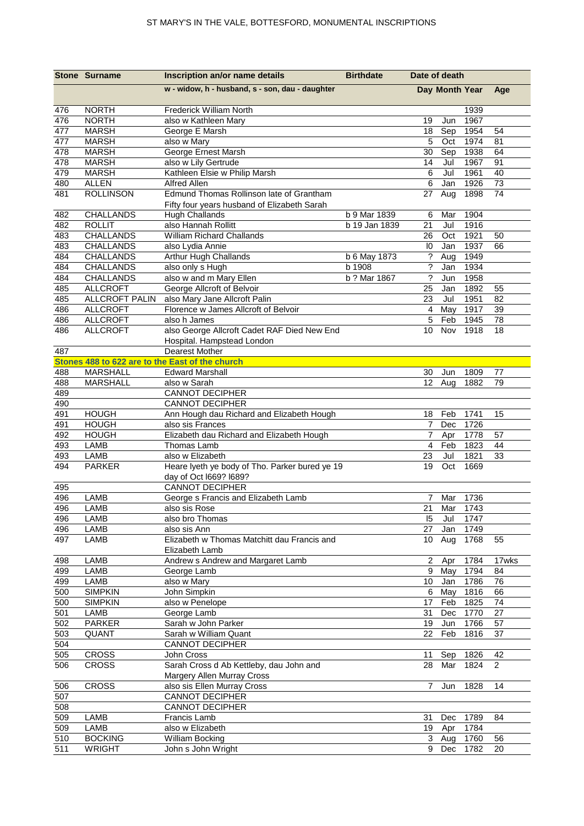|            | <b>Stone Surname</b>         | Inscription an/or name details                                            | <b>Birthdate</b> | Date of death           |                |              |                |
|------------|------------------------------|---------------------------------------------------------------------------|------------------|-------------------------|----------------|--------------|----------------|
|            |                              | w - widow, h - husband, s - son, dau - daughter                           |                  |                         | Day Month Year |              | Age            |
| 476        | <b>NORTH</b>                 | Frederick William North                                                   |                  |                         |                | 1939         |                |
| 476        | <b>NORTH</b>                 | also w Kathleen Mary                                                      |                  | 19                      | Jun            | 1967         |                |
| 477        | <b>MARSH</b>                 | George E Marsh                                                            |                  | 18                      | Sep            | 1954         | 54             |
| 477        | <b>MARSH</b>                 | also w Mary                                                               |                  | 5                       | Oct            | 1974         | 81             |
| 478        | <b>MARSH</b>                 | George Ernest Marsh                                                       |                  | 30                      | Sep            | 1938         | 64             |
| 478        | <b>MARSH</b>                 | also w Lily Gertrude                                                      |                  | 14                      | Jul            | 1967         | 91             |
| 479        | <b>MARSH</b>                 | Kathleen Elsie w Philip Marsh                                             |                  | 6                       | Jul            | 1961         | 40             |
| 480        | <b>ALLEN</b>                 | Alfred Allen<br>Edmund Thomas Rollinson late of Grantham                  |                  | 6                       | Jan            | 1926<br>1898 | 73<br>74       |
| 481        | <b>ROLLINSON</b>             | Fifty four years husband of Elizabeth Sarah                               |                  | 27                      | Aug            |              |                |
| 482        | CHALLANDS                    | Hugh Challands                                                            | b 9 Mar 1839     | 6                       | Mar            | 1904         |                |
| 482        | <b>ROLLIT</b>                | also Hannah Rollitt                                                       | b 19 Jan 1839    | 21                      | Jul            | 1916         |                |
| 483        | <b>CHALLANDS</b>             | William Richard Challands                                                 |                  | 26                      | Oct            | 1921         | 50             |
| 483        | CHALLANDS                    | also Lydia Annie                                                          |                  | $\overline{10}$         | Jan            | 1937         | 66             |
| 484        | CHALLANDS                    | Arthur Hugh Challands                                                     | b 6 May 1873     | ?                       | Aug            | 1949         |                |
| 484        | CHALLANDS                    | also only s Hugh                                                          | b 1908           | ?                       | Jan            | 1934         |                |
| 484        | CHALLANDS                    | also w and m Mary Ellen                                                   | b ? Mar 1867     | $\tilde{?}$             | Jun            | 1958         |                |
| 485        | <b>ALLCROFT</b>              | George Allcroft of Belvoir                                                |                  | 25                      | Jan            | 1892         | 55             |
| 485        | <b>ALLCROFT PALIN</b>        | also Mary Jane Allcroft Palin                                             |                  | 23                      | Jul            | 1951         | 82             |
| 486        | <b>ALLCROFT</b>              | Florence w James Allcroft of Belvoir                                      |                  | $\overline{\mathbf{4}}$ | May            | 1917         | 39             |
| 486        | <b>ALLCROFT</b>              | also h James                                                              |                  | 5                       | Feb            | 1945         | 78             |
| 486        | <b>ALLCROFT</b>              | also George Allcroft Cadet RAF Died New End<br>Hospital. Hampstead London |                  | 10                      | Nov            | 1918         | 18             |
| 487        |                              | <b>Dearest Mother</b>                                                     |                  |                         |                |              |                |
|            |                              | Stones 488 to 622 are to the East of the church                           |                  |                         |                |              |                |
| 488        | <b>MARSHALL</b>              | <b>Edward Marshall</b>                                                    |                  | 30                      | Jun            | 1809         | 77             |
| 488        | <b>MARSHALL</b>              | also w Sarah                                                              |                  | 12 <sup>°</sup>         | Aug            | 1882         | 79             |
| 489        |                              | <b>CANNOT DECIPHER</b>                                                    |                  |                         |                |              |                |
| 490        |                              | <b>CANNOT DECIPHER</b>                                                    |                  |                         |                |              |                |
| 491        | <b>HOUGH</b><br><b>HOUGH</b> | Ann Hough dau Richard and Elizabeth Hough                                 |                  | 18<br>7                 | Feb            | 1741<br>1726 | 15             |
| 491<br>492 | <b>HOUGH</b>                 | also sis Frances<br>Elizabeth dau Richard and Elizabeth Hough             |                  | 7                       | Dec<br>Apr     | 1778         | 57             |
| 493        | LAMB                         | Thomas Lamb                                                               |                  | $\overline{4}$          | Feb            | 1823         | 44             |
| 493        | LAMB                         | also w Elizabeth                                                          |                  | 23                      | Jul            | 1821         | 33             |
| 494        | <b>PARKER</b>                | Heare lyeth ye body of Tho. Parker bured ye 19                            |                  | 19                      | Oct            | 1669         |                |
|            |                              | day of Oct I669? I689?                                                    |                  |                         |                |              |                |
| 495        |                              | <b>CANNOT DECIPHER</b>                                                    |                  |                         |                |              |                |
| 496        | <b>LAMB</b>                  | George s Francis and Elizabeth Lamb                                       |                  | 7                       | Mar            | 1736         |                |
| 496        | <b>LAMB</b>                  | also sis Rose                                                             |                  | $\overline{21}$         | Mar            | 1743         |                |
| 496        | LAMB                         | also bro Thomas                                                           |                  | 15                      | Jul            | 1747         |                |
| 496        | LAMB                         | also sis Ann                                                              |                  | 27                      | Jan            | 1749         |                |
| 497        | LAMB                         | Elizabeth w Thomas Matchitt dau Francis and                               |                  | 10                      | Aug            | 1768         | 55             |
|            |                              | Elizabeth Lamb                                                            |                  |                         |                |              |                |
| 498        | LAMB                         | Andrew s Andrew and Margaret Lamb                                         |                  | $\overline{a}$          | Apr            | 1784         | 17wks          |
| 499<br>499 | LAMB<br>LAMB                 | George Lamb<br>also w Mary                                                |                  | 9<br>10 <sup>1</sup>    | May<br>Jan     | 1794<br>1786 | 84<br>76       |
| 500        | <b>SIMPKIN</b>               | John Simpkin                                                              |                  | 6                       | May            | 1816         | 66             |
| 500        | <b>SIMPKIN</b>               | also w Penelope                                                           |                  | 17                      | Feb            | 1825         | 74             |
| 501        | LAMB                         | George Lamb                                                               |                  | 31                      | Dec            | 1770         | 27             |
| 502        | <b>PARKER</b>                | Sarah w John Parker                                                       |                  | 19                      | Jun            | 1766         | 57             |
| 503        | QUANT                        | Sarah w William Quant                                                     |                  | 22                      | Feb            | 1816         | 37             |
| 504        |                              | <b>CANNOT DECIPHER</b>                                                    |                  |                         |                |              |                |
| 505        | <b>CROSS</b>                 | John Cross                                                                |                  | 11                      | Sep            | 1826         | 42             |
| 506        | <b>CROSS</b>                 | Sarah Cross d Ab Kettleby, dau John and                                   |                  | 28                      | Mar            | 1824         | $\overline{2}$ |
|            |                              | Margery Allen Murray Cross                                                |                  |                         |                |              |                |
| 506        | <b>CROSS</b>                 | also sis Ellen Murray Cross                                               |                  | 7                       | Jun            | 1828         | 14             |
| 507        |                              | <b>CANNOT DECIPHER</b>                                                    |                  |                         |                |              |                |
| 508        |                              | <b>CANNOT DECIPHER</b>                                                    |                  |                         |                |              |                |
| 509        | LAMB                         | Francis Lamb                                                              |                  | 31                      | Dec            | 1789         | 84             |
| 509        | <b>LAMB</b>                  | also w Elizabeth                                                          |                  | 19                      | Apr            | 1784         |                |
| 510        | <b>BOCKING</b>               | William Bocking                                                           |                  | 3                       | Aug            | 1760         | 56             |
| 511        | <b>WRIGHT</b>                | John s John Wright                                                        |                  | 9                       | Dec            | 1782         | 20             |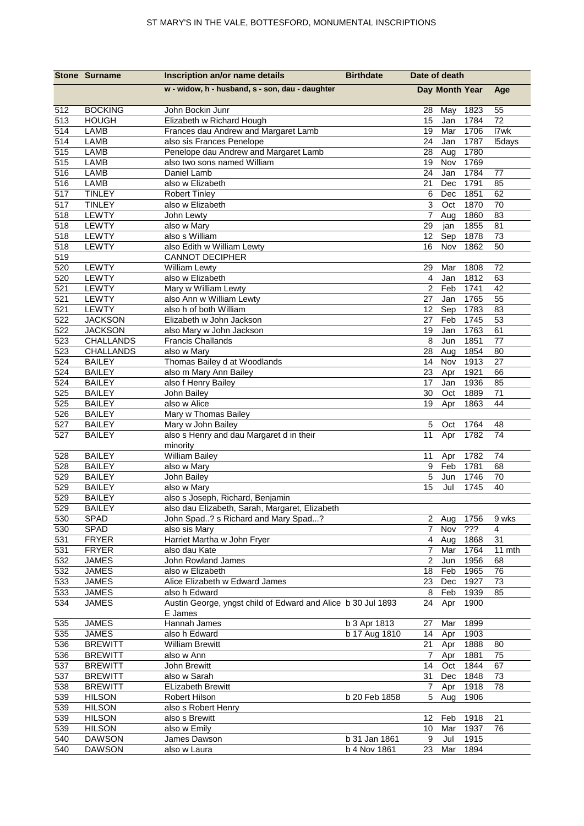|                  | <b>Stone Surname</b>  | Inscription an/or name details                                          | <b>Birthdate</b> | Date of death        |                |              |          |
|------------------|-----------------------|-------------------------------------------------------------------------|------------------|----------------------|----------------|--------------|----------|
|                  |                       | w - widow, h - husband, s - son, dau - daughter                         |                  |                      | Day Month Year |              | Age      |
| 512              | <b>BOCKING</b>        | John Bockin Junr                                                        |                  | 28                   | May            | 1823         | 55       |
| 513              | <b>HOUGH</b>          | Elizabeth w Richard Hough                                               |                  | 15                   | Jan            | 1784         | 72       |
| 514              | LAMB                  | Frances dau Andrew and Margaret Lamb                                    |                  | 19                   | Mar            | 1706         | I7wk     |
| 514              | LAMB                  | also sis Frances Penelope                                               |                  | 24                   | Jan            | 1787         | I5days   |
| 515              | LAMB                  | Penelope dau Andrew and Margaret Lamb                                   |                  | 28                   | Aug            | 1780         |          |
| 515              | LAMB                  | also two sons named William                                             |                  | 19                   | Nov            | 1769         |          |
| 516              | LAMB                  | Daniel Lamb                                                             |                  | 24                   | Jan            | 1784         | 77       |
| 516              | LAMB                  | also w Elizabeth                                                        |                  | 21                   | Dec            | 1791         | 85       |
| $\overline{517}$ | <b>TINLEY</b>         | <b>Robert Tinley</b>                                                    |                  | 6                    | Dec            | 1851         | 62       |
| 517              | <b>TINLEY</b>         | also w Elizabeth                                                        |                  | 3                    | Oct            | 1870         | 70       |
| 518<br>518       | LEWTY<br><b>LEWTY</b> | John Lewty<br>also w Mary                                               |                  | $\overline{7}$<br>29 | Aug<br>jan     | 1860<br>1855 | 83<br>81 |
| 518              | <b>LEWTY</b>          | also s William                                                          |                  | 12                   | Sep            | 1878         | 73       |
| 518              | LEWTY                 | also Edith w William Lewty                                              |                  | 16                   | Nov            | 1862         | 50       |
| 519              |                       | <b>CANNOT DECIPHER</b>                                                  |                  |                      |                |              |          |
| 520              | <b>LEWTY</b>          | William Lewty                                                           |                  | 29                   | Mar            | 1808         | 72       |
| 520              | <b>LEWTY</b>          | also w Elizabeth                                                        |                  | $\overline{4}$       | Jan            | 1812         | 63       |
| 521              | LEWTY                 | Mary w William Lewty                                                    |                  | 2                    | Feb            | 1741         | 42       |
| 521              | LEWTY                 | also Ann w William Lewty                                                |                  | 27                   | Jan            | 1765         | 55       |
| 521              | LEWTY                 | also h of both William                                                  |                  | 12                   | Sep            | 1783         | 83       |
| 522              | <b>JACKSON</b>        | Elizabeth w John Jackson                                                |                  | 27                   | Feb            | 1745         | 53       |
| 522              | <b>JACKSON</b>        | also Mary w John Jackson                                                |                  | 19                   | Jan            | 1763         | 61       |
| $\overline{523}$ | <b>CHALLANDS</b>      | <b>Francis Challands</b>                                                |                  | 8                    | Jun            | 1851         | 77       |
| 523              | <b>CHALLANDS</b>      | also w Mary                                                             |                  | 28                   | Aug            | 1854         | 80       |
| 524              | <b>BAILEY</b>         | Thomas Bailey d at Woodlands                                            |                  | 14                   | Nov            | 1913         | 27       |
| 524              | <b>BAILEY</b>         | also m Mary Ann Bailey                                                  |                  | 23                   | Apr            | 1921         | 66       |
| 524              | <b>BAILEY</b>         | also f Henry Bailey                                                     |                  | 17                   | Jan            | 1936         | 85       |
| 525              | <b>BAILEY</b>         | John Bailey                                                             |                  | 30                   | Oct            | 1889         | 71       |
| 525              | <b>BAILEY</b>         | also w Alice                                                            |                  | 19                   | Apr            | 1863         | 44       |
| 526              | <b>BAILEY</b>         | Mary w Thomas Bailey                                                    |                  |                      |                |              |          |
| 527              | <b>BAILEY</b>         | Mary w John Bailey                                                      |                  | 5                    | Oct            | 1764         | 48       |
| 527              | <b>BAILEY</b>         | also s Henry and dau Margaret d in their<br>minority                    |                  | 11                   | Apr            | 1782         | 74       |
| 528              | <b>BAILEY</b>         | <b>William Bailey</b>                                                   |                  | 11                   | Apr            | 1782         | 74       |
| 528              | <b>BAILEY</b>         | also w Mary                                                             |                  | 9                    | Feb            | 1781         | 68       |
| 529              | <b>BAILEY</b>         | John Bailey                                                             |                  | 5                    | Jun            | 1746         | 70       |
| 529              | <b>BAILEY</b>         | also w Mary                                                             |                  | 15                   | Jul            | 1745         | 40       |
| 529              | <b>BAILEY</b>         | also s Joseph, Richard, Benjamin                                        |                  |                      |                |              |          |
| 529              | <b>BAILEY</b>         | also dau Elizabeth, Sarah, Margaret, Elizabeth                          |                  |                      |                |              |          |
| 530              | SPAD                  | John Spad? s Richard and Mary Spad?                                     |                  |                      | 2 Aug          | 1756         | 9 wks    |
| 530              | SPAD                  | also sis Mary                                                           |                  | $\overline{7}$       | Nov            | ???          | 4        |
| 531              | <b>FRYER</b>          | Harriet Martha w John Fryer                                             |                  | $\overline{4}$       | Aug            | 1868         | 31       |
| 531              | <b>FRYER</b>          | also dau Kate                                                           |                  | $\overline{7}$       | Mar            | 1764         | 11 mth   |
| 532              | <b>JAMES</b>          | John Rowland James                                                      |                  | $\overline{2}$       | Jun            | 1956         | 68       |
| 532              | <b>JAMES</b>          | also w Elizabeth                                                        |                  | 18                   | Feb            | 1965         | 76       |
| 533              | <b>JAMES</b>          | Alice Elizabeth w Edward James                                          |                  | 23                   | Dec            | 1927         | 73       |
| 533              | <b>JAMES</b>          | also h Edward                                                           |                  | 8                    | Feb            | 1939         | 85       |
| 534              | <b>JAMES</b>          | Austin George, yngst child of Edward and Alice b 30 Jul 1893<br>E James |                  | 24                   | Apr            | 1900         |          |
| 535              | <b>JAMES</b>          | Hannah James                                                            | b 3 Apr 1813     | 27                   | Mar            | 1899         |          |
| 535              | <b>JAMES</b>          | also h Edward                                                           | b 17 Aug 1810    | 14                   | Apr            | 1903         |          |
| 536              | <b>BREWITT</b>        | <b>William Brewitt</b>                                                  |                  | 21                   | Apr            | 1888         | 80       |
| 536              | <b>BREWITT</b>        | also w Ann                                                              |                  | 7                    | Apr            | 1881         | 75       |
| 537              | <b>BREWITT</b>        | John Brewitt                                                            |                  | 14                   | Oct            | 1844         | 67       |
| 537              | <b>BREWITT</b>        | also w Sarah                                                            |                  | 31                   | Dec            | 1848         | 73       |
| 538              | <b>BREWITT</b>        | <b>ELizabeth Brewitt</b>                                                |                  | 7                    | Apr            | 1918         | 78       |
| 539              | <b>HILSON</b>         | Robert Hilson                                                           | b 20 Feb 1858    | 5                    | Aug            | 1906         |          |
| 539              | <b>HILSON</b>         | also s Robert Henry                                                     |                  |                      |                |              |          |
| 539              | <b>HILSON</b>         | also s Brewitt                                                          |                  | 12                   | Feb            | 1918         | 21       |
| 539              | <b>HILSON</b>         | also w Emily                                                            |                  | 10                   | Mar            | 1937         | 76       |
| 540              | <b>DAWSON</b>         | James Dawson                                                            | b 31 Jan 1861    | 9                    | Jul            | 1915         |          |
| 540              | <b>DAWSON</b>         | also w Laura                                                            | $b$ 4 Nov 1861   | 23                   | Mar            | 1894         |          |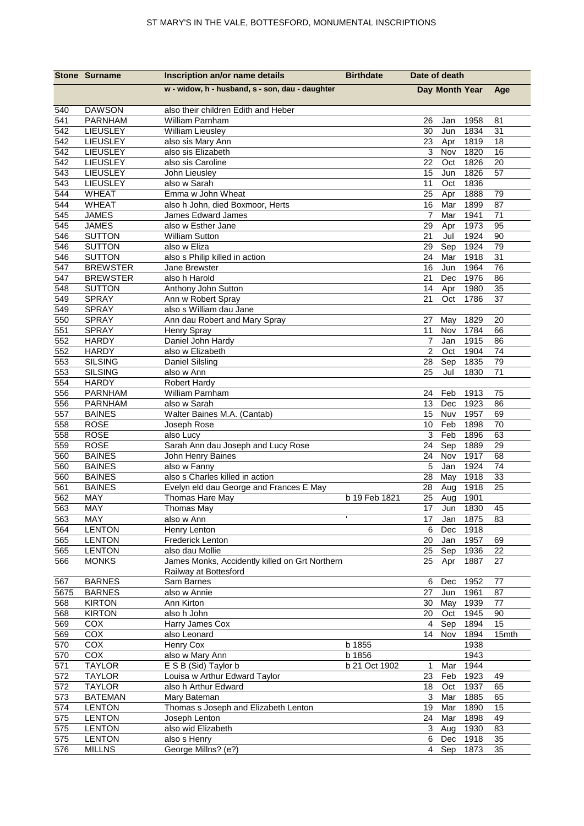|             | <b>Stone Surname</b>               | Inscription an/or name details                          | <b>Birthdate</b> | Date of death  |                |              |               |
|-------------|------------------------------------|---------------------------------------------------------|------------------|----------------|----------------|--------------|---------------|
|             |                                    | w - widow, h - husband, s - son, dau - daughter         |                  |                | Day Month Year |              | Age           |
| 540         | <b>DAWSON</b>                      | also their children Edith and Heber                     |                  |                |                |              |               |
| 541<br>542  | <b>PARNHAM</b>                     | William Parnham                                         |                  | 26<br>30       | Jan<br>Jun     | 1958<br>1834 | 81<br>31      |
| 542         | <b>LIEUSLEY</b><br>LIEUSLEY        | William Lieusley<br>also sis Mary Ann                   |                  | 23             | Apr            | 1819         | 18            |
| 542         | LIEUSLEY                           | also sis Elizabeth                                      |                  | 3              | Nov            | 1820         | 16            |
| 542         | LIEUSLEY                           | also sis Caroline                                       |                  | 22             | Oct            | 1826         | 20            |
| 543         | <b>LIEUSLEY</b>                    | John Lieusley                                           |                  | 15             | Jun            | 1826         | 57            |
| 543         | LIEUSLEY                           | also w Sarah                                            |                  | 11             | Oct            | 1836         |               |
| 544         | <b>WHEAT</b>                       | Emma w John Wheat                                       |                  | 25             | Apr            | 1888         | 79            |
| 544         | <b>WHEAT</b>                       | also h John, died Boxmoor, Herts                        |                  | 16             | Mar            | 1899         | 87            |
| 545         | <b>JAMES</b>                       | James Edward James                                      |                  | 7              | Mar            | 1941         | 71            |
| 545         | <b>JAMES</b>                       | also w Esther Jane                                      |                  | 29             | Apr            | 1973         | 95            |
| 546         | <b>SUTTON</b>                      | <b>William Sutton</b>                                   |                  | 21             | Jul            | 1924         | 90            |
| 546         | <b>SUTTON</b>                      | also w Eliza                                            |                  | 29             | Sep            | 1924         | 79            |
| 546         | <b>SUTTON</b>                      | also s Philip killed in action                          |                  | 24             | Mar            | 1918         | 31            |
| 547         | <b>BREWSTER</b><br><b>BREWSTER</b> | Jane Brewster<br>also h Harold                          |                  | 16             | Jun            | 1964         | 76            |
| 547<br>548  | <b>SUTTON</b>                      | Anthony John Sutton                                     |                  | 21<br>14       | Dec<br>Apr     | 1976<br>1980 | 86<br>35      |
| 549         | <b>SPRAY</b>                       | Ann w Robert Spray                                      |                  | 21             | Oct            | 1786         | 37            |
| 549         | <b>SPRAY</b>                       | also s William dau Jane                                 |                  |                |                |              |               |
| 550         | <b>SPRAY</b>                       | Ann dau Robert and Mary Spray                           |                  | 27             | May            | 1829         | 20            |
| 551         | <b>SPRAY</b>                       | Henry Spray                                             |                  | 11             | Nov            | 1784         | 66            |
| 552         | <b>HARDY</b>                       | Daniel John Hardy                                       |                  | 7              | Jan            | 1915         | 86            |
| 552         | <b>HARDY</b>                       | also w Elizabeth                                        |                  | $\overline{2}$ | Oct            | 1904         | 74            |
| 553         | <b>SILSING</b>                     | Daniel Silsling                                         |                  | 28             | Sep            | 1835         | 79            |
| 553         | <b>SILSING</b>                     | also w Ann                                              |                  | 25             | Jul            | 1830         | 71            |
| 554         | <b>HARDY</b>                       | <b>Robert Hardy</b>                                     |                  |                |                |              |               |
| 556         | <b>PARNHAM</b>                     | William Parnham                                         |                  | 24             | Feb            | 1913         | 75            |
| 556         | <b>PARNHAM</b>                     | also w Sarah                                            |                  | 13             | Dec            | 1923         | 86            |
| 557         | <b>BAINES</b>                      | Walter Baines M.A. (Cantab)                             |                  | 15             | Nuv            | 1957         | 69            |
| 558         | <b>ROSE</b>                        | Joseph Rose                                             |                  | $10$           | Feb            | 1898         | 70            |
| 558<br>559  | <b>ROSE</b><br><b>ROSE</b>         | also Lucy                                               |                  | 3<br>24        | Feb<br>Sep     | 1896<br>1889 | 63<br>29      |
| 560         | <b>BAINES</b>                      | Sarah Ann dau Joseph and Lucy Rose<br>John Henry Baines |                  | 24             | Nov            | 1917         | 68            |
| 560         | <b>BAINES</b>                      | also w Fanny                                            |                  | $\overline{5}$ | Jan            | 1924         | 74            |
| 560         | <b>BAINES</b>                      | also s Charles killed in action                         |                  | 28             | May            | 1918         | 33            |
| 561         | <b>BAINES</b>                      | Evelyn eld dau George and Frances E May                 |                  | 28             | Aug            | 1918         | 25            |
| 562         | MAY                                | Thomas Hare May                                         | b 19 Feb 1821    | 25             | Aug            | 1901         |               |
| 563         | MAY                                | Thomas May                                              |                  | 17             | Jun            | 1830         | 45            |
| 563         | MAY                                | also w Ann                                              |                  | 17             | Jan            | 1875         | 83            |
| 564         | <b>LENTON</b>                      | Henry Lenton                                            |                  | 6              | Dec            | 1918         |               |
| 565         | <b>LENTON</b>                      | <b>Frederick Lenton</b>                                 |                  | 20             | Jan            | 1957         | 69            |
| 565         | <b>LENTON</b>                      | also dau Mollie                                         |                  | 25             | Sep            | 1936         | 22            |
| 566         | <b>MONKS</b>                       | James Monks, Accidently killed on Grt Northern          |                  | 25             | Apr            | 1887         | 27            |
|             |                                    | Railway at Bottesford                                   |                  |                |                |              |               |
| 567<br>5675 | <b>BARNES</b><br><b>BARNES</b>     | Sam Barnes<br>also w Annie                              |                  | 6<br>27        | Dec<br>Jun     | 1952<br>1961 | $77 \,$<br>87 |
| 568         | <b>KIRTON</b>                      | Ann Kirton                                              |                  | 30             | May            | 1939         | 77            |
| 568         | <b>KIRTON</b>                      | also h John                                             |                  | 20             | Oct            | 1945         | 90            |
| 569         | COX                                | Harry James Cox                                         |                  | 4              | Sep            | 1894         | 15            |
| 569         | COX                                | also Leonard                                            |                  | 14             | Nov            | 1894         | 15mth         |
| 570         | COX                                | Henry Cox                                               | b 1855           |                |                | 1938         |               |
| 570         | $\overline{COX}$                   | also w Mary Ann                                         | b 1856           |                |                | 1943         |               |
| 571         | <b>TAYLOR</b>                      | E S B (Sid) Taylor b                                    | b 21 Oct 1902    | 1              | Mar            | 1944         |               |
| 572         | <b>TAYLOR</b>                      | Louisa w Arthur Edward Taylor                           |                  | 23             | Feb            | 1923         | 49            |
| 572         | <b>TAYLOR</b>                      | also h Arthur Edward                                    |                  | 18             | Oct            | 1937         | 65            |
| 573         | <b>BATEMAN</b>                     | Mary Bateman                                            |                  | 3              | Mar            | 1885         | 65            |
| 574         | <b>LENTON</b>                      | Thomas s Joseph and Elizabeth Lenton                    |                  | 19             | Mar            | 1890         | 15            |
| 575         | <b>LENTON</b>                      | Joseph Lenton                                           |                  | 24             | Mar            | 1898         | 49            |
| 575         | <b>LENTON</b>                      | also wid Elizabeth                                      |                  | 3              | Aug            | 1930         | 83            |
| 575         | <b>LENTON</b>                      | also s Henry                                            |                  | 6              | Dec            | 1918         | 35            |
| 576         | <b>MILLNS</b>                      | George Millns? (e?)                                     |                  | 4              | Sep            | 1873         | 35            |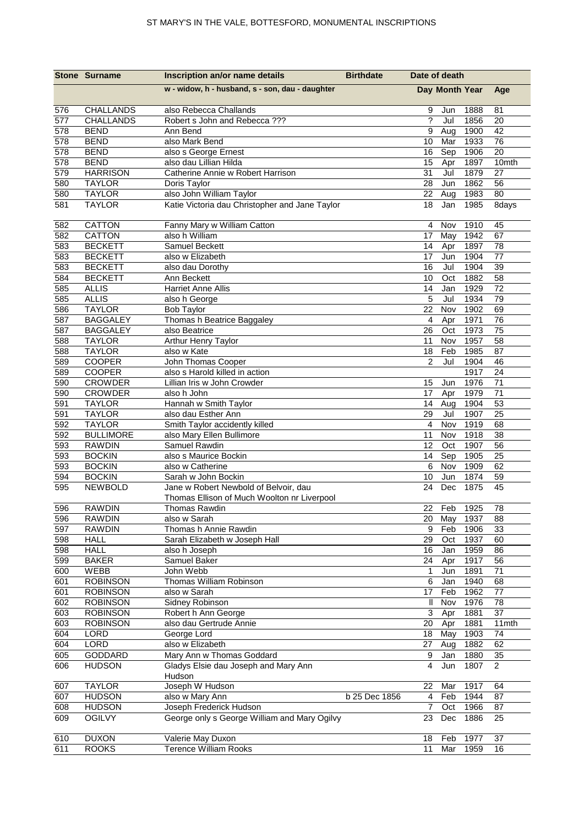|            | <b>Stone Surname</b>          | Inscription an/or name details                  | <b>Birthdate</b> | Date of death           |                |              |                |
|------------|-------------------------------|-------------------------------------------------|------------------|-------------------------|----------------|--------------|----------------|
|            |                               | w - widow, h - husband, s - son, dau - daughter |                  |                         | Day Month Year |              | Age            |
| 576        | CHALLANDS                     | also Rebecca Challands                          |                  | 9                       | Jun            | 1888         | 81             |
| 577        | <b>CHALLANDS</b>              | Robert s John and Rebecca ???                   |                  | ?                       | Jul            | 1856         | 20             |
| 578        | <b>BEND</b>                   | Ann Bend                                        |                  | 9                       | Aug            | 1900         | 42             |
| 578        | <b>BEND</b>                   | also Mark Bend                                  |                  | 10                      | Mar            | 1933         | 76             |
| 578        | <b>BEND</b>                   | also s George Ernest                            |                  | 16                      | Sep            | 1906         | 20             |
| 578        | <b>BEND</b>                   | also dau Lillian Hilda                          |                  | 15                      | Apr            | 1897         | 10mth          |
| 579        | <b>HARRISON</b>               | Catherine Annie w Robert Harrison               |                  | 31                      | Jul            | 1879         | 27             |
| 580        | <b>TAYLOR</b>                 | Doris Taylor                                    |                  | 28                      | Jun            | 1862         | 56             |
| 580        | <b>TAYLOR</b>                 | also John William Taylor                        |                  | 22                      | Aug            | 1983         | 80             |
| 581        | <b>TAYLOR</b>                 | Katie Victoria dau Christopher and Jane Taylor  |                  | 18                      | Jan            | 1985         | 8days          |
| 582        | CATTON                        | Fanny Mary w William Catton                     |                  | 4                       | Nov            | 1910         | 45             |
| 582        | CATTON                        | also h William                                  |                  | 17                      | May            | 1942         | 67             |
| 583        | <b>BECKETT</b>                | Samuel Beckett                                  |                  | 14                      | Apr            | 1897         | 78             |
| 583        | <b>BECKETT</b>                | also w Elizabeth                                |                  | 17                      | Jun            | 1904         | 77             |
| 583        | <b>BECKETT</b>                | also dau Dorothy                                |                  | 16                      | Jul            | 1904         | 39             |
| 584        | <b>BECKETT</b>                | Ann Beckett                                     |                  | 10                      | Oct            | 1882         | 58             |
| 585        | <b>ALLIS</b>                  | Harriet Anne Allis                              |                  | 14<br>5                 | Jan<br>Jul     | 1929<br>1934 | 72             |
| 585<br>586 | <b>ALLIS</b><br><b>TAYLOR</b> | also h George<br><b>Bob Taylor</b>              |                  | 22                      | Nov            | 1902         | 79<br>69       |
| 587        | <b>BAGGALEY</b>               | Thomas h Beatrice Baggaley                      |                  | 4                       | Apr            | 1971         | 76             |
| 587        | <b>BAGGALEY</b>               | also Beatrice                                   |                  | 26                      | Oct            | 1973         | 75             |
| 588        | <b>TAYLOR</b>                 | Arthur Henry Taylor                             |                  | 11                      | Nov            | 1957         | 58             |
| 588        | <b>TAYLOR</b>                 | also w Kate                                     |                  | 18                      | Feb            | 1985         | 87             |
| 589        | <b>COOPER</b>                 | John Thomas Cooper                              |                  | $\overline{2}$          | Jul            | 1904         | 46             |
| 589        | COOPER                        | also s Harold killed in action                  |                  |                         |                | 1917         | 24             |
| 590        | <b>CROWDER</b>                | Lillian Iris w John Crowder                     |                  | 15                      | Jun            | 1976         | 71             |
| 590        | <b>CROWDER</b>                | also h John                                     |                  | 17                      | Apr            | 1979         | 71             |
| 591        | <b>TAYLOR</b>                 | Hannah w Smith Taylor                           |                  | 14                      | Aug            | 1904         | 53             |
| 591        | <b>TAYLOR</b>                 | also dau Esther Ann                             |                  | 29                      | Jul            | 1907         | 25             |
| 592        | <b>TAYLOR</b>                 | Smith Taylor accidently killed                  |                  | $\overline{\mathbf{4}}$ | Nov            | 1919         | 68             |
| 592        | <b>BULLIMORE</b>              | also Mary Ellen Bullimore                       |                  | 11                      | Nov            | 1918         | 38             |
| 593        | <b>RAWDIN</b>                 | Samuel Rawdin                                   |                  | 12                      | Oct            | 1907         | 56             |
| 593        | <b>BOCKIN</b>                 | also s Maurice Bockin                           |                  | 14                      | Sep            | 1905         | 25             |
| 593        | <b>BOCKIN</b>                 | also w Catherine                                |                  | 6                       | Nov            | 1909         | 62             |
| 594        | <b>BOCKIN</b>                 | Sarah w John Bockin                             |                  | 10                      | Jun            | 1874         | 59             |
| 595        | <b>NEWBOLD</b>                | Jane w Robert Newbold of Belvoir, dau           |                  | 24                      | Dec            | 1875         | 45             |
|            |                               | Thomas Ellison of Much Woolton nr Liverpool     |                  |                         |                |              |                |
| 596        | <b>RAWDIN</b>                 | Thomas Rawdin                                   |                  | 22                      | Feb            | 1925         | 78             |
| 596        | <b>RAWDIN</b>                 | also w Sarah                                    |                  | 20                      | May            | 1937         | 88             |
| 597        | <b>RAWDIN</b>                 | Thomas h Annie Rawdin                           |                  | 9                       | Feb            | 1906         | 33             |
| 598        | <b>HALL</b>                   | Sarah Elizabeth w Joseph Hall                   |                  | 29                      | Oct            | 1937         | 60             |
| 598        | <b>HALL</b>                   | also h Joseph                                   |                  | 16                      | Jan            | 1959         | 86             |
| 599        | <b>BAKER</b>                  | Samuel Baker                                    |                  | 24                      | Apr            | 1917         | 56             |
| 600<br>601 | WEBB<br><b>ROBINSON</b>       | John Webb<br>Thomas William Robinson            |                  | $\mathbf{1}$<br>6       | Jun            | 1891<br>1940 | 71             |
| 601        | <b>ROBINSON</b>               | also w Sarah                                    |                  | 17                      | Jan<br>Feb     | 1962         | 68<br>77       |
| 602        | <b>ROBINSON</b>               | Sidney Robinson                                 |                  | Ш                       | Nov            | 1976         | 78             |
| 603        | <b>ROBINSON</b>               | Robert h Ann George                             |                  | 3                       | Apr            | 1881         | 37             |
| 603        | <b>ROBINSON</b>               | also dau Gertrude Annie                         |                  | 20                      | Apr            | 1881         | 11mth          |
| 604        | LORD                          | George Lord                                     |                  | 18                      | May            | 1903         | 74             |
| 604        | LORD                          | also w Elizabeth                                |                  | 27                      | Aug            | 1882         | 62             |
| 605        | GODDARD                       | Mary Ann w Thomas Goddard                       |                  | 9                       | Jan            | 1880         | 35             |
| 606        | <b>HUDSON</b>                 | Gladys Elsie dau Joseph and Mary Ann            |                  | $\overline{4}$          | Jun            | 1807         | $\overline{2}$ |
|            |                               | Hudson                                          |                  |                         |                |              |                |
| 607        | <b>TAYLOR</b>                 | Joseph W Hudson                                 |                  | 22                      | Mar            | 1917         | 64             |
| 607        | <b>HUDSON</b>                 | also w Mary Ann                                 | b 25 Dec 1856    | 4                       | Feb            | 1944         | 87             |
| 608        | <b>HUDSON</b>                 | Joseph Frederick Hudson                         |                  | $\overline{7}$          | Oct            | 1966         | 87             |
| 609        | <b>OGILVY</b>                 | George only s George William and Mary Ogilvy    |                  | 23                      | Dec            | 1886         | 25             |
| 610        | <b>DUXON</b>                  | Valerie May Duxon                               |                  | 18                      | Feb            | 1977         | 37             |
| 611        | <b>ROOKS</b>                  | <b>Terence William Rooks</b>                    |                  | 11                      | Mar            | 1959         | 16             |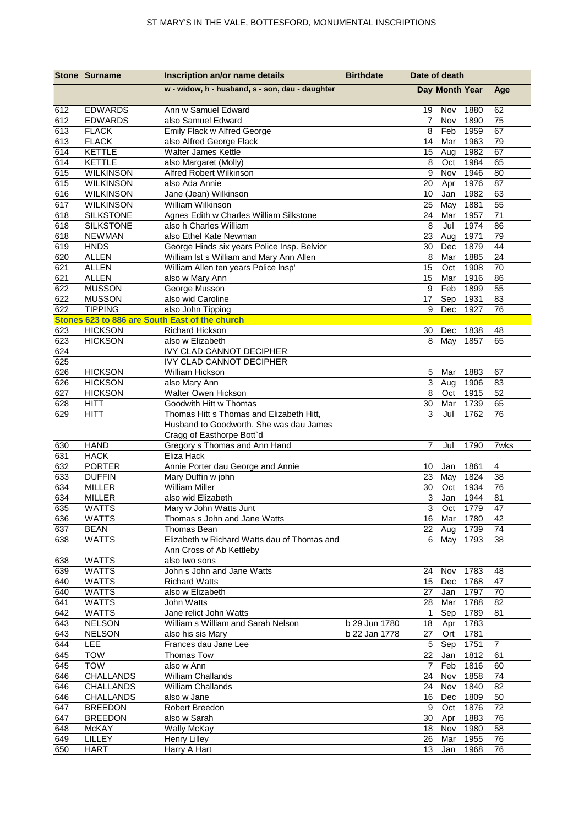|            | <b>Stone Surname</b>                 | Inscription an/or name details                               | <b>Birthdate</b> | Date of death  |               |              |          |
|------------|--------------------------------------|--------------------------------------------------------------|------------------|----------------|---------------|--------------|----------|
|            |                                      | w - widow, h - husband, s - son, dau - daughter              |                  | Day Month Year |               |              | Age      |
| 612        | <b>EDWARDS</b>                       | Ann w Samuel Edward                                          |                  | 19             | Nov           | 1880         | 62       |
| 612        | <b>EDWARDS</b>                       | also Samuel Edward                                           |                  | 7              | Nov           | 1890         | 75       |
| 613        | <b>FLACK</b>                         | Emily Flack w Alfred George                                  |                  | 8              | Feb           | 1959         | 67       |
| 613        | <b>FLACK</b>                         | also Alfred George Flack                                     |                  | 14             | Mar           | 1963         | 79       |
| 614        | <b>KETTLE</b>                        | Walter James Kettle                                          |                  | 15             | Aug           | 1982         | 67       |
| 614        | <b>KETTLE</b>                        | also Margaret (Molly)                                        |                  | 8              | Oct           | 1984         | 65       |
| 615        | <b>WILKINSON</b>                     | Alfred Robert Wilkinson                                      |                  | 9              | Nov           | 1946         | 80       |
| 615        | <b>WILKINSON</b>                     | also Ada Annie                                               |                  | 20             | Apr           | 1976         | 87       |
| 616        | <b>WILKINSON</b>                     | Jane (Jean) Wilkinson                                        |                  | 10             | Jan           | 1982<br>1881 | 63       |
| 617<br>618 | <b>WILKINSON</b><br><b>SILKSTONE</b> | William Wilkinson<br>Agnes Edith w Charles William Silkstone |                  | 25<br>24       | May<br>Mar    | 1957         | 55<br>71 |
| 618        | <b>SILKSTONE</b>                     | also h Charles William                                       |                  | 8              | Jul           | 1974         | 86       |
| 618        | <b>NEWMAN</b>                        | also Ethel Kate Newman                                       |                  | 23             | Aug           | 1971         | 79       |
| 619        | <b>HNDS</b>                          | George Hinds six years Police Insp. Belvior                  |                  | 30             | Dec           | 1879         | 44       |
| 620        | <b>ALLEN</b>                         | William Ist s William and Mary Ann Allen                     |                  | 8              | Mar           | 1885         | 24       |
| 621        | <b>ALLEN</b>                         | William Allen ten years Police Insp'                         |                  | 15             | Oct           | 1908         | 70       |
| 621        | <b>ALLEN</b>                         | also w Mary Ann                                              |                  | 15             | Mar           | 1916         | 86       |
| 622        | <b>MUSSON</b>                        | George Musson                                                |                  | 9              | Feb           | 1899         | 55       |
| 622        | <b>MUSSON</b>                        | also wid Caroline                                            |                  | 17             | Sep           | 1931         | 83       |
| 622        | <b>TIPPING</b>                       | also John Tipping                                            |                  | 9              | Dec           | 1927         | 76       |
|            |                                      | Stones 623 to 886 are South East of the church               |                  |                |               |              |          |
| 623        | <b>HICKSON</b>                       | <b>Richard Hickson</b>                                       |                  | 30             | Dec           | 1838         | 48       |
| 623        | <b>HICKSON</b>                       | also w Elizabeth                                             |                  | 8              | May           | 1857         | 65       |
| 624        |                                      | IVY CLAD CANNOT DECIPHER                                     |                  |                |               |              |          |
| 625        |                                      | <b>IVY CLAD CANNOT DECIPHER</b>                              |                  |                |               |              |          |
| 626        | <b>HICKSON</b>                       | William Hickson                                              |                  | 5              | Mar           | 1883         | 67       |
| 626        | <b>HICKSON</b>                       | also Mary Ann                                                |                  | 3              | Aug           | 1906         | 83       |
| 627        | <b>HICKSON</b>                       | Walter Owen Hickson                                          |                  | 8              | Oct           | 1915         | 52       |
| 628        | HITT                                 | Goodwith Hitt w Thomas                                       |                  | 30             | Mar           | 1739         | 65       |
| 629        | <b>HITT</b>                          | Thomas Hitt s Thomas and Elizabeth Hitt,                     |                  | 3              | Jul           | 1762         | 76       |
|            |                                      | Husband to Goodworth. She was dau James                      |                  |                |               |              |          |
| 630        | <b>HAND</b>                          | Cragg of Easthorpe Bott'd<br>Gregory s Thomas and Ann Hand   |                  | 7              | Jul           | 1790         | 7wks     |
| 631        | <b>HACK</b>                          | Eliza Hack                                                   |                  |                |               |              |          |
| 632        | <b>PORTER</b>                        | Annie Porter dau George and Annie                            |                  | 10             | Jan           | 1861         | 4        |
| 633        | <b>DUFFIN</b>                        | Mary Duffin w john                                           |                  | 23             | May           | 1824         | 38       |
| 634        | <b>MILLER</b>                        | <b>William Miller</b>                                        |                  | 30             | Oct           | 1934         | 76       |
| 634        | <b>MILLER</b>                        | also wid Elizabeth                                           |                  | 3              | Jan           | 1944         | 81       |
| 635        | <b>WATTS</b>                         | Mary w John Watts Junt                                       |                  |                |               | 3 Oct 1779   | 47       |
| 636        | <b>WATTS</b>                         | Thomas s John and Jane Watts                                 |                  |                |               | 16 Mar 1780  | 42       |
| 637        | <b>BEAN</b>                          | Thomas Bean                                                  |                  |                | 22 Aug        | 1739         | 74       |
| 638        | <b>WATTS</b>                         | Elizabeth w Richard Watts dau of Thomas and                  |                  |                | 6 May         | 1793         | 38       |
|            |                                      | Ann Cross of Ab Kettleby                                     |                  |                |               |              |          |
| 638        | <b>WATTS</b>                         | also two sons                                                |                  |                |               |              |          |
| 639        | <b>WATTS</b>                         | John s John and Jane Watts                                   |                  | 24             | Nov           | 1783         | 48       |
| 640        | <b>WATTS</b>                         | <b>Richard Watts</b>                                         |                  |                | 15 Dec        | 1768         | 47       |
| 640        | <b>WATTS</b>                         | also w Elizabeth                                             |                  | 27 Jan         |               | 1797         | 70       |
| 641        | <b>WATTS</b>                         | John Watts                                                   |                  |                | 28 Mar        | 1788         | 82       |
| 642        | <b>WATTS</b>                         | Jane relict John Watts                                       |                  | $\mathbf{1}$   | Sep           | 1789         | 81       |
| 643        | <b>NELSON</b>                        | William s William and Sarah Nelson                           | b 29 Jun 1780    |                | 18 Apr        | 1783         |          |
| 643        | <b>NELSON</b>                        | also his sis Mary                                            | b 22 Jan 1778    | 27             | Ort           | 1781         |          |
| 644        | <b>LEE</b>                           | Frances dau Jane Lee                                         |                  | 5 <sub>5</sub> | Sep           | 1751         | 7        |
| 645<br>645 | <b>TOW</b><br><b>TOW</b>             | Thomas Tow<br>also w Ann                                     |                  | $\overline{7}$ | 22 Jan<br>Feb | 1812<br>1816 | 61<br>60 |
| 646        | <b>CHALLANDS</b>                     | William Challands                                            |                  | 24             | Nov           | 1858         | 74       |
| 646        | CHALLANDS                            | William Challands                                            |                  | 24             | Nov           | 1840         | 82       |
| 646        | <b>CHALLANDS</b>                     | also w Jane                                                  |                  |                | 16 Dec        | 1809         | 50       |
| 647        | <b>BREEDON</b>                       | Robert Breedon                                               |                  | 9              | Oct           | 1876         | 72       |
| 647        | <b>BREEDON</b>                       | also w Sarah                                                 |                  | 30 Apr         |               | 1883         | 76       |
| 648        | <b>McKAY</b>                         | <b>Wally McKay</b>                                           |                  |                | 18 Nov        | 1980         | 58       |
| 649        | LILLEY                               | Henry Lilley                                                 |                  | 26             | Mar           | 1955         | 76       |
| 650        | <b>HART</b>                          | Harry A Hart                                                 |                  |                | 13 Jan 1968   |              | 76       |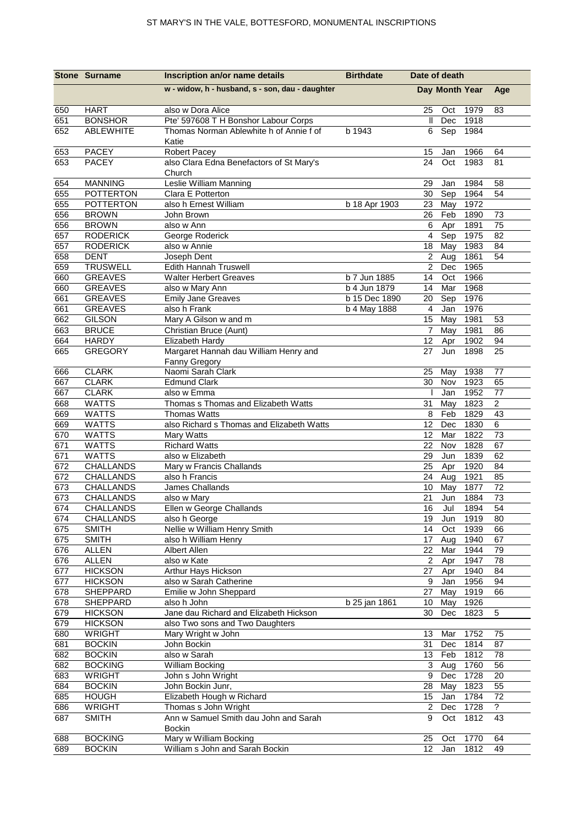| w - widow, h - husband, s - son, dau - daughter<br>Day Month Year<br>Age<br><b>HART</b><br>650<br>also w Dora Alice<br>1979<br>25<br>Oct<br>83<br>651<br><b>BONSHOR</b><br>Pte' 597608 T H Bonshor Labour Corps<br>Dec<br>1918<br>Ш<br><b>ABLEWHITE</b><br>1984<br>652<br>Thomas Norman Ablewhite h of Annie f of<br>b 1943<br>6<br>Sep<br>Katie<br><b>PACEY</b><br><b>Robert Pacey</b><br>1966<br>653<br>15<br>Jan<br>64<br>also Clara Edna Benefactors of St Mary's<br>653<br><b>PACEY</b><br>Oct<br>1983<br>24<br>81<br>Church<br><b>MANNING</b><br>Leslie William Manning<br>1984<br>58<br>654<br>29<br>Jan<br><b>POTTERTON</b><br>655<br>Clara E Potterton<br>Sep<br>1964<br>54<br>30<br>655<br><b>POTTERTON</b><br>also h Ernest William<br>1972<br>b 18 Apr 1903<br>23 May<br>656<br>Feb<br>1890<br><b>BROWN</b><br>John Brown<br>26<br>73<br>75<br>656<br><b>BROWN</b><br>1891<br>also w Ann<br>6<br>Apr<br>$\overline{4}$<br>657<br><b>RODERICK</b><br>1975<br>82<br>George Roderick<br>Sep<br>657<br><b>RODERICK</b><br>also w Annie<br>May<br>1983<br>18<br>84<br><b>DENT</b><br>658<br>$\overline{2}$<br>1861<br>54<br>Joseph Dent<br>Aug<br><b>TRUSWELL</b><br>$\overline{2}$<br>1965<br>659<br>Edith Hannah Truswell<br>Dec<br>660<br><b>GREAVES</b><br>14<br>1966<br><b>Walter Herbert Greaves</b><br>b 7 Jun 1885<br>Oct<br>660<br><b>GREAVES</b><br>b 4 Jun 1879<br>Mar<br>1968<br>also w Mary Ann<br>14<br>661<br><b>Emily Jane Greaves</b><br>1976<br><b>GREAVES</b><br>b 15 Dec 1890<br>Sep<br>20<br>661<br><b>GREAVES</b><br>also h Frank<br>b 4 May 1888<br>$\overline{4}$<br>Jan<br>1976<br>1981<br>662<br><b>GILSON</b><br>Mary A Gilson w and m<br>May<br>15<br>53<br>663<br><b>BRUCE</b><br>Christian Bruce (Aunt)<br>1981<br>$\overline{7}$<br>May<br>86<br><b>HARDY</b><br>664<br>Elizabeth Hardy<br>12<br>1902<br>Apr<br>94<br>Margaret Hannah dau William Henry and<br><b>GREGORY</b><br>1898<br>665<br>27<br>Jun<br>25<br>Fanny Gregory<br><b>CLARK</b><br>Naomi Sarah Clark<br>666<br>25<br>1938<br>77<br>May<br><b>CLARK</b><br>667<br><b>Edmund Clark</b><br>1923<br>65<br>30<br>Nov<br>667<br><b>CLARK</b><br>1952<br>also w Emma<br>Jan<br>77<br>$\boldsymbol{2}$<br>668<br><b>WATTS</b><br>Thomas s Thomas and Elizabeth Watts<br>1823<br>31<br>May<br>43<br>669<br><b>WATTS</b><br><b>Thomas Watts</b><br>8<br>1829<br>Feb<br>6<br>669<br><b>WATTS</b><br>12<br>1830<br>also Richard s Thomas and Elizabeth Watts<br>Dec<br>670<br><b>WATTS</b><br>Mary Watts<br>12<br>Mar<br>1822<br>73<br>671<br><b>WATTS</b><br><b>Richard Watts</b><br>22<br>Nov<br>1828<br>67<br>671<br><b>WATTS</b><br>also w Elizabeth<br>1839<br>62<br>29<br>Jun<br>672<br>CHALLANDS<br>Mary w Francis Challands<br>25<br>1920<br>84<br>Apr<br>672<br>CHALLANDS<br>also h Francis<br>24<br>Aug<br>1921<br>85<br>673<br>1877<br>CHALLANDS<br>James Challands<br>10<br>May<br>72<br>673<br>CHALLANDS<br>21<br>73<br>Jun<br>1884<br>also w Mary<br>16<br>Jul<br>1894<br>54<br><b>CHALLANDS</b><br>Ellen w George Challands<br>674<br>674<br>CHALLANDS<br>19<br>1919<br>80<br>also h George<br>Jun<br>Nellie w William Henry Smith<br>675<br>1939<br><b>SMITH</b><br>14<br>Oct<br>66<br>17 Aug<br>1940<br>675<br><b>SMITH</b><br>also h William Henry<br>67<br>676<br><b>ALLEN</b><br><b>Albert Allen</b><br>Mar<br>1944<br>79<br>22<br>676<br><b>ALLEN</b><br>also w Kate<br>$\mathbf{2}$<br>1947<br>78<br>Apr<br>677<br><b>HICKSON</b><br>Arthur Hays Hickson<br>27<br>1940<br>84<br>Apr<br><b>HICKSON</b><br>also w Sarah Catherine<br>9<br>1956<br>677<br>Jan<br>94<br>1919<br>678<br>SHEPPARD<br>Emilie w John Sheppard<br>May<br>66<br>27<br>SHEPPARD<br>May<br>1926<br>678<br>also h John<br>b 25 jan 1861<br>10<br>Jane dau Richard and Elizabeth Hickson<br>$\overline{5}$<br>679<br><b>HICKSON</b><br>30<br>Dec<br>1823<br>679<br><b>HICKSON</b><br>also Two sons and Two Daughters<br>Mary Wright w John<br>680<br>WRIGHT<br>13<br>1752<br>Mar<br>75<br><b>BOCKIN</b><br>John Bockin<br>Dec<br>1814<br>681<br>31<br>87<br>682<br><b>BOCKIN</b><br>also w Sarah<br>1812<br>78<br>13 Feb<br>682<br><b>BOCKING</b><br>William Bocking<br>3<br>Aug<br>1760<br>56<br>1728<br>683<br><b>WRIGHT</b><br>John s John Wright<br>9<br>Dec<br>20<br><b>BOCKIN</b><br>1823<br>684<br>John Bockin Junr,<br>May<br>55<br>28<br>685<br><b>HOUGH</b><br>Elizabeth Hough w Richard<br>1784<br>72<br>15<br>Jan<br>$\tilde{?}$<br>Thomas s John Wright<br>1728<br>686<br><b>WRIGHT</b><br>$\overline{2}$<br>Dec<br>Ann w Samuel Smith dau John and Sarah<br><b>SMITH</b><br>9<br>687<br>Oct<br>1812<br>43<br><b>Bockin</b><br>Mary w William Bocking<br><b>BOCKING</b><br>25<br>1770<br>64<br>688<br>Oct |     | <b>Stone Surname</b> | Inscription an/or name details  | <b>Birthdate</b> | Date of death   |     |      |    |
|-----------------------------------------------------------------------------------------------------------------------------------------------------------------------------------------------------------------------------------------------------------------------------------------------------------------------------------------------------------------------------------------------------------------------------------------------------------------------------------------------------------------------------------------------------------------------------------------------------------------------------------------------------------------------------------------------------------------------------------------------------------------------------------------------------------------------------------------------------------------------------------------------------------------------------------------------------------------------------------------------------------------------------------------------------------------------------------------------------------------------------------------------------------------------------------------------------------------------------------------------------------------------------------------------------------------------------------------------------------------------------------------------------------------------------------------------------------------------------------------------------------------------------------------------------------------------------------------------------------------------------------------------------------------------------------------------------------------------------------------------------------------------------------------------------------------------------------------------------------------------------------------------------------------------------------------------------------------------------------------------------------------------------------------------------------------------------------------------------------------------------------------------------------------------------------------------------------------------------------------------------------------------------------------------------------------------------------------------------------------------------------------------------------------------------------------------------------------------------------------------------------------------------------------------------------------------------------------------------------------------------------------------------------------------------------------------------------------------------------------------------------------------------------------------------------------------------------------------------------------------------------------------------------------------------------------------------------------------------------------------------------------------------------------------------------------------------------------------------------------------------------------------------------------------------------------------------------------------------------------------------------------------------------------------------------------------------------------------------------------------------------------------------------------------------------------------------------------------------------------------------------------------------------------------------------------------------------------------------------------------------------------------------------------------------------------------------------------------------------------------------------------------------------------------------------------------------------------------------------------------------------------------------------------------------------------------------------------------------------------------------------------------------------------------------------------------------------------------------------------------------------------------------------------------------------------------------------------------------------------------------------------------------------------------------------------------------------------------------------------------------------------------------------------------------------------------------------------------------------------------------------------------------------------------------------------------------------------------------------------------------------------------------------------------------------------------------------|-----|----------------------|---------------------------------|------------------|-----------------|-----|------|----|
|                                                                                                                                                                                                                                                                                                                                                                                                                                                                                                                                                                                                                                                                                                                                                                                                                                                                                                                                                                                                                                                                                                                                                                                                                                                                                                                                                                                                                                                                                                                                                                                                                                                                                                                                                                                                                                                                                                                                                                                                                                                                                                                                                                                                                                                                                                                                                                                                                                                                                                                                                                                                                                                                                                                                                                                                                                                                                                                                                                                                                                                                                                                                                                                                                                                                                                                                                                                                                                                                                                                                                                                                                                                                                                                                                                                                                                                                                                                                                                                                                                                                                                                                                                                                                                                                                                                                                                                                                                                                                                                                                                                                                                                                                                           |     |                      |                                 |                  |                 |     |      |    |
|                                                                                                                                                                                                                                                                                                                                                                                                                                                                                                                                                                                                                                                                                                                                                                                                                                                                                                                                                                                                                                                                                                                                                                                                                                                                                                                                                                                                                                                                                                                                                                                                                                                                                                                                                                                                                                                                                                                                                                                                                                                                                                                                                                                                                                                                                                                                                                                                                                                                                                                                                                                                                                                                                                                                                                                                                                                                                                                                                                                                                                                                                                                                                                                                                                                                                                                                                                                                                                                                                                                                                                                                                                                                                                                                                                                                                                                                                                                                                                                                                                                                                                                                                                                                                                                                                                                                                                                                                                                                                                                                                                                                                                                                                                           |     |                      |                                 |                  |                 |     |      |    |
|                                                                                                                                                                                                                                                                                                                                                                                                                                                                                                                                                                                                                                                                                                                                                                                                                                                                                                                                                                                                                                                                                                                                                                                                                                                                                                                                                                                                                                                                                                                                                                                                                                                                                                                                                                                                                                                                                                                                                                                                                                                                                                                                                                                                                                                                                                                                                                                                                                                                                                                                                                                                                                                                                                                                                                                                                                                                                                                                                                                                                                                                                                                                                                                                                                                                                                                                                                                                                                                                                                                                                                                                                                                                                                                                                                                                                                                                                                                                                                                                                                                                                                                                                                                                                                                                                                                                                                                                                                                                                                                                                                                                                                                                                                           |     |                      |                                 |                  |                 |     |      |    |
|                                                                                                                                                                                                                                                                                                                                                                                                                                                                                                                                                                                                                                                                                                                                                                                                                                                                                                                                                                                                                                                                                                                                                                                                                                                                                                                                                                                                                                                                                                                                                                                                                                                                                                                                                                                                                                                                                                                                                                                                                                                                                                                                                                                                                                                                                                                                                                                                                                                                                                                                                                                                                                                                                                                                                                                                                                                                                                                                                                                                                                                                                                                                                                                                                                                                                                                                                                                                                                                                                                                                                                                                                                                                                                                                                                                                                                                                                                                                                                                                                                                                                                                                                                                                                                                                                                                                                                                                                                                                                                                                                                                                                                                                                                           |     |                      |                                 |                  |                 |     |      |    |
|                                                                                                                                                                                                                                                                                                                                                                                                                                                                                                                                                                                                                                                                                                                                                                                                                                                                                                                                                                                                                                                                                                                                                                                                                                                                                                                                                                                                                                                                                                                                                                                                                                                                                                                                                                                                                                                                                                                                                                                                                                                                                                                                                                                                                                                                                                                                                                                                                                                                                                                                                                                                                                                                                                                                                                                                                                                                                                                                                                                                                                                                                                                                                                                                                                                                                                                                                                                                                                                                                                                                                                                                                                                                                                                                                                                                                                                                                                                                                                                                                                                                                                                                                                                                                                                                                                                                                                                                                                                                                                                                                                                                                                                                                                           |     |                      |                                 |                  |                 |     |      |    |
|                                                                                                                                                                                                                                                                                                                                                                                                                                                                                                                                                                                                                                                                                                                                                                                                                                                                                                                                                                                                                                                                                                                                                                                                                                                                                                                                                                                                                                                                                                                                                                                                                                                                                                                                                                                                                                                                                                                                                                                                                                                                                                                                                                                                                                                                                                                                                                                                                                                                                                                                                                                                                                                                                                                                                                                                                                                                                                                                                                                                                                                                                                                                                                                                                                                                                                                                                                                                                                                                                                                                                                                                                                                                                                                                                                                                                                                                                                                                                                                                                                                                                                                                                                                                                                                                                                                                                                                                                                                                                                                                                                                                                                                                                                           |     |                      |                                 |                  |                 |     |      |    |
|                                                                                                                                                                                                                                                                                                                                                                                                                                                                                                                                                                                                                                                                                                                                                                                                                                                                                                                                                                                                                                                                                                                                                                                                                                                                                                                                                                                                                                                                                                                                                                                                                                                                                                                                                                                                                                                                                                                                                                                                                                                                                                                                                                                                                                                                                                                                                                                                                                                                                                                                                                                                                                                                                                                                                                                                                                                                                                                                                                                                                                                                                                                                                                                                                                                                                                                                                                                                                                                                                                                                                                                                                                                                                                                                                                                                                                                                                                                                                                                                                                                                                                                                                                                                                                                                                                                                                                                                                                                                                                                                                                                                                                                                                                           |     |                      |                                 |                  |                 |     |      |    |
|                                                                                                                                                                                                                                                                                                                                                                                                                                                                                                                                                                                                                                                                                                                                                                                                                                                                                                                                                                                                                                                                                                                                                                                                                                                                                                                                                                                                                                                                                                                                                                                                                                                                                                                                                                                                                                                                                                                                                                                                                                                                                                                                                                                                                                                                                                                                                                                                                                                                                                                                                                                                                                                                                                                                                                                                                                                                                                                                                                                                                                                                                                                                                                                                                                                                                                                                                                                                                                                                                                                                                                                                                                                                                                                                                                                                                                                                                                                                                                                                                                                                                                                                                                                                                                                                                                                                                                                                                                                                                                                                                                                                                                                                                                           |     |                      |                                 |                  |                 |     |      |    |
|                                                                                                                                                                                                                                                                                                                                                                                                                                                                                                                                                                                                                                                                                                                                                                                                                                                                                                                                                                                                                                                                                                                                                                                                                                                                                                                                                                                                                                                                                                                                                                                                                                                                                                                                                                                                                                                                                                                                                                                                                                                                                                                                                                                                                                                                                                                                                                                                                                                                                                                                                                                                                                                                                                                                                                                                                                                                                                                                                                                                                                                                                                                                                                                                                                                                                                                                                                                                                                                                                                                                                                                                                                                                                                                                                                                                                                                                                                                                                                                                                                                                                                                                                                                                                                                                                                                                                                                                                                                                                                                                                                                                                                                                                                           |     |                      |                                 |                  |                 |     |      |    |
|                                                                                                                                                                                                                                                                                                                                                                                                                                                                                                                                                                                                                                                                                                                                                                                                                                                                                                                                                                                                                                                                                                                                                                                                                                                                                                                                                                                                                                                                                                                                                                                                                                                                                                                                                                                                                                                                                                                                                                                                                                                                                                                                                                                                                                                                                                                                                                                                                                                                                                                                                                                                                                                                                                                                                                                                                                                                                                                                                                                                                                                                                                                                                                                                                                                                                                                                                                                                                                                                                                                                                                                                                                                                                                                                                                                                                                                                                                                                                                                                                                                                                                                                                                                                                                                                                                                                                                                                                                                                                                                                                                                                                                                                                                           |     |                      |                                 |                  |                 |     |      |    |
|                                                                                                                                                                                                                                                                                                                                                                                                                                                                                                                                                                                                                                                                                                                                                                                                                                                                                                                                                                                                                                                                                                                                                                                                                                                                                                                                                                                                                                                                                                                                                                                                                                                                                                                                                                                                                                                                                                                                                                                                                                                                                                                                                                                                                                                                                                                                                                                                                                                                                                                                                                                                                                                                                                                                                                                                                                                                                                                                                                                                                                                                                                                                                                                                                                                                                                                                                                                                                                                                                                                                                                                                                                                                                                                                                                                                                                                                                                                                                                                                                                                                                                                                                                                                                                                                                                                                                                                                                                                                                                                                                                                                                                                                                                           |     |                      |                                 |                  |                 |     |      |    |
|                                                                                                                                                                                                                                                                                                                                                                                                                                                                                                                                                                                                                                                                                                                                                                                                                                                                                                                                                                                                                                                                                                                                                                                                                                                                                                                                                                                                                                                                                                                                                                                                                                                                                                                                                                                                                                                                                                                                                                                                                                                                                                                                                                                                                                                                                                                                                                                                                                                                                                                                                                                                                                                                                                                                                                                                                                                                                                                                                                                                                                                                                                                                                                                                                                                                                                                                                                                                                                                                                                                                                                                                                                                                                                                                                                                                                                                                                                                                                                                                                                                                                                                                                                                                                                                                                                                                                                                                                                                                                                                                                                                                                                                                                                           |     |                      |                                 |                  |                 |     |      |    |
|                                                                                                                                                                                                                                                                                                                                                                                                                                                                                                                                                                                                                                                                                                                                                                                                                                                                                                                                                                                                                                                                                                                                                                                                                                                                                                                                                                                                                                                                                                                                                                                                                                                                                                                                                                                                                                                                                                                                                                                                                                                                                                                                                                                                                                                                                                                                                                                                                                                                                                                                                                                                                                                                                                                                                                                                                                                                                                                                                                                                                                                                                                                                                                                                                                                                                                                                                                                                                                                                                                                                                                                                                                                                                                                                                                                                                                                                                                                                                                                                                                                                                                                                                                                                                                                                                                                                                                                                                                                                                                                                                                                                                                                                                                           |     |                      |                                 |                  |                 |     |      |    |
|                                                                                                                                                                                                                                                                                                                                                                                                                                                                                                                                                                                                                                                                                                                                                                                                                                                                                                                                                                                                                                                                                                                                                                                                                                                                                                                                                                                                                                                                                                                                                                                                                                                                                                                                                                                                                                                                                                                                                                                                                                                                                                                                                                                                                                                                                                                                                                                                                                                                                                                                                                                                                                                                                                                                                                                                                                                                                                                                                                                                                                                                                                                                                                                                                                                                                                                                                                                                                                                                                                                                                                                                                                                                                                                                                                                                                                                                                                                                                                                                                                                                                                                                                                                                                                                                                                                                                                                                                                                                                                                                                                                                                                                                                                           |     |                      |                                 |                  |                 |     |      |    |
|                                                                                                                                                                                                                                                                                                                                                                                                                                                                                                                                                                                                                                                                                                                                                                                                                                                                                                                                                                                                                                                                                                                                                                                                                                                                                                                                                                                                                                                                                                                                                                                                                                                                                                                                                                                                                                                                                                                                                                                                                                                                                                                                                                                                                                                                                                                                                                                                                                                                                                                                                                                                                                                                                                                                                                                                                                                                                                                                                                                                                                                                                                                                                                                                                                                                                                                                                                                                                                                                                                                                                                                                                                                                                                                                                                                                                                                                                                                                                                                                                                                                                                                                                                                                                                                                                                                                                                                                                                                                                                                                                                                                                                                                                                           |     |                      |                                 |                  |                 |     |      |    |
|                                                                                                                                                                                                                                                                                                                                                                                                                                                                                                                                                                                                                                                                                                                                                                                                                                                                                                                                                                                                                                                                                                                                                                                                                                                                                                                                                                                                                                                                                                                                                                                                                                                                                                                                                                                                                                                                                                                                                                                                                                                                                                                                                                                                                                                                                                                                                                                                                                                                                                                                                                                                                                                                                                                                                                                                                                                                                                                                                                                                                                                                                                                                                                                                                                                                                                                                                                                                                                                                                                                                                                                                                                                                                                                                                                                                                                                                                                                                                                                                                                                                                                                                                                                                                                                                                                                                                                                                                                                                                                                                                                                                                                                                                                           |     |                      |                                 |                  |                 |     |      |    |
|                                                                                                                                                                                                                                                                                                                                                                                                                                                                                                                                                                                                                                                                                                                                                                                                                                                                                                                                                                                                                                                                                                                                                                                                                                                                                                                                                                                                                                                                                                                                                                                                                                                                                                                                                                                                                                                                                                                                                                                                                                                                                                                                                                                                                                                                                                                                                                                                                                                                                                                                                                                                                                                                                                                                                                                                                                                                                                                                                                                                                                                                                                                                                                                                                                                                                                                                                                                                                                                                                                                                                                                                                                                                                                                                                                                                                                                                                                                                                                                                                                                                                                                                                                                                                                                                                                                                                                                                                                                                                                                                                                                                                                                                                                           |     |                      |                                 |                  |                 |     |      |    |
|                                                                                                                                                                                                                                                                                                                                                                                                                                                                                                                                                                                                                                                                                                                                                                                                                                                                                                                                                                                                                                                                                                                                                                                                                                                                                                                                                                                                                                                                                                                                                                                                                                                                                                                                                                                                                                                                                                                                                                                                                                                                                                                                                                                                                                                                                                                                                                                                                                                                                                                                                                                                                                                                                                                                                                                                                                                                                                                                                                                                                                                                                                                                                                                                                                                                                                                                                                                                                                                                                                                                                                                                                                                                                                                                                                                                                                                                                                                                                                                                                                                                                                                                                                                                                                                                                                                                                                                                                                                                                                                                                                                                                                                                                                           |     |                      |                                 |                  |                 |     |      |    |
|                                                                                                                                                                                                                                                                                                                                                                                                                                                                                                                                                                                                                                                                                                                                                                                                                                                                                                                                                                                                                                                                                                                                                                                                                                                                                                                                                                                                                                                                                                                                                                                                                                                                                                                                                                                                                                                                                                                                                                                                                                                                                                                                                                                                                                                                                                                                                                                                                                                                                                                                                                                                                                                                                                                                                                                                                                                                                                                                                                                                                                                                                                                                                                                                                                                                                                                                                                                                                                                                                                                                                                                                                                                                                                                                                                                                                                                                                                                                                                                                                                                                                                                                                                                                                                                                                                                                                                                                                                                                                                                                                                                                                                                                                                           |     |                      |                                 |                  |                 |     |      |    |
|                                                                                                                                                                                                                                                                                                                                                                                                                                                                                                                                                                                                                                                                                                                                                                                                                                                                                                                                                                                                                                                                                                                                                                                                                                                                                                                                                                                                                                                                                                                                                                                                                                                                                                                                                                                                                                                                                                                                                                                                                                                                                                                                                                                                                                                                                                                                                                                                                                                                                                                                                                                                                                                                                                                                                                                                                                                                                                                                                                                                                                                                                                                                                                                                                                                                                                                                                                                                                                                                                                                                                                                                                                                                                                                                                                                                                                                                                                                                                                                                                                                                                                                                                                                                                                                                                                                                                                                                                                                                                                                                                                                                                                                                                                           |     |                      |                                 |                  |                 |     |      |    |
|                                                                                                                                                                                                                                                                                                                                                                                                                                                                                                                                                                                                                                                                                                                                                                                                                                                                                                                                                                                                                                                                                                                                                                                                                                                                                                                                                                                                                                                                                                                                                                                                                                                                                                                                                                                                                                                                                                                                                                                                                                                                                                                                                                                                                                                                                                                                                                                                                                                                                                                                                                                                                                                                                                                                                                                                                                                                                                                                                                                                                                                                                                                                                                                                                                                                                                                                                                                                                                                                                                                                                                                                                                                                                                                                                                                                                                                                                                                                                                                                                                                                                                                                                                                                                                                                                                                                                                                                                                                                                                                                                                                                                                                                                                           |     |                      |                                 |                  |                 |     |      |    |
|                                                                                                                                                                                                                                                                                                                                                                                                                                                                                                                                                                                                                                                                                                                                                                                                                                                                                                                                                                                                                                                                                                                                                                                                                                                                                                                                                                                                                                                                                                                                                                                                                                                                                                                                                                                                                                                                                                                                                                                                                                                                                                                                                                                                                                                                                                                                                                                                                                                                                                                                                                                                                                                                                                                                                                                                                                                                                                                                                                                                                                                                                                                                                                                                                                                                                                                                                                                                                                                                                                                                                                                                                                                                                                                                                                                                                                                                                                                                                                                                                                                                                                                                                                                                                                                                                                                                                                                                                                                                                                                                                                                                                                                                                                           |     |                      |                                 |                  |                 |     |      |    |
|                                                                                                                                                                                                                                                                                                                                                                                                                                                                                                                                                                                                                                                                                                                                                                                                                                                                                                                                                                                                                                                                                                                                                                                                                                                                                                                                                                                                                                                                                                                                                                                                                                                                                                                                                                                                                                                                                                                                                                                                                                                                                                                                                                                                                                                                                                                                                                                                                                                                                                                                                                                                                                                                                                                                                                                                                                                                                                                                                                                                                                                                                                                                                                                                                                                                                                                                                                                                                                                                                                                                                                                                                                                                                                                                                                                                                                                                                                                                                                                                                                                                                                                                                                                                                                                                                                                                                                                                                                                                                                                                                                                                                                                                                                           |     |                      |                                 |                  |                 |     |      |    |
|                                                                                                                                                                                                                                                                                                                                                                                                                                                                                                                                                                                                                                                                                                                                                                                                                                                                                                                                                                                                                                                                                                                                                                                                                                                                                                                                                                                                                                                                                                                                                                                                                                                                                                                                                                                                                                                                                                                                                                                                                                                                                                                                                                                                                                                                                                                                                                                                                                                                                                                                                                                                                                                                                                                                                                                                                                                                                                                                                                                                                                                                                                                                                                                                                                                                                                                                                                                                                                                                                                                                                                                                                                                                                                                                                                                                                                                                                                                                                                                                                                                                                                                                                                                                                                                                                                                                                                                                                                                                                                                                                                                                                                                                                                           |     |                      |                                 |                  |                 |     |      |    |
|                                                                                                                                                                                                                                                                                                                                                                                                                                                                                                                                                                                                                                                                                                                                                                                                                                                                                                                                                                                                                                                                                                                                                                                                                                                                                                                                                                                                                                                                                                                                                                                                                                                                                                                                                                                                                                                                                                                                                                                                                                                                                                                                                                                                                                                                                                                                                                                                                                                                                                                                                                                                                                                                                                                                                                                                                                                                                                                                                                                                                                                                                                                                                                                                                                                                                                                                                                                                                                                                                                                                                                                                                                                                                                                                                                                                                                                                                                                                                                                                                                                                                                                                                                                                                                                                                                                                                                                                                                                                                                                                                                                                                                                                                                           |     |                      |                                 |                  |                 |     |      |    |
|                                                                                                                                                                                                                                                                                                                                                                                                                                                                                                                                                                                                                                                                                                                                                                                                                                                                                                                                                                                                                                                                                                                                                                                                                                                                                                                                                                                                                                                                                                                                                                                                                                                                                                                                                                                                                                                                                                                                                                                                                                                                                                                                                                                                                                                                                                                                                                                                                                                                                                                                                                                                                                                                                                                                                                                                                                                                                                                                                                                                                                                                                                                                                                                                                                                                                                                                                                                                                                                                                                                                                                                                                                                                                                                                                                                                                                                                                                                                                                                                                                                                                                                                                                                                                                                                                                                                                                                                                                                                                                                                                                                                                                                                                                           |     |                      |                                 |                  |                 |     |      |    |
|                                                                                                                                                                                                                                                                                                                                                                                                                                                                                                                                                                                                                                                                                                                                                                                                                                                                                                                                                                                                                                                                                                                                                                                                                                                                                                                                                                                                                                                                                                                                                                                                                                                                                                                                                                                                                                                                                                                                                                                                                                                                                                                                                                                                                                                                                                                                                                                                                                                                                                                                                                                                                                                                                                                                                                                                                                                                                                                                                                                                                                                                                                                                                                                                                                                                                                                                                                                                                                                                                                                                                                                                                                                                                                                                                                                                                                                                                                                                                                                                                                                                                                                                                                                                                                                                                                                                                                                                                                                                                                                                                                                                                                                                                                           |     |                      |                                 |                  |                 |     |      |    |
|                                                                                                                                                                                                                                                                                                                                                                                                                                                                                                                                                                                                                                                                                                                                                                                                                                                                                                                                                                                                                                                                                                                                                                                                                                                                                                                                                                                                                                                                                                                                                                                                                                                                                                                                                                                                                                                                                                                                                                                                                                                                                                                                                                                                                                                                                                                                                                                                                                                                                                                                                                                                                                                                                                                                                                                                                                                                                                                                                                                                                                                                                                                                                                                                                                                                                                                                                                                                                                                                                                                                                                                                                                                                                                                                                                                                                                                                                                                                                                                                                                                                                                                                                                                                                                                                                                                                                                                                                                                                                                                                                                                                                                                                                                           |     |                      |                                 |                  |                 |     |      |    |
|                                                                                                                                                                                                                                                                                                                                                                                                                                                                                                                                                                                                                                                                                                                                                                                                                                                                                                                                                                                                                                                                                                                                                                                                                                                                                                                                                                                                                                                                                                                                                                                                                                                                                                                                                                                                                                                                                                                                                                                                                                                                                                                                                                                                                                                                                                                                                                                                                                                                                                                                                                                                                                                                                                                                                                                                                                                                                                                                                                                                                                                                                                                                                                                                                                                                                                                                                                                                                                                                                                                                                                                                                                                                                                                                                                                                                                                                                                                                                                                                                                                                                                                                                                                                                                                                                                                                                                                                                                                                                                                                                                                                                                                                                                           |     |                      |                                 |                  |                 |     |      |    |
|                                                                                                                                                                                                                                                                                                                                                                                                                                                                                                                                                                                                                                                                                                                                                                                                                                                                                                                                                                                                                                                                                                                                                                                                                                                                                                                                                                                                                                                                                                                                                                                                                                                                                                                                                                                                                                                                                                                                                                                                                                                                                                                                                                                                                                                                                                                                                                                                                                                                                                                                                                                                                                                                                                                                                                                                                                                                                                                                                                                                                                                                                                                                                                                                                                                                                                                                                                                                                                                                                                                                                                                                                                                                                                                                                                                                                                                                                                                                                                                                                                                                                                                                                                                                                                                                                                                                                                                                                                                                                                                                                                                                                                                                                                           |     |                      |                                 |                  |                 |     |      |    |
|                                                                                                                                                                                                                                                                                                                                                                                                                                                                                                                                                                                                                                                                                                                                                                                                                                                                                                                                                                                                                                                                                                                                                                                                                                                                                                                                                                                                                                                                                                                                                                                                                                                                                                                                                                                                                                                                                                                                                                                                                                                                                                                                                                                                                                                                                                                                                                                                                                                                                                                                                                                                                                                                                                                                                                                                                                                                                                                                                                                                                                                                                                                                                                                                                                                                                                                                                                                                                                                                                                                                                                                                                                                                                                                                                                                                                                                                                                                                                                                                                                                                                                                                                                                                                                                                                                                                                                                                                                                                                                                                                                                                                                                                                                           |     |                      |                                 |                  |                 |     |      |    |
|                                                                                                                                                                                                                                                                                                                                                                                                                                                                                                                                                                                                                                                                                                                                                                                                                                                                                                                                                                                                                                                                                                                                                                                                                                                                                                                                                                                                                                                                                                                                                                                                                                                                                                                                                                                                                                                                                                                                                                                                                                                                                                                                                                                                                                                                                                                                                                                                                                                                                                                                                                                                                                                                                                                                                                                                                                                                                                                                                                                                                                                                                                                                                                                                                                                                                                                                                                                                                                                                                                                                                                                                                                                                                                                                                                                                                                                                                                                                                                                                                                                                                                                                                                                                                                                                                                                                                                                                                                                                                                                                                                                                                                                                                                           |     |                      |                                 |                  |                 |     |      |    |
|                                                                                                                                                                                                                                                                                                                                                                                                                                                                                                                                                                                                                                                                                                                                                                                                                                                                                                                                                                                                                                                                                                                                                                                                                                                                                                                                                                                                                                                                                                                                                                                                                                                                                                                                                                                                                                                                                                                                                                                                                                                                                                                                                                                                                                                                                                                                                                                                                                                                                                                                                                                                                                                                                                                                                                                                                                                                                                                                                                                                                                                                                                                                                                                                                                                                                                                                                                                                                                                                                                                                                                                                                                                                                                                                                                                                                                                                                                                                                                                                                                                                                                                                                                                                                                                                                                                                                                                                                                                                                                                                                                                                                                                                                                           |     |                      |                                 |                  |                 |     |      |    |
|                                                                                                                                                                                                                                                                                                                                                                                                                                                                                                                                                                                                                                                                                                                                                                                                                                                                                                                                                                                                                                                                                                                                                                                                                                                                                                                                                                                                                                                                                                                                                                                                                                                                                                                                                                                                                                                                                                                                                                                                                                                                                                                                                                                                                                                                                                                                                                                                                                                                                                                                                                                                                                                                                                                                                                                                                                                                                                                                                                                                                                                                                                                                                                                                                                                                                                                                                                                                                                                                                                                                                                                                                                                                                                                                                                                                                                                                                                                                                                                                                                                                                                                                                                                                                                                                                                                                                                                                                                                                                                                                                                                                                                                                                                           |     |                      |                                 |                  |                 |     |      |    |
|                                                                                                                                                                                                                                                                                                                                                                                                                                                                                                                                                                                                                                                                                                                                                                                                                                                                                                                                                                                                                                                                                                                                                                                                                                                                                                                                                                                                                                                                                                                                                                                                                                                                                                                                                                                                                                                                                                                                                                                                                                                                                                                                                                                                                                                                                                                                                                                                                                                                                                                                                                                                                                                                                                                                                                                                                                                                                                                                                                                                                                                                                                                                                                                                                                                                                                                                                                                                                                                                                                                                                                                                                                                                                                                                                                                                                                                                                                                                                                                                                                                                                                                                                                                                                                                                                                                                                                                                                                                                                                                                                                                                                                                                                                           |     |                      |                                 |                  |                 |     |      |    |
|                                                                                                                                                                                                                                                                                                                                                                                                                                                                                                                                                                                                                                                                                                                                                                                                                                                                                                                                                                                                                                                                                                                                                                                                                                                                                                                                                                                                                                                                                                                                                                                                                                                                                                                                                                                                                                                                                                                                                                                                                                                                                                                                                                                                                                                                                                                                                                                                                                                                                                                                                                                                                                                                                                                                                                                                                                                                                                                                                                                                                                                                                                                                                                                                                                                                                                                                                                                                                                                                                                                                                                                                                                                                                                                                                                                                                                                                                                                                                                                                                                                                                                                                                                                                                                                                                                                                                                                                                                                                                                                                                                                                                                                                                                           |     |                      |                                 |                  |                 |     |      |    |
|                                                                                                                                                                                                                                                                                                                                                                                                                                                                                                                                                                                                                                                                                                                                                                                                                                                                                                                                                                                                                                                                                                                                                                                                                                                                                                                                                                                                                                                                                                                                                                                                                                                                                                                                                                                                                                                                                                                                                                                                                                                                                                                                                                                                                                                                                                                                                                                                                                                                                                                                                                                                                                                                                                                                                                                                                                                                                                                                                                                                                                                                                                                                                                                                                                                                                                                                                                                                                                                                                                                                                                                                                                                                                                                                                                                                                                                                                                                                                                                                                                                                                                                                                                                                                                                                                                                                                                                                                                                                                                                                                                                                                                                                                                           |     |                      |                                 |                  |                 |     |      |    |
|                                                                                                                                                                                                                                                                                                                                                                                                                                                                                                                                                                                                                                                                                                                                                                                                                                                                                                                                                                                                                                                                                                                                                                                                                                                                                                                                                                                                                                                                                                                                                                                                                                                                                                                                                                                                                                                                                                                                                                                                                                                                                                                                                                                                                                                                                                                                                                                                                                                                                                                                                                                                                                                                                                                                                                                                                                                                                                                                                                                                                                                                                                                                                                                                                                                                                                                                                                                                                                                                                                                                                                                                                                                                                                                                                                                                                                                                                                                                                                                                                                                                                                                                                                                                                                                                                                                                                                                                                                                                                                                                                                                                                                                                                                           |     |                      |                                 |                  |                 |     |      |    |
|                                                                                                                                                                                                                                                                                                                                                                                                                                                                                                                                                                                                                                                                                                                                                                                                                                                                                                                                                                                                                                                                                                                                                                                                                                                                                                                                                                                                                                                                                                                                                                                                                                                                                                                                                                                                                                                                                                                                                                                                                                                                                                                                                                                                                                                                                                                                                                                                                                                                                                                                                                                                                                                                                                                                                                                                                                                                                                                                                                                                                                                                                                                                                                                                                                                                                                                                                                                                                                                                                                                                                                                                                                                                                                                                                                                                                                                                                                                                                                                                                                                                                                                                                                                                                                                                                                                                                                                                                                                                                                                                                                                                                                                                                                           |     |                      |                                 |                  |                 |     |      |    |
|                                                                                                                                                                                                                                                                                                                                                                                                                                                                                                                                                                                                                                                                                                                                                                                                                                                                                                                                                                                                                                                                                                                                                                                                                                                                                                                                                                                                                                                                                                                                                                                                                                                                                                                                                                                                                                                                                                                                                                                                                                                                                                                                                                                                                                                                                                                                                                                                                                                                                                                                                                                                                                                                                                                                                                                                                                                                                                                                                                                                                                                                                                                                                                                                                                                                                                                                                                                                                                                                                                                                                                                                                                                                                                                                                                                                                                                                                                                                                                                                                                                                                                                                                                                                                                                                                                                                                                                                                                                                                                                                                                                                                                                                                                           |     |                      |                                 |                  |                 |     |      |    |
|                                                                                                                                                                                                                                                                                                                                                                                                                                                                                                                                                                                                                                                                                                                                                                                                                                                                                                                                                                                                                                                                                                                                                                                                                                                                                                                                                                                                                                                                                                                                                                                                                                                                                                                                                                                                                                                                                                                                                                                                                                                                                                                                                                                                                                                                                                                                                                                                                                                                                                                                                                                                                                                                                                                                                                                                                                                                                                                                                                                                                                                                                                                                                                                                                                                                                                                                                                                                                                                                                                                                                                                                                                                                                                                                                                                                                                                                                                                                                                                                                                                                                                                                                                                                                                                                                                                                                                                                                                                                                                                                                                                                                                                                                                           |     |                      |                                 |                  |                 |     |      |    |
|                                                                                                                                                                                                                                                                                                                                                                                                                                                                                                                                                                                                                                                                                                                                                                                                                                                                                                                                                                                                                                                                                                                                                                                                                                                                                                                                                                                                                                                                                                                                                                                                                                                                                                                                                                                                                                                                                                                                                                                                                                                                                                                                                                                                                                                                                                                                                                                                                                                                                                                                                                                                                                                                                                                                                                                                                                                                                                                                                                                                                                                                                                                                                                                                                                                                                                                                                                                                                                                                                                                                                                                                                                                                                                                                                                                                                                                                                                                                                                                                                                                                                                                                                                                                                                                                                                                                                                                                                                                                                                                                                                                                                                                                                                           |     |                      |                                 |                  |                 |     |      |    |
|                                                                                                                                                                                                                                                                                                                                                                                                                                                                                                                                                                                                                                                                                                                                                                                                                                                                                                                                                                                                                                                                                                                                                                                                                                                                                                                                                                                                                                                                                                                                                                                                                                                                                                                                                                                                                                                                                                                                                                                                                                                                                                                                                                                                                                                                                                                                                                                                                                                                                                                                                                                                                                                                                                                                                                                                                                                                                                                                                                                                                                                                                                                                                                                                                                                                                                                                                                                                                                                                                                                                                                                                                                                                                                                                                                                                                                                                                                                                                                                                                                                                                                                                                                                                                                                                                                                                                                                                                                                                                                                                                                                                                                                                                                           |     |                      |                                 |                  |                 |     |      |    |
|                                                                                                                                                                                                                                                                                                                                                                                                                                                                                                                                                                                                                                                                                                                                                                                                                                                                                                                                                                                                                                                                                                                                                                                                                                                                                                                                                                                                                                                                                                                                                                                                                                                                                                                                                                                                                                                                                                                                                                                                                                                                                                                                                                                                                                                                                                                                                                                                                                                                                                                                                                                                                                                                                                                                                                                                                                                                                                                                                                                                                                                                                                                                                                                                                                                                                                                                                                                                                                                                                                                                                                                                                                                                                                                                                                                                                                                                                                                                                                                                                                                                                                                                                                                                                                                                                                                                                                                                                                                                                                                                                                                                                                                                                                           |     |                      |                                 |                  |                 |     |      |    |
|                                                                                                                                                                                                                                                                                                                                                                                                                                                                                                                                                                                                                                                                                                                                                                                                                                                                                                                                                                                                                                                                                                                                                                                                                                                                                                                                                                                                                                                                                                                                                                                                                                                                                                                                                                                                                                                                                                                                                                                                                                                                                                                                                                                                                                                                                                                                                                                                                                                                                                                                                                                                                                                                                                                                                                                                                                                                                                                                                                                                                                                                                                                                                                                                                                                                                                                                                                                                                                                                                                                                                                                                                                                                                                                                                                                                                                                                                                                                                                                                                                                                                                                                                                                                                                                                                                                                                                                                                                                                                                                                                                                                                                                                                                           |     |                      |                                 |                  |                 |     |      |    |
|                                                                                                                                                                                                                                                                                                                                                                                                                                                                                                                                                                                                                                                                                                                                                                                                                                                                                                                                                                                                                                                                                                                                                                                                                                                                                                                                                                                                                                                                                                                                                                                                                                                                                                                                                                                                                                                                                                                                                                                                                                                                                                                                                                                                                                                                                                                                                                                                                                                                                                                                                                                                                                                                                                                                                                                                                                                                                                                                                                                                                                                                                                                                                                                                                                                                                                                                                                                                                                                                                                                                                                                                                                                                                                                                                                                                                                                                                                                                                                                                                                                                                                                                                                                                                                                                                                                                                                                                                                                                                                                                                                                                                                                                                                           |     |                      |                                 |                  |                 |     |      |    |
|                                                                                                                                                                                                                                                                                                                                                                                                                                                                                                                                                                                                                                                                                                                                                                                                                                                                                                                                                                                                                                                                                                                                                                                                                                                                                                                                                                                                                                                                                                                                                                                                                                                                                                                                                                                                                                                                                                                                                                                                                                                                                                                                                                                                                                                                                                                                                                                                                                                                                                                                                                                                                                                                                                                                                                                                                                                                                                                                                                                                                                                                                                                                                                                                                                                                                                                                                                                                                                                                                                                                                                                                                                                                                                                                                                                                                                                                                                                                                                                                                                                                                                                                                                                                                                                                                                                                                                                                                                                                                                                                                                                                                                                                                                           |     |                      |                                 |                  |                 |     |      |    |
|                                                                                                                                                                                                                                                                                                                                                                                                                                                                                                                                                                                                                                                                                                                                                                                                                                                                                                                                                                                                                                                                                                                                                                                                                                                                                                                                                                                                                                                                                                                                                                                                                                                                                                                                                                                                                                                                                                                                                                                                                                                                                                                                                                                                                                                                                                                                                                                                                                                                                                                                                                                                                                                                                                                                                                                                                                                                                                                                                                                                                                                                                                                                                                                                                                                                                                                                                                                                                                                                                                                                                                                                                                                                                                                                                                                                                                                                                                                                                                                                                                                                                                                                                                                                                                                                                                                                                                                                                                                                                                                                                                                                                                                                                                           |     |                      |                                 |                  |                 |     |      |    |
|                                                                                                                                                                                                                                                                                                                                                                                                                                                                                                                                                                                                                                                                                                                                                                                                                                                                                                                                                                                                                                                                                                                                                                                                                                                                                                                                                                                                                                                                                                                                                                                                                                                                                                                                                                                                                                                                                                                                                                                                                                                                                                                                                                                                                                                                                                                                                                                                                                                                                                                                                                                                                                                                                                                                                                                                                                                                                                                                                                                                                                                                                                                                                                                                                                                                                                                                                                                                                                                                                                                                                                                                                                                                                                                                                                                                                                                                                                                                                                                                                                                                                                                                                                                                                                                                                                                                                                                                                                                                                                                                                                                                                                                                                                           |     |                      |                                 |                  |                 |     |      |    |
|                                                                                                                                                                                                                                                                                                                                                                                                                                                                                                                                                                                                                                                                                                                                                                                                                                                                                                                                                                                                                                                                                                                                                                                                                                                                                                                                                                                                                                                                                                                                                                                                                                                                                                                                                                                                                                                                                                                                                                                                                                                                                                                                                                                                                                                                                                                                                                                                                                                                                                                                                                                                                                                                                                                                                                                                                                                                                                                                                                                                                                                                                                                                                                                                                                                                                                                                                                                                                                                                                                                                                                                                                                                                                                                                                                                                                                                                                                                                                                                                                                                                                                                                                                                                                                                                                                                                                                                                                                                                                                                                                                                                                                                                                                           |     |                      |                                 |                  |                 |     |      |    |
|                                                                                                                                                                                                                                                                                                                                                                                                                                                                                                                                                                                                                                                                                                                                                                                                                                                                                                                                                                                                                                                                                                                                                                                                                                                                                                                                                                                                                                                                                                                                                                                                                                                                                                                                                                                                                                                                                                                                                                                                                                                                                                                                                                                                                                                                                                                                                                                                                                                                                                                                                                                                                                                                                                                                                                                                                                                                                                                                                                                                                                                                                                                                                                                                                                                                                                                                                                                                                                                                                                                                                                                                                                                                                                                                                                                                                                                                                                                                                                                                                                                                                                                                                                                                                                                                                                                                                                                                                                                                                                                                                                                                                                                                                                           |     |                      |                                 |                  |                 |     |      |    |
|                                                                                                                                                                                                                                                                                                                                                                                                                                                                                                                                                                                                                                                                                                                                                                                                                                                                                                                                                                                                                                                                                                                                                                                                                                                                                                                                                                                                                                                                                                                                                                                                                                                                                                                                                                                                                                                                                                                                                                                                                                                                                                                                                                                                                                                                                                                                                                                                                                                                                                                                                                                                                                                                                                                                                                                                                                                                                                                                                                                                                                                                                                                                                                                                                                                                                                                                                                                                                                                                                                                                                                                                                                                                                                                                                                                                                                                                                                                                                                                                                                                                                                                                                                                                                                                                                                                                                                                                                                                                                                                                                                                                                                                                                                           |     |                      |                                 |                  |                 |     |      |    |
|                                                                                                                                                                                                                                                                                                                                                                                                                                                                                                                                                                                                                                                                                                                                                                                                                                                                                                                                                                                                                                                                                                                                                                                                                                                                                                                                                                                                                                                                                                                                                                                                                                                                                                                                                                                                                                                                                                                                                                                                                                                                                                                                                                                                                                                                                                                                                                                                                                                                                                                                                                                                                                                                                                                                                                                                                                                                                                                                                                                                                                                                                                                                                                                                                                                                                                                                                                                                                                                                                                                                                                                                                                                                                                                                                                                                                                                                                                                                                                                                                                                                                                                                                                                                                                                                                                                                                                                                                                                                                                                                                                                                                                                                                                           |     |                      |                                 |                  |                 |     |      |    |
|                                                                                                                                                                                                                                                                                                                                                                                                                                                                                                                                                                                                                                                                                                                                                                                                                                                                                                                                                                                                                                                                                                                                                                                                                                                                                                                                                                                                                                                                                                                                                                                                                                                                                                                                                                                                                                                                                                                                                                                                                                                                                                                                                                                                                                                                                                                                                                                                                                                                                                                                                                                                                                                                                                                                                                                                                                                                                                                                                                                                                                                                                                                                                                                                                                                                                                                                                                                                                                                                                                                                                                                                                                                                                                                                                                                                                                                                                                                                                                                                                                                                                                                                                                                                                                                                                                                                                                                                                                                                                                                                                                                                                                                                                                           |     |                      |                                 |                  |                 |     |      |    |
|                                                                                                                                                                                                                                                                                                                                                                                                                                                                                                                                                                                                                                                                                                                                                                                                                                                                                                                                                                                                                                                                                                                                                                                                                                                                                                                                                                                                                                                                                                                                                                                                                                                                                                                                                                                                                                                                                                                                                                                                                                                                                                                                                                                                                                                                                                                                                                                                                                                                                                                                                                                                                                                                                                                                                                                                                                                                                                                                                                                                                                                                                                                                                                                                                                                                                                                                                                                                                                                                                                                                                                                                                                                                                                                                                                                                                                                                                                                                                                                                                                                                                                                                                                                                                                                                                                                                                                                                                                                                                                                                                                                                                                                                                                           |     |                      |                                 |                  |                 |     |      |    |
|                                                                                                                                                                                                                                                                                                                                                                                                                                                                                                                                                                                                                                                                                                                                                                                                                                                                                                                                                                                                                                                                                                                                                                                                                                                                                                                                                                                                                                                                                                                                                                                                                                                                                                                                                                                                                                                                                                                                                                                                                                                                                                                                                                                                                                                                                                                                                                                                                                                                                                                                                                                                                                                                                                                                                                                                                                                                                                                                                                                                                                                                                                                                                                                                                                                                                                                                                                                                                                                                                                                                                                                                                                                                                                                                                                                                                                                                                                                                                                                                                                                                                                                                                                                                                                                                                                                                                                                                                                                                                                                                                                                                                                                                                                           | 689 | <b>BOCKIN</b>        | William s John and Sarah Bockin |                  | 12 <sub>2</sub> | Jan | 1812 | 49 |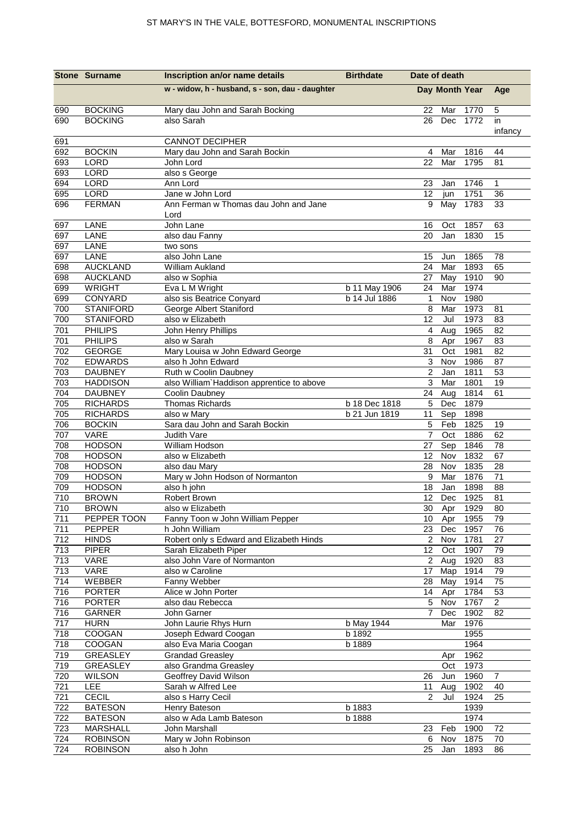|            | <b>Stone Surname</b>                 | Inscription an/or name details                           | <b>Birthdate</b> | Date of death   |                       |              |                |
|------------|--------------------------------------|----------------------------------------------------------|------------------|-----------------|-----------------------|--------------|----------------|
|            |                                      | w - widow, h - husband, s - son, dau - daughter          |                  |                 | Day Month Year        |              | Age            |
| 690        | <b>BOCKING</b>                       | Mary dau John and Sarah Bocking                          |                  | 22              | Mar                   | 1770         | 5              |
| 690        | <b>BOCKING</b>                       | also Sarah                                               |                  | 26              | Dec                   | 1772         | in             |
|            |                                      |                                                          |                  |                 |                       |              | infancy        |
| 691<br>692 | <b>BOCKIN</b>                        | <b>CANNOT DECIPHER</b><br>Mary dau John and Sarah Bockin |                  | 4               | Mar                   |              | 44             |
| 693        | LORD                                 | John Lord                                                |                  | 22              | Mar                   | 1816<br>1795 | 81             |
| 693        | LORD                                 | also s George                                            |                  |                 |                       |              |                |
| 694        | LORD                                 | Ann Lord                                                 |                  | 23              | Jan                   | 1746         | 1              |
| 695        | LORD                                 | Jane w John Lord                                         |                  | 12              | jun                   | 1751         | 36             |
| 696        | <b>FERMAN</b>                        | Ann Ferman w Thomas dau John and Jane                    |                  | 9               | May                   | 1783         | 33             |
|            |                                      | Lord                                                     |                  |                 |                       |              |                |
| 697        | LANE                                 | John Lane                                                |                  | 16              | Oct                   | 1857         | 63             |
| 697        | LANE                                 | also dau Fanny                                           |                  | 20              | Jan                   | 1830         | 15             |
| 697        | LANE                                 | two sons                                                 |                  |                 |                       |              |                |
| 697        | LANE                                 | also John Lane                                           |                  | 15              | Jun                   | 1865         | 78             |
| 698        | <b>AUCKLAND</b>                      | William Aukland                                          |                  | 24              | Mar                   | 1893         | 65             |
| 698        | <b>AUCKLAND</b>                      | also w Sophia                                            |                  | 27              | May                   | 1910         | 90             |
| 699        | <b>WRIGHT</b>                        | Eva L M Wright                                           | b 11 May 1906    | 24              | Mar                   | 1974         |                |
| 699        | CONYARD                              | also sis Beatrice Conyard                                | b 14 Jul 1886    | $\mathbf{1}$    | Nov                   | 1980         |                |
| 700<br>700 | <b>STANIFORD</b><br><b>STANIFORD</b> | George Albert Staniford<br>also w Elizabeth              |                  | 8<br>12         | Mar<br>Jul            | 1973<br>1973 | 81<br>83       |
| 701        | <b>PHILIPS</b>                       | John Henry Phillips                                      |                  | 4               | Aug                   | 1965         | 82             |
| 701        | <b>PHILIPS</b>                       | also w Sarah                                             |                  | 8               | Apr                   | 1967         | 83             |
| 702        | <b>GEORGE</b>                        | Mary Louisa w John Edward George                         |                  | 31              | Oct                   | 1981         | 82             |
| 702        | <b>EDWARDS</b>                       | also h John Edward                                       |                  | 3               | Nov                   | 1986         | 87             |
| 703        | <b>DAUBNEY</b>                       | Ruth w Coolin Daubney                                    |                  | $\overline{2}$  | Jan                   | 1811         | 53             |
| 703        | <b>HADDISON</b>                      | also William' Haddison apprentice to above               |                  | 3               | Mar                   | 1801         | 19             |
| 704        | <b>DAUBNEY</b>                       | Coolin Daubney                                           |                  | 24              | Aug                   | 1814         | 61             |
| 705        | <b>RICHARDS</b>                      | Thomas Richards                                          | b 18 Dec 1818    | 5               | Dec                   | 1879         |                |
| 705        | <b>RICHARDS</b>                      | also w Mary                                              | b 21 Jun 1819    | 11              | Sep                   | 1898         |                |
| 706        | <b>BOCKIN</b>                        | Sara dau John and Sarah Bockin                           |                  | 5               | Feb                   | 1825         | 19             |
| 707        | VARE                                 | Judith Vare                                              |                  | 7               | Oct                   | 1886         | 62             |
| 708        | <b>HODSON</b>                        | William Hodson                                           |                  | 27              | Sep                   | 1846         | 78             |
| 708        | <b>HODSON</b>                        | also w Elizabeth                                         |                  | 12              | Nov                   | 1832         | 67             |
| 708        | <b>HODSON</b>                        | also dau Mary                                            |                  | 28              | Nov                   | 1835         | 28             |
| 709        | <b>HODSON</b>                        | Mary w John Hodson of Normanton                          |                  | 9               | Mar                   | 1876         | 71             |
| 709        | <b>HODSON</b>                        | also h john                                              |                  | 18              | Jan                   | 1898         | 88             |
| 710        | <b>BROWN</b>                         | Robert Brown                                             |                  | 12              | Dec                   | 1925         | 81             |
| 710<br>711 | <b>BROWN</b><br>PEPPER TOON          | also w Elizabeth<br>Fanny Toon w John William Pepper     |                  |                 | 30 Apr 1929<br>10 Apr |              | 80<br>79       |
| 711        | PEPPER                               | h John William                                           |                  |                 | 23 Dec                | 1955<br>1957 | 76             |
| 712        | <b>HINDS</b>                         | Robert only s Edward and Elizabeth Hinds                 |                  | $\overline{2}$  | Nov                   | 1781         | 27             |
| 713        | <b>PIPER</b>                         | Sarah Elizabeth Piper                                    |                  |                 | 12 Oct                | 1907         | 79             |
| 713        | VARE                                 | also John Vare of Normanton                              |                  |                 | 2 Aug                 | 1920         | 83             |
| 713        | VARE                                 | also w Caroline                                          |                  |                 | 17 Map                | 1914         | 79             |
| 714        | WEBBER                               | Fanny Webber                                             |                  | 28              | May                   | 1914         | 75             |
| 716        | <b>PORTER</b>                        | Alice w John Porter                                      |                  | 14              | Apr                   | 1784         | 53             |
| 716        | <b>PORTER</b>                        | also dau Rebecca                                         |                  | $5\overline{)}$ | Nov                   | 1767         | $\overline{c}$ |
| 716        | GARNER                               | John Garner                                              |                  | 7               | Dec                   | 1902         | 82             |
| 717        | <b>HURN</b>                          | John Laurie Rhys Hurn                                    | b May 1944       |                 | Mar                   | 1976         |                |
| 718        | COOGAN                               | Joseph Edward Coogan                                     | b 1892           |                 |                       | 1955         |                |
| 718        | COOGAN                               | also Eva Maria Coogan                                    | b 1889           |                 |                       | 1964         |                |
| 719        | GREASLEY                             | <b>Grandad Greasley</b>                                  |                  |                 | Apr                   | 1962         |                |
| 719        | GREASLEY                             | also Grandma Greasley                                    |                  |                 | Oct                   | 1973         |                |
| 720        | <b>WILSON</b>                        | Geoffrey David Wilson                                    |                  | 26              | Jun                   | 1960         | $\overline{7}$ |
| 721        | LEE                                  | Sarah w Alfred Lee                                       |                  | 11              | Aug                   | 1902         | 40             |
| 721        | CECIL<br><b>BATESON</b>              | also s Harry Cecil<br>Henry Bateson                      | b 1883           | $\overline{2}$  | Jul                   | 1924<br>1939 | 25             |
| 722<br>722 | <b>BATESON</b>                       | also w Ada Lamb Bateson                                  | b 1888           |                 |                       | 1974         |                |
| 723        | MARSHALL                             | John Marshall                                            |                  | 23              | Feb                   | 1900         | 72             |
| 724        | <b>ROBINSON</b>                      | Mary w John Robinson                                     |                  | 6               | Nov                   | 1875         | 70             |
| 724        | <b>ROBINSON</b>                      | also h John                                              |                  | 25              | Jan                   | 1893         | 86             |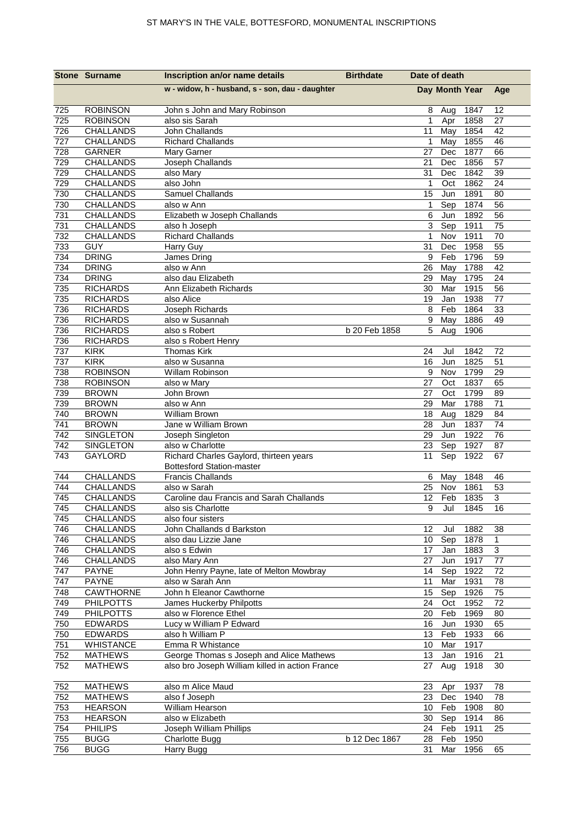|            | <b>Stone Surname</b>          | Inscription an/or name details                                              | <b>Birthdate</b> | Date of death     |                |              |                |
|------------|-------------------------------|-----------------------------------------------------------------------------|------------------|-------------------|----------------|--------------|----------------|
|            |                               | w - widow, h - husband, s - son, dau - daughter                             |                  |                   | Day Month Year |              | Age            |
| 725        | <b>ROBINSON</b>               | John s John and Mary Robinson                                               |                  | 8                 | Aug            | 1847         | 12             |
| 725        | <b>ROBINSON</b>               | also sis Sarah                                                              |                  | $\mathbf{1}$      | Apr            | 1858         | 27             |
| 726        | <b>CHALLANDS</b>              | John Challands                                                              |                  | 11                | May            | 1854         | 42             |
| 727        | CHALLANDS                     | <b>Richard Challands</b>                                                    |                  | $\mathbf{1}$      | May            | 1855         | 46             |
| 728        | <b>GARNER</b>                 | Mary Garner                                                                 |                  | 27                | Dec            | 1877         | 66             |
| 729        | CHALLANDS                     | Joseph Challands                                                            |                  | 21                | Dec            | 1856         | 57             |
| 729        | CHALLANDS                     | also Mary                                                                   |                  | 31                | Dec            | 1842         | 39             |
| 729        | <b>CHALLANDS</b>              | also John                                                                   |                  | $\mathbf{1}$      | Oct            | 1862         | 24             |
| 730        | <b>CHALLANDS</b>              | Samuel Challands                                                            |                  | 15                | Jun            | 1891         | 80             |
| 730<br>731 | <b>CHALLANDS</b><br>CHALLANDS | also w Ann                                                                  |                  | $\mathbf{1}$<br>6 | Sep<br>Jun     | 1874<br>1892 | 56<br>56       |
| 731        | CHALLANDS                     | Elizabeth w Joseph Challands<br>also h Joseph                               |                  | $\overline{3}$    | Sep            | 1911         | 75             |
| 732        | CHALLANDS                     | <b>Richard Challands</b>                                                    |                  | $\mathbf{1}$      | Nov            | 1911         | 70             |
| 733        | GUY                           | Harry Guy                                                                   |                  | 31                | Dec            | 1958         | 55             |
| 734        | <b>DRING</b>                  | James Dring                                                                 |                  | 9                 | Feb            | 1796         | 59             |
| 734        | <b>DRING</b>                  | also w Ann                                                                  |                  | 26                | May            | 1788         | 42             |
| 734        | <b>DRING</b>                  | also dau Elizabeth                                                          |                  | 29                | May            | 1795         | 24             |
| 735        | <b>RICHARDS</b>               | Ann Elizabeth Richards                                                      |                  | 30                | Mar            | 1915         | 56             |
| 735        | <b>RICHARDS</b>               | also Alice                                                                  |                  | 19                | Jan            | 1938         | 77             |
| 736        | <b>RICHARDS</b>               | Joseph Richards                                                             |                  | 8                 | Feb            | 1864         | 33             |
| 736        | <b>RICHARDS</b>               | also w Susannah                                                             |                  | 9                 | May            | 1886         | 49             |
| 736        | <b>RICHARDS</b>               | also s Robert                                                               | b 20 Feb 1858    | 5                 | Aug            | 1906         |                |
| 736        | <b>RICHARDS</b>               | also s Robert Henry                                                         |                  |                   |                |              |                |
| 737        | <b>KIRK</b>                   | <b>Thomas Kirk</b>                                                          |                  | 24                | Jul            | 1842         | 72             |
| 737        | <b>KIRK</b>                   | also w Susanna                                                              |                  | 16                | Jun            | 1825         | 51             |
| 738        | <b>ROBINSON</b>               | Willam Robinson                                                             |                  | 9                 | Nov            | 1799         | 29             |
| 738        | <b>ROBINSON</b>               | also w Mary                                                                 |                  | 27                | Oct            | 1837         | 65             |
| 739        | <b>BROWN</b>                  | John Brown                                                                  |                  | 27                | Oct            | 1799         | 89             |
| 739        | <b>BROWN</b>                  | also w Ann                                                                  |                  | 29                | Mar            | 1788         | 71             |
| 740        | <b>BROWN</b>                  | <b>William Brown</b>                                                        |                  | 18                | Aug            | 1829         | 84             |
| 741        | <b>BROWN</b>                  | Jane w William Brown                                                        |                  | 28                | Jun            | 1837         | 74             |
| 742        | <b>SINGLETON</b>              | Joseph Singleton                                                            |                  | 29                | Jun            | 1922         | 76             |
| 742        | SINGLETON                     | also w Charlotte                                                            |                  | 23                | Sep            | 1927         | 87             |
| 743        | GAYLORD                       | Richard Charles Gaylord, thirteen years<br><b>Bottesford Station-master</b> |                  | 11                | Sep            | 1922         | 67             |
| 744        | CHALLANDS                     | <b>Francis Challands</b>                                                    |                  | 6                 | May            | 1848         | 46             |
| 744        | <b>CHALLANDS</b>              | also w Sarah                                                                |                  | 25                | Nov            | 1861         | 53             |
| 745        | CHALLANDS                     | Caroline dau Francis and Sarah Challands                                    |                  | 12                | Feb            | 1835         | $\mathbf{3}$   |
| 745        | CHALLANDS                     | also sis Charlotte                                                          |                  |                   | 9 Jul 1845     |              | 16             |
| 745        | CHALLANDS                     | also four sisters                                                           |                  |                   |                |              |                |
| 746        | <b>CHALLANDS</b>              | John Challands d Barkston                                                   |                  | 12                | Jul            | 1882         | 38             |
| 746        | CHALLANDS                     | also dau Lizzie Jane                                                        |                  | 10 <sup>1</sup>   | Sep            | 1878         | $\mathbf{1}$   |
| 746        | CHALLANDS                     | also s Edwin                                                                |                  | 17                | Jan            | 1883         | $\overline{3}$ |
| 746<br>747 | <b>CHALLANDS</b>              | also Mary Ann<br>John Henry Payne, late of Melton Mowbray                   |                  | 27<br>14          | Jun<br>Sep     | 1917<br>1922 | 77<br>72       |
| 747        | <b>PAYNE</b><br><b>PAYNE</b>  | also w Sarah Ann                                                            |                  | 11                | Mar            | 1931         | 78             |
| 748        | <b>CAWTHORNE</b>              | John h Eleanor Cawthorne                                                    |                  | 15                | Sep            | 1926         | 75             |
| 749        | <b>PHILPOTTS</b>              | James Huckerby Philpotts                                                    |                  | 24                | Oct            | 1952         | 72             |
| 749        | <b>PHILPOTTS</b>              | also w Florence Ethel                                                       |                  | 20                | Feb            | 1969         | 80             |
| 750        | <b>EDWARDS</b>                | Lucy w William P Edward                                                     |                  | 16                | Jun            | 1930         | 65             |
| 750        | <b>EDWARDS</b>                | also h William P                                                            |                  | 13                | Feb            | 1933         | 66             |
| 751        | <b>WHISTANCE</b>              | Emma R Whistance                                                            |                  | 10                | Mar            | 1917         |                |
| 752        | <b>MATHEWS</b>                | George Thomas s Joseph and Alice Mathews                                    |                  | 13                | Jan            | 1916         | 21             |
| 752        | <b>MATHEWS</b>                | also bro Joseph William killed in action France                             |                  | 27                | Aug            | 1918         | 30             |
| 752        | <b>MATHEWS</b>                | also m Alice Maud                                                           |                  | 23                | Apr            | 1937         | 78             |
| 752        | <b>MATHEWS</b>                | also f Joseph                                                               |                  | 23                | Dec            | 1940         | 78             |
| 753        | <b>HEARSON</b>                | William Hearson                                                             |                  |                   | 10 Feb         | 1908         | 80             |
| 753        | <b>HEARSON</b>                | also w Elizabeth                                                            |                  | 30                | Sep            | 1914         | 86             |
| 754        | <b>PHILIPS</b>                | Joseph William Phillips                                                     |                  | 24                | Feb            | 1911         | 25             |
| 755        | <b>BUGG</b>                   | <b>Charlotte Bugg</b>                                                       | b 12 Dec 1867    | 28                | Feb            | 1950         |                |
| 756        | <b>BUGG</b>                   | Harry Bugg                                                                  |                  | 31                | Mar            | 1956         | 65             |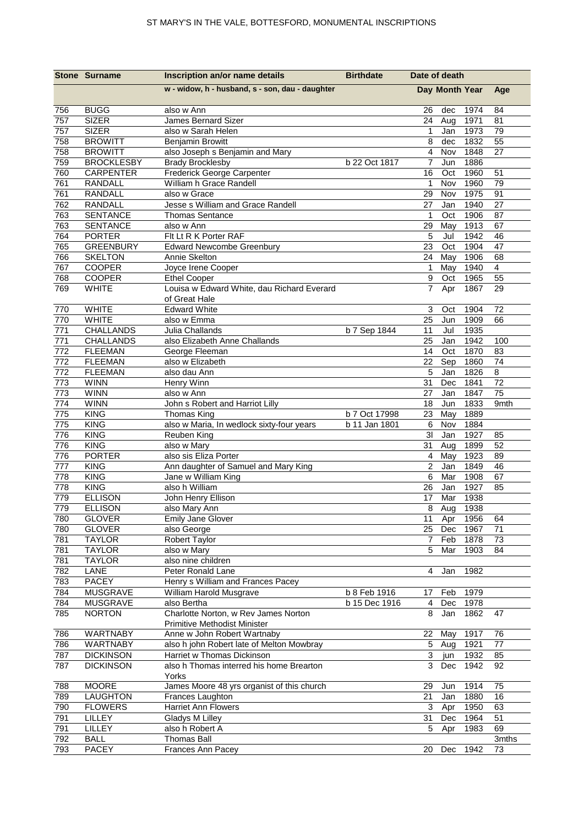|     | <b>Stone Surname</b> | Inscription an/or name details                              | <b>Birthdate</b> | Date of death  |                |          |                |
|-----|----------------------|-------------------------------------------------------------|------------------|----------------|----------------|----------|----------------|
|     |                      | w - widow, h - husband, s - son, dau - daughter             |                  |                | Day Month Year |          | Age            |
| 756 | <b>BUGG</b>          | also w Ann                                                  |                  | 26             | dec            | 1974     | 84             |
| 757 | <b>SIZER</b>         | James Bernard Sizer                                         |                  | 24             | Aug            | 1971     | 81             |
| 757 | <b>SIZER</b>         | also w Sarah Helen                                          |                  | 1              | Jan            | 1973     | 79             |
| 758 | <b>BROWITT</b>       | <b>Benjamin Browitt</b>                                     |                  | 8              | dec            | 1832     | 55             |
| 758 | <b>BROWITT</b>       | also Joseph s Benjamin and Mary                             |                  | $\overline{4}$ | Nov            | 1848     | 27             |
| 759 | <b>BROCKLESBY</b>    | <b>Brady Brocklesby</b>                                     | b 22 Oct 1817    | 7              | Jun            | 1886     |                |
| 760 | <b>CARPENTER</b>     | Frederick George Carpenter                                  |                  | 16             | Oct            | 1960     | 51             |
| 761 | RANDALL              | William h Grace Randell                                     |                  | $\mathbf 1$    | Nov            | 1960     | 79             |
| 761 | RANDALL              | also w Grace                                                |                  | 29             | Nov            | 1975     | 91             |
| 762 | RANDALL              | Jesse s William and Grace Randell                           |                  | 27             | Jan            | 1940     | 27             |
| 763 | <b>SENTANCE</b>      | <b>Thomas Sentance</b>                                      |                  | $\mathbf{1}$   | Oct            | 1906     | 87             |
| 763 | <b>SENTANCE</b>      | also w Ann                                                  |                  | 29             | May            | 1913     | 67             |
| 764 | <b>PORTER</b>        | Flt Lt R K Porter RAF                                       |                  | 5              | Jul            | 1942     | 46             |
| 765 | <b>GREENBURY</b>     | <b>Edward Newcombe Greenbury</b>                            |                  | 23             | Oct            | 1904     | 47             |
| 766 | <b>SKELTON</b>       | Annie Skelton                                               |                  | 24             | May            | 1906     | 68             |
| 767 | <b>COOPER</b>        | Joyce Irene Cooper                                          |                  | $\mathbf 1$    | May            | 1940     | $\overline{4}$ |
| 768 | <b>COOPER</b>        | <b>Ethel Cooper</b>                                         |                  | 9              | Oct            | 1965     | 55             |
| 769 | <b>WHITE</b>         | Louisa w Edward White, dau Richard Everard<br>of Great Hale |                  | $\overline{7}$ | Apr            | 1867     | 29             |
| 770 | <b>WHITE</b>         | <b>Edward White</b>                                         |                  | 3              | Oct            | 1904     | 72             |
| 770 | <b>WHITE</b>         | also w Emma                                                 |                  | 25             | Jun            | 1909     | 66             |
| 771 | CHALLANDS            | Julia Challands                                             | b 7 Sep 1844     | 11             | Jul            | 1935     |                |
| 771 | <b>CHALLANDS</b>     | also Elizabeth Anne Challands                               |                  | 25             | Jan            | 1942     | 100            |
| 772 | <b>FLEEMAN</b>       | George Fleeman                                              |                  | 14             | Oct            | 1870     | 83             |
| 772 | <b>FLEEMAN</b>       | also w Elizabeth                                            |                  | 22             | Sep            | 1860     | 74             |
| 772 | <b>FLEEMAN</b>       | also dau Ann                                                |                  | 5              | Jan            | 1826     | 8              |
| 773 | <b>WINN</b>          | Henry Winn                                                  |                  | 31             | Dec            | 1841     | 72             |
| 773 | <b>WINN</b>          | also w Ann                                                  |                  | 27             | Jan            | 1847     | 75             |
| 774 | <b>WINN</b>          | John s Robert and Harriot Lilly                             |                  | 18             | Jun            | 1833     | 9mth           |
| 775 | <b>KING</b>          | Thomas King                                                 | b 7 Oct 17998    | 23             | May            | 1889     |                |
| 775 | <b>KING</b>          | also w Maria, In wedlock sixty-four years                   | b 11 Jan 1801    | 6              | Nov            | 1884     |                |
| 776 | <b>KING</b>          | Reuben King                                                 |                  | 3 <sub>l</sub> | Jan            | 1927     | 85             |
| 776 | <b>KING</b>          | also w Mary                                                 |                  | 31             | Aug            | 1899     | 52             |
| 776 | <b>PORTER</b>        | also sis Eliza Porter                                       |                  | 4              | May            | 1923     | 89             |
| 777 | <b>KING</b>          | Ann daughter of Samuel and Mary King                        |                  | $\overline{2}$ | Jan            | 1849     | 46             |
| 778 | <b>KING</b>          | Jane w William King                                         |                  | 6              | Mar            | 1908     | 67             |
| 778 | <b>KING</b>          | also h William                                              |                  | 26             | Jan            | 1927     | 85             |
| 779 | <b>ELLISON</b>       | John Henry Ellison                                          |                  | 17             | Mar            | 1938     |                |
| 779 | <b>ELLISON</b>       | also Mary Ann                                               |                  |                | 8 Aug          | 1938     |                |
| 780 | <b>GLOVER</b>        | <b>Emily Jane Glover</b>                                    |                  | 11             | Apr            | 1956     | 64             |
| 780 | <b>GLOVER</b>        | also George                                                 |                  | 25             | Dec            | 1967     | 71             |
| 781 | <b>TAYLOR</b>        | Robert Taylor                                               |                  | $\mathbf{7}$   | Feb            | 1878     | 73             |
| 781 | <b>TAYLOR</b>        | also w Mary                                                 |                  | 5              | Mar            | 1903     | 84             |
| 781 | <b>TAYLOR</b>        | also nine children                                          |                  |                |                |          |                |
| 782 | LANE                 | Peter Ronald Lane                                           |                  | $\overline{4}$ | Jan            | 1982     |                |
| 783 | <b>PACEY</b>         | Henry s William and Frances Pacey                           |                  |                |                |          |                |
| 784 | <b>MUSGRAVE</b>      | William Harold Musgrave                                     | b 8 Feb 1916     | 17             | Feb            | 1979     |                |
| 784 | MUSGRAVE             | also Bertha                                                 | b 15 Dec 1916    | 4              | Dec            | 1978     |                |
| 785 | <b>NORTON</b>        | Charlotte Norton, w Rev James Norton                        |                  | 8              | Jan            | 1862     | 47             |
|     |                      | Primitive Methodist Minister                                |                  |                |                |          |                |
| 786 | WARTNABY             | Anne w John Robert Wartnaby                                 |                  | 22             | May            | 1917     | 76             |
| 786 | WARTNABY             | also h john Robert late of Melton Mowbray                   |                  | 5              | Aug            | 1921     | 77             |
| 787 | <b>DICKINSON</b>     | Harriet w Thomas Dickinson                                  |                  | 3              | jun            | 1932     | 85             |
| 787 | <b>DICKINSON</b>     | also h Thomas interred his home Brearton<br>Yorks           |                  | 3              | Dec            | 1942     | 92             |
| 788 | <b>MOORE</b>         | James Moore 48 yrs organist of this church                  |                  | 29             | Jun            | 1914     | 75             |
| 789 | LAUGHTON             | Frances Laughton                                            |                  | 21             | Jan            | 1880     | 16             |
| 790 | <b>FLOWERS</b>       | <b>Harriet Ann Flowers</b>                                  |                  | 3              | Apr            | 1950     | 63             |
| 791 | LILLEY               | Gladys M Lilley                                             |                  | 31             | Dec            | 1964     | 51             |
| 791 | LILLEY               | also h Robert A                                             |                  | 5              | Apr            | 1983     | 69             |
| 792 | <b>BALL</b>          | <b>Thomas Ball</b>                                          |                  |                |                |          | 3mths          |
| 793 | <b>PACEY</b>         | Frances Ann Pacey                                           |                  | 20             |                | Dec 1942 | 73             |
|     |                      |                                                             |                  |                |                |          |                |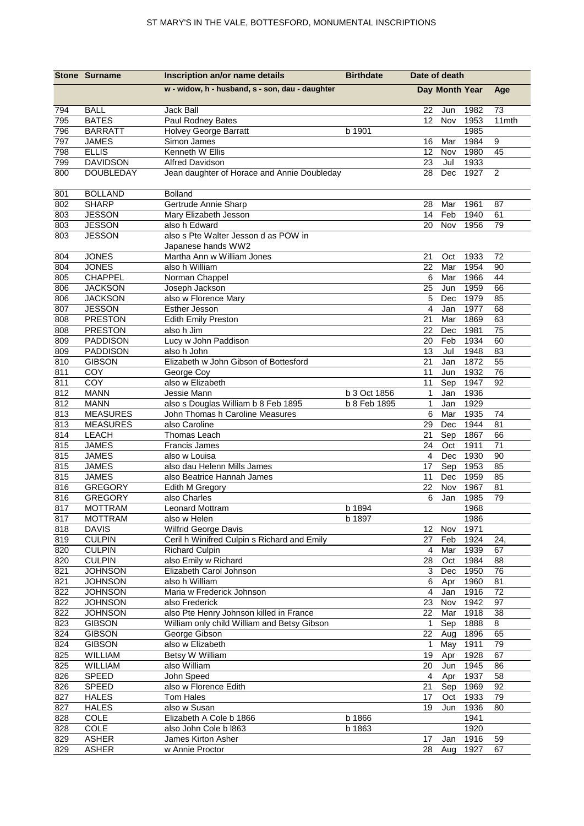|            | <b>Stone Surname</b>             | Inscription an/or name details                            | <b>Birthdate</b> | Date of death  |                |              |                 |
|------------|----------------------------------|-----------------------------------------------------------|------------------|----------------|----------------|--------------|-----------------|
|            |                                  | w - widow, h - husband, s - son, dau - daughter           |                  |                | Day Month Year |              |                 |
| 794        | <b>BALL</b>                      | Jack Ball                                                 |                  | 22             | Jun            | 1982         | 73              |
| 795        | <b>BATES</b>                     | Paul Rodney Bates                                         |                  | 12             | Nov            | 1953         | 11mth           |
| 796        | <b>BARRATT</b>                   | Holvey George Barratt                                     | b 1901           |                |                | 1985         |                 |
| 797        | <b>JAMES</b>                     | Simon James                                               |                  | 16             | Mar            | 1984         | 9               |
| 798        | <b>ELLIS</b>                     | Kenneth W Ellis                                           |                  | 12             | Nov            | 1980         | 45              |
| 799        | <b>DAVIDSON</b>                  | <b>Alfred Davidson</b>                                    |                  | 23             | Jul            | 1933         |                 |
| 800        | <b>DOUBLEDAY</b>                 | Jean daughter of Horace and Annie Doubleday               |                  | 28             | Dec            | 1927         | 2               |
| 801        | <b>BOLLAND</b>                   | <b>Bolland</b>                                            |                  |                |                |              |                 |
| 802        | <b>SHARP</b>                     | Gertrude Annie Sharp                                      |                  | 28             | Mar            | 1961         | 87              |
| 803        | <b>JESSON</b>                    | Mary Elizabeth Jesson                                     |                  | 14             | Feb            | 1940         | 61              |
| 803        | <b>JESSON</b>                    | also h Edward<br>also s Pte Walter Jesson d as POW in     |                  | 20             | Nov            | 1956         | 79              |
| 803        | <b>JESSON</b>                    |                                                           |                  |                |                |              |                 |
|            | <b>JONES</b>                     | Japanese hands WW2<br>Martha Ann w William Jones          |                  | 21             |                |              | 72              |
| 804<br>804 | <b>JONES</b>                     | also h William                                            |                  | 22             | Oct<br>Mar     | 1933<br>1954 | 90              |
| 805        | CHAPPEL                          | Norman Chappel                                            |                  | 6              | Mar            | 1966         | 44              |
| 806        | <b>JACKSON</b>                   | Joseph Jackson                                            |                  | 25             | Jun            | 1959         | 66              |
| 806        | <b>JACKSON</b>                   | also w Florence Mary                                      |                  | 5              | Dec            | 1979         | 85              |
| 807        | <b>JESSON</b>                    | Esther Jesson                                             |                  | $\overline{4}$ | Jan            | 1977         | 68              |
| 808        | <b>PRESTON</b>                   | <b>Edith Emily Preston</b>                                |                  | 21             | Mar            | 1869         | 63              |
| 808        | <b>PRESTON</b>                   | also h Jim                                                |                  | 22             | Dec            | 1981         | $\overline{75}$ |
| 809        | <b>PADDISON</b>                  | Lucy w John Paddison                                      |                  | 20             | Feb            | 1934         | 60              |
| 809        | <b>PADDISON</b>                  | also h John                                               |                  | 13             | Jul            | 1948         | 83              |
| 810        | <b>GIBSON</b>                    | Elizabeth w John Gibson of Bottesford                     |                  | 21             | Jan            | 1872         | 55              |
| 811        | COY                              | George Coy                                                |                  | 11             | Jun            | 1932         | 76              |
| 811        | COY                              | also w Elizabeth                                          |                  | 11             | Sep            | 1947         | 92              |
| 812        | <b>MANN</b>                      | Jessie Mann                                               | b 3 Oct 1856     | $\mathbf{1}$   | Jan            | 1936         |                 |
| 812        | <b>MANN</b>                      | also s Douglas William b 8 Feb 1895                       | b 8 Feb 1895     | 1              | Jan            | 1929         |                 |
| 813        | <b>MEASURES</b>                  | John Thomas h Caroline Measures                           |                  | 6              | Mar            | 1935         | 74              |
| 813        | <b>MEASURES</b>                  | also Caroline                                             |                  | 29             | Dec            | 1944         | 81              |
| 814        | <b>LEACH</b>                     | Thomas Leach                                              |                  | 21             | Sep            | 1867         | 66              |
| 815        | <b>JAMES</b>                     | <b>Francis James</b>                                      |                  | 24             | Oct            | 1911         | 71              |
| 815        | <b>JAMES</b>                     | also w Louisa                                             |                  | 4              | Dec            | 1930         | 90              |
| 815        | <b>JAMES</b>                     | also dau Helenn Mills James                               |                  | 17             | Sep            | 1953         | 85              |
| 815        | <b>JAMES</b>                     | also Beatrice Hannah James                                |                  | 11             | Dec            | 1959         | 85              |
| 816        | <b>GREGORY</b>                   | Edith M Gregory                                           |                  | 22             | Nov            | 1967         | 81              |
| 816        | <b>GREGORY</b>                   | also Charles                                              |                  | 6              | Jan            | 1985         | 79              |
| 817        | <b>MOTTRAM</b>                   | Leonard Mottram                                           | b 1894           |                |                | 1968         |                 |
| 817        | <b>MOTTRAM</b>                   | also w Helen                                              | b 1897           |                |                | 1986         |                 |
| 818        | <b>DAVIS</b>                     | Wilfrid George Davis                                      |                  | 12             | Nov            | 1971         |                 |
| 819        | <b>CULPIN</b>                    | Ceril h Winifred Culpin s Richard and Emily               |                  | 27             | Feb            | 1924         | 24,             |
| 820        | <b>CULPIN</b>                    | <b>Richard Culpin</b>                                     |                  | 4              | Mar            | 1939         | 67              |
| 820        | <b>CULPIN</b>                    | also Emily w Richard                                      |                  | 28             | Oct            | 1984         | 88              |
| 821        | <b>JOHNSON</b>                   | Elizabeth Carol Johnson                                   |                  | 3              | Dec            | 1950         | 76              |
| 821        | <b>JOHNSON</b>                   | also h William                                            |                  | 6              | Apr            | 1960         | 81              |
| 822        | <b>JOHNSON</b>                   | Maria w Frederick Johnson                                 |                  | 4              | Jan<br>Nov     | 1916<br>1942 | 72<br>97        |
| 822<br>822 | <b>JOHNSON</b><br><b>JOHNSON</b> | also Frederick<br>also Pte Henry Johnson killed in France |                  | 23<br>22       | Mar            | 1918         | 38              |
| 823        | <b>GIBSON</b>                    | William only child William and Betsy Gibson               |                  | $\mathbf{1}$   | Sep            | 1888         | 8               |
| 824        | <b>GIBSON</b>                    | George Gibson                                             |                  | 22             | Aug            | 1896         | 65              |
| 824        | <b>GIBSON</b>                    | also w Elizabeth                                          |                  | 1              | May            | 1911         | 79              |
| 825        | WILLIAM                          | Betsy W William                                           |                  | 19             | Apr            | 1928         | 67              |
| 825        | WILLIAM                          | also William                                              |                  | 20             | Jun            | 1945         | 86              |
| 826        | SPEED                            | John Speed                                                |                  | $\overline{4}$ | Apr            | 1937         | 58              |
| 826        | <b>SPEED</b>                     | also w Florence Edith                                     |                  | 21             | Sep            | 1969         | 92              |
| 827        | <b>HALES</b>                     | Tom Hales                                                 |                  | 17             | Oct            | 1933         | 79              |
| 827        | <b>HALES</b>                     | also w Susan                                              |                  | 19             | Jun            | 1936         | 80              |
| 828        | COLE                             | Elizabeth A Cole b 1866                                   | b 1866           |                |                | 1941         |                 |
| 828        | COLE                             | also John Cole b I863                                     | b 1863           |                |                | 1920         |                 |
| 829        | <b>ASHER</b>                     | James Kirton Asher                                        |                  | 17             | Jan            | 1916         | 59              |
| 829        | <b>ASHER</b>                     | w Annie Proctor                                           |                  | 28             | Aug            | 1927         | 67              |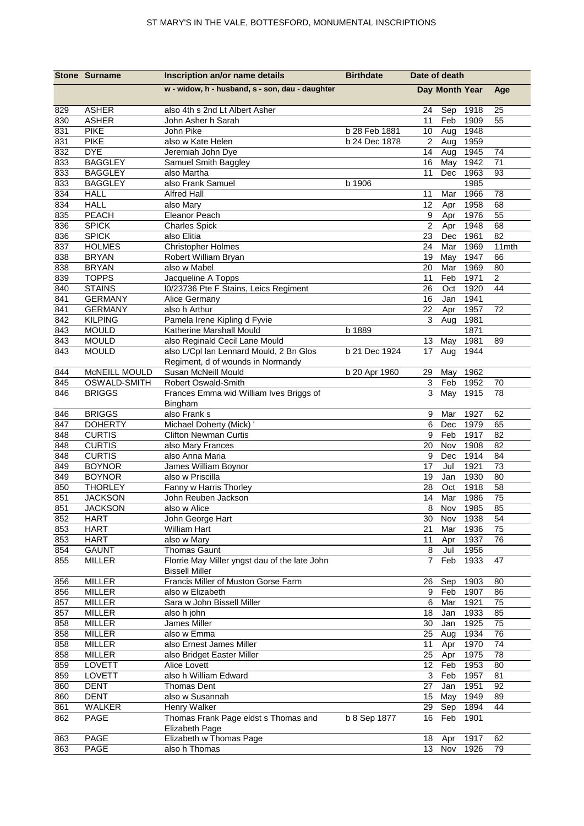|            | <b>Stone Surname</b>         | Inscription an/or name details                                       | <b>Birthdate</b> | Date of death             |                |              |                |
|------------|------------------------------|----------------------------------------------------------------------|------------------|---------------------------|----------------|--------------|----------------|
|            |                              | w - widow, h - husband, s - son, dau - daughter                      |                  |                           | Day Month Year |              | Age            |
| 829        | <b>ASHER</b>                 | also 4th s 2nd Lt Albert Asher                                       |                  | 24                        | Sep            | 1918         | 25             |
| 830        | <b>ASHER</b>                 | John Asher h Sarah                                                   |                  | 11                        | Feb            | 1909         | 55             |
| 831        | <b>PIKE</b>                  | John Pike                                                            | b 28 Feb 1881    | 10                        | Aug            | 1948         |                |
| 831        | <b>PIKE</b>                  | also w Kate Helen                                                    | b 24 Dec 1878    | $\sqrt{2}$                | Aug            | 1959         |                |
| 832        | <b>DYE</b>                   | Jeremiah John Dye                                                    |                  | 14                        | Aug            | 1945         | 74             |
| 833        | <b>BAGGLEY</b>               | Samuel Smith Baggley                                                 |                  | 16                        | May            | 1942         | 71             |
| 833        | <b>BAGGLEY</b>               | also Martha                                                          |                  | 11                        | Dec            | 1963         | 93             |
| 833        | <b>BAGGLEY</b>               | also Frank Samuel                                                    | b 1906           |                           |                | 1985         |                |
| 834        | <b>HALL</b>                  | <b>Alfred Hall</b>                                                   |                  | 11                        | Mar            | 1966         | 78             |
| 834        | <b>HALL</b>                  | also Mary                                                            |                  | 12                        | Apr            | 1958         | 68             |
| 835        | <b>PEACH</b>                 | Eleanor Peach                                                        |                  | 9<br>$\overline{2}$       | Apr            | 1976         | 55             |
| 836<br>836 | <b>SPICK</b><br><b>SPICK</b> | <b>Charles Spick</b><br>also Elitia                                  |                  | 23                        | Apr<br>Dec     | 1948<br>1961 | 68<br>82       |
| 837        | <b>HOLMES</b>                | <b>Christopher Holmes</b>                                            |                  | 24                        | Mar            | 1969         | 11mth          |
| 838        | <b>BRYAN</b>                 | Robert William Bryan                                                 |                  | 19                        | May            | 1947         | 66             |
| 838        | <b>BRYAN</b>                 | also w Mabel                                                         |                  | 20                        | Mar            | 1969         | 80             |
| 839        | <b>TOPPS</b>                 | Jacqueline A Topps                                                   |                  | 11                        | Feb            | 1971         | $\overline{2}$ |
| 840        | <b>STAINS</b>                | I0/23736 Pte F Stains, Leics Regiment                                |                  | 26                        | Oct            | 1920         | 44             |
| 841        | <b>GERMANY</b>               | Alice Germany                                                        |                  | 16                        | Jan            | 1941         |                |
| 841        | <b>GERMANY</b>               | also h Arthur                                                        |                  | 22                        | Apr            | 1957         | 72             |
| 842        | <b>KILPING</b>               | Pamela Irene Kipling d Fyvie                                         |                  | 3                         | Aug            | 1981         |                |
| 843        | <b>MOULD</b>                 | Katherine Marshall Mould                                             | b 1889           |                           |                | 1871         |                |
| 843        | <b>MOULD</b>                 | also Reginald Cecil Lane Mould                                       |                  | 13                        | May            | 1981         | 89             |
| 843        | <b>MOULD</b>                 | also L/Cpl lan Lennard Mould, 2 Bn Glos                              | b 21 Dec 1924    | 17                        | Aug            | 1944         |                |
|            |                              | Regiment, d of wounds in Normandy                                    |                  |                           |                |              |                |
| 844        | McNEILL MOULD                | Susan McNeill Mould                                                  | b 20 Apr 1960    | 29                        | May            | 1962         |                |
| 845        | OSWALD-SMITH                 | Robert Oswald-Smith                                                  |                  | 3                         | Feb            | 1952         | 70             |
| 846        | <b>BRIGGS</b>                | Frances Emma wid William Ives Briggs of                              |                  | 3                         | May            | 1915         | 78             |
|            |                              | Bingham                                                              |                  |                           |                |              |                |
| 846        | <b>BRIGGS</b>                | also Frank s                                                         |                  | 9                         | Mar            | 1927         | 62             |
| 847        | <b>DOHERTY</b>               | Michael Doherty (Mick) '                                             |                  | 6                         | Dec            | 1979         | 65             |
| 848        | <b>CURTIS</b>                | <b>Clifton Newman Curtis</b>                                         |                  | 9                         | Feb            | 1917         | 82             |
| 848        | <b>CURTIS</b>                | also Mary Frances                                                    |                  | 20                        | Nov            | 1908         | 82             |
| 848        | <b>CURTIS</b>                | also Anna Maria                                                      |                  | 9                         | Dec            | 1914         | 84             |
| 849        | <b>BOYNOR</b>                | James William Boynor                                                 |                  | 17                        | Jul            | 1921         | 73             |
| 849        | <b>BOYNOR</b>                | also w Priscilla                                                     |                  | 19                        | Jan            | 1930         | 80             |
| 850        | <b>THORLEY</b>               | Fanny w Harris Thorley                                               |                  | 28                        | Oct            | 1918         | 58             |
| 851        | <b>JACKSON</b>               | John Reuben Jackson                                                  |                  | 14                        | Mar            | 1986         | 75             |
| 851        | <b>JACKSON</b>               | also w Alice                                                         |                  |                           | 8 Nov 1985     |              | 85             |
| 852        | <b>HART</b>                  | John George Hart                                                     |                  |                           | 30 Nov         | 1938         | 54             |
| 853        | <b>HART</b>                  | <b>William Hart</b>                                                  |                  | 21                        | Mar            | 1936         | 75             |
| 853        | <b>HART</b>                  | also w Mary                                                          |                  | 11                        | Apr            | 1937         | 76             |
| 854        | <b>GAUNT</b>                 | <b>Thomas Gaunt</b><br>Florrie May Miller yngst dau of the late John |                  | $\,8\,$<br>$\overline{7}$ | Jul            | 1956         |                |
| 855        | <b>MILLER</b>                | <b>Bissell Miller</b>                                                |                  |                           | Feb            | 1933         | 47             |
|            | <b>MILLER</b>                | Francis Miller of Muston Gorse Farm                                  |                  |                           | Sep            | 1903         | 80             |
| 856<br>856 | <b>MILLER</b>                | also w Elizabeth                                                     |                  | 26<br>9                   | Feb            | 1907         | 86             |
| 857        | <b>MILLER</b>                | Sara w John Bissell Miller                                           |                  | 6                         | Mar            | 1921         | 75             |
| 857        | MILLER                       | also h john                                                          |                  | 18                        | Jan            | 1933         | 85             |
| 858        | <b>MILLER</b>                | James Miller                                                         |                  | 30                        | Jan            | 1925         | 75             |
| 858        | <b>MILLER</b>                | also w Emma                                                          |                  | 25                        | Aug            | 1934         | 76             |
| 858        | <b>MILLER</b>                | also Ernest James Miller                                             |                  | 11                        | Apr            | 1970         | 74             |
| 858        | <b>MILLER</b>                | also Bridget Easter Miller                                           |                  | 25                        | Apr            | 1975         | 78             |
| 859        | LOVETT                       | Alice Lovett                                                         |                  | 12                        | Feb            | 1953         | 80             |
| 859        | LOVETT                       | also h William Edward                                                |                  | 3                         | Feb            | 1957         | 81             |
| 860        | <b>DENT</b>                  | <b>Thomas Dent</b>                                                   |                  | 27                        | Jan            | 1951         | 92             |
| 860        | <b>DENT</b>                  | also w Susannah                                                      |                  |                           | 15 May         | 1949         | 89             |
| 861        | WALKER                       | Henry Walker                                                         |                  | 29                        | Sep            | 1894         | 44             |
| 862        | PAGE                         | Thomas Frank Page eldst s Thomas and                                 | b 8 Sep 1877     |                           | 16 Feb         | 1901         |                |
|            |                              | Elizabeth Page                                                       |                  |                           |                |              |                |
| 863        | PAGE                         | Elizabeth w Thomas Page                                              |                  | 18                        | Apr            | 1917         | 62             |
| 863        | PAGE                         | also h Thomas                                                        |                  | 13 <sup>7</sup>           | Nov            | 1926         | 79             |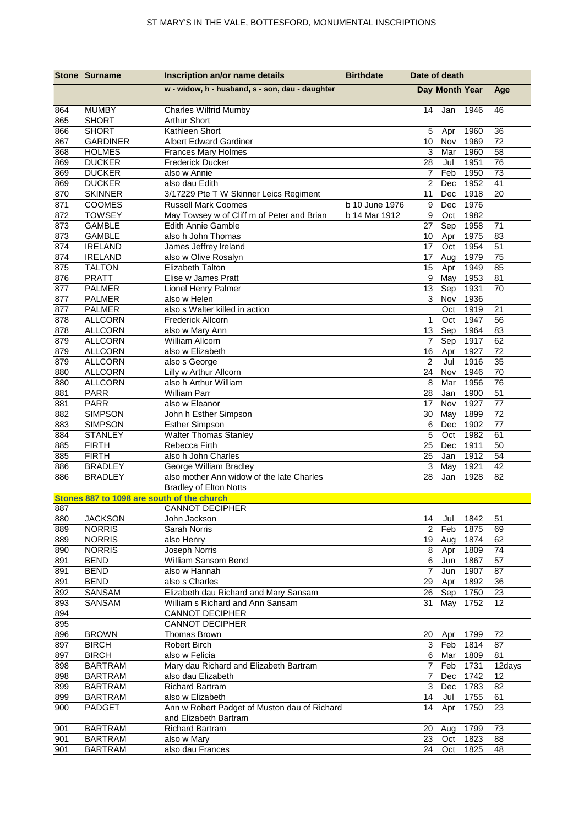| w - widow, h - husband, s - son, dau - daughter<br>Day Month Year<br>Age<br><b>MUMBY</b><br><b>Charles Wilfrid Mumby</b><br>1946<br>864<br>14<br>46<br>Jan<br>865<br><b>SHORT</b><br><b>Arthur Short</b><br>Kathleen Short<br>866<br><b>SHORT</b><br>36<br>5<br>1960<br>Apr<br>867<br><b>GARDINER</b><br>Albert Edward Gardiner<br>10<br>1969<br>72<br>Nov<br>868<br><b>HOLMES</b><br>3<br>Mar<br>1960<br>Frances Mary Holmes<br>58<br>869<br><b>DUCKER</b><br>28<br>Jul<br>1951<br>76<br><b>Frederick Ducker</b><br>Feb<br>73<br>869<br><b>DUCKER</b><br>$\overline{7}$<br>1950<br>also w Annie<br>869<br><b>DUCKER</b><br>$\overline{2}$<br>1952<br>41<br>also dau Edith<br>Dec<br>870<br><b>SKINNER</b><br>3/17229 Pte T W Skinner Leics Regiment<br>11<br>Dec<br>1918<br>20<br>871<br>1976<br><b>COOMES</b><br><b>Russell Mark Coomes</b><br>b 10 June 1976<br>9<br>Dec<br>872<br><b>TOWSEY</b><br>May Towsey w of Cliff m of Peter and Brian<br>b 14 Mar 1912<br>9<br>Oct<br>1982<br>873<br><b>GAMBLE</b><br>Edith Annie Gamble<br>Sep<br>1958<br>27<br>71<br><b>GAMBLE</b><br>873<br>also h John Thomas<br>1975<br>83<br>10<br>Apr<br>874<br><b>IRELAND</b><br>James Jeffrey Ireland<br>17<br>1954<br>51<br>Oct<br>874<br><b>IRELAND</b><br>Aug<br>1979<br>75<br>also w Olive Rosalyn<br>17<br>875<br><b>TALTON</b><br><b>Elizabeth Talton</b><br>Apr<br>1949<br>85<br>15<br>1953<br>876<br><b>PRATT</b><br>9<br>$\overline{M}$ ay<br>81<br>Elise w James Pratt<br>877<br><b>PALMER</b><br>Lionel Henry Palmer<br>13<br>Sep<br>1931<br>70<br>877<br>also w Helen<br>3<br>Nov<br>1936<br><b>PALMER</b><br><b>PALMER</b><br>also s Walter killed in action<br>1919<br>21<br>877<br>Oct<br><b>ALLCORN</b><br>1947<br>878<br><b>Frederick Allcorn</b><br>$\mathbf{1}$<br>Oct<br>56<br>878<br><b>ALLCORN</b><br>13<br>1964<br>83<br>also w Mary Ann<br>Sep<br>879<br><b>ALLCORN</b><br>$\overline{7}$<br>Sep<br>William Allcorn<br>1917<br>62<br><b>ALLCORN</b><br>also w Elizabeth<br>72<br>879<br>16<br>1927<br>Apr<br>$\overline{2}$<br>Jul<br>35<br>879<br><b>ALLCORN</b><br>1916<br>also s George<br>880<br><b>ALLCORN</b><br>Lilly w Arthur Allcorn<br>24<br>Nov<br>1946<br>70<br>880<br>76<br><b>ALLCORN</b><br>also h Arthur William<br>8<br>Mar<br>1956<br>881<br><b>PARR</b><br><b>William Parr</b><br>1900<br>51<br>28<br>Jan<br><b>PARR</b><br>Nov<br>1927<br>881<br>also w Eleanor<br>17<br>77<br>72<br>882<br><b>SIMPSON</b><br>May<br>1899<br>John h Esther Simpson<br>30<br>883<br><b>SIMPSON</b><br>1902<br>77<br><b>Esther Simpson</b><br>6<br>Dec<br>884<br><b>STANLEY</b><br><b>Walter Thomas Stanley</b><br>5<br>Oct<br>1982<br>61<br>885<br><b>FIRTH</b><br>Rebecca Firth<br>25<br>Dec<br>1911<br>50<br>885<br><b>FIRTH</b><br>25<br>Jan<br>1912<br>54<br>also h John Charles<br>886<br><b>BRADLEY</b><br>George William Bradley<br>3<br>1921<br>42<br>May<br>886<br><b>BRADLEY</b><br>also mother Ann widow of the late Charles<br>28<br>Jan<br>1928<br>82<br><b>Bradley of Elton Notts</b><br>Stones 887 to 1098 are south of the church<br><b>CANNOT DECIPHER</b><br>887<br>51<br><b>JACKSON</b><br>14<br>Jul<br>1842<br>880<br>John Jackson<br>889<br>$\overline{2}$<br>Feb<br>1875<br>69<br><b>NORRIS</b><br>Sarah Norris<br><b>NORRIS</b><br>Aug<br>1874<br>889<br>also Henry<br>19<br>62<br><b>NORRIS</b><br>Joseph Norris<br>1809<br>74<br>890<br>8<br>Apr<br>891<br>William Sansom Bend<br>6<br>1867<br>57<br><b>BEND</b><br>Jun<br>891<br><b>BEND</b><br>also w Hannah<br>Jun<br>1907<br>7<br>87<br>891<br><b>BEND</b><br>also s Charles<br>Apr<br>1892<br>29<br>36<br>SANSAM<br>Elizabeth dau Richard and Mary Sansam<br>Sep<br>1750<br>892<br>26<br>23<br>893<br>SANSAM<br>May<br>1752<br>12<br>William s Richard and Ann Sansam<br>31<br>894<br><b>CANNOT DECIPHER</b><br>895<br><b>CANNOT DECIPHER</b><br>Thomas Brown<br>896<br><b>BROWN</b><br>1799<br>72<br>20<br>Apr<br><b>BIRCH</b><br>3<br>Feb<br>1814<br>87<br>897<br><b>Robert Birch</b><br>897<br><b>BIRCH</b><br>also w Felicia<br>6<br>Mar<br>1809<br>81<br>898<br><b>BARTRAM</b><br>Mary dau Richard and Elizabeth Bartram<br>$\overline{7}$<br>Feb<br>1731<br>12days<br>898<br><b>BARTRAM</b><br>also dau Elizabeth<br>1742<br>$\overline{7}$<br>Dec<br>12<br>3<br>Dec<br>1783<br>899<br><b>BARTRAM</b><br><b>Richard Bartram</b><br>82<br>899<br><b>BARTRAM</b><br>also w Elizabeth<br>14<br>Jul<br>1755<br>61<br>Ann w Robert Padget of Muston dau of Richard<br>14<br>1750<br>900<br>PADGET<br>Apr<br>23<br>and Elizabeth Bartram<br>901<br><b>BARTRAM</b><br><b>Richard Bartram</b><br>20<br>1799<br>Aug<br>73<br><b>BARTRAM</b><br>23<br>Oct<br>1823<br>88<br>901<br>also w Mary<br>1825 |     | <b>Stone Surname</b> | Inscription an/or name details | <b>Birthdate</b> | Date of death |    |
|-------------------------------------------------------------------------------------------------------------------------------------------------------------------------------------------------------------------------------------------------------------------------------------------------------------------------------------------------------------------------------------------------------------------------------------------------------------------------------------------------------------------------------------------------------------------------------------------------------------------------------------------------------------------------------------------------------------------------------------------------------------------------------------------------------------------------------------------------------------------------------------------------------------------------------------------------------------------------------------------------------------------------------------------------------------------------------------------------------------------------------------------------------------------------------------------------------------------------------------------------------------------------------------------------------------------------------------------------------------------------------------------------------------------------------------------------------------------------------------------------------------------------------------------------------------------------------------------------------------------------------------------------------------------------------------------------------------------------------------------------------------------------------------------------------------------------------------------------------------------------------------------------------------------------------------------------------------------------------------------------------------------------------------------------------------------------------------------------------------------------------------------------------------------------------------------------------------------------------------------------------------------------------------------------------------------------------------------------------------------------------------------------------------------------------------------------------------------------------------------------------------------------------------------------------------------------------------------------------------------------------------------------------------------------------------------------------------------------------------------------------------------------------------------------------------------------------------------------------------------------------------------------------------------------------------------------------------------------------------------------------------------------------------------------------------------------------------------------------------------------------------------------------------------------------------------------------------------------------------------------------------------------------------------------------------------------------------------------------------------------------------------------------------------------------------------------------------------------------------------------------------------------------------------------------------------------------------------------------------------------------------------------------------------------------------------------------------------------------------------------------------------------------------------------------------------------------------------------------------------------------------------------------------------------------------------------------------------------------------------------------------------------------------------------------------------------------------------------------------------------------------------------------------------------------------------------------------------------------------------------------------------------------------------------------------------------------------------------------------------------------------------------------------------------------------------------------------------------------------------------------------------------------------------------------------------------------------------------------------------------------------------------------------------------------------------------|-----|----------------------|--------------------------------|------------------|---------------|----|
|                                                                                                                                                                                                                                                                                                                                                                                                                                                                                                                                                                                                                                                                                                                                                                                                                                                                                                                                                                                                                                                                                                                                                                                                                                                                                                                                                                                                                                                                                                                                                                                                                                                                                                                                                                                                                                                                                                                                                                                                                                                                                                                                                                                                                                                                                                                                                                                                                                                                                                                                                                                                                                                                                                                                                                                                                                                                                                                                                                                                                                                                                                                                                                                                                                                                                                                                                                                                                                                                                                                                                                                                                                                                                                                                                                                                                                                                                                                                                                                                                                                                                                                                                                                                                                                                                                                                                                                                                                                                                                                                                                                                                                                                                                 |     |                      |                                |                  |               |    |
|                                                                                                                                                                                                                                                                                                                                                                                                                                                                                                                                                                                                                                                                                                                                                                                                                                                                                                                                                                                                                                                                                                                                                                                                                                                                                                                                                                                                                                                                                                                                                                                                                                                                                                                                                                                                                                                                                                                                                                                                                                                                                                                                                                                                                                                                                                                                                                                                                                                                                                                                                                                                                                                                                                                                                                                                                                                                                                                                                                                                                                                                                                                                                                                                                                                                                                                                                                                                                                                                                                                                                                                                                                                                                                                                                                                                                                                                                                                                                                                                                                                                                                                                                                                                                                                                                                                                                                                                                                                                                                                                                                                                                                                                                                 |     |                      |                                |                  |               |    |
|                                                                                                                                                                                                                                                                                                                                                                                                                                                                                                                                                                                                                                                                                                                                                                                                                                                                                                                                                                                                                                                                                                                                                                                                                                                                                                                                                                                                                                                                                                                                                                                                                                                                                                                                                                                                                                                                                                                                                                                                                                                                                                                                                                                                                                                                                                                                                                                                                                                                                                                                                                                                                                                                                                                                                                                                                                                                                                                                                                                                                                                                                                                                                                                                                                                                                                                                                                                                                                                                                                                                                                                                                                                                                                                                                                                                                                                                                                                                                                                                                                                                                                                                                                                                                                                                                                                                                                                                                                                                                                                                                                                                                                                                                                 |     |                      |                                |                  |               |    |
|                                                                                                                                                                                                                                                                                                                                                                                                                                                                                                                                                                                                                                                                                                                                                                                                                                                                                                                                                                                                                                                                                                                                                                                                                                                                                                                                                                                                                                                                                                                                                                                                                                                                                                                                                                                                                                                                                                                                                                                                                                                                                                                                                                                                                                                                                                                                                                                                                                                                                                                                                                                                                                                                                                                                                                                                                                                                                                                                                                                                                                                                                                                                                                                                                                                                                                                                                                                                                                                                                                                                                                                                                                                                                                                                                                                                                                                                                                                                                                                                                                                                                                                                                                                                                                                                                                                                                                                                                                                                                                                                                                                                                                                                                                 |     |                      |                                |                  |               |    |
|                                                                                                                                                                                                                                                                                                                                                                                                                                                                                                                                                                                                                                                                                                                                                                                                                                                                                                                                                                                                                                                                                                                                                                                                                                                                                                                                                                                                                                                                                                                                                                                                                                                                                                                                                                                                                                                                                                                                                                                                                                                                                                                                                                                                                                                                                                                                                                                                                                                                                                                                                                                                                                                                                                                                                                                                                                                                                                                                                                                                                                                                                                                                                                                                                                                                                                                                                                                                                                                                                                                                                                                                                                                                                                                                                                                                                                                                                                                                                                                                                                                                                                                                                                                                                                                                                                                                                                                                                                                                                                                                                                                                                                                                                                 |     |                      |                                |                  |               |    |
|                                                                                                                                                                                                                                                                                                                                                                                                                                                                                                                                                                                                                                                                                                                                                                                                                                                                                                                                                                                                                                                                                                                                                                                                                                                                                                                                                                                                                                                                                                                                                                                                                                                                                                                                                                                                                                                                                                                                                                                                                                                                                                                                                                                                                                                                                                                                                                                                                                                                                                                                                                                                                                                                                                                                                                                                                                                                                                                                                                                                                                                                                                                                                                                                                                                                                                                                                                                                                                                                                                                                                                                                                                                                                                                                                                                                                                                                                                                                                                                                                                                                                                                                                                                                                                                                                                                                                                                                                                                                                                                                                                                                                                                                                                 |     |                      |                                |                  |               |    |
|                                                                                                                                                                                                                                                                                                                                                                                                                                                                                                                                                                                                                                                                                                                                                                                                                                                                                                                                                                                                                                                                                                                                                                                                                                                                                                                                                                                                                                                                                                                                                                                                                                                                                                                                                                                                                                                                                                                                                                                                                                                                                                                                                                                                                                                                                                                                                                                                                                                                                                                                                                                                                                                                                                                                                                                                                                                                                                                                                                                                                                                                                                                                                                                                                                                                                                                                                                                                                                                                                                                                                                                                                                                                                                                                                                                                                                                                                                                                                                                                                                                                                                                                                                                                                                                                                                                                                                                                                                                                                                                                                                                                                                                                                                 |     |                      |                                |                  |               |    |
|                                                                                                                                                                                                                                                                                                                                                                                                                                                                                                                                                                                                                                                                                                                                                                                                                                                                                                                                                                                                                                                                                                                                                                                                                                                                                                                                                                                                                                                                                                                                                                                                                                                                                                                                                                                                                                                                                                                                                                                                                                                                                                                                                                                                                                                                                                                                                                                                                                                                                                                                                                                                                                                                                                                                                                                                                                                                                                                                                                                                                                                                                                                                                                                                                                                                                                                                                                                                                                                                                                                                                                                                                                                                                                                                                                                                                                                                                                                                                                                                                                                                                                                                                                                                                                                                                                                                                                                                                                                                                                                                                                                                                                                                                                 |     |                      |                                |                  |               |    |
|                                                                                                                                                                                                                                                                                                                                                                                                                                                                                                                                                                                                                                                                                                                                                                                                                                                                                                                                                                                                                                                                                                                                                                                                                                                                                                                                                                                                                                                                                                                                                                                                                                                                                                                                                                                                                                                                                                                                                                                                                                                                                                                                                                                                                                                                                                                                                                                                                                                                                                                                                                                                                                                                                                                                                                                                                                                                                                                                                                                                                                                                                                                                                                                                                                                                                                                                                                                                                                                                                                                                                                                                                                                                                                                                                                                                                                                                                                                                                                                                                                                                                                                                                                                                                                                                                                                                                                                                                                                                                                                                                                                                                                                                                                 |     |                      |                                |                  |               |    |
|                                                                                                                                                                                                                                                                                                                                                                                                                                                                                                                                                                                                                                                                                                                                                                                                                                                                                                                                                                                                                                                                                                                                                                                                                                                                                                                                                                                                                                                                                                                                                                                                                                                                                                                                                                                                                                                                                                                                                                                                                                                                                                                                                                                                                                                                                                                                                                                                                                                                                                                                                                                                                                                                                                                                                                                                                                                                                                                                                                                                                                                                                                                                                                                                                                                                                                                                                                                                                                                                                                                                                                                                                                                                                                                                                                                                                                                                                                                                                                                                                                                                                                                                                                                                                                                                                                                                                                                                                                                                                                                                                                                                                                                                                                 |     |                      |                                |                  |               |    |
|                                                                                                                                                                                                                                                                                                                                                                                                                                                                                                                                                                                                                                                                                                                                                                                                                                                                                                                                                                                                                                                                                                                                                                                                                                                                                                                                                                                                                                                                                                                                                                                                                                                                                                                                                                                                                                                                                                                                                                                                                                                                                                                                                                                                                                                                                                                                                                                                                                                                                                                                                                                                                                                                                                                                                                                                                                                                                                                                                                                                                                                                                                                                                                                                                                                                                                                                                                                                                                                                                                                                                                                                                                                                                                                                                                                                                                                                                                                                                                                                                                                                                                                                                                                                                                                                                                                                                                                                                                                                                                                                                                                                                                                                                                 |     |                      |                                |                  |               |    |
|                                                                                                                                                                                                                                                                                                                                                                                                                                                                                                                                                                                                                                                                                                                                                                                                                                                                                                                                                                                                                                                                                                                                                                                                                                                                                                                                                                                                                                                                                                                                                                                                                                                                                                                                                                                                                                                                                                                                                                                                                                                                                                                                                                                                                                                                                                                                                                                                                                                                                                                                                                                                                                                                                                                                                                                                                                                                                                                                                                                                                                                                                                                                                                                                                                                                                                                                                                                                                                                                                                                                                                                                                                                                                                                                                                                                                                                                                                                                                                                                                                                                                                                                                                                                                                                                                                                                                                                                                                                                                                                                                                                                                                                                                                 |     |                      |                                |                  |               |    |
|                                                                                                                                                                                                                                                                                                                                                                                                                                                                                                                                                                                                                                                                                                                                                                                                                                                                                                                                                                                                                                                                                                                                                                                                                                                                                                                                                                                                                                                                                                                                                                                                                                                                                                                                                                                                                                                                                                                                                                                                                                                                                                                                                                                                                                                                                                                                                                                                                                                                                                                                                                                                                                                                                                                                                                                                                                                                                                                                                                                                                                                                                                                                                                                                                                                                                                                                                                                                                                                                                                                                                                                                                                                                                                                                                                                                                                                                                                                                                                                                                                                                                                                                                                                                                                                                                                                                                                                                                                                                                                                                                                                                                                                                                                 |     |                      |                                |                  |               |    |
|                                                                                                                                                                                                                                                                                                                                                                                                                                                                                                                                                                                                                                                                                                                                                                                                                                                                                                                                                                                                                                                                                                                                                                                                                                                                                                                                                                                                                                                                                                                                                                                                                                                                                                                                                                                                                                                                                                                                                                                                                                                                                                                                                                                                                                                                                                                                                                                                                                                                                                                                                                                                                                                                                                                                                                                                                                                                                                                                                                                                                                                                                                                                                                                                                                                                                                                                                                                                                                                                                                                                                                                                                                                                                                                                                                                                                                                                                                                                                                                                                                                                                                                                                                                                                                                                                                                                                                                                                                                                                                                                                                                                                                                                                                 |     |                      |                                |                  |               |    |
|                                                                                                                                                                                                                                                                                                                                                                                                                                                                                                                                                                                                                                                                                                                                                                                                                                                                                                                                                                                                                                                                                                                                                                                                                                                                                                                                                                                                                                                                                                                                                                                                                                                                                                                                                                                                                                                                                                                                                                                                                                                                                                                                                                                                                                                                                                                                                                                                                                                                                                                                                                                                                                                                                                                                                                                                                                                                                                                                                                                                                                                                                                                                                                                                                                                                                                                                                                                                                                                                                                                                                                                                                                                                                                                                                                                                                                                                                                                                                                                                                                                                                                                                                                                                                                                                                                                                                                                                                                                                                                                                                                                                                                                                                                 |     |                      |                                |                  |               |    |
|                                                                                                                                                                                                                                                                                                                                                                                                                                                                                                                                                                                                                                                                                                                                                                                                                                                                                                                                                                                                                                                                                                                                                                                                                                                                                                                                                                                                                                                                                                                                                                                                                                                                                                                                                                                                                                                                                                                                                                                                                                                                                                                                                                                                                                                                                                                                                                                                                                                                                                                                                                                                                                                                                                                                                                                                                                                                                                                                                                                                                                                                                                                                                                                                                                                                                                                                                                                                                                                                                                                                                                                                                                                                                                                                                                                                                                                                                                                                                                                                                                                                                                                                                                                                                                                                                                                                                                                                                                                                                                                                                                                                                                                                                                 |     |                      |                                |                  |               |    |
|                                                                                                                                                                                                                                                                                                                                                                                                                                                                                                                                                                                                                                                                                                                                                                                                                                                                                                                                                                                                                                                                                                                                                                                                                                                                                                                                                                                                                                                                                                                                                                                                                                                                                                                                                                                                                                                                                                                                                                                                                                                                                                                                                                                                                                                                                                                                                                                                                                                                                                                                                                                                                                                                                                                                                                                                                                                                                                                                                                                                                                                                                                                                                                                                                                                                                                                                                                                                                                                                                                                                                                                                                                                                                                                                                                                                                                                                                                                                                                                                                                                                                                                                                                                                                                                                                                                                                                                                                                                                                                                                                                                                                                                                                                 |     |                      |                                |                  |               |    |
|                                                                                                                                                                                                                                                                                                                                                                                                                                                                                                                                                                                                                                                                                                                                                                                                                                                                                                                                                                                                                                                                                                                                                                                                                                                                                                                                                                                                                                                                                                                                                                                                                                                                                                                                                                                                                                                                                                                                                                                                                                                                                                                                                                                                                                                                                                                                                                                                                                                                                                                                                                                                                                                                                                                                                                                                                                                                                                                                                                                                                                                                                                                                                                                                                                                                                                                                                                                                                                                                                                                                                                                                                                                                                                                                                                                                                                                                                                                                                                                                                                                                                                                                                                                                                                                                                                                                                                                                                                                                                                                                                                                                                                                                                                 |     |                      |                                |                  |               |    |
|                                                                                                                                                                                                                                                                                                                                                                                                                                                                                                                                                                                                                                                                                                                                                                                                                                                                                                                                                                                                                                                                                                                                                                                                                                                                                                                                                                                                                                                                                                                                                                                                                                                                                                                                                                                                                                                                                                                                                                                                                                                                                                                                                                                                                                                                                                                                                                                                                                                                                                                                                                                                                                                                                                                                                                                                                                                                                                                                                                                                                                                                                                                                                                                                                                                                                                                                                                                                                                                                                                                                                                                                                                                                                                                                                                                                                                                                                                                                                                                                                                                                                                                                                                                                                                                                                                                                                                                                                                                                                                                                                                                                                                                                                                 |     |                      |                                |                  |               |    |
|                                                                                                                                                                                                                                                                                                                                                                                                                                                                                                                                                                                                                                                                                                                                                                                                                                                                                                                                                                                                                                                                                                                                                                                                                                                                                                                                                                                                                                                                                                                                                                                                                                                                                                                                                                                                                                                                                                                                                                                                                                                                                                                                                                                                                                                                                                                                                                                                                                                                                                                                                                                                                                                                                                                                                                                                                                                                                                                                                                                                                                                                                                                                                                                                                                                                                                                                                                                                                                                                                                                                                                                                                                                                                                                                                                                                                                                                                                                                                                                                                                                                                                                                                                                                                                                                                                                                                                                                                                                                                                                                                                                                                                                                                                 |     |                      |                                |                  |               |    |
|                                                                                                                                                                                                                                                                                                                                                                                                                                                                                                                                                                                                                                                                                                                                                                                                                                                                                                                                                                                                                                                                                                                                                                                                                                                                                                                                                                                                                                                                                                                                                                                                                                                                                                                                                                                                                                                                                                                                                                                                                                                                                                                                                                                                                                                                                                                                                                                                                                                                                                                                                                                                                                                                                                                                                                                                                                                                                                                                                                                                                                                                                                                                                                                                                                                                                                                                                                                                                                                                                                                                                                                                                                                                                                                                                                                                                                                                                                                                                                                                                                                                                                                                                                                                                                                                                                                                                                                                                                                                                                                                                                                                                                                                                                 |     |                      |                                |                  |               |    |
|                                                                                                                                                                                                                                                                                                                                                                                                                                                                                                                                                                                                                                                                                                                                                                                                                                                                                                                                                                                                                                                                                                                                                                                                                                                                                                                                                                                                                                                                                                                                                                                                                                                                                                                                                                                                                                                                                                                                                                                                                                                                                                                                                                                                                                                                                                                                                                                                                                                                                                                                                                                                                                                                                                                                                                                                                                                                                                                                                                                                                                                                                                                                                                                                                                                                                                                                                                                                                                                                                                                                                                                                                                                                                                                                                                                                                                                                                                                                                                                                                                                                                                                                                                                                                                                                                                                                                                                                                                                                                                                                                                                                                                                                                                 |     |                      |                                |                  |               |    |
|                                                                                                                                                                                                                                                                                                                                                                                                                                                                                                                                                                                                                                                                                                                                                                                                                                                                                                                                                                                                                                                                                                                                                                                                                                                                                                                                                                                                                                                                                                                                                                                                                                                                                                                                                                                                                                                                                                                                                                                                                                                                                                                                                                                                                                                                                                                                                                                                                                                                                                                                                                                                                                                                                                                                                                                                                                                                                                                                                                                                                                                                                                                                                                                                                                                                                                                                                                                                                                                                                                                                                                                                                                                                                                                                                                                                                                                                                                                                                                                                                                                                                                                                                                                                                                                                                                                                                                                                                                                                                                                                                                                                                                                                                                 |     |                      |                                |                  |               |    |
|                                                                                                                                                                                                                                                                                                                                                                                                                                                                                                                                                                                                                                                                                                                                                                                                                                                                                                                                                                                                                                                                                                                                                                                                                                                                                                                                                                                                                                                                                                                                                                                                                                                                                                                                                                                                                                                                                                                                                                                                                                                                                                                                                                                                                                                                                                                                                                                                                                                                                                                                                                                                                                                                                                                                                                                                                                                                                                                                                                                                                                                                                                                                                                                                                                                                                                                                                                                                                                                                                                                                                                                                                                                                                                                                                                                                                                                                                                                                                                                                                                                                                                                                                                                                                                                                                                                                                                                                                                                                                                                                                                                                                                                                                                 |     |                      |                                |                  |               |    |
|                                                                                                                                                                                                                                                                                                                                                                                                                                                                                                                                                                                                                                                                                                                                                                                                                                                                                                                                                                                                                                                                                                                                                                                                                                                                                                                                                                                                                                                                                                                                                                                                                                                                                                                                                                                                                                                                                                                                                                                                                                                                                                                                                                                                                                                                                                                                                                                                                                                                                                                                                                                                                                                                                                                                                                                                                                                                                                                                                                                                                                                                                                                                                                                                                                                                                                                                                                                                                                                                                                                                                                                                                                                                                                                                                                                                                                                                                                                                                                                                                                                                                                                                                                                                                                                                                                                                                                                                                                                                                                                                                                                                                                                                                                 |     |                      |                                |                  |               |    |
|                                                                                                                                                                                                                                                                                                                                                                                                                                                                                                                                                                                                                                                                                                                                                                                                                                                                                                                                                                                                                                                                                                                                                                                                                                                                                                                                                                                                                                                                                                                                                                                                                                                                                                                                                                                                                                                                                                                                                                                                                                                                                                                                                                                                                                                                                                                                                                                                                                                                                                                                                                                                                                                                                                                                                                                                                                                                                                                                                                                                                                                                                                                                                                                                                                                                                                                                                                                                                                                                                                                                                                                                                                                                                                                                                                                                                                                                                                                                                                                                                                                                                                                                                                                                                                                                                                                                                                                                                                                                                                                                                                                                                                                                                                 |     |                      |                                |                  |               |    |
|                                                                                                                                                                                                                                                                                                                                                                                                                                                                                                                                                                                                                                                                                                                                                                                                                                                                                                                                                                                                                                                                                                                                                                                                                                                                                                                                                                                                                                                                                                                                                                                                                                                                                                                                                                                                                                                                                                                                                                                                                                                                                                                                                                                                                                                                                                                                                                                                                                                                                                                                                                                                                                                                                                                                                                                                                                                                                                                                                                                                                                                                                                                                                                                                                                                                                                                                                                                                                                                                                                                                                                                                                                                                                                                                                                                                                                                                                                                                                                                                                                                                                                                                                                                                                                                                                                                                                                                                                                                                                                                                                                                                                                                                                                 |     |                      |                                |                  |               |    |
|                                                                                                                                                                                                                                                                                                                                                                                                                                                                                                                                                                                                                                                                                                                                                                                                                                                                                                                                                                                                                                                                                                                                                                                                                                                                                                                                                                                                                                                                                                                                                                                                                                                                                                                                                                                                                                                                                                                                                                                                                                                                                                                                                                                                                                                                                                                                                                                                                                                                                                                                                                                                                                                                                                                                                                                                                                                                                                                                                                                                                                                                                                                                                                                                                                                                                                                                                                                                                                                                                                                                                                                                                                                                                                                                                                                                                                                                                                                                                                                                                                                                                                                                                                                                                                                                                                                                                                                                                                                                                                                                                                                                                                                                                                 |     |                      |                                |                  |               |    |
|                                                                                                                                                                                                                                                                                                                                                                                                                                                                                                                                                                                                                                                                                                                                                                                                                                                                                                                                                                                                                                                                                                                                                                                                                                                                                                                                                                                                                                                                                                                                                                                                                                                                                                                                                                                                                                                                                                                                                                                                                                                                                                                                                                                                                                                                                                                                                                                                                                                                                                                                                                                                                                                                                                                                                                                                                                                                                                                                                                                                                                                                                                                                                                                                                                                                                                                                                                                                                                                                                                                                                                                                                                                                                                                                                                                                                                                                                                                                                                                                                                                                                                                                                                                                                                                                                                                                                                                                                                                                                                                                                                                                                                                                                                 |     |                      |                                |                  |               |    |
|                                                                                                                                                                                                                                                                                                                                                                                                                                                                                                                                                                                                                                                                                                                                                                                                                                                                                                                                                                                                                                                                                                                                                                                                                                                                                                                                                                                                                                                                                                                                                                                                                                                                                                                                                                                                                                                                                                                                                                                                                                                                                                                                                                                                                                                                                                                                                                                                                                                                                                                                                                                                                                                                                                                                                                                                                                                                                                                                                                                                                                                                                                                                                                                                                                                                                                                                                                                                                                                                                                                                                                                                                                                                                                                                                                                                                                                                                                                                                                                                                                                                                                                                                                                                                                                                                                                                                                                                                                                                                                                                                                                                                                                                                                 |     |                      |                                |                  |               |    |
|                                                                                                                                                                                                                                                                                                                                                                                                                                                                                                                                                                                                                                                                                                                                                                                                                                                                                                                                                                                                                                                                                                                                                                                                                                                                                                                                                                                                                                                                                                                                                                                                                                                                                                                                                                                                                                                                                                                                                                                                                                                                                                                                                                                                                                                                                                                                                                                                                                                                                                                                                                                                                                                                                                                                                                                                                                                                                                                                                                                                                                                                                                                                                                                                                                                                                                                                                                                                                                                                                                                                                                                                                                                                                                                                                                                                                                                                                                                                                                                                                                                                                                                                                                                                                                                                                                                                                                                                                                                                                                                                                                                                                                                                                                 |     |                      |                                |                  |               |    |
|                                                                                                                                                                                                                                                                                                                                                                                                                                                                                                                                                                                                                                                                                                                                                                                                                                                                                                                                                                                                                                                                                                                                                                                                                                                                                                                                                                                                                                                                                                                                                                                                                                                                                                                                                                                                                                                                                                                                                                                                                                                                                                                                                                                                                                                                                                                                                                                                                                                                                                                                                                                                                                                                                                                                                                                                                                                                                                                                                                                                                                                                                                                                                                                                                                                                                                                                                                                                                                                                                                                                                                                                                                                                                                                                                                                                                                                                                                                                                                                                                                                                                                                                                                                                                                                                                                                                                                                                                                                                                                                                                                                                                                                                                                 |     |                      |                                |                  |               |    |
|                                                                                                                                                                                                                                                                                                                                                                                                                                                                                                                                                                                                                                                                                                                                                                                                                                                                                                                                                                                                                                                                                                                                                                                                                                                                                                                                                                                                                                                                                                                                                                                                                                                                                                                                                                                                                                                                                                                                                                                                                                                                                                                                                                                                                                                                                                                                                                                                                                                                                                                                                                                                                                                                                                                                                                                                                                                                                                                                                                                                                                                                                                                                                                                                                                                                                                                                                                                                                                                                                                                                                                                                                                                                                                                                                                                                                                                                                                                                                                                                                                                                                                                                                                                                                                                                                                                                                                                                                                                                                                                                                                                                                                                                                                 |     |                      |                                |                  |               |    |
|                                                                                                                                                                                                                                                                                                                                                                                                                                                                                                                                                                                                                                                                                                                                                                                                                                                                                                                                                                                                                                                                                                                                                                                                                                                                                                                                                                                                                                                                                                                                                                                                                                                                                                                                                                                                                                                                                                                                                                                                                                                                                                                                                                                                                                                                                                                                                                                                                                                                                                                                                                                                                                                                                                                                                                                                                                                                                                                                                                                                                                                                                                                                                                                                                                                                                                                                                                                                                                                                                                                                                                                                                                                                                                                                                                                                                                                                                                                                                                                                                                                                                                                                                                                                                                                                                                                                                                                                                                                                                                                                                                                                                                                                                                 |     |                      |                                |                  |               |    |
|                                                                                                                                                                                                                                                                                                                                                                                                                                                                                                                                                                                                                                                                                                                                                                                                                                                                                                                                                                                                                                                                                                                                                                                                                                                                                                                                                                                                                                                                                                                                                                                                                                                                                                                                                                                                                                                                                                                                                                                                                                                                                                                                                                                                                                                                                                                                                                                                                                                                                                                                                                                                                                                                                                                                                                                                                                                                                                                                                                                                                                                                                                                                                                                                                                                                                                                                                                                                                                                                                                                                                                                                                                                                                                                                                                                                                                                                                                                                                                                                                                                                                                                                                                                                                                                                                                                                                                                                                                                                                                                                                                                                                                                                                                 |     |                      |                                |                  |               |    |
|                                                                                                                                                                                                                                                                                                                                                                                                                                                                                                                                                                                                                                                                                                                                                                                                                                                                                                                                                                                                                                                                                                                                                                                                                                                                                                                                                                                                                                                                                                                                                                                                                                                                                                                                                                                                                                                                                                                                                                                                                                                                                                                                                                                                                                                                                                                                                                                                                                                                                                                                                                                                                                                                                                                                                                                                                                                                                                                                                                                                                                                                                                                                                                                                                                                                                                                                                                                                                                                                                                                                                                                                                                                                                                                                                                                                                                                                                                                                                                                                                                                                                                                                                                                                                                                                                                                                                                                                                                                                                                                                                                                                                                                                                                 |     |                      |                                |                  |               |    |
|                                                                                                                                                                                                                                                                                                                                                                                                                                                                                                                                                                                                                                                                                                                                                                                                                                                                                                                                                                                                                                                                                                                                                                                                                                                                                                                                                                                                                                                                                                                                                                                                                                                                                                                                                                                                                                                                                                                                                                                                                                                                                                                                                                                                                                                                                                                                                                                                                                                                                                                                                                                                                                                                                                                                                                                                                                                                                                                                                                                                                                                                                                                                                                                                                                                                                                                                                                                                                                                                                                                                                                                                                                                                                                                                                                                                                                                                                                                                                                                                                                                                                                                                                                                                                                                                                                                                                                                                                                                                                                                                                                                                                                                                                                 |     |                      |                                |                  |               |    |
|                                                                                                                                                                                                                                                                                                                                                                                                                                                                                                                                                                                                                                                                                                                                                                                                                                                                                                                                                                                                                                                                                                                                                                                                                                                                                                                                                                                                                                                                                                                                                                                                                                                                                                                                                                                                                                                                                                                                                                                                                                                                                                                                                                                                                                                                                                                                                                                                                                                                                                                                                                                                                                                                                                                                                                                                                                                                                                                                                                                                                                                                                                                                                                                                                                                                                                                                                                                                                                                                                                                                                                                                                                                                                                                                                                                                                                                                                                                                                                                                                                                                                                                                                                                                                                                                                                                                                                                                                                                                                                                                                                                                                                                                                                 |     |                      |                                |                  |               |    |
|                                                                                                                                                                                                                                                                                                                                                                                                                                                                                                                                                                                                                                                                                                                                                                                                                                                                                                                                                                                                                                                                                                                                                                                                                                                                                                                                                                                                                                                                                                                                                                                                                                                                                                                                                                                                                                                                                                                                                                                                                                                                                                                                                                                                                                                                                                                                                                                                                                                                                                                                                                                                                                                                                                                                                                                                                                                                                                                                                                                                                                                                                                                                                                                                                                                                                                                                                                                                                                                                                                                                                                                                                                                                                                                                                                                                                                                                                                                                                                                                                                                                                                                                                                                                                                                                                                                                                                                                                                                                                                                                                                                                                                                                                                 |     |                      |                                |                  |               |    |
|                                                                                                                                                                                                                                                                                                                                                                                                                                                                                                                                                                                                                                                                                                                                                                                                                                                                                                                                                                                                                                                                                                                                                                                                                                                                                                                                                                                                                                                                                                                                                                                                                                                                                                                                                                                                                                                                                                                                                                                                                                                                                                                                                                                                                                                                                                                                                                                                                                                                                                                                                                                                                                                                                                                                                                                                                                                                                                                                                                                                                                                                                                                                                                                                                                                                                                                                                                                                                                                                                                                                                                                                                                                                                                                                                                                                                                                                                                                                                                                                                                                                                                                                                                                                                                                                                                                                                                                                                                                                                                                                                                                                                                                                                                 |     |                      |                                |                  |               |    |
|                                                                                                                                                                                                                                                                                                                                                                                                                                                                                                                                                                                                                                                                                                                                                                                                                                                                                                                                                                                                                                                                                                                                                                                                                                                                                                                                                                                                                                                                                                                                                                                                                                                                                                                                                                                                                                                                                                                                                                                                                                                                                                                                                                                                                                                                                                                                                                                                                                                                                                                                                                                                                                                                                                                                                                                                                                                                                                                                                                                                                                                                                                                                                                                                                                                                                                                                                                                                                                                                                                                                                                                                                                                                                                                                                                                                                                                                                                                                                                                                                                                                                                                                                                                                                                                                                                                                                                                                                                                                                                                                                                                                                                                                                                 |     |                      |                                |                  |               |    |
|                                                                                                                                                                                                                                                                                                                                                                                                                                                                                                                                                                                                                                                                                                                                                                                                                                                                                                                                                                                                                                                                                                                                                                                                                                                                                                                                                                                                                                                                                                                                                                                                                                                                                                                                                                                                                                                                                                                                                                                                                                                                                                                                                                                                                                                                                                                                                                                                                                                                                                                                                                                                                                                                                                                                                                                                                                                                                                                                                                                                                                                                                                                                                                                                                                                                                                                                                                                                                                                                                                                                                                                                                                                                                                                                                                                                                                                                                                                                                                                                                                                                                                                                                                                                                                                                                                                                                                                                                                                                                                                                                                                                                                                                                                 |     |                      |                                |                  |               |    |
|                                                                                                                                                                                                                                                                                                                                                                                                                                                                                                                                                                                                                                                                                                                                                                                                                                                                                                                                                                                                                                                                                                                                                                                                                                                                                                                                                                                                                                                                                                                                                                                                                                                                                                                                                                                                                                                                                                                                                                                                                                                                                                                                                                                                                                                                                                                                                                                                                                                                                                                                                                                                                                                                                                                                                                                                                                                                                                                                                                                                                                                                                                                                                                                                                                                                                                                                                                                                                                                                                                                                                                                                                                                                                                                                                                                                                                                                                                                                                                                                                                                                                                                                                                                                                                                                                                                                                                                                                                                                                                                                                                                                                                                                                                 |     |                      |                                |                  |               |    |
|                                                                                                                                                                                                                                                                                                                                                                                                                                                                                                                                                                                                                                                                                                                                                                                                                                                                                                                                                                                                                                                                                                                                                                                                                                                                                                                                                                                                                                                                                                                                                                                                                                                                                                                                                                                                                                                                                                                                                                                                                                                                                                                                                                                                                                                                                                                                                                                                                                                                                                                                                                                                                                                                                                                                                                                                                                                                                                                                                                                                                                                                                                                                                                                                                                                                                                                                                                                                                                                                                                                                                                                                                                                                                                                                                                                                                                                                                                                                                                                                                                                                                                                                                                                                                                                                                                                                                                                                                                                                                                                                                                                                                                                                                                 |     |                      |                                |                  |               |    |
|                                                                                                                                                                                                                                                                                                                                                                                                                                                                                                                                                                                                                                                                                                                                                                                                                                                                                                                                                                                                                                                                                                                                                                                                                                                                                                                                                                                                                                                                                                                                                                                                                                                                                                                                                                                                                                                                                                                                                                                                                                                                                                                                                                                                                                                                                                                                                                                                                                                                                                                                                                                                                                                                                                                                                                                                                                                                                                                                                                                                                                                                                                                                                                                                                                                                                                                                                                                                                                                                                                                                                                                                                                                                                                                                                                                                                                                                                                                                                                                                                                                                                                                                                                                                                                                                                                                                                                                                                                                                                                                                                                                                                                                                                                 |     |                      |                                |                  |               |    |
|                                                                                                                                                                                                                                                                                                                                                                                                                                                                                                                                                                                                                                                                                                                                                                                                                                                                                                                                                                                                                                                                                                                                                                                                                                                                                                                                                                                                                                                                                                                                                                                                                                                                                                                                                                                                                                                                                                                                                                                                                                                                                                                                                                                                                                                                                                                                                                                                                                                                                                                                                                                                                                                                                                                                                                                                                                                                                                                                                                                                                                                                                                                                                                                                                                                                                                                                                                                                                                                                                                                                                                                                                                                                                                                                                                                                                                                                                                                                                                                                                                                                                                                                                                                                                                                                                                                                                                                                                                                                                                                                                                                                                                                                                                 |     |                      |                                |                  |               |    |
|                                                                                                                                                                                                                                                                                                                                                                                                                                                                                                                                                                                                                                                                                                                                                                                                                                                                                                                                                                                                                                                                                                                                                                                                                                                                                                                                                                                                                                                                                                                                                                                                                                                                                                                                                                                                                                                                                                                                                                                                                                                                                                                                                                                                                                                                                                                                                                                                                                                                                                                                                                                                                                                                                                                                                                                                                                                                                                                                                                                                                                                                                                                                                                                                                                                                                                                                                                                                                                                                                                                                                                                                                                                                                                                                                                                                                                                                                                                                                                                                                                                                                                                                                                                                                                                                                                                                                                                                                                                                                                                                                                                                                                                                                                 |     |                      |                                |                  |               |    |
|                                                                                                                                                                                                                                                                                                                                                                                                                                                                                                                                                                                                                                                                                                                                                                                                                                                                                                                                                                                                                                                                                                                                                                                                                                                                                                                                                                                                                                                                                                                                                                                                                                                                                                                                                                                                                                                                                                                                                                                                                                                                                                                                                                                                                                                                                                                                                                                                                                                                                                                                                                                                                                                                                                                                                                                                                                                                                                                                                                                                                                                                                                                                                                                                                                                                                                                                                                                                                                                                                                                                                                                                                                                                                                                                                                                                                                                                                                                                                                                                                                                                                                                                                                                                                                                                                                                                                                                                                                                                                                                                                                                                                                                                                                 |     |                      |                                |                  |               |    |
|                                                                                                                                                                                                                                                                                                                                                                                                                                                                                                                                                                                                                                                                                                                                                                                                                                                                                                                                                                                                                                                                                                                                                                                                                                                                                                                                                                                                                                                                                                                                                                                                                                                                                                                                                                                                                                                                                                                                                                                                                                                                                                                                                                                                                                                                                                                                                                                                                                                                                                                                                                                                                                                                                                                                                                                                                                                                                                                                                                                                                                                                                                                                                                                                                                                                                                                                                                                                                                                                                                                                                                                                                                                                                                                                                                                                                                                                                                                                                                                                                                                                                                                                                                                                                                                                                                                                                                                                                                                                                                                                                                                                                                                                                                 |     |                      |                                |                  |               |    |
|                                                                                                                                                                                                                                                                                                                                                                                                                                                                                                                                                                                                                                                                                                                                                                                                                                                                                                                                                                                                                                                                                                                                                                                                                                                                                                                                                                                                                                                                                                                                                                                                                                                                                                                                                                                                                                                                                                                                                                                                                                                                                                                                                                                                                                                                                                                                                                                                                                                                                                                                                                                                                                                                                                                                                                                                                                                                                                                                                                                                                                                                                                                                                                                                                                                                                                                                                                                                                                                                                                                                                                                                                                                                                                                                                                                                                                                                                                                                                                                                                                                                                                                                                                                                                                                                                                                                                                                                                                                                                                                                                                                                                                                                                                 |     |                      |                                |                  |               |    |
|                                                                                                                                                                                                                                                                                                                                                                                                                                                                                                                                                                                                                                                                                                                                                                                                                                                                                                                                                                                                                                                                                                                                                                                                                                                                                                                                                                                                                                                                                                                                                                                                                                                                                                                                                                                                                                                                                                                                                                                                                                                                                                                                                                                                                                                                                                                                                                                                                                                                                                                                                                                                                                                                                                                                                                                                                                                                                                                                                                                                                                                                                                                                                                                                                                                                                                                                                                                                                                                                                                                                                                                                                                                                                                                                                                                                                                                                                                                                                                                                                                                                                                                                                                                                                                                                                                                                                                                                                                                                                                                                                                                                                                                                                                 |     |                      |                                |                  |               |    |
|                                                                                                                                                                                                                                                                                                                                                                                                                                                                                                                                                                                                                                                                                                                                                                                                                                                                                                                                                                                                                                                                                                                                                                                                                                                                                                                                                                                                                                                                                                                                                                                                                                                                                                                                                                                                                                                                                                                                                                                                                                                                                                                                                                                                                                                                                                                                                                                                                                                                                                                                                                                                                                                                                                                                                                                                                                                                                                                                                                                                                                                                                                                                                                                                                                                                                                                                                                                                                                                                                                                                                                                                                                                                                                                                                                                                                                                                                                                                                                                                                                                                                                                                                                                                                                                                                                                                                                                                                                                                                                                                                                                                                                                                                                 |     |                      |                                |                  |               |    |
|                                                                                                                                                                                                                                                                                                                                                                                                                                                                                                                                                                                                                                                                                                                                                                                                                                                                                                                                                                                                                                                                                                                                                                                                                                                                                                                                                                                                                                                                                                                                                                                                                                                                                                                                                                                                                                                                                                                                                                                                                                                                                                                                                                                                                                                                                                                                                                                                                                                                                                                                                                                                                                                                                                                                                                                                                                                                                                                                                                                                                                                                                                                                                                                                                                                                                                                                                                                                                                                                                                                                                                                                                                                                                                                                                                                                                                                                                                                                                                                                                                                                                                                                                                                                                                                                                                                                                                                                                                                                                                                                                                                                                                                                                                 |     |                      |                                |                  |               |    |
|                                                                                                                                                                                                                                                                                                                                                                                                                                                                                                                                                                                                                                                                                                                                                                                                                                                                                                                                                                                                                                                                                                                                                                                                                                                                                                                                                                                                                                                                                                                                                                                                                                                                                                                                                                                                                                                                                                                                                                                                                                                                                                                                                                                                                                                                                                                                                                                                                                                                                                                                                                                                                                                                                                                                                                                                                                                                                                                                                                                                                                                                                                                                                                                                                                                                                                                                                                                                                                                                                                                                                                                                                                                                                                                                                                                                                                                                                                                                                                                                                                                                                                                                                                                                                                                                                                                                                                                                                                                                                                                                                                                                                                                                                                 |     |                      |                                |                  |               |    |
|                                                                                                                                                                                                                                                                                                                                                                                                                                                                                                                                                                                                                                                                                                                                                                                                                                                                                                                                                                                                                                                                                                                                                                                                                                                                                                                                                                                                                                                                                                                                                                                                                                                                                                                                                                                                                                                                                                                                                                                                                                                                                                                                                                                                                                                                                                                                                                                                                                                                                                                                                                                                                                                                                                                                                                                                                                                                                                                                                                                                                                                                                                                                                                                                                                                                                                                                                                                                                                                                                                                                                                                                                                                                                                                                                                                                                                                                                                                                                                                                                                                                                                                                                                                                                                                                                                                                                                                                                                                                                                                                                                                                                                                                                                 |     |                      |                                |                  |               |    |
|                                                                                                                                                                                                                                                                                                                                                                                                                                                                                                                                                                                                                                                                                                                                                                                                                                                                                                                                                                                                                                                                                                                                                                                                                                                                                                                                                                                                                                                                                                                                                                                                                                                                                                                                                                                                                                                                                                                                                                                                                                                                                                                                                                                                                                                                                                                                                                                                                                                                                                                                                                                                                                                                                                                                                                                                                                                                                                                                                                                                                                                                                                                                                                                                                                                                                                                                                                                                                                                                                                                                                                                                                                                                                                                                                                                                                                                                                                                                                                                                                                                                                                                                                                                                                                                                                                                                                                                                                                                                                                                                                                                                                                                                                                 |     |                      |                                |                  |               |    |
|                                                                                                                                                                                                                                                                                                                                                                                                                                                                                                                                                                                                                                                                                                                                                                                                                                                                                                                                                                                                                                                                                                                                                                                                                                                                                                                                                                                                                                                                                                                                                                                                                                                                                                                                                                                                                                                                                                                                                                                                                                                                                                                                                                                                                                                                                                                                                                                                                                                                                                                                                                                                                                                                                                                                                                                                                                                                                                                                                                                                                                                                                                                                                                                                                                                                                                                                                                                                                                                                                                                                                                                                                                                                                                                                                                                                                                                                                                                                                                                                                                                                                                                                                                                                                                                                                                                                                                                                                                                                                                                                                                                                                                                                                                 |     |                      |                                |                  |               |    |
|                                                                                                                                                                                                                                                                                                                                                                                                                                                                                                                                                                                                                                                                                                                                                                                                                                                                                                                                                                                                                                                                                                                                                                                                                                                                                                                                                                                                                                                                                                                                                                                                                                                                                                                                                                                                                                                                                                                                                                                                                                                                                                                                                                                                                                                                                                                                                                                                                                                                                                                                                                                                                                                                                                                                                                                                                                                                                                                                                                                                                                                                                                                                                                                                                                                                                                                                                                                                                                                                                                                                                                                                                                                                                                                                                                                                                                                                                                                                                                                                                                                                                                                                                                                                                                                                                                                                                                                                                                                                                                                                                                                                                                                                                                 |     |                      |                                |                  |               |    |
|                                                                                                                                                                                                                                                                                                                                                                                                                                                                                                                                                                                                                                                                                                                                                                                                                                                                                                                                                                                                                                                                                                                                                                                                                                                                                                                                                                                                                                                                                                                                                                                                                                                                                                                                                                                                                                                                                                                                                                                                                                                                                                                                                                                                                                                                                                                                                                                                                                                                                                                                                                                                                                                                                                                                                                                                                                                                                                                                                                                                                                                                                                                                                                                                                                                                                                                                                                                                                                                                                                                                                                                                                                                                                                                                                                                                                                                                                                                                                                                                                                                                                                                                                                                                                                                                                                                                                                                                                                                                                                                                                                                                                                                                                                 | 901 | <b>BARTRAM</b>       | also dau Frances               |                  | Oct<br>24     | 48 |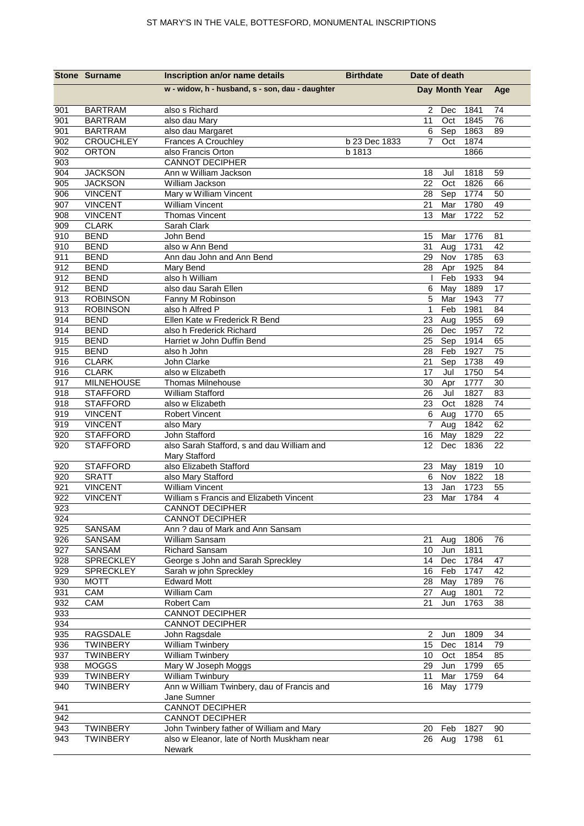|            | <b>Stone Surname</b> | Inscription an/or name details                  | <b>Birthdate</b> | Date of death  |     |              |          |
|------------|----------------------|-------------------------------------------------|------------------|----------------|-----|--------------|----------|
|            |                      | w - widow, h - husband, s - son, dau - daughter |                  | Day Month Year |     |              | Age      |
| 901        | <b>BARTRAM</b>       | also s Richard                                  |                  | 2              | Dec | 1841         | 74       |
| 901        | <b>BARTRAM</b>       | also dau Mary                                   |                  | 11             | Oct | 1845         | 76       |
| 901        | <b>BARTRAM</b>       | also dau Margaret                               |                  | 6              | Sep | 1863         | 89       |
| 902        | <b>CROUCHLEY</b>     | Frances A Crouchley                             | b 23 Dec 1833    | $\overline{7}$ | Oct | 1874         |          |
| 902        | <b>ORTON</b>         | also Francis Orton                              | b 1813           |                |     | 1866         |          |
| 903        |                      | <b>CANNOT DECIPHER</b>                          |                  |                |     |              |          |
| 904        | <b>JACKSON</b>       | Ann w William Jackson                           |                  | 18             | Jul | 1818         | 59       |
| 905        | <b>JACKSON</b>       | William Jackson                                 |                  | 22             | Oct | 1826         | 66       |
| 906        | <b>VINCENT</b>       | Mary w William Vincent                          |                  | 28             | Sep | 1774         | 50       |
| 907        | <b>VINCENT</b>       | <b>William Vincent</b>                          |                  | 21             | Mar | 1780         | 49       |
| 908        | <b>VINCENT</b>       | <b>Thomas Vincent</b>                           |                  | 13             | Mar | 1722         | 52       |
| 909        | <b>CLARK</b>         | Sarah Clark                                     |                  |                |     |              |          |
| 910        | <b>BEND</b>          | John Bend                                       |                  | 15             | Mar | 1776         | 81       |
| 910        | <b>BEND</b>          | also w Ann Bend                                 |                  | 31             | Aug | 1731         | 42       |
| 911        | <b>BEND</b>          | Ann dau John and Ann Bend                       |                  | 29             | Nov | 1785         | 63       |
| 912        | <b>BEND</b>          | Mary Bend                                       |                  | 28             | Apr | 1925         | 84       |
| 912        | <b>BEND</b>          | also h William                                  |                  |                | Feb | 1933         | 94       |
| 912        | <b>BEND</b>          | also dau Sarah Ellen                            |                  | 6              | May | 1889         | 17       |
| 913        | <b>ROBINSON</b>      | Fanny M Robinson                                |                  | 5              | Mar | 1943         | 77       |
| 913        | <b>ROBINSON</b>      | also h Alfred P                                 |                  | $\mathbf{1}$   | Feb | 1981         | 84       |
| 914        | <b>BEND</b>          | Ellen Kate w Frederick R Bend                   |                  | 23             | Aug | 1955         | 69       |
| 914        | <b>BEND</b>          | also h Frederick Richard                        |                  | 26             | Dec | 1957         | 72       |
| 915        | <b>BEND</b>          | Harriet w John Duffin Bend                      |                  | 25             | Sep | 1914         | 65       |
| 915        | <b>BEND</b>          | also h John                                     |                  | 28             | Feb | 1927         | 75       |
| 916        | <b>CLARK</b>         | John Clarke                                     |                  | 21             | Sep | 1738         | 49       |
| 916        | <b>CLARK</b>         | also w Elizabeth                                |                  | 17             | Jul | 1750         | 54       |
| 917        | <b>MILNEHOUSE</b>    | <b>Thomas Milnehouse</b>                        |                  | 30             | Apr | 1777         | 30       |
| 918        | <b>STAFFORD</b>      | William Stafford                                |                  | 26             | Jul | 1827         | 83       |
| 918        | <b>STAFFORD</b>      | also w Elizabeth                                |                  | 23             | Oct | 1828         | 74       |
| 919        | <b>VINCENT</b>       | <b>Robert Vincent</b>                           |                  | 6              | Aug | 1770         | 65       |
| 919        | <b>VINCENT</b>       | also Mary                                       |                  | $\overline{7}$ | Aug | 1842         | 62       |
| 920        | <b>STAFFORD</b>      | John Stafford                                   |                  | 16             | May | 1829         | 22       |
| 920        | <b>STAFFORD</b>      | also Sarah Stafford, s and dau William and      |                  | 12             | Dec | 1836         | 22       |
|            |                      | Mary Stafford                                   |                  |                |     |              |          |
| 920        | <b>STAFFORD</b>      | also Elizabeth Stafford                         |                  | 23             | May | 1819         | 10       |
| 920        | <b>SRATT</b>         | also Mary Stafford                              |                  | 6              | Nov | 1822         | 18       |
| 921        | <b>VINCENT</b>       | <b>William Vincent</b>                          |                  | 13             | Jan | 1723         | 55       |
| 922        | <b>VINCENT</b>       | William s Francis and Elizabeth Vincent         |                  | 23             | Mar | 1784         | 4        |
| 923        |                      | <b>CANNOT DECIPHER</b>                          |                  |                |     |              |          |
| 924        |                      | <b>CANNOT DECIPHER</b>                          |                  |                |     |              |          |
| 925        | SANSAM               | Ann ? dau of Mark and Ann Sansam                |                  |                |     |              |          |
| 926        | SANSAM               | William Sansam                                  |                  | 21             | Aug | 1806         | 76       |
| 927        | SANSAM               | Richard Sansam                                  |                  | 10             | Jun | 1811         |          |
| 928        | SPRECKLEY            | George s John and Sarah Spreckley               |                  | 14             | Dec | 1784         | 47       |
| 929        | SPRECKLEY            | Sarah w john Spreckley                          |                  | 16             | Feb | 1747         | 42       |
| 930        | <b>MOTT</b>          | <b>Edward Mott</b><br>William Cam               |                  | 28             | May | 1789         | 76       |
| 931<br>932 | CAM<br>CAM           |                                                 |                  | 27<br>21       | Aug | 1801<br>1763 | 72<br>38 |
| 933        |                      | Robert Cam<br><b>CANNOT DECIPHER</b>            |                  |                | Jun |              |          |
| 934        |                      | <b>CANNOT DECIPHER</b>                          |                  |                |     |              |          |
| 935        | RAGSDALE             | John Ragsdale                                   |                  | $\overline{c}$ | Jun | 1809         | 34       |
| 936        | TWINBERY             | William Twinbery                                |                  | 15             | Dec | 1814         | 79       |
| 937        | <b>TWINBERY</b>      | <b>William Twinbery</b>                         |                  | 10             | Oct | 1854         | 85       |
| 938        | <b>MOGGS</b>         | Mary W Joseph Moggs                             |                  | 29             | Jun | 1799         | 65       |
| 939        | <b>TWINBERY</b>      | William Twinbury                                |                  | 11             | Mar | 1759         | 64       |
| 940        | <b>TWINBERY</b>      | Ann w William Twinbery, dau of Francis and      |                  | 16             | May | 1779         |          |
|            |                      | Jane Sumner                                     |                  |                |     |              |          |
| 941        |                      | <b>CANNOT DECIPHER</b>                          |                  |                |     |              |          |
| 942        |                      | <b>CANNOT DECIPHER</b>                          |                  |                |     |              |          |
| 943        | <b>TWINBERY</b>      | John Twinbery father of William and Mary        |                  | 20             | Feb | 1827         | 90       |
| 943        | <b>TWINBERY</b>      | also w Eleanor, late of North Muskham near      |                  | 26             | Aug | 1798         | 61       |
|            |                      | Newark                                          |                  |                |     |              |          |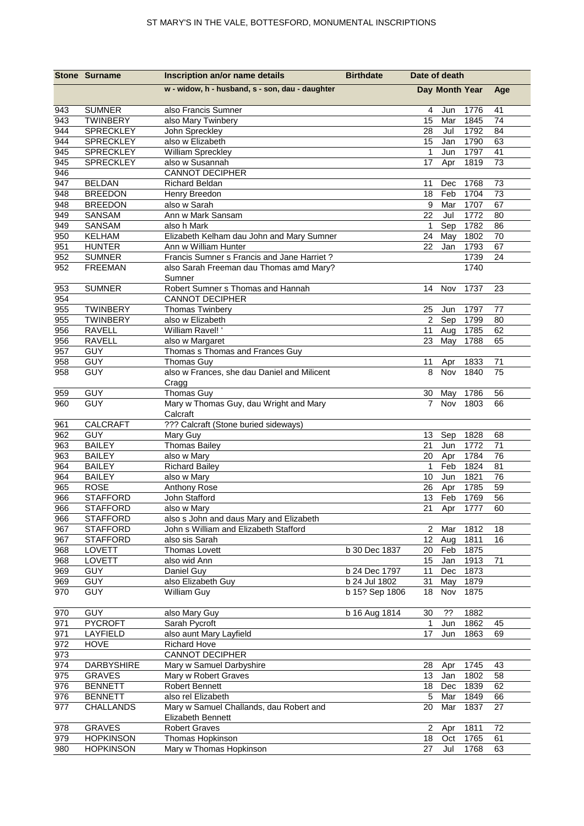|            | <b>Stone Surname</b>            | Inscription an/or name details                   | <b>Birthdate</b> | Date of death   |                |              |     |
|------------|---------------------------------|--------------------------------------------------|------------------|-----------------|----------------|--------------|-----|
|            |                                 | w - widow, h - husband, s - son, dau - daughter  |                  |                 | Day Month Year |              | Age |
| 943        | <b>SUMNER</b>                   | also Francis Sumner                              |                  | 4               | Jun            | 1776         | 41  |
| 943        | <b>TWINBERY</b>                 | also Mary Twinbery                               |                  | 15              | Mar            | 1845         | 74  |
| 944        | SPRECKLEY                       | John Spreckley                                   |                  | 28              | Jul            | 1792         | 84  |
| 944        | <b>SPRECKLEY</b>                | also w Elizabeth                                 |                  | 15              | Jan            | 1790         | 63  |
| 945        | SPRECKLEY                       | William Spreckley                                |                  | $\mathbf{1}$    | Jun            | 1797         | 41  |
| 945        | SPRECKLEY                       | also w Susannah                                  |                  | 17              | Apr            | 1819         | 73  |
| 946        |                                 | <b>CANNOT DECIPHER</b>                           |                  |                 |                |              |     |
| 947        | <b>BELDAN</b>                   | <b>Richard Beldan</b>                            |                  | 11              | Dec            | 1768         | 73  |
| 948        | <b>BREEDON</b>                  | Henry Breedon                                    |                  | 18              | Feb            | 1704         | 73  |
| 948        | <b>BREEDON</b>                  | also w Sarah                                     |                  | 9               | Mar            | 1707         | 67  |
| 949        | SANSAM                          | Ann w Mark Sansam                                |                  | 22              | Jul            | 1772         | 80  |
| 949        | SANSAM                          | also h Mark                                      |                  | $\mathbf{1}$    | Sep            | 1782         | 86  |
| 950        | <b>KELHAM</b>                   | Elizabeth Kelham dau John and Mary Sumner        |                  | 24              | May            | 1802         | 70  |
| 951        | <b>HUNTER</b>                   | Ann w William Hunter                             |                  | 22              | Jan            | 1793         | 67  |
| 952<br>952 | <b>SUMNER</b><br><b>FREEMAN</b> | Francis Sumner s Francis and Jane Harriet?       |                  |                 |                | 1739<br>1740 | 24  |
|            |                                 | also Sarah Freeman dau Thomas amd Mary?          |                  |                 |                |              |     |
| 953        | <b>SUMNER</b>                   | Sumner<br>Robert Sumner s Thomas and Hannah      |                  | 14              | Nov            | 1737         | 23  |
| 954        |                                 | <b>CANNOT DECIPHER</b>                           |                  |                 |                |              |     |
| 955        | <b>TWINBERY</b>                 | <b>Thomas Twinbery</b>                           |                  | 25              | Jun            | 1797         | 77  |
| 955        | <b>TWINBERY</b>                 | also w Elizabeth                                 |                  |                 | 2 Sep          | 1799         | 80  |
| 956        | <b>RAVELL</b>                   | William Ravel!'                                  |                  | 11              | Aug            | 1785         | 62  |
| 956        | <b>RAVELL</b>                   | also w Margaret                                  |                  | 23              | May            | 1788         | 65  |
| 957        | <b>GUY</b>                      | Thomas s Thomas and Frances Guy                  |                  |                 |                |              |     |
| 958        | <b>GUY</b>                      | <b>Thomas Guy</b>                                |                  | 11              | Apr            | 1833         | 71  |
| 958        | <b>GUY</b>                      | also w Frances, she dau Daniel and Milicent      |                  | 8               | Nov            | 1840         | 75  |
|            |                                 | Cragg                                            |                  |                 |                |              |     |
| 959        | <b>GUY</b>                      | <b>Thomas Guy</b>                                |                  | 30              | May            | 1786         | 56  |
| 960        | <b>GUY</b>                      | Mary w Thomas Guy, dau Wright and Mary           |                  | $\overline{7}$  | Nov            | 1803         | 66  |
|            |                                 | Calcraft                                         |                  |                 |                |              |     |
| 961        | <b>CALCRAFT</b>                 | ??? Calcraft (Stone buried sideways)             |                  |                 |                |              |     |
| 962        | <b>GUY</b>                      | Mary Guy                                         |                  | 13              | Sep            | 1828         | 68  |
| 963        | <b>BAILEY</b>                   | <b>Thomas Bailey</b>                             |                  | 21              | Jun            | 1772         | 71  |
| 963        | <b>BAILEY</b>                   | also w Mary                                      |                  | 20              | Apr            | 1784         | 76  |
| 964        | <b>BAILEY</b>                   | <b>Richard Bailey</b>                            |                  | $\mathbf{1}$    | Feb            | 1824         | 81  |
| 964        | <b>BAILEY</b>                   | also w Mary                                      |                  | 10              | Jun            | 1821         | 76  |
| 965        | <b>ROSE</b>                     | Anthony Rose                                     |                  | 26              | Apr            | 1785         | 59  |
| 966        | <b>STAFFORD</b>                 | John Stafford                                    |                  | 13              | Feb            | 1769         | 56  |
| 966        | <b>STAFFORD</b>                 | also w Mary                                      |                  | 21              |                | Apr 1777     | 60  |
| 966        | <b>STAFFORD</b>                 | also s John and daus Mary and Elizabeth          |                  |                 |                |              |     |
| 967        | <b>STAFFORD</b>                 | John s William and Elizabeth Stafford            |                  | $\overline{2}$  | Mar            | 1812         | 18  |
| 967        | <b>STAFFORD</b>                 | also sis Sarah                                   |                  | 12 <sub>2</sub> | Aug            | 1811         | 16  |
| 968        | LOVETT                          | Thomas Lovett                                    | b 30 Dec 1837    | 20              | Feb            | 1875         |     |
| 968        | LOVETT                          | also wid Ann                                     |                  | 15              | Jan            | 1913         | 71  |
| 969        | <b>GUY</b>                      | Daniel Guy                                       | b 24 Dec 1797    | 11              | Dec            | 1873         |     |
| 969        | <b>GUY</b>                      | also Elizabeth Guy                               | b 24 Jul 1802    | 31              | May            | 1879         |     |
| 970        | <b>GUY</b>                      | William Guy                                      | b 15? Sep 1806   | 18              | Nov            | 1875         |     |
|            |                                 |                                                  |                  |                 |                |              |     |
| 970        | <b>GUY</b>                      | also Mary Guy                                    | b 16 Aug 1814    | 30              | ??             | 1882         |     |
| 971        | <b>PYCROFT</b>                  | Sarah Pycroft                                    |                  | $\mathbf 1$     | Jun            | 1862         | 45  |
| 971        | LAYFIELD                        | also aunt Mary Layfield                          |                  | 17              | Jun            | 1863         | 69  |
| 972        | <b>HOVE</b>                     | <b>Richard Hove</b><br><b>CANNOT DECIPHER</b>    |                  |                 |                |              |     |
| 973<br>974 | <b>DARBYSHIRE</b>               |                                                  |                  |                 |                |              | 43  |
| 975        | <b>GRAVES</b>                   | Mary w Samuel Darbyshire<br>Mary w Robert Graves |                  | 28<br>13        | Apr<br>Jan     | 1745<br>1802 | 58  |
| 976        | <b>BENNETT</b>                  | Robert Bennett                                   |                  | 18              | Dec            | 1839         | 62  |
| 976        | <b>BENNETT</b>                  | also rel Elizabeth                               |                  | 5               | Mar            | 1849         | 66  |
| 977        | <b>CHALLANDS</b>                | Mary w Samuel Challands, dau Robert and          |                  | 20              | Mar            | 1837         | 27  |
|            |                                 | Elizabeth Bennett                                |                  |                 |                |              |     |
| 978        | <b>GRAVES</b>                   | <b>Robert Graves</b>                             |                  | $\overline{2}$  | Apr            | 1811         | 72  |
| 979        | <b>HOPKINSON</b>                | Thomas Hopkinson                                 |                  | 18              | Oct            | 1765         | 61  |
| 980        | <b>HOPKINSON</b>                | Mary w Thomas Hopkinson                          |                  | 27              | Jul            | 1768         | 63  |
|            |                                 |                                                  |                  |                 |                |              |     |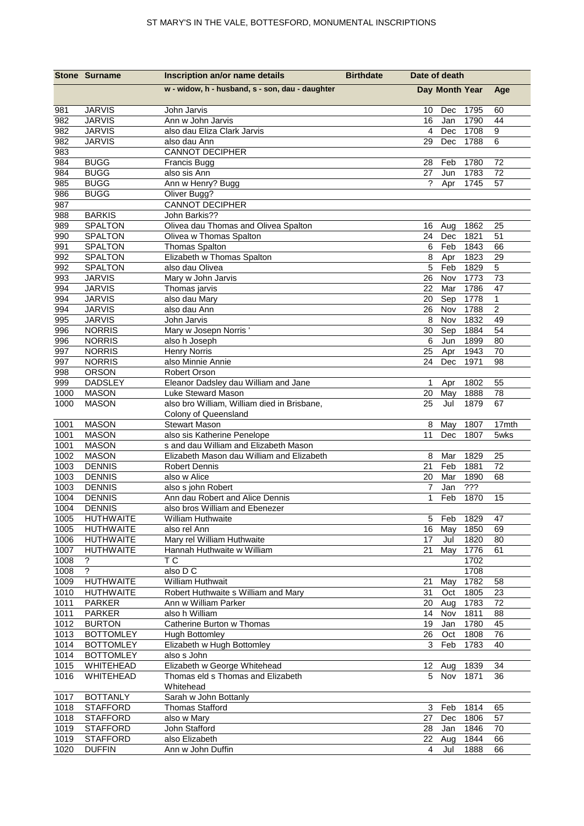|              | <b>Stone Surname</b>              | Inscription an/or name details                                    | <b>Birthdate</b> | Date of death        |                |              |                |
|--------------|-----------------------------------|-------------------------------------------------------------------|------------------|----------------------|----------------|--------------|----------------|
|              |                                   | w - widow, h - husband, s - son, dau - daughter                   |                  |                      | Day Month Year |              | Age            |
| 981          | <b>JARVIS</b>                     | John Jarvis                                                       |                  | 10                   | Dec            | 1795         | 60             |
| 982          | <b>JARVIS</b>                     | Ann w John Jarvis                                                 |                  | 16                   | Jan            | 1790         | 44             |
| 982          | <b>JARVIS</b>                     | also dau Eliza Clark Jarvis                                       |                  | $\overline{4}$       | Dec            | 1708         | 9              |
| 982          | <b>JARVIS</b>                     | also dau Ann                                                      |                  | 29                   | Dec            | 1788         | 6              |
| 983<br>984   | <b>BUGG</b>                       | <b>CANNOT DECIPHER</b>                                            |                  | 28                   | Feb            | 1780         | 72             |
| 984          | <b>BUGG</b>                       | Francis Bugg<br>also sis Ann                                      |                  | 27                   | Jun            | 1783         | 72             |
| 985          | <b>BUGG</b>                       | Ann w Henry? Bugg                                                 |                  | ?                    | Apr            | 1745         | 57             |
| 986          | <b>BUGG</b>                       | Oliver Bugg?                                                      |                  |                      |                |              |                |
| 987          |                                   | <b>CANNOT DECIPHER</b>                                            |                  |                      |                |              |                |
| 988          | <b>BARKIS</b>                     | John Barkis??                                                     |                  |                      |                |              |                |
| 989          | SPALTON                           | Olivea dau Thomas and Olivea Spalton                              |                  | 16                   | Aug            | 1862         | 25             |
| 990          | SPALTON                           | Olivea w Thomas Spalton                                           |                  | 24                   | Dec            | 1821         | 51             |
| 991          | <b>SPALTON</b>                    | <b>Thomas Spalton</b>                                             |                  | 6                    | Feb            | 1843         | 66             |
| 992          | <b>SPALTON</b>                    | Elizabeth w Thomas Spalton                                        |                  | 8                    | Apr            | 1823         | 29             |
| 992          | <b>SPALTON</b>                    | also dau Olivea                                                   |                  | 5                    | Feb            | 1829         | 5<br>73        |
| 993<br>994   | <b>JARVIS</b><br><b>JARVIS</b>    | Mary w John Jarvis<br>Thomas jarvis                               |                  | 26<br>22             | Nov<br>Mar     | 1773<br>1786 | 47             |
| 994          | <b>JARVIS</b>                     | also dau Mary                                                     |                  | 20                   | Sep            | 1778         | $\mathbf{1}$   |
| 994          | <b>JARVIS</b>                     | also dau Ann                                                      |                  | 26                   | Nov            | 1788         | $\overline{c}$ |
| 995          | <b>JARVIS</b>                     | John Jarvis                                                       |                  | 8                    | Nov            | 1832         | 49             |
| 996          | <b>NORRIS</b>                     | Mary w Josepn Norris'                                             |                  | 30                   | Sep            | 1884         | 54             |
| 996          | <b>NORRIS</b>                     | also h Joseph                                                     |                  | 6                    | Jun            | 1899         | 80             |
| 997          | <b>NORRIS</b>                     | <b>Henry Norris</b>                                               |                  | 25                   | Apr            | 1943         | 70             |
| 997          | <b>NORRIS</b>                     | also Minnie Annie                                                 |                  | 24                   | Dec            | 1971         | 98             |
| 998          | <b>ORSON</b>                      | Robert Orson                                                      |                  |                      |                |              |                |
| 999          | <b>DADSLEY</b>                    | Eleanor Dadsley dau William and Jane                              |                  | $\mathbf{1}$         | Apr            | 1802         | 55             |
| 1000<br>1000 | <b>MASON</b><br><b>MASON</b>      | Luke Steward Mason<br>also bro William, William died in Brisbane, |                  | 20<br>25             | May<br>Jul     | 1888<br>1879 | 78<br>67       |
|              |                                   | Colony of Queensland                                              |                  |                      |                |              |                |
| 1001         | <b>MASON</b>                      | <b>Stewart Mason</b>                                              |                  | 8                    | May            | 1807         | 17mth          |
| 1001         | <b>MASON</b>                      | also sis Katherine Penelope                                       |                  | 11                   | Dec            | 1807         | 5wks           |
| 1001         | <b>MASON</b>                      | s and dau William and Elizabeth Mason                             |                  |                      |                |              |                |
| 1002         | <b>MASON</b>                      | Elizabeth Mason dau William and Elizabeth                         |                  | 8                    | Mar            | 1829         | 25             |
| 1003         | <b>DENNIS</b>                     | <b>Robert Dennis</b>                                              |                  | 21                   | Feb            | 1881         | 72             |
| 1003         | <b>DENNIS</b>                     | also w Alice                                                      |                  | 20                   | Mar            | 1890         | 68             |
| 1003         | <b>DENNIS</b>                     | also s john Robert                                                |                  | 7                    | Jan            | ???          |                |
| 1004         | <b>DENNIS</b>                     | Ann dau Robert and Alice Dennis                                   |                  | 1                    | Feb            | 1870         | 15             |
| 1004<br>1005 | <b>DENNIS</b><br><b>HUTHWAITE</b> | also bros William and Ebenezer<br><b>William Huthwaite</b>        |                  | 5                    | Feb            | 1829         | 47             |
| 1005         | <b>HUTHWAITE</b>                  | also rel Ann                                                      |                  | 16                   | May            | 1850         | 69             |
| 1006         | <b>HUTHWAITE</b>                  | Mary rel William Huthwaite                                        |                  | 17                   | Jul            | 1820         | 80             |
| 1007         | <b>HUTHWAITE</b>                  | Hannah Huthwaite w William                                        |                  | 21                   | May            | 1776         | 61             |
| 1008         | ?                                 | ТC                                                                |                  |                      |                | 1702         |                |
| 1008         | $\ddot{?}$                        | also $D\overline{C}$                                              |                  |                      |                | 1708         |                |
| 1009         | <b>HUTHWAITE</b>                  | William Huthwait                                                  |                  | 21                   | May            | 1782         | 58             |
| 1010         | <b>HUTHWAITE</b>                  | Robert Huthwaite s William and Mary                               |                  | 31                   | Oct            | 1805         | 23             |
| 1011         | <b>PARKER</b>                     | Ann w William Parker                                              |                  |                      | 20 Aug         | 1783         | 72             |
| 1011<br>1012 | <b>PARKER</b><br><b>BURTON</b>    | also h William<br>Catherine Burton w Thomas                       |                  | 14<br>19             | Nov<br>Jan     | 1811<br>1780 | 88<br>45       |
| 1013         | <b>BOTTOMLEY</b>                  | <b>Hugh Bottomley</b>                                             |                  | 26                   | Oct            | 1808         | 76             |
| 1014         | <b>BOTTOMLEY</b>                  | Elizabeth w Hugh Bottomley                                        |                  | 3                    | Feb            | 1783         | 40             |
| 1014         | <b>BOTTOMLEY</b>                  | also s John                                                       |                  |                      |                |              |                |
| 1015         | WHITEHEAD                         | Elizabeth w George Whitehead                                      |                  | 12                   | Aug            | 1839         | 34             |
| 1016         | WHITEHEAD                         | Thomas eld s Thomas and Elizabeth                                 |                  | 5 <sup>5</sup>       | Nov            | 1871         | 36             |
|              |                                   | Whitehead                                                         |                  |                      |                |              |                |
| 1017         | <b>BOTTANLY</b>                   | Sarah w John Bottanly                                             |                  |                      |                |              |                |
| 1018         | <b>STAFFORD</b>                   | <b>Thomas Stafford</b>                                            |                  | 3                    | Feb            | 1814         | 65             |
| 1018         | <b>STAFFORD</b>                   | also w Mary                                                       |                  | 27                   | Dec            | 1806         | 57             |
| 1019         | <b>STAFFORD</b>                   | John Stafford                                                     |                  | 28                   | Jan            | 1846         | 70             |
| 1019         | <b>STAFFORD</b>                   | also Elizabeth                                                    |                  | 22<br>$\overline{4}$ | Aug            | 1844         | 66             |
| 1020         | <b>DUFFIN</b>                     | Ann w John Duffin                                                 |                  |                      | Jul            | 1888         | 66             |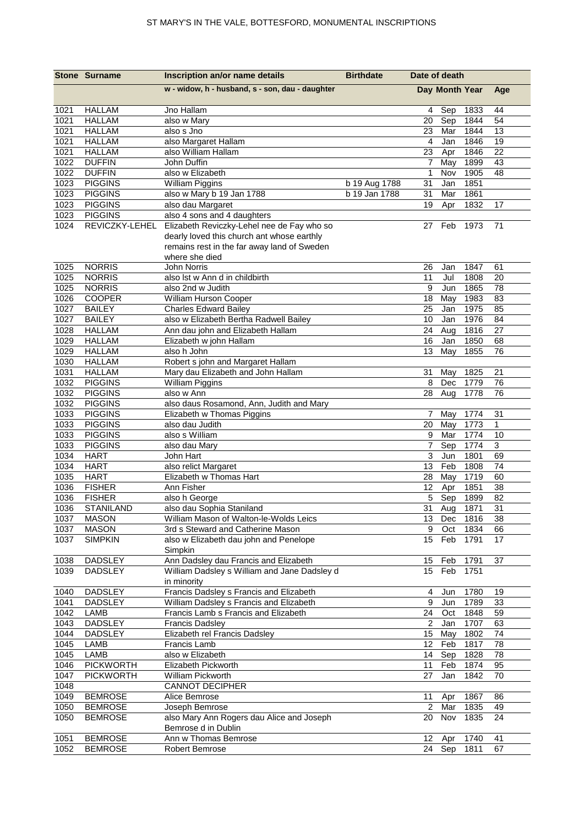|              | <b>Stone Surname</b>           | Inscription an/or name details                        | <b>Birthdate</b> | Date of death             |                |              |              |
|--------------|--------------------------------|-------------------------------------------------------|------------------|---------------------------|----------------|--------------|--------------|
|              |                                | w - widow, h - husband, s - son, dau - daughter       |                  |                           | Day Month Year |              | Age          |
| 1021         | <b>HALLAM</b>                  | Jno Hallam                                            |                  | 4                         | Sep            | 1833         | 44           |
| 1021         | <b>HALLAM</b>                  | also w Mary                                           |                  | 20                        | Sep            | 1844         | 54           |
| 1021         | <b>HALLAM</b>                  | also s Jno                                            |                  | 23                        | Mar            | 1844         | 13           |
| 1021         | <b>HALLAM</b>                  | also Margaret Hallam                                  |                  | 4                         | Jan            | 1846         | 19           |
| 1021         | <b>HALLAM</b>                  | also William Hallam                                   |                  | 23                        | Apr            | 1846         | 22           |
| 1022         | <b>DUFFIN</b>                  | John Duffin                                           |                  | 7                         | May            | 1899         | 43           |
| 1022         | <b>DUFFIN</b>                  | also w Elizabeth                                      |                  | $\mathbf 1$               | Nov            | 1905         | 48           |
| 1023         | <b>PIGGINS</b>                 | <b>William Piggins</b>                                | b 19 Aug 1788    | 31                        | Jan            | 1851         |              |
| 1023         | <b>PIGGINS</b>                 | also w Mary b 19 Jan 1788                             | b 19 Jan 1788    | 31                        | Mar            | 1861         |              |
| 1023         | <b>PIGGINS</b>                 | also dau Margaret                                     |                  | 19                        | Apr            | 1832         | 17           |
| 1023         | <b>PIGGINS</b>                 | also 4 sons and 4 daughters                           |                  |                           |                |              |              |
| 1024         | REVICZKY-LEHEL                 | Elizabeth Reviczky-Lehel nee de Fay who so            |                  | 27                        | Feb            | 1973         | 71           |
|              |                                | dearly loved this church ant whose earthly            |                  |                           |                |              |              |
|              |                                | remains rest in the far away land of Sweden           |                  |                           |                |              |              |
|              |                                | where she died                                        |                  |                           |                |              |              |
| 1025         | <b>NORRIS</b>                  | John Norris                                           |                  | 26                        | Jan            | 1847         | 61           |
| 1025<br>1025 | <b>NORRIS</b><br><b>NORRIS</b> | also Ist w Ann d in childbirth<br>also 2nd w Judith   |                  | 11<br>9                   | Jul<br>Jun     | 1808<br>1865 | 20<br>78     |
| 1026         | COOPER                         |                                                       |                  |                           |                | 1983         |              |
| 1027         | <b>BAILEY</b>                  | William Hurson Cooper<br><b>Charles Edward Bailey</b> |                  | 18<br>25                  | May<br>Jan     | 1975         | 83<br>85     |
| 1027         | <b>BAILEY</b>                  | also w Elizabeth Bertha Radwell Bailey                |                  | 10                        | Jan            | 1976         | 84           |
| 1028         | <b>HALLAM</b>                  | Ann dau john and Elizabeth Hallam                     |                  | 24                        | Aug            | 1816         | 27           |
| 1029         | <b>HALLAM</b>                  | Elizabeth w john Hallam                               |                  | 16                        | Jan            | 1850         | 68           |
| 1029         | <b>HALLAM</b>                  | also h John                                           |                  | 13                        | May            | 1855         | 76           |
| 1030         | <b>HALLAM</b>                  | Robert s john and Margaret Hallam                     |                  |                           |                |              |              |
| 1031         | <b>HALLAM</b>                  | Mary dau Elizabeth and John Hallam                    |                  | 31                        | May            | 1825         | 21           |
| 1032         | <b>PIGGINS</b>                 | <b>William Piggins</b>                                |                  | 8                         | Dec            | 1779         | 76           |
| 1032         | <b>PIGGINS</b>                 | also w Ann                                            |                  | 28                        | Aug            | 1778         | 76           |
| 1032         | <b>PIGGINS</b>                 | also daus Rosamond, Ann, Judith and Mary              |                  |                           |                |              |              |
| 1033         | <b>PIGGINS</b>                 | Elizabeth w Thomas Piggins                            |                  | 7                         | May            | 1774         | 31           |
| 1033         | <b>PIGGINS</b>                 | also dau Judith                                       |                  | 20                        | May            | 1773         | $\mathbf{1}$ |
| 1033         | <b>PIGGINS</b>                 | also s William                                        |                  | 9                         | Mar            | 1774         | 10           |
| 1033         | <b>PIGGINS</b>                 | also dau Mary                                         |                  | 7                         | Sep            | 1774         | 3            |
| 1034         | <b>HART</b>                    | John Hart                                             |                  | 3                         | Jun            | 1801         | 69           |
| 1034         | <b>HART</b>                    | also relict Margaret                                  |                  | 13                        | Feb            | 1808         | 74           |
| 1035         | <b>HART</b>                    | Elizabeth w Thomas Hart                               |                  | 28                        | May            | 1719         | 60           |
| 1036         | <b>FISHER</b>                  | Ann Fisher                                            |                  | 12                        | Apr            | 1851         | 38           |
| 1036         | <b>FISHER</b>                  | also h George                                         |                  | 5                         | Sep            | 1899         | 82           |
| 1036         | STANILAND                      | also dau Sophia Staniland                             |                  |                           | 31 Aug         | 1871         | 31           |
| 1037         | <b>MASON</b>                   | William Mason of Walton-le-Wolds Leics                |                  |                           | 13 Dec         | 1816         | 38           |
| 1037         | <b>MASON</b>                   | 3rd s Steward and Catherine Mason                     |                  | 9                         | Oct            | 1834         | 66           |
| 1037         | <b>SIMPKIN</b>                 | also w Elizabeth dau john and Penelope                |                  | 15 <sub>1</sub>           | Feb            | 1791         | 17           |
|              |                                | Simpkin                                               |                  |                           |                |              |              |
| 1038         | <b>DADSLEY</b>                 | Ann Dadsley dau Francis and Elizabeth                 |                  | 15                        | Feb            | 1791         | 37           |
| 1039         | <b>DADSLEY</b>                 | William Dadsley s William and Jane Dadsley d          |                  | 15                        | Feb            | 1751         |              |
|              |                                | in minority                                           |                  |                           |                |              |              |
| 1040         | <b>DADSLEY</b>                 | Francis Dadsley s Francis and Elizabeth               |                  | 4                         | Jun            | 1780         | 19           |
| 1041         | <b>DADSLEY</b>                 | William Dadsley s Francis and Elizabeth               |                  | 9                         | Jun            | 1789         | 33           |
| 1042<br>1043 | <b>LAMB</b><br><b>DADSLEY</b>  | Francis Lamb s Francis and Elizabeth                  |                  | 24<br>$\overline{2}$      | Oct            | 1848<br>1707 | 59           |
|              |                                | <b>Francis Dadsley</b>                                |                  |                           | Jan            |              | 63           |
| 1044<br>1045 | <b>DADSLEY</b><br>LAMB         | Elizabeth rel Francis Dadsley<br>Francis Lamb         |                  | $15\,$<br>12 <sup>°</sup> | May<br>Feb     | 1802<br>1817 | 74<br>78     |
| 1045         | LAMB                           | also w Elizabeth                                      |                  | 14                        | Sep            | 1828         | 78           |
| 1046         | <b>PICKWORTH</b>               | Elizabeth Pickworth                                   |                  | 11                        | Feb            | 1874         | 95           |
| 1047         | <b>PICKWORTH</b>               | William Pickworth                                     |                  | 27                        | Jan            | 1842         | 70           |
| 1048         |                                | <b>CANNOT DECIPHER</b>                                |                  |                           |                |              |              |
| 1049         | <b>BEMROSE</b>                 | Alice Bemrose                                         |                  | 11                        | Apr            | 1867         | 86           |
| 1050         | <b>BEMROSE</b>                 | Joseph Bemrose                                        |                  | $\overline{2}$            | Mar            | 1835         | 49           |
| 1050         | <b>BEMROSE</b>                 | also Mary Ann Rogers dau Alice and Joseph             |                  | 20                        | Nov            | 1835         | 24           |
|              |                                | Bemrose d in Dublin                                   |                  |                           |                |              |              |
| 1051         | <b>BEMROSE</b>                 | Ann w Thomas Bemrose                                  |                  | 12                        | Apr            | 1740         | 41           |
| 1052         | <b>BEMROSE</b>                 | Robert Bemrose                                        |                  |                           | 24 Sep         | 1811         | 67           |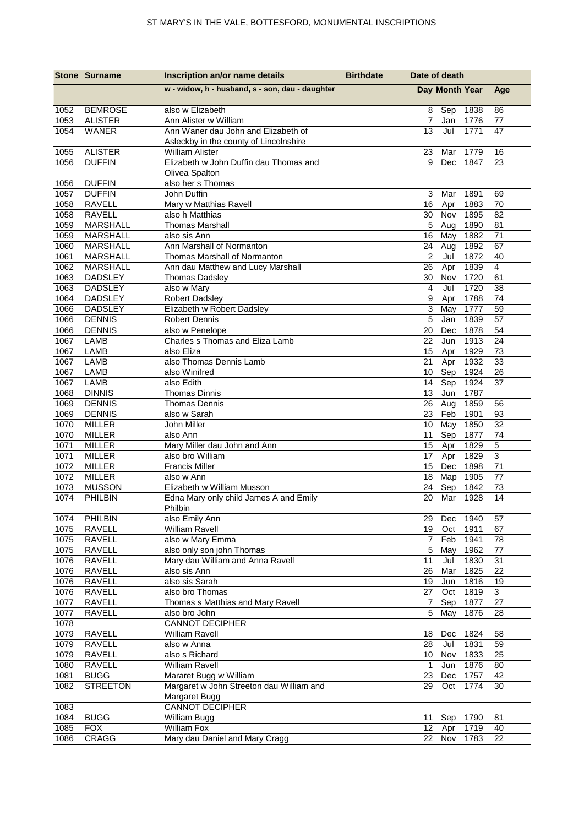|              | <b>Stone Surname</b>               | Inscription an/or name details                                                | <b>Birthdate</b> | Date of death         |                |              |                           |
|--------------|------------------------------------|-------------------------------------------------------------------------------|------------------|-----------------------|----------------|--------------|---------------------------|
|              |                                    | w - widow, h - husband, s - son, dau - daughter                               |                  |                       | Day Month Year |              | Age                       |
| 1052         | <b>BEMROSE</b>                     | also w Elizabeth                                                              |                  | 8                     | Sep            | 1838         | 86                        |
| 1053         | <b>ALISTER</b>                     | Ann Alister w William                                                         |                  | $\overline{7}$        | Jan            | 1776         | 77                        |
| 1054         | <b>WANER</b>                       | Ann Waner dau John and Elizabeth of<br>Asleckby in the county of Lincolnshire |                  | 13                    | Jul            | 1771         | 47                        |
| 1055         | <b>ALISTER</b>                     | William Alister                                                               |                  | 23                    | Mar            | 1779         | 16                        |
| 1056         | <b>DUFFIN</b>                      | Elizabeth w John Duffin dau Thomas and<br>Olivea Spalton                      |                  | 9                     | <b>Dec</b>     | 1847         | 23                        |
| 1056<br>1057 | <b>DUFFIN</b><br><b>DUFFIN</b>     | also her s Thomas<br>John Duffin                                              |                  | 3                     | Mar            | 1891         | 69                        |
| 1058         | <b>RAVELL</b>                      | Mary w Matthias Ravell                                                        |                  | 16                    | Apr            | 1883         | 70                        |
| 1058         | <b>RAVELL</b>                      | also h Matthias                                                               |                  | 30                    | Nov            | 1895         | 82                        |
| 1059         | <b>MARSHALL</b>                    | <b>Thomas Marshall</b>                                                        |                  | 5                     | Aug            | 1890         | 81                        |
| 1059         | <b>MARSHALL</b>                    | also sis Ann                                                                  |                  | 16                    | May            | 1882         | $\overline{71}$           |
| 1060<br>1061 | <b>MARSHALL</b><br><b>MARSHALL</b> | Ann Marshall of Normanton<br>Thomas Marshall of Normanton                     |                  | 24<br>$\overline{2}$  | Aug<br>Jul     | 1892<br>1872 | 67<br>40                  |
| 1062         | <b>MARSHALL</b>                    | Ann dau Matthew and Lucy Marshall                                             |                  | 26                    | Apr            | 1839         | $\overline{4}$            |
| 1063         | <b>DADSLEY</b>                     | Thomas Dadsley                                                                |                  | 30                    | Nov            | 1720         | 61                        |
| 1063         | <b>DADSLEY</b>                     | also w Mary                                                                   |                  | 4                     | Jul            | 1720         | 38                        |
| 1064         | <b>DADSLEY</b>                     | <b>Robert Dadsley</b>                                                         |                  | 9                     | Apr            | 1788         | 74                        |
| 1066         | <b>DADSLEY</b>                     | Elizabeth w Robert Dadsley                                                    |                  | 3                     | May            | 1777         | 59                        |
| 1066         | <b>DENNIS</b>                      | <b>Robert Dennis</b>                                                          |                  | 5                     | Jan            | 1839         | 57                        |
| 1066         | <b>DENNIS</b>                      | also w Penelope                                                               |                  | 20                    | Dec            | 1878         | 54                        |
| 1067         | <b>LAMB</b>                        | Charles s Thomas and Eliza Lamb                                               |                  | 22                    | Jun            | 1913         | 24                        |
| 1067         | LAMB                               | also Eliza                                                                    |                  | 15                    | Apr            | 1929         | 73                        |
| 1067         | LAMB                               | also Thomas Dennis Lamb                                                       |                  | 21                    | Apr            | 1932         | 33                        |
| 1067         | LAMB                               | also Winifred                                                                 |                  | 10                    | Sep            | 1924         | $\overline{26}$           |
| 1067         | LAMB                               | also Edith                                                                    |                  | 14                    | Sep            | 1924         | 37                        |
| 1068         | <b>DINNIS</b>                      | <b>Thomas Dinnis</b>                                                          |                  | 13                    | Jun            | 1787         |                           |
| 1069         | <b>DENNIS</b>                      | <b>Thomas Dennis</b>                                                          |                  | 26                    | Aug            | 1859         | 56                        |
| 1069         | <b>DENNIS</b>                      | also w Sarah                                                                  |                  | 23                    | Feb            | 1901         | 93                        |
| 1070<br>1070 | <b>MILLER</b><br><b>MILLER</b>     | John Miller<br>also Ann                                                       |                  | $10$<br>11            | May<br>Sep     | 1850<br>1877 | $\overline{32}$<br>74     |
| 1071         | <b>MILLER</b>                      | Mary Miller dau John and Ann                                                  |                  | 15                    | Apr            | 1829         | 5                         |
| 1071         | <b>MILLER</b>                      | also bro William                                                              |                  | 17                    | Apr            | 1829         | $\overline{3}$            |
| 1072         | <b>MILLER</b>                      | <b>Francis Miller</b>                                                         |                  | 15                    | Dec            | 1898         | 71                        |
| 1072         | <b>MILLER</b>                      | also w Ann                                                                    |                  | 18                    | Map            | 1905         | 77                        |
| 1073         | <b>MUSSON</b>                      | Elizabeth w William Musson                                                    |                  | 24                    | Sep            | 1842         | 73                        |
| 1074         | PHILBIN                            | Edna Mary only child James A and Emily<br>Philbin                             |                  | 20                    | Mar            | 1928         | 14                        |
| 1074         | PHILBIN                            | also Emily Ann                                                                |                  | 29                    | Dec            | 1940         | 57                        |
| 1075         | RAVELL                             | <b>William Ravell</b>                                                         |                  | 19                    | Oct            | 1911         | 67                        |
| 1075         | RAVELL                             | also w Mary Emma                                                              |                  | $\overline{7}$        | Feb            | 1941         | 78                        |
| 1075         | RAVELL                             | also only son john Thomas                                                     |                  | 5                     | May            | 1962         | 77                        |
| 1076         | <b>RAVELL</b>                      | Mary dau William and Anna Ravell                                              |                  | 11                    | Jul            | 1830         | 31                        |
| 1076         | RAVELL                             | also sis Ann                                                                  |                  | 26                    | Mar            | 1825         | 22                        |
| 1076         | <b>RAVELL</b>                      | also sis Sarah                                                                |                  | 19                    | Jun            | 1816         | 19                        |
| 1076         | <b>RAVELL</b>                      | also bro Thomas                                                               |                  | 27                    | Oct            | 1819         | $\ensuremath{\mathsf{3}}$ |
| 1077         | <b>RAVELL</b>                      | Thomas s Matthias and Mary Ravell                                             |                  | $\overline{7}$        | Sep            | 1877         | 27                        |
| 1077         | <b>RAVELL</b>                      | also bro John                                                                 |                  | 5                     | May            | 1876         | 28                        |
| 1078         |                                    | <b>CANNOT DECIPHER</b>                                                        |                  |                       |                |              |                           |
| 1079         | <b>RAVELL</b>                      | <b>William Ravell</b>                                                         |                  | 18                    | Dec            | 1824         | 58                        |
| 1079<br>1079 | <b>RAVELL</b><br>RAVELL            | also w Anna<br>also s Richard                                                 |                  | 28<br>10 <sub>1</sub> | Jul<br>Nov     | 1831<br>1833 | 59<br>25                  |
| 1080         | <b>RAVELL</b>                      | William Ravell                                                                |                  | 1                     | Jun            | 1876         | 80                        |
| 1081         | <b>BUGG</b>                        | Mararet Bugg w William                                                        |                  | 23                    | Dec            | 1757         | 42                        |
| 1082         | <b>STREETON</b>                    | Margaret w John Streeton dau William and                                      |                  | 29                    | Oct            | 1774         | 30                        |
|              |                                    | Margaret Bugg                                                                 |                  |                       |                |              |                           |
| 1083         |                                    | <b>CANNOT DECIPHER</b>                                                        |                  |                       |                |              |                           |
| 1084         | <b>BUGG</b>                        | William Bugg                                                                  |                  | 11                    | Sep            | 1790         | 81                        |
| 1085         | <b>FOX</b>                         | <b>William Fox</b>                                                            |                  | 12 <sup>°</sup>       | Apr            | 1719         | 40                        |
| 1086         | CRAGG                              | Mary dau Daniel and Mary Cragg                                                |                  |                       | 22 Nov         | 1783         | 22                        |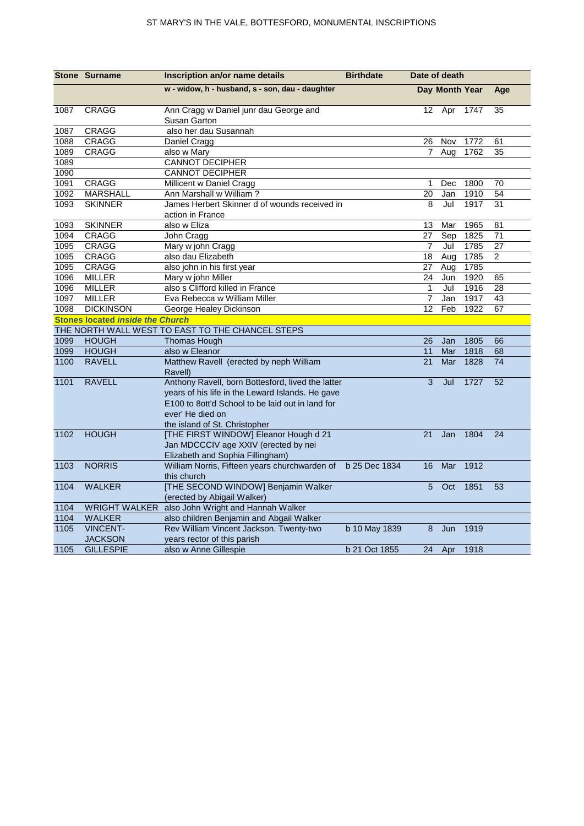|      | <b>Stone Surname</b>                    | Inscription an/or name details                                                                                                                                                                                 | <b>Birthdate</b> | Date of death   |                |      |     |  |  |  |
|------|-----------------------------------------|----------------------------------------------------------------------------------------------------------------------------------------------------------------------------------------------------------------|------------------|-----------------|----------------|------|-----|--|--|--|
|      |                                         | w - widow, h - husband, s - son, dau - daughter                                                                                                                                                                |                  |                 | Day Month Year |      | Age |  |  |  |
| 1087 | <b>CRAGG</b>                            | Ann Cragg w Daniel junr dau George and<br>Susan Garton                                                                                                                                                         |                  | 12 <sup>°</sup> | Apr 1747       |      | 35  |  |  |  |
| 1087 | <b>CRAGG</b>                            | also her dau Susannah                                                                                                                                                                                          |                  |                 |                |      |     |  |  |  |
| 1088 | CRAGG                                   | Daniel Cragg                                                                                                                                                                                                   |                  | 26              | Nov            | 1772 | 61  |  |  |  |
| 1089 | CRAGG                                   | also w Mary                                                                                                                                                                                                    |                  | 7               | Aug            | 1762 | 35  |  |  |  |
| 1089 |                                         | <b>CANNOT DECIPHER</b>                                                                                                                                                                                         |                  |                 |                |      |     |  |  |  |
| 1090 |                                         | <b>CANNOT DECIPHER</b>                                                                                                                                                                                         |                  |                 |                |      |     |  |  |  |
| 1091 | <b>CRAGG</b>                            | Millicent w Daniel Cragg                                                                                                                                                                                       |                  | 1               | Dec            | 1800 | 70  |  |  |  |
| 1092 | <b>MARSHALL</b>                         | Ann Marshall w William?                                                                                                                                                                                        |                  | 20              | Jan            | 1910 | 54  |  |  |  |
| 1093 | <b>SKINNER</b>                          | James Herbert Skinner d of wounds received in<br>action in France                                                                                                                                              |                  | 8               | Jul            | 1917 | 31  |  |  |  |
| 1093 | <b>SKINNER</b>                          | also w Eliza                                                                                                                                                                                                   |                  | 13              | Mar            | 1965 | 81  |  |  |  |
| 1094 | CRAGG                                   | John Cragg                                                                                                                                                                                                     |                  | 27              | Sep            | 1825 | 71  |  |  |  |
| 1095 | CRAGG                                   | Mary w john Cragg                                                                                                                                                                                              |                  | $\overline{7}$  | Jul            | 1785 | 27  |  |  |  |
| 1095 | CRAGG                                   | also dau Elizabeth                                                                                                                                                                                             |                  | 18              | Aug            | 1785 | 2   |  |  |  |
| 1095 | CRAGG                                   | also john in his first year                                                                                                                                                                                    |                  | 27              | Aug            | 1785 |     |  |  |  |
| 1096 | <b>MILLER</b>                           | Mary w john Miller                                                                                                                                                                                             |                  | 24              | Jun            | 1920 | 65  |  |  |  |
| 1096 | <b>MILLER</b>                           | also s Clifford killed in France                                                                                                                                                                               |                  | $\mathbf{1}$    | Jul            | 1916 | 28  |  |  |  |
| 1097 | <b>MILLER</b>                           | Eva Rebecca w William Miller                                                                                                                                                                                   |                  | $\overline{7}$  | Jan            | 1917 | 43  |  |  |  |
| 1098 | <b>DICKINSON</b>                        | George Healey Dickinson                                                                                                                                                                                        |                  | 12              | Feb            | 1922 | 67  |  |  |  |
|      | <b>Stones located inside the Church</b> |                                                                                                                                                                                                                |                  |                 |                |      |     |  |  |  |
|      |                                         | THE NORTH WALL WEST TO EAST TO THE CHANCEL STEPS                                                                                                                                                               |                  |                 |                |      |     |  |  |  |
| 1099 | <b>HOUGH</b>                            | <b>Thomas Hough</b>                                                                                                                                                                                            |                  | 26              | Jan            | 1805 | 66  |  |  |  |
| 1099 | <b>HOUGH</b>                            | also w Eleanor                                                                                                                                                                                                 |                  | 11              | Mar            | 1818 | 68  |  |  |  |
| 1100 | <b>RAVELL</b>                           | Matthew Ravell (erected by neph William<br>Ravell)                                                                                                                                                             |                  | 21              | Mar            | 1828 | 74  |  |  |  |
| 1101 | <b>RAVELL</b>                           | Anthony Ravell, born Bottesford, lived the latter<br>years of his life in the Leward Islands. He gave<br>E100 to 8ott'd School to be laid out in land for<br>ever' He died on<br>the island of St. Christopher |                  | 3               | Jul            | 1727 | 52  |  |  |  |
| 1102 | <b>HOUGH</b>                            | [THE FIRST WINDOW] Eleanor Hough d 21<br>Jan MDCCCIV age XXIV (erected by nei<br>Elizabeth and Sophia Fillingham)                                                                                              |                  | 21              | Jan            | 1804 | 24  |  |  |  |
| 1103 | <b>NORRIS</b>                           | William Norris, Fifteen years churchwarden of b 25 Dec 1834<br>this church                                                                                                                                     |                  | 16              | Mar            | 1912 |     |  |  |  |
| 1104 | <b>WALKER</b>                           | [THE SECOND WINDOW] Benjamin Walker<br>(erected by Abigail Walker)                                                                                                                                             |                  | 5               | Oct            | 1851 | 53  |  |  |  |
| 1104 |                                         | WRIGHT WALKER also John Wright and Hannah Walker                                                                                                                                                               |                  |                 |                |      |     |  |  |  |
| 1104 | <b>WALKER</b>                           | also children Benjamin and Abgail Walker                                                                                                                                                                       |                  |                 |                |      |     |  |  |  |
| 1105 | <b>VINCENT-</b><br><b>JACKSON</b>       | Rev William Vincent Jackson. Twenty-two<br>years rector of this parish                                                                                                                                         | b 10 May 1839    | 8               | Jun            | 1919 |     |  |  |  |
| 1105 | <b>GILLESPIE</b>                        | also w Anne Gillespie                                                                                                                                                                                          | b 21 Oct 1855    | 24              | Apr            | 1918 |     |  |  |  |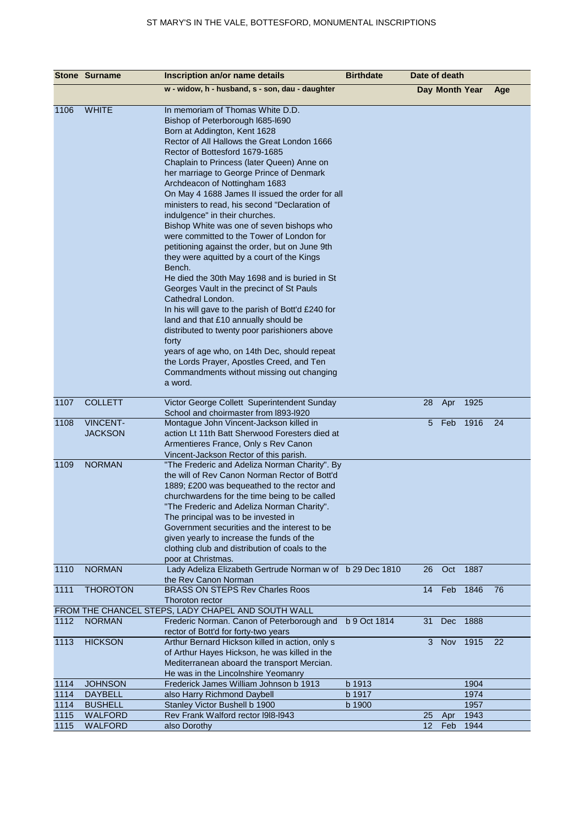|      | <b>Stone Surname</b> | Inscription an/or name details                                                              | <b>Birthdate</b> | Date of death  |                |      |     |
|------|----------------------|---------------------------------------------------------------------------------------------|------------------|----------------|----------------|------|-----|
|      |                      | w - widow, h - husband, s - son, dau - daughter                                             |                  |                | Day Month Year |      | Age |
|      |                      |                                                                                             |                  |                |                |      |     |
| 1106 | <b>WHITE</b>         | In memoriam of Thomas White D.D.                                                            |                  |                |                |      |     |
|      |                      | Bishop of Peterborough I685-I690                                                            |                  |                |                |      |     |
|      |                      | Born at Addington, Kent 1628                                                                |                  |                |                |      |     |
|      |                      | Rector of All Hallows the Great London 1666                                                 |                  |                |                |      |     |
|      |                      | Rector of Bottesford 1679-1685<br>Chaplain to Princess (later Queen) Anne on                |                  |                |                |      |     |
|      |                      | her marriage to George Prince of Denmark                                                    |                  |                |                |      |     |
|      |                      | Archdeacon of Nottingham 1683                                                               |                  |                |                |      |     |
|      |                      | On May 4 1688 James II issued the order for all                                             |                  |                |                |      |     |
|      |                      | ministers to read, his second "Declaration of                                               |                  |                |                |      |     |
|      |                      | indulgence" in their churches.                                                              |                  |                |                |      |     |
|      |                      | Bishop White was one of seven bishops who                                                   |                  |                |                |      |     |
|      |                      | were committed to the Tower of London for                                                   |                  |                |                |      |     |
|      |                      | petitioning against the order, but on June 9th                                              |                  |                |                |      |     |
|      |                      | they were aquitted by a court of the Kings                                                  |                  |                |                |      |     |
|      |                      | Bench.                                                                                      |                  |                |                |      |     |
|      |                      | He died the 30th May 1698 and is buried in St                                               |                  |                |                |      |     |
|      |                      | Georges Vault in the precinct of St Pauls                                                   |                  |                |                |      |     |
|      |                      | Cathedral London.                                                                           |                  |                |                |      |     |
|      |                      | In his will gave to the parish of Bott'd £240 for                                           |                  |                |                |      |     |
|      |                      | land and that £10 annually should be                                                        |                  |                |                |      |     |
|      |                      | distributed to twenty poor parishioners above                                               |                  |                |                |      |     |
|      |                      | forty                                                                                       |                  |                |                |      |     |
|      |                      | years of age who, on 14th Dec, should repeat                                                |                  |                |                |      |     |
|      |                      | the Lords Prayer, Apostles Creed, and Ten<br>Commandments without missing out changing      |                  |                |                |      |     |
|      |                      | a word.                                                                                     |                  |                |                |      |     |
|      |                      |                                                                                             |                  |                |                |      |     |
| 1107 | <b>COLLETT</b>       | Victor George Collett Superintendent Sunday                                                 |                  | 28             | Apr            | 1925 |     |
|      |                      | School and choirmaster from 1893-1920                                                       |                  |                |                |      |     |
| 1108 | <b>VINCENT-</b>      | Montague John Vincent-Jackson killed in                                                     |                  |                | 5 Feb          | 1916 | 24  |
|      | <b>JACKSON</b>       | action Lt 11th Batt Sherwood Foresters died at                                              |                  |                |                |      |     |
|      |                      | Armentieres France, Only s Rev Canon                                                        |                  |                |                |      |     |
|      |                      | Vincent-Jackson Rector of this parish.                                                      |                  |                |                |      |     |
| 1109 | <b>NORMAN</b>        | "The Frederic and Adeliza Norman Charity". By                                               |                  |                |                |      |     |
|      |                      | the will of Rev Canon Norman Rector of Bott'd                                               |                  |                |                |      |     |
|      |                      | 1889; £200 was bequeathed to the rector and                                                 |                  |                |                |      |     |
|      |                      | churchwardens for the time being to be called<br>"The Frederic and Adeliza Norman Charity". |                  |                |                |      |     |
|      |                      | The principal was to be invested in                                                         |                  |                |                |      |     |
|      |                      | Government securities and the interest to be                                                |                  |                |                |      |     |
|      |                      | given yearly to increase the funds of the                                                   |                  |                |                |      |     |
|      |                      | clothing club and distribution of coals to the                                              |                  |                |                |      |     |
|      |                      | poor at Christmas.                                                                          |                  |                |                |      |     |
| 1110 | <b>NORMAN</b>        | Lady Adeliza Elizabeth Gertrude Norman w of b 29 Dec 1810                                   |                  | 26             | Oct            | 1887 |     |
|      |                      | the Rev Canon Norman                                                                        |                  |                |                |      |     |
| 1111 | <b>THOROTON</b>      | <b>BRASS ON STEPS Rev Charles Roos</b>                                                      |                  | 14             | Feb            | 1846 | 76  |
|      |                      | Thoroton rector                                                                             |                  |                |                |      |     |
|      |                      | FROM THE CHANCEL STEPS, LADY CHAPEL AND SOUTH WALL                                          |                  |                |                |      |     |
| 1112 | <b>NORMAN</b>        | Frederic Norman. Canon of Peterborough and                                                  | b 9 Oct 1814     | 31             | Dec            | 1888 |     |
|      | <b>HICKSON</b>       | rector of Bott'd for forty-two years<br>Arthur Bernard Hickson killed in action, only s     |                  | 3 <sup>1</sup> |                |      | 22  |
| 1113 |                      | of Arthur Hayes Hickson, he was killed in the                                               |                  |                | Nov 1915       |      |     |
|      |                      | Mediterranean aboard the transport Mercian.                                                 |                  |                |                |      |     |
|      |                      | He was in the Lincolnshire Yeomanry                                                         |                  |                |                |      |     |
| 1114 | <b>JOHNSON</b>       | Frederick James William Johnson b 1913                                                      | b 1913           |                |                | 1904 |     |
| 1114 | <b>DAYBELL</b>       | also Harry Richmond Daybell                                                                 | b 1917           |                |                | 1974 |     |
| 1114 | <b>BUSHELL</b>       | Stanley Victor Bushell b 1900                                                               | b 1900           |                |                | 1957 |     |
| 1115 | <b>WALFORD</b>       | Rev Frank Walford rector I9I8-I943                                                          |                  | 25             | Apr            | 1943 |     |
| 1115 | WALFORD              | also Dorothy                                                                                |                  | 12             | Feb            | 1944 |     |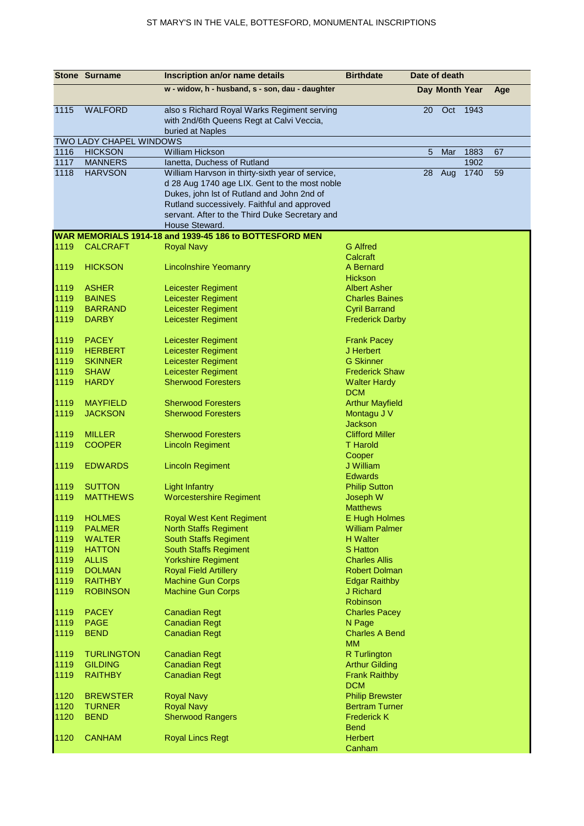|              | <b>Stone Surname</b>           | Inscription an/or name details                                                                               | <b>Birthdate</b>                       |    | Date of death  |      |     |
|--------------|--------------------------------|--------------------------------------------------------------------------------------------------------------|----------------------------------------|----|----------------|------|-----|
|              |                                | w - widow, h - husband, s - son, dau - daughter                                                              |                                        |    | Day Month Year |      | Age |
| 1115         | <b>WALFORD</b>                 | also s Richard Royal Warks Regiment serving<br>with 2nd/6th Queens Regt at Calvi Veccia,<br>buried at Naples |                                        | 20 | Oct            | 1943 |     |
|              | TWO LADY CHAPEL WINDOWS        |                                                                                                              |                                        |    |                |      |     |
| 1116         | <b>HICKSON</b>                 | <b>William Hickson</b>                                                                                       |                                        | 5  | Mar            | 1883 | 67  |
| 1117         | <b>MANNERS</b>                 | Ianetta, Duchess of Rutland                                                                                  |                                        |    |                | 1902 |     |
| 1118         | <b>HARVSON</b>                 | William Harvson in thirty-sixth year of service,                                                             |                                        | 28 | Aug            | 1740 | 59  |
|              |                                | d 28 Aug 1740 age LIX. Gent to the most noble                                                                |                                        |    |                |      |     |
|              |                                | Dukes, john Ist of Rutland and John 2nd of                                                                   |                                        |    |                |      |     |
|              |                                | Rutland successively. Faithful and approved                                                                  |                                        |    |                |      |     |
|              |                                | servant. After to the Third Duke Secretary and                                                               |                                        |    |                |      |     |
|              |                                | House Steward.                                                                                               |                                        |    |                |      |     |
|              |                                | WAR MEMORIALS 1914-18 and 1939-45 186 to BOTTESFORD MEN                                                      |                                        |    |                |      |     |
| 1119         | <b>CALCRAFT</b>                | <b>Royal Navy</b>                                                                                            | <b>G</b> Alfred                        |    |                |      |     |
|              |                                |                                                                                                              | Calcraft                               |    |                |      |     |
| 1119         | <b>HICKSON</b>                 | <b>Lincolnshire Yeomanry</b>                                                                                 | A Bernard                              |    |                |      |     |
|              |                                |                                                                                                              | Hickson                                |    |                |      |     |
| 1119         | <b>ASHER</b>                   | Leicester Regiment                                                                                           | <b>Albert Asher</b>                    |    |                |      |     |
| 1119         | <b>BAINES</b>                  | Leicester Regiment                                                                                           | <b>Charles Baines</b>                  |    |                |      |     |
| 1119         | <b>BARRAND</b>                 | Leicester Regiment                                                                                           | <b>Cyril Barrand</b>                   |    |                |      |     |
| 1119         | <b>DARBY</b>                   | Leicester Regiment                                                                                           | <b>Frederick Darby</b>                 |    |                |      |     |
| 1119         | <b>PACEY</b>                   | Leicester Regiment                                                                                           | <b>Frank Pacey</b>                     |    |                |      |     |
| 1119         | <b>HERBERT</b>                 | Leicester Regiment                                                                                           | J Herbert                              |    |                |      |     |
| 1119         | <b>SKINNER</b>                 | Leicester Regiment                                                                                           | <b>G</b> Skinner                       |    |                |      |     |
| 1119         | <b>SHAW</b>                    | Leicester Regiment                                                                                           | <b>Frederick Shaw</b>                  |    |                |      |     |
| 1119         | <b>HARDY</b>                   | <b>Sherwood Foresters</b>                                                                                    | <b>Walter Hardy</b>                    |    |                |      |     |
|              |                                |                                                                                                              | <b>DCM</b>                             |    |                |      |     |
| 1119         | <b>MAYFIELD</b>                | <b>Sherwood Foresters</b>                                                                                    | <b>Arthur Mayfield</b>                 |    |                |      |     |
| 1119         | <b>JACKSON</b>                 | <b>Sherwood Foresters</b>                                                                                    | Montagu J V                            |    |                |      |     |
|              |                                |                                                                                                              | <b>Jackson</b>                         |    |                |      |     |
| 1119         | <b>MILLER</b>                  | <b>Sherwood Foresters</b>                                                                                    | <b>Clifford Miller</b>                 |    |                |      |     |
| 1119         | <b>COOPER</b>                  | <b>Lincoln Regiment</b>                                                                                      | <b>T</b> Harold                        |    |                |      |     |
|              |                                |                                                                                                              | Cooper                                 |    |                |      |     |
| 1119         | <b>EDWARDS</b>                 | <b>Lincoln Regiment</b>                                                                                      | J William                              |    |                |      |     |
|              |                                |                                                                                                              | <b>Edwards</b>                         |    |                |      |     |
| 1119         | <b>SUTTON</b>                  | <b>Light Infantry</b>                                                                                        | <b>Philip Sutton</b>                   |    |                |      |     |
| 1119         | <b>MATTHEWS</b>                | <b>Worcestershire Regiment</b>                                                                               | Joseph W                               |    |                |      |     |
| 1119         | <b>HOLMES</b>                  |                                                                                                              | <b>Matthews</b>                        |    |                |      |     |
|              |                                | <b>Royal West Kent Regiment</b>                                                                              | E Hugh Holmes<br><b>William Palmer</b> |    |                |      |     |
| 1119<br>1119 | <b>PALMER</b><br><b>WALTER</b> | <b>North Staffs Regiment</b><br><b>South Staffs Regiment</b>                                                 | <b>H</b> Walter                        |    |                |      |     |
| 1119         | <b>HATTON</b>                  | <b>South Staffs Regiment</b>                                                                                 | <b>S</b> Hatton                        |    |                |      |     |
| 1119         | <b>ALLIS</b>                   | <b>Yorkshire Regiment</b>                                                                                    | <b>Charles Allis</b>                   |    |                |      |     |
| 1119         | <b>DOLMAN</b>                  | <b>Royal Field Artillery</b>                                                                                 | <b>Robert Dolman</b>                   |    |                |      |     |
| 1119         | <b>RAITHBY</b>                 | <b>Machine Gun Corps</b>                                                                                     | <b>Edgar Raithby</b>                   |    |                |      |     |
| 1119         | <b>ROBINSON</b>                | <b>Machine Gun Corps</b>                                                                                     | J Richard                              |    |                |      |     |
|              |                                |                                                                                                              | Robinson                               |    |                |      |     |
| 1119         | <b>PACEY</b>                   | <b>Canadian Regt</b>                                                                                         | <b>Charles Pacey</b>                   |    |                |      |     |
| 1119         | <b>PAGE</b>                    | <b>Canadian Regt</b>                                                                                         | N Page                                 |    |                |      |     |
| 1119         | <b>BEND</b>                    | <b>Canadian Regt</b>                                                                                         | <b>Charles A Bend</b>                  |    |                |      |     |
|              |                                |                                                                                                              | <b>MM</b>                              |    |                |      |     |
| 1119         | <b>TURLINGTON</b>              | <b>Canadian Regt</b>                                                                                         | <b>R</b> Turlington                    |    |                |      |     |
| 1119         | <b>GILDING</b>                 | <b>Canadian Regt</b>                                                                                         | <b>Arthur Gilding</b>                  |    |                |      |     |
| 1119         | <b>RAITHBY</b>                 | <b>Canadian Regt</b>                                                                                         | <b>Frank Raithby</b>                   |    |                |      |     |
|              |                                |                                                                                                              | <b>DCM</b>                             |    |                |      |     |
| 1120         | <b>BREWSTER</b>                | <b>Royal Navy</b>                                                                                            | <b>Philip Brewster</b>                 |    |                |      |     |
| 1120         | <b>TURNER</b>                  | <b>Royal Navy</b>                                                                                            | <b>Bertram Turner</b>                  |    |                |      |     |
| 1120         | <b>BEND</b>                    | <b>Sherwood Rangers</b>                                                                                      | <b>Frederick K</b>                     |    |                |      |     |
|              |                                |                                                                                                              | <b>Bend</b>                            |    |                |      |     |
| 1120         | <b>CANHAM</b>                  | <b>Royal Lincs Regt</b>                                                                                      | <b>Herbert</b>                         |    |                |      |     |
|              |                                |                                                                                                              | Canham                                 |    |                |      |     |